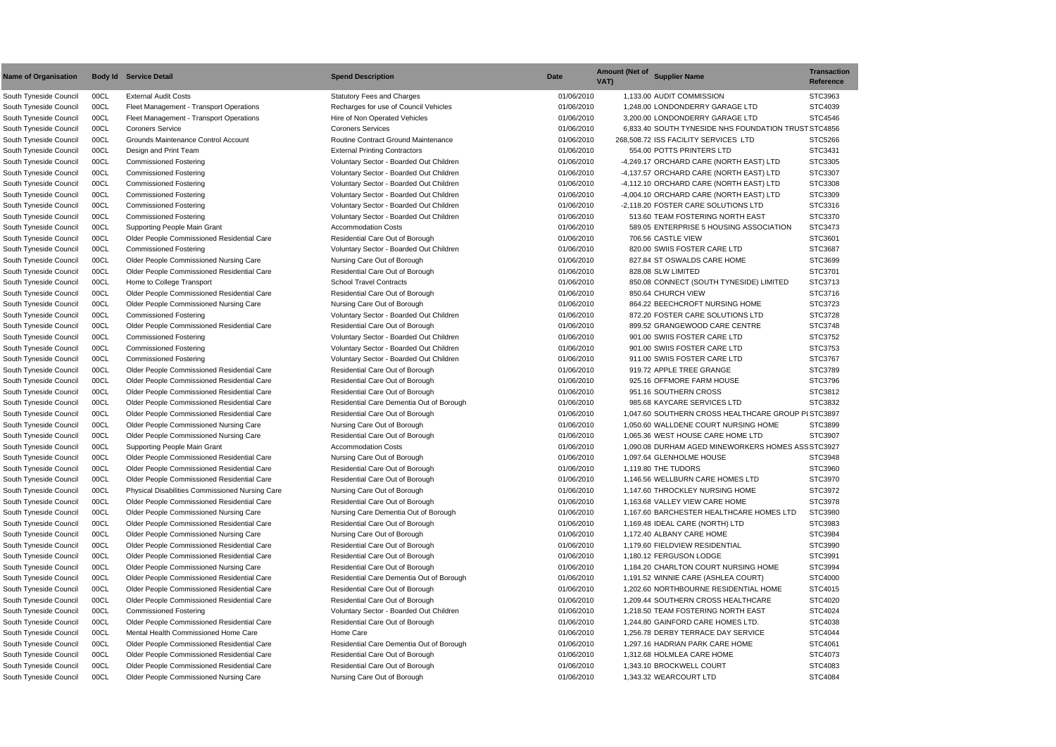| <b>Transaction</b><br>Reference |
|---------------------------------|
| STC3963                         |
| STC4039                         |
| STC4546                         |
| ST STC4856                      |
| STC5266                         |
| STC3431                         |
| STC3305                         |
| STC3307                         |
| STC3308                         |
| STC3309                         |
| STC3316                         |
| STC3370                         |
| STC3473                         |
| STC3601                         |
| STC3687                         |
| STC3699                         |
| STC3701                         |
| STC3713                         |
| STC3716                         |
| STC3723                         |
| STC3728                         |
| STC3748                         |
| STC3752                         |
| STC3753                         |
| STC3767                         |
| STC3789                         |
| STC3796                         |
| STC3812                         |
| STC3832                         |
| PI STC3897                      |
| STC3899                         |
| STC3907                         |
| SS STC3927                      |
| STC3948                         |
| STC3960                         |
| STC3970                         |
| STC3972                         |
| STC3978                         |
| STC3980                         |
| STC3983                         |
| STC3984                         |
| STC3990                         |
| STC3991                         |
| STC3994                         |
| STC4000                         |
| STC4015                         |
| STC4020                         |
| STC4024                         |
| STC4038                         |
| STC4044                         |
| STC4061                         |
| STC4073                         |
| STC4083                         |
| STC4084                         |

| <b>Name of Organisation</b> |      | <b>Body Id Service Detail</b>                          | <b>Spend Description</b>                   | <b>Date</b> | <b>Amount (Net of</b><br><b>Supplier Name</b><br>VAT) | <b>Transaction</b><br><b>Reference</b> |
|-----------------------------|------|--------------------------------------------------------|--------------------------------------------|-------------|-------------------------------------------------------|----------------------------------------|
| South Tyneside Council      | 00CL | <b>External Audit Costs</b>                            | <b>Statutory Fees and Charges</b>          | 01/06/2010  | 1,133.00 AUDIT COMMISSION                             | STC3963                                |
| South Tyneside Council      | 00CL | Fleet Management - Transport Operations                | Recharges for use of Council Vehicles      | 01/06/2010  | 1,248.00 LONDONDERRY GARAGE LTD                       | STC4039                                |
| South Tyneside Council      | 00CL | Fleet Management - Transport Operations                | Hire of Non Operated Vehicles              | 01/06/2010  | 3,200.00 LONDONDERRY GARAGE LTD                       | STC4546                                |
| South Tyneside Council      | 00CL | <b>Coroners Service</b>                                | <b>Coroners Services</b>                   | 01/06/2010  | 6.833.40 SOUTH TYNESIDE NHS FOUNDATION TRUST STC4856  |                                        |
| South Tyneside Council      | 00CL | Grounds Maintenance Control Account                    | <b>Routine Contract Ground Maintenance</b> | 01/06/2010  | 268,508.72 ISS FACILITY SERVICES LTD                  | STC5266                                |
| South Tyneside Council      | 00CL | Design and Print Team                                  | <b>External Printing Contractors</b>       | 01/06/2010  | 554.00 POTTS PRINTERS LTD                             | STC3431                                |
| South Tyneside Council      | 00CL | <b>Commissioned Fostering</b>                          | Voluntary Sector - Boarded Out Children    | 01/06/2010  | -4,249.17 ORCHARD CARE (NORTH EAST) LTD               | STC3305                                |
| South Tyneside Council      | 00CL | <b>Commissioned Fostering</b>                          | Voluntary Sector - Boarded Out Children    | 01/06/2010  | -4,137.57 ORCHARD CARE (NORTH EAST) LTD               | STC3307                                |
| South Tyneside Council      | 00CL | <b>Commissioned Fostering</b>                          | Voluntary Sector - Boarded Out Children    | 01/06/2010  | -4,112.10 ORCHARD CARE (NORTH EAST) LTD               | STC3308                                |
| South Tyneside Council      | 00CL | <b>Commissioned Fostering</b>                          | Voluntary Sector - Boarded Out Children    | 01/06/2010  | -4,004.10 ORCHARD CARE (NORTH EAST) LTD               | STC3309                                |
| South Tyneside Council      | 00CL | <b>Commissioned Fostering</b>                          | Voluntary Sector - Boarded Out Children    | 01/06/2010  | -2,118.20 FOSTER CARE SOLUTIONS LTD                   | STC3316                                |
| South Tyneside Council      | 00CL | <b>Commissioned Fostering</b>                          | Voluntary Sector - Boarded Out Children    | 01/06/2010  | 513.60 TEAM FOSTERING NORTH EAST                      | STC3370                                |
| South Tyneside Council      | 00CL | Supporting People Main Grant                           | <b>Accommodation Costs</b>                 | 01/06/2010  | 589.05 ENTERPRISE 5 HOUSING ASSOCIATION               | STC3473                                |
| South Tyneside Council      | 00CL | <b>Older People Commissioned Residential Care</b>      | Residential Care Out of Borough            | 01/06/2010  | 706.56 CASTLE VIEW                                    | STC3601                                |
| South Tyneside Council      | 00CL | <b>Commissioned Fostering</b>                          | Voluntary Sector - Boarded Out Children    | 01/06/2010  | 820.00 SWIIS FOSTER CARE LTD                          | STC3687                                |
| South Tyneside Council      | 00CL | Older People Commissioned Nursing Care                 | Nursing Care Out of Borough                | 01/06/2010  | 827.84 ST OSWALDS CARE HOME                           | STC3699                                |
| South Tyneside Council      | 00CL | Older People Commissioned Residential Care             | Residential Care Out of Borough            | 01/06/2010  | 828.08 SLW LIMITED                                    | STC3701                                |
| South Tyneside Council      | 00CL | Home to College Transport                              | <b>School Travel Contracts</b>             | 01/06/2010  | 850.08 CONNECT (SOUTH TYNESIDE) LIMITED               | STC3713                                |
| South Tyneside Council      | 00CL | Older People Commissioned Residential Care             | Residential Care Out of Borough            | 01/06/2010  | 850.64 CHURCH VIEW                                    | STC3716                                |
| South Tyneside Council      | 00CL | Older People Commissioned Nursing Care                 | Nursing Care Out of Borough                | 01/06/2010  | 864.22 BEECHCROFT NURSING HOME                        | STC3723                                |
| South Tyneside Council      | 00CL | <b>Commissioned Fostering</b>                          | Voluntary Sector - Boarded Out Children    | 01/06/2010  | 872.20 FOSTER CARE SOLUTIONS LTD                      | STC3728                                |
| South Tyneside Council      | 00CL | Older People Commissioned Residential Care             | Residential Care Out of Borough            | 01/06/2010  | 899.52 GRANGEWOOD CARE CENTRE                         | STC3748                                |
| South Tyneside Council      | 00CL | <b>Commissioned Fostering</b>                          | Voluntary Sector - Boarded Out Children    | 01/06/2010  | 901.00 SWIIS FOSTER CARE LTD                          | STC3752                                |
| South Tyneside Council      | 00CL | <b>Commissioned Fostering</b>                          | Voluntary Sector - Boarded Out Children    | 01/06/2010  | 901.00 SWIIS FOSTER CARE LTD                          | STC3753                                |
| South Tyneside Council      | 00CL | <b>Commissioned Fostering</b>                          | Voluntary Sector - Boarded Out Children    | 01/06/2010  | 911.00 SWIIS FOSTER CARE LTD                          | STC3767                                |
| South Tyneside Council      | 00CL | Older People Commissioned Residential Care             | Residential Care Out of Borough            | 01/06/2010  | 919.72 APPLE TREE GRANGE                              | STC3789                                |
| South Tyneside Council      | 00CL | Older People Commissioned Residential Care             | Residential Care Out of Borough            | 01/06/2010  | 925.16 OFFMORE FARM HOUSE                             | STC3796                                |
| South Tyneside Council      | 00CL | Older People Commissioned Residential Care             | Residential Care Out of Borough            | 01/06/2010  | 951.16 SOUTHERN CROSS                                 | STC3812                                |
| South Tyneside Council      | 00CL | Older People Commissioned Residential Care             | Residential Care Dementia Out of Borough   | 01/06/2010  | 985.68 KAYCARE SERVICES LTD                           | STC3832                                |
| South Tyneside Council      | 00CL | Older People Commissioned Residential Care             | Residential Care Out of Borough            | 01/06/2010  | 1,047.60 SOUTHERN CROSS HEALTHCARE GROUP PISTC3897    |                                        |
| South Tyneside Council      | 00CL | Older People Commissioned Nursing Care                 | Nursing Care Out of Borough                | 01/06/2010  | 1,050.60 WALLDENE COURT NURSING HOME                  | STC3899                                |
| South Tyneside Council      | 00CL | Older People Commissioned Nursing Care                 | Residential Care Out of Borough            | 01/06/2010  | 1,065.36 WEST HOUSE CARE HOME LTD                     | STC3907                                |
| South Tyneside Council      | 00CL | Supporting People Main Grant                           | <b>Accommodation Costs</b>                 | 01/06/2010  | 1,090.08 DURHAM AGED MINEWORKERS HOMES ASS STC3927    |                                        |
| South Tyneside Council      | 00CL | Older People Commissioned Residential Care             | Nursing Care Out of Borough                | 01/06/2010  | 1,097.64 GLENHOLME HOUSE                              | STC3948                                |
| South Tyneside Council      | 00CL | Older People Commissioned Residential Care             | Residential Care Out of Borough            | 01/06/2010  | 1,119.80 THE TUDORS                                   | STC3960                                |
| South Tyneside Council      | 00CL | Older People Commissioned Residential Care             | Residential Care Out of Borough            | 01/06/2010  | 1,146.56 WELLBURN CARE HOMES LTD                      | STC3970                                |
| South Tyneside Council      | 00CL | <b>Physical Disabilities Commissioned Nursing Care</b> | Nursing Care Out of Borough                | 01/06/2010  | 1,147.60 THROCKLEY NURSING HOME                       | STC3972                                |
| South Tyneside Council      | 00CL | Older People Commissioned Residential Care             | Residential Care Out of Borough            | 01/06/2010  | 1,163.68 VALLEY VIEW CARE HOME                        | STC3978                                |
| South Tyneside Council      | 00CL | <b>Older People Commissioned Nursing Care</b>          | Nursing Care Dementia Out of Borough       | 01/06/2010  | 1,167.60 BARCHESTER HEALTHCARE HOMES LTD              | STC3980                                |
| South Tyneside Council      | 00CL | Older People Commissioned Residential Care             | Residential Care Out of Borough            | 01/06/2010  | 1,169.48 IDEAL CARE (NORTH) LTD                       | STC3983                                |
| South Tyneside Council      | 00CL | Older People Commissioned Nursing Care                 | Nursing Care Out of Borough                | 01/06/2010  | 1,172.40 ALBANY CARE HOME                             | STC3984                                |
| South Tyneside Council      | 00CL | Older People Commissioned Residential Care             | Residential Care Out of Borough            | 01/06/2010  | 1,179.60 FIELDVIEW RESIDENTIAL                        | STC3990                                |
| South Tyneside Council      | 00CL | Older People Commissioned Residential Care             | Residential Care Out of Borough            | 01/06/2010  | 1,180.12 FERGUSON LODGE                               | STC3991                                |
| South Tyneside Council      | 00CL | Older People Commissioned Nursing Care                 | Residential Care Out of Borough            | 01/06/2010  | 1,184.20 CHARLTON COURT NURSING HOME                  | STC3994                                |
| South Tyneside Council      | 00CL | Older People Commissioned Residential Care             | Residential Care Dementia Out of Borough   | 01/06/2010  | 1,191.52 WINNIE CARE (ASHLEA COURT)                   | STC4000                                |
| South Tyneside Council      | 00CL | Older People Commissioned Residential Care             | Residential Care Out of Borough            | 01/06/2010  | 1,202.60 NORTHBOURNE RESIDENTIAL HOME                 | STC4015                                |
| South Tyneside Council      | 00CL | Older People Commissioned Residential Care             | Residential Care Out of Borough            | 01/06/2010  | 1,209.44 SOUTHERN CROSS HEALTHCARE                    | STC4020                                |
| South Tyneside Council      | 00CL | <b>Commissioned Fostering</b>                          | Voluntary Sector - Boarded Out Children    | 01/06/2010  | 1,218.50 TEAM FOSTERING NORTH EAST                    | STC4024                                |
| South Tyneside Council      | 00CL | Older People Commissioned Residential Care             | Residential Care Out of Borough            | 01/06/2010  | 1,244.80 GAINFORD CARE HOMES LTD.                     | STC4038                                |
| South Tyneside Council      | 00CL | Mental Health Commissioned Home Care                   | Home Care                                  | 01/06/2010  | 1,256.78 DERBY TERRACE DAY SERVICE                    | STC4044                                |
| South Tyneside Council      | 00CL | Older People Commissioned Residential Care             | Residential Care Dementia Out of Borough   | 01/06/2010  | 1,297.16 HADRIAN PARK CARE HOME                       | STC4061                                |
| South Tyneside Council      | 00CL | Older People Commissioned Residential Care             | Residential Care Out of Borough            | 01/06/2010  | 1,312.68 HOLMLEA CARE HOME                            | STC4073                                |
| South Tyneside Council      | 00CL | Older People Commissioned Residential Care             | Residential Care Out of Borough            | 01/06/2010  | 1,343.10 BROCKWELL COURT                              | STC4083                                |
| South Tyneside Council      | 00CL | Older People Commissioned Nursing Care                 | Nursing Care Out of Borough                | 01/06/2010  | 1,343.32 WEARCOURT LTD                                | STC4084                                |
|                             |      |                                                        |                                            |             |                                                       |                                        |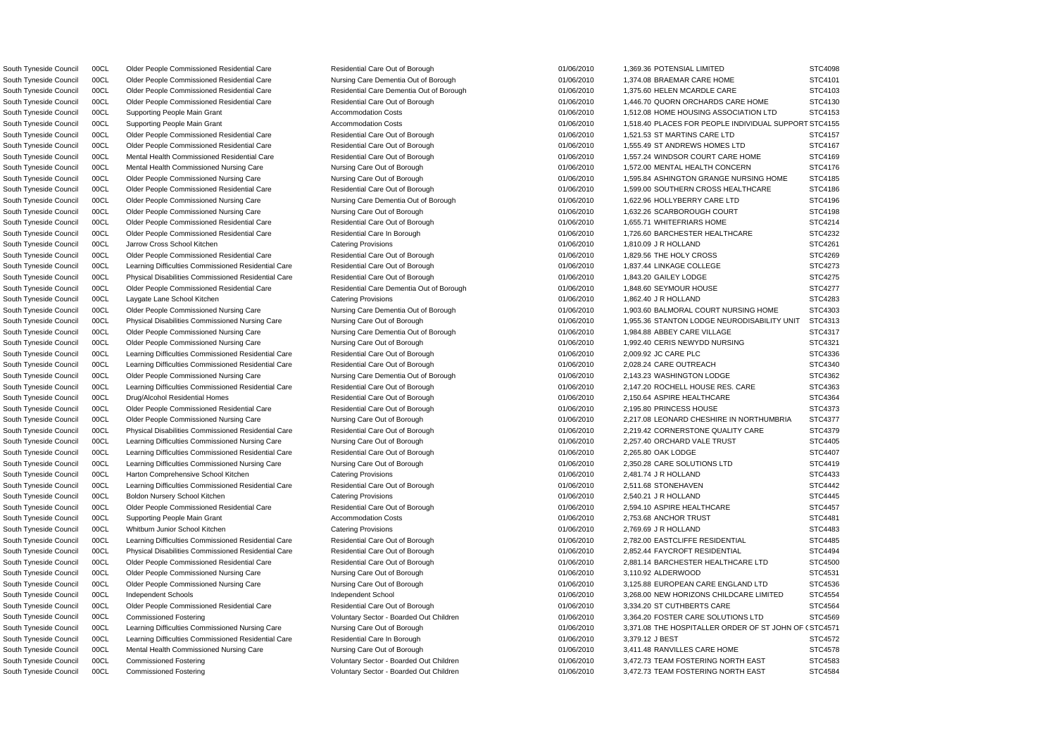South Tyneside Council 00CL Commissioned Fostering Came of Mathem Voluntary Sector - Boarded Out Children 01/06/2010 3,472.73 TEAM FOSTERING NORTH EAST STC4584

South Tyneside Council 00CL Supporting People Main Grant Accommodation Costs of the Controller of the Controller of the Accommodation Costs of the Controller of the Costs of the Costs of the Costs of the Costs of the Costs South Tyneside Council 00CL Learning Difficulties Commissioned Nursing Care Nursing Care Nursing Care Nursing Care Out of Borough 01/06/2010 3,371.08 THE HOSPITALLER ORDER OF ST JOHN OF (STC4571 South Tyneside Council 00CL Older People Commissioned Residential Care Residential Care Out of Borough 01/06/2010 1,369.36 POTENSIAL LIMITED STC4098 South Tyneside Council 00CL Older People Commissioned Residential Care Nursing Care Dementia Out of Borough 01/06/2010 1,374.08 BRAEMAR CARE HOME STC4101 South Tyneside Council 00CL Older People Commissioned Residential Care Residential Care Residential Care Residential Care Residential Care Dementia Out of Borough 01/06/2010 1,375.60 HELEN MCARDLE CARE STC4103 South Tyneside Council 00CL Older People Commissioned Residential Care Residential Care Residential Care Residential Care Residential Care Out of Borough 01/06/2010 1,446.70 QUORN ORCHARDS CARE HOME STC4130 South Tyneside Council 00CL Supporting People Main Grant Accommodation Costs 6 01/06/2010 1,512.08 HOME HOUSING ASSOCIATION LTD STC4153 South Tyneside Council 00CL Older People Commissioned Residential Care Residential Care Out of Borough 01/06/2010 1,521.53 ST MARTINS CARE LTD STC4157 South Tyneside Council 00CL Older People Commissioned Residential Care Residential Care Out of Borough 01/06/2010 1,555.49 ST ANDREWS HOMES LTD STC4167 South Tyneside Council 00CL Mental Health Commissioned Residential Care Nesidential Care Out of Borough 01/06/2010 1,557.24 WINDSOR COURT CARE HOME STC4169 South Tyneside Council 00CL Mental Health Commissioned Nursing Care Nursing Care Out of Borough 01/06/2010 1,572.00 MENTAL HEALTH CONCERN STC4176 South Tyneside Council 00CL Older People Commissioned Nursing Care Nursing Care Nursing Care Out of Borough 01/06/2010 1,595.84 ASHINGTON GRANGE NURSING HOME STC4185 South Tyneside Council 00CL Older People Commissioned Residential Care Nesidential Care Out of Borough 01/06/2010 1,599.00 SOUTHERN CROSS HEALTHCARE STC4186 South Tyneside Council 00CL Older People Commissioned Nursing Care Nursing Care Dementia Out of Borough 01/06/2010 1,622.96 HOLLYBERRY CARE LTD STC4196 South Tyneside Council 00CL Older People Commissioned Nursing Care Nursing Care Out of Borough 01/06/2010 1,632.26 SCARBOROUGH COURT STC4198 South Tyneside Council COOL Older People Commissioned Residential Care Nesidential Care Out of Borough 01/06/2010 1,655.71 WHITEFRIARS HOME STC4214 South Tyneside Council 00CL Older People Commissioned Residential Care Residential Care Residential Care Residential Care Residential Care In Borough 01/06/2010 1,726.60 BARCHESTER HEALTHCARE STC4232 South Tyneside Council 00CL Jarrow Cross School Kitchen Catering Provisions Catering Provisions 01/06/2010 1,810.09 J R HOLLAND STC4261 South Tyneside Council 00CL Older People Commissioned Residential Care Nesidential Care Out of Borough 01/06/2010 1,829.56 THE HOLY CROSS STC4269 South Tyneside Council 00CL Learning Difficulties Commissioned Residential Care Residential Care Out of Borough 01/06/2010 1,837.44 LINKAGE COLLEGE STC4273 South Tyneside Council 00CL Physical Disabilities Commissioned Residential Care Residential Care Out of Borough 01/06/2010 1,843.20 GAILEY LODGE STC4275 South Tyneside Council 00CL Older People Commissioned Residential Care Residential Care Dementia Out of Borough 01/06/2010 1,848.60 SEYMOUR HOUSE STC4277 South Tyneside Council 00CL Laygate Lane School Kitchen Catering Provisions 01/06/2010 1,862.40 J R HOLLAND STC4283 South Tyneside Council 00CL Older People Commissioned Nursing Care Nursing Care Dementia Out of Borough 01/06/2010 1,903.60 BALMORAL COURT NURSING HOME STC4303 South Tyneside Council 00CL Physical Disabilities Commissioned Nursing Care Nursing Care Nursing Care Out of Borough 01/06/2010 1,955.36 STANTON LODGE NEURODISABILITY UNIT STC4313 South Tyneside Council 00CL Older People Commissioned Nursing Care Nursing Care Dementia Out of Borough 01/06/2010 1,984.88 ABBEY CARE VILLAGE STC4317 South Tyneside Council 00CL Older People Commissioned Nursing Care Nursing Care Out of Borough 01/06/2010 1,992.40 CERIS NEWYDD NURSING STC4321 South Tyneside Council 00CL Learning Difficulties Commissioned Residential Care Residential Care Out of Borough 01/06/2010 2,009.92 JC CARE PLC STC4336 South Tyneside Council 00CL Learning Difficulties Commissioned Residential Care Residential Care Out of Borough 01/06/2010 2,028.24 CARE OUTREACH STC4340 South Tyneside Council 00CL Older People Commissioned Nursing Care Nursing Care Dementia Out of Borough 01/06/2010 2,143.23 WASHINGTON LODGE STC4362 South Tyneside Council 00CL Learning Difficulties Commissioned Residential Care Residential Care Out of Borough 01/06/2010 2,147.20 ROCHELL HOUSE RES. CARE STC4363 South Tyneside Council 00CL Drug/Alcohol Residential Homes Residential Care Out of Borough 01/06/2010 2,150.64 ASPIRE HEALTHCARE STC4364 South Tyneside Council 00CL Older People Commissioned Residential Care Residential Care Residential Care Out of Borough 01/06/2010 2,195.80 PRINCESS HOUSE STC4373 South Tyneside Council 00CL Older People Commissioned Nursing Care Nursing Care Nursing Care Out of Borough 01/06/2010 2,217.08 LEONARD CHESHIRE IN NORTHUMBRIA STC4377 South Tyneside Council 00CL Physical Disabilities Commissioned Residential Care Residential Care Out of Borough 01/06/2010 2,219.42 CORNERSTONE QUALITY CARE STC4379 South Tyneside Council 00CL Learning Difficulties Commissioned Nursing Care Nursing Care Out of Borough 01/06/2010 2,257.40 ORCHARD VALE TRUST STC4405 South Tyneside Council 00CL Learning Difficulties Commissioned Residential Care Residential Care Out of Borough 01/06/2010 2,265.80 OAK LODGE STC4407 South Tyneside Council 00CL Learning Difficulties Commissioned Nursing Care Nursing Care Out of Borough 01/06/2010 2,350.28 CARE SOLUTIONS LTD STC4419 South Tyneside Council 00CL Harton Comprehensive School Kitchen Catering Provisions Catering Provisions 01/06/2010 2,481.74 J R HOLLAND STC4433 South Tyneside Council 00CL Learning Difficulties Commissioned Residential Care Residential Care Out of Borough 01/06/2010 2,511.68 STONEHAVEN STC4442 South Tyneside Council 00CL Boldon Nursery School Kitchen Catering Provisions Catering Provisions 01/06/2010 2,540.21 J R HOLLAND STC4445 South Tyneside Council 00CL Older People Commissioned Residential Care Nesidential Care Out of Borough 01/06/2010 2,594.10 ASPIRE HEALTHCARE STC4457 South Tyneside Council 00CL Supporting People Main Grant Accommodation Costs 01/06/2010 2,753.68 ANCHOR TRUST STC4481 South Tyneside Council 00CL Whitburn Junior School Kitchen Catering Provisions Catering Provisions 01/06/2010 2,769.69 J R HOLLAND STC4483 South Tyneside Council 00CL Learning Difficulties Commissioned Residential Care Residential Care Out of Borough 01/06/2010 2.782.00 EASTCLIFFE RESIDENTIAL STC4485 South Tyneside Council 00CL Physical Disabilities Commissioned Residential Care Residential Care Out of Borough 01/06/2010 2,852.44 FAYCROFT RESIDENTIAL STC4494 South Tyneside Council 00CL Older People Commissioned Residential Care Residential Care Residential Care Residential Care Residential Care Residential Care Out of Borough 01/06/2010 2,881.14 BARCHESTER HEALTHCARE LTD STC45 South Tyneside Council 00CL Older People Commissioned Nursing Care Nursing Care Out of Borough 01/06/2010 3,110.92 ALDERWOOD STC4531 South Tyneside Council 00CL Older People Commissioned Nursing Care Nursing Care Nursing Care Out of Borough 01/06/2010 3,125.88 EUROPEAN CARE ENGLAND LTD STC4536 South Tyneside Council 00CL Independent Schools **Independent School 11/06/2010** 3,268.00 NEW HORIZONS CHILDCARE LIMITED STC4554 South Tyneside Council 00CL Older People Commissioned Residential Care Residential Care Out of Borough 01/06/2010 3,334.20 ST CUTHBERTS CARE STC4564 South Tyneside Council 00CL Commissioned Fostering Carries Commissioned Fostering Voluntary Sector - Boarded Out Children 01/06/2010 3,364.20 FOSTER CARE SOLUTIONS LTD STC4569 South Tyneside Council 00CL Learning Difficulties Commissioned Residential Care Residential Care In Borough 01/06/2010 3,379.12 J BEST STC4572 South Tyneside Council 00CL Mental Health Commissioned Nursing Care Nursing Care Out of Borough 01/06/2010 3,411.48 RANVILLES CARE HOME STC4578 South Tyneside Council 00CL Commissioned Fostering Came of Coluntary Sector - Boarded Out Children 01/06/2010 3,472.73 TEAM FOSTERING NORTH EAST STC4583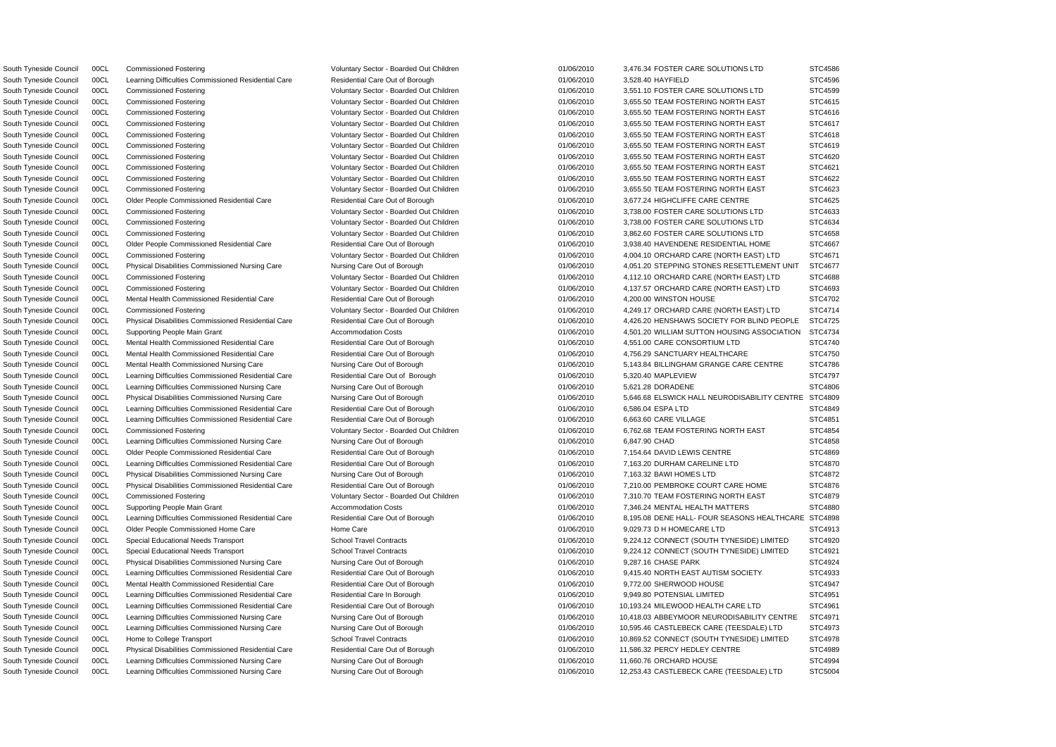South Tyneside Council 00CL Learning Difficulties Commissioned Residential Care Residential Care Out of Borough 01/06/2010 3,528.40 HAYFIELD South Tyneside Council 00CL Mental Health Commissioned Residential Care Residential Care Out of Borough 01/06/2010 4,200.00 WINSTON HOUSE South Tyneside Council 00CL Mental Health Commissioned Residential Care Residential Care Out of Borough 01/06/2010 4,551.00 CARE CONSORTIUM LTD South Tyneside Council 00CL Learning Difficulties Commissioned Residential Care Residential Care Out of Borough 01/06/2010 5,320.40 MAPLEVIEW South Tyneside Council 00CL Learning Difficulties Commissioned Nursing Care Nursing Care Out of Borough 01/06/2010 5,621.28 DORADENE South Tyneside Council 00CL Learning Difficulties Commissioned Residential Care Residential Care Out of Borough 01/06/2010 6,586.04 ESPA LTD South Tyneside Council 00CL Learning Difficulties Commissioned Residential Care Residential Care Out of Borough 01/06/2010 6,663.60 CARE VILLAGE South Tyneside Council 00CL Learning Difficulties Commissioned Nursing Care Nursing Care Out of Borough 01/06/2010 6,847.90 CHAD South Tyneside Council 00CL Older People Commissioned Residential Care Residential Care Out of Borough 01/06/2010 7,154.64 DAVID LEWIS CENTRE South Tyneside Council 00CL Learning Difficulties Commissioned Residential Care Residential Care Out of Borough 01/06/2010 7,163.20 DURHAM CARELINE LTD South Tyneside Council 00CL Physical Disabilities Commissioned Nursing Care Nursing Care Out of Borough 01/06/2010 7,163.32 BAWI HOMES LTD South Tyneside Council 00CL Older People Commissioned Home Care Home Care Home Care 01/06/2010 9,029.73 D H HOMECARE LTD South Tyneside Council 00CL Physical Disabilities Commissioned Nursing Care Nursing Care Out of Borough 01/06/2010 9,287.16 CHASE PARK South Tyneside Council 00CL Mental Health Commissioned Residential Care Residential Care Out of Borough 01/06/2010 9,772.00 SHERWOOD HOUSE South Tyneside Council 00CL Learning Difficulties Commissioned Residential Care Residential Care In Borough 01/06/2010 9,949.80 POTENSIAL LIMITED South Tyneside Council 00CL Physical Disabilities Commissioned Residential Care Residential Care Out of Borough 01/06/2010 11,586.32 PERCY HEDLEY CENTRE South Tyneside Council 00CL Learning Difficulties Commissioned Nursing Care Nursing Care Out of Borough 01/06/2010 11,660.76 ORCHARD HOUSE

South Tyneside Council 00CL Commissioned Fostering COM Stephen Voluntary Sector - Boarded Out Children 01/06/2010 3,476.34 FOSTER CARE SOLUTIONS LTD South Tyneside Council 00CL Commissioned Fostering **COUNTIONS LTD** Voluntary Sector - Boarded Out Children 01/06/2010 3,551.10 FOSTER CARE SOLUTIONS LTD South Tyneside Council 00CL Commissioned Fostering Commissioned Fostering Voluntary Sector - Boarded Out Children 01/06/2010 3,655.50 TEAM FOSTERING NORTH EAST South Tyneside Council 00CL Commissioned Fostering Commissioned Fostering Voluntary Sector - Boarded Out Children 01/06/2010 3,655.50 TEAM FOSTERING NORTH EAST South Tyneside Council 00CL Commissioned Fostering Commissioned Fostering Voluntary Sector - Boarded Out Children 01/06/2010 3,655.50 TEAM FOSTERING NORTH EAST South Tyneside Council 00CL Commissioned Fostering Commissioned Fostering Voluntary Sector - Boarded Out Children 01/06/2010 3,655.50 TEAM FOSTERING NORTH EAST South Tyneside Council 00CL Commissioned Fostering Commissioned Fostering Voluntary Sector - Boarded Out Children 01/06/2010 3,655.50 TEAM FOSTERING NORTH EAST South Tyneside Council 00CL Commissioned Fostering Commissioned Fostering Voluntary Sector - Boarded Out Children 01/06/2010 3,655.50 TEAM FOSTERING NORTH EAST South Tyneside Council 00CL Commissioned Fostering Commissioned Fostering Voluntary Sector - Boarded Out Children 01/06/2010 3,655.50 TEAM FOSTERING NORTH EAST South Tyneside Council 00CL Commissioned Fostering Commissioned Fostering Voluntary Sector - Boarded Out Children 01/06/2010 3,655.50 TEAM FOSTERING NORTH EAST South Tyneside Council 00CL Commissioned Fostering Commissioned Fostering Voluntary Sector - Boarded Out Children 01/06/2010 3,655.50 TEAM FOSTERING NORTH EAST South Tyneside Council 00CL Older People Commissioned Residential Care Residential Care Residential Care Out of Borough 01/06/2010 3,677.24 HIGHCLIFFE CARE CENTRE South Tyneside Council 00CL Commissioned Fostering Commissioned Fostering Voluntary Sector - Boarded Out Children 01/06/2010 3,738.00 FOSTER CARE SOLUTIONS LTD South Tyneside Council 00CL Commissioned Fostering Commissioned Fostering Voluntary Sector - Boarded Out Children 01/06/2010 3,738.00 FOSTER CARE SOLUTIONS LTD South Tyneside Council 00CL Commissioned Fostering COM Commissioned Fostering Voluntary Sector - Boarded Out Children 01/06/2010 3,862.60 FOSTER CARE SOLUTIONS LTD South Tyneside Council 00CL Older People Commissioned Residential Care **Care Residential Care Cut of Borough Care** Cut of Borough 01/06/2010 3,938.40 HAVENDENE RESIDENTIAL HOME South Tyneside Council 00CL Commissioned Fostering Voluntary Sector - Boarded Out Children 01/06/2010 4,004.10 ORCHARD CARE (NORTH EAST) LTD STC4671 South Tyneside Council 00CL Physical Disabilities Commissioned Nursing Care Nursing Care Out of Borough 01/06/2010 4,051.20 STEPPING STONES RESETTLEMENT UNIT South Tyneside Council 00CL Commissioned Fostering Carries and Voluntary Sector - Boarded Out Children 01/06/2010 4,112.10 ORCHARD CARE (NORTH EAST) LTD South Tyneside Council 00CL Commissioned Fostering Computer Commissioned Fostering Voluntary Sector - Boarded Out Children 01/06/2010 4,137.57 ORCHARD CARE (NORTH EAST) LTD South Tyneside Council 00CL Commissioned Fostering COM Coluntary Sector - Boarded Out Children 01/06/2010 4,249.17 ORCHARD CARE (NORTH EAST) LTD South Tyneside Council 00CL Physical Disabilities Commissioned Residential Care Residential Care Out of Borough 01/06/2010 4,426.20 HENSHAWS SOCIETY FOR BLIND PEOPLE South Tyneside Council 00CL Supporting People Main Grant Accommodation Costs 6 and 201/06/2010 4.501.20 WILLIAM SUTTON HOUSING ASSOCIATION South Tyneside Council 00CL Mental Health Commissioned Residential Care Residential Care Residential Care Out of Borough 01/06/2010 4.756.29 SANCTUARY HEALTHCARE South Tyneside Council 00CL Mental Health Commissioned Nursing Care Nursing Care Out of Borough 01/06/2010 5,143.84 BILLINGHAM GRANGE CARE CENTRE South Tyneside Council 00CL Physical Disabilities Commissioned Nursing Care Nursing Care Nursing Care Out of Borough 01/06/2010 5,646.68 ELSWICK HALL NEURODISABILITY CENTR South Tyneside Council 00CL Commissioned Fostering Commissioned Fostering Voluntary Sector - Boarded Out Children 01/06/2010 6,762.68 TEAM FOSTERING NORTH EAST South Tyneside Council 00CL Physical Disabilities Commissioned Residential Care Residential Care Out of Borough 01/06/2010 7,210.00 PEMBROKE COURT CARE HOME South Tyneside Council 00CL Commissioned Fostering **State Commissioned Fostering** Voluntary Sector - Boarded Out Children 01/06/2010 7,310.70 TEAM FOSTERING NORTH EAST South Tyneside Council 00CL Supporting People Main Grant Accommodation Costs 61/06/2010 7,346.24 MENTAL HEALTH MATTERS South Tyneside Council 00CL Learning Difficulties Commissioned Residential Care Residential Care Out of Borough 01/06/2010 8,195.08 DENE HALL- FOUR SEASONS HEALTHCAR South Tyneside Council 00CL Special Educational Needs Transport School Travel Contracts 6 01/06/2010 9,224.12 CONNECT (SOUTH TYNESIDE) LIMITED South Tyneside Council 00CL Special Educational Needs Transport School Travel Contracts 6 01/06/2010 9,224.12 CONNECT (SOUTH TYNESIDE) LIMITED South Tyneside Council 00CL Learning Difficulties Commissioned Residential Care Residential Care Out of Borough 01/06/2010 9,415.40 NORTH EAST AUTISM SOCIETY South Tyneside Council 00CL Learning Difficulties Commissioned Residential Care Residential Care Out of Borough 01/06/2010 10,193.24 MILEWOOD HEALTH CARE LTD South Tyneside Council 00CL Learning Difficulties Commissioned Nursing Care Nursing Care Nursing Care Out of Borough 01/06/2010 10,418.03 ABBEYMOOR NEURODISABILITY CENTRE South Tyneside Council 00CL Learning Difficulties Commissioned Nursing Care Nursing Care Out of Borough 01/06/2010 10.595.46 CASTLEBECK CARE (TEESDALE) LTD South Tyneside Council 00CL Home to College Transport School Travel Contracts School Travel Contracts 61/06/2010 10,869.52 CONNECT (SOUTH TYNESIDE) LIMITED South Tyneside Council 00CL Learning Difficulties Commissioned Nursing Care Nursing Care Nursing Care Out of Borough 01/06/2010 12,253.43 CASTLEBECK CARE (TEESDALE) LTD

|    | STC4586        |
|----|----------------|
|    | STC4596        |
|    |                |
|    | STC4599        |
|    | STC4615        |
|    | STC4616        |
|    | STC4617        |
|    | STC4618        |
|    | STC4619        |
|    |                |
|    | STC4620        |
|    | STC4621        |
|    | STC4622        |
|    | STC4623        |
|    | STC4625        |
|    | STC4633        |
|    |                |
|    | STC4634        |
|    | STC4658        |
|    | STC4667        |
|    | STC4671        |
|    | STC4677        |
|    | STC4688        |
|    | STC4693        |
|    |                |
|    | STC4702        |
|    | STC4714        |
|    | <b>STC4725</b> |
| Ń  | STC4734        |
|    | STC4740        |
|    | STC4750        |
|    | STC4786        |
|    |                |
|    | STC4797        |
|    | STC4806        |
| ١Е | STC4809        |
|    | STC4849        |
|    | STC4851        |
|    | STC4854        |
|    | STC4858        |
|    |                |
|    | STC4869        |
|    | STC4870        |
|    | STC4872        |
|    | STC4876        |
|    | STC4879        |
|    | STC4880        |
| ٢Е | STC4898        |
|    |                |
|    | STC4913        |
|    | STC4920        |
|    | STC4921        |
|    | STC4924        |
|    | STC4933        |
|    | STC4947        |
|    | STC4951        |
|    | STC4961        |
|    |                |
|    | STC4971        |
|    | STC4973        |
|    | STC4978        |
|    | STC4989        |
|    | STC4994        |
|    | STC5004        |
|    |                |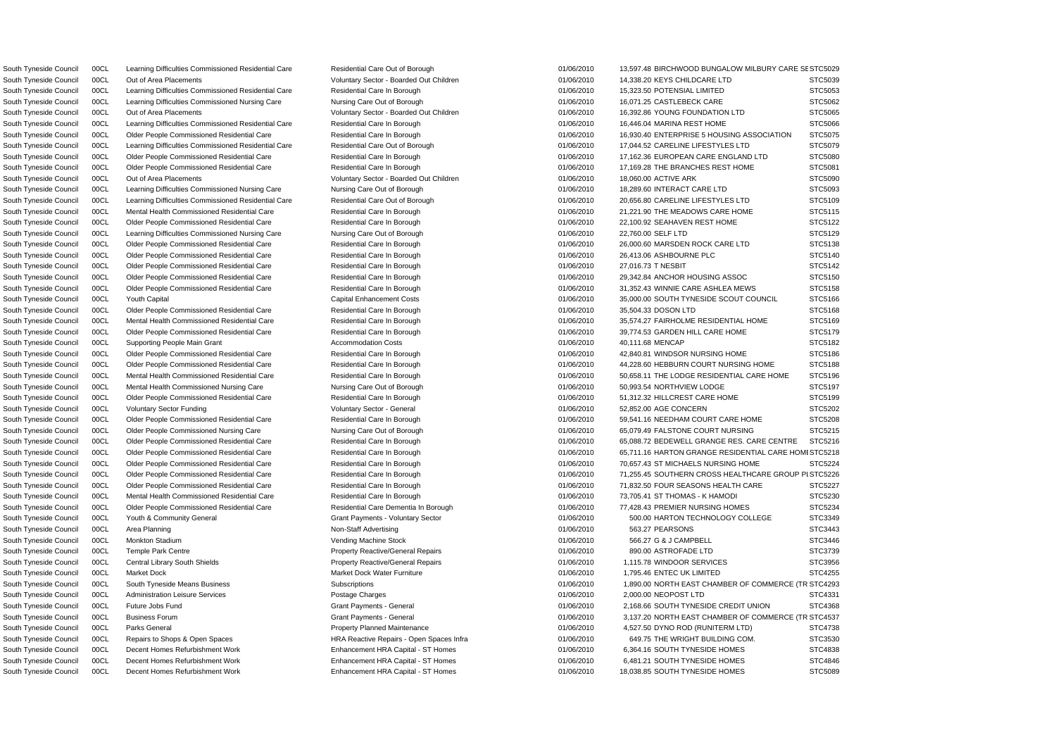South Tyneside Council 00CL Learning Difficulties Commissioned Residential Care Residential Care Residential Care Out of Borough 01/06/2010 13,597.48 BIRCHWOOD BUNGALOW MILBURY CARE SE STC5029 R South Tyneside Council 00CL South Tyneside Means Business Subscriptions 01/06/2010 1,890.00 NORTH EAST CHAMBER OF COMMERCE (T STC4293 South Tyneside Council 00CL Business Forum Grant General Council Council Business Forum Grant Payments - General Council 2,137.20 NORTH EAST CHAMBER OF COMMERCE (TR STC4537 South Tyneside Council 00CL Out of Area Placements Carries and Moluntary Sector - Boarded Out Children 01/06/2010 14,338.20 KEYS CHILDCARE LTD STC5039 South Tyneside Council 00CL Learning Difficulties Commissioned Residential Care Residential Care In Borough 01/06/2010 15,323.50 POTENSIAL LIMITED STC5053 South Tyneside Council 00CL Learning Difficulties Commissioned Nursing Care Nursing Care Out of Borough 01/06/2010 16,071.25 CASTLEBECK CARE STC5062 South Tyneside Council 00CL Out of Area Placements Carries and Moluntary Sector - Boarded Out Children 16, 106/2010 16,392.86 YOUNG FOUNDATION LTD STC5065 South Tyneside Council 00CL Learning Difficulties Commissioned Residential Care Residential Care Residential Care In Borough 01/06/2010 16,446.04 MARINA REST HOME STC5066 South Tyneside Council 00CL Older People Commissioned Residential Care Residential Care Residential Care In Borough 01/06/2010 16,930.40 ENTERPRISE 5 HOUSING ASSOCIATION STC5075 South Tyneside Council 00CL Learning Difficulties Commissioned Residential Care Residential Care Out of Borough 01/06/2010 17,044.52 CARELINE LIFESTYLES LTD STC5079 South Tyneside Council 00CL Older People Commissioned Residential Care Residential Care Residential Care In Borough 01/06/2010 17,162.36 EUROPEAN CARE ENGLAND LTD STC5080 South Tyneside Council 00CL Older People Commissioned Residential Care Residential Care Residential Care In Borough 01/06/2010 17,169.28 THE BRANCHES REST HOME STC5081 South Tyneside Council 00CL Out of Area Placements Computer Sector - Boarded Out Children 191/06/2010 18,060.00 ACTIVE ARK STC5090 South Tyneside Council 00CL Learning Difficulties Commissioned Nursing Care Nursing Care Out of Borough 01/06/2010 18,289.60 INTERACT CARE LTD STC5093 South Tyneside Council 00CL Learning Difficulties Commissioned Residential Care Residential Care Out of Borough 01/06/2010 20,656.80 CARELINE LIFESTYLES LTD STC5109 South Tyneside Council 00CL Mental Health Commissioned Residential Care Residential Care Residential Care Residential Care Residential Care Residential Care In Borough 01/06/2010 21,221.90 THE MEADOWS CARE HOME STC5115 South Tyneside Council 00CL Older People Commissioned Residential Care Residential Care Residential Care In Borough 01/06/2010 22.100.92 SEAHAVEN REST HOME STC5122 South Tyneside Council 00CL Learning Difficulties Commissioned Nursing Care Nursing Care Out of Borough 01/06/2010 22,760.00 SELF LTD STC5129 South Tyneside Council 00CL Older People Commissioned Residential Care Residential Care Residential Care Residential Care Residential Care In Borough 01/06/2010 26,000.60 MARSDEN ROCK CARE LTD STC5138 South Tyneside Council 00CL Older People Commissioned Residential Care Residential Care In Borough 01/06/2010 26,413.06 ASHBOURNE PLC STC5140 South Tyneside Council 00CL Older People Commissioned Residential Care Residential Care In Borough 01/06/2010 27,016.73 T NESBIT STC5142 South Tyneside Council 00CL Older People Commissioned Residential Care Residential Care Residential Care Residential Care Residential Care Residential Care In Borough 01/06/2010 29,342.84 ANCHOR HOUSING ASSOC STC5150 South Tyneside Council 00CL Older People Commissioned Residential Care Residential Care Residential Care Residential Care Residential Care Residential Care In Borough 01/06/2010 31,352.43 WINNIE CARE ASHLEA MEWS STC5158 South Tyneside Council 00CL Youth Capital Capital Capital Enhancement Costs Capital Enhancement Costs 01/06/2010 35,000.00 SOUTH TYNESIDE SCOUT COUNCIL STC5166 South Tyneside Council 00CL Older People Commissioned Residential Care Residential Care In Borough 01/06/2010 35.504.33 DOSON LTD STC5168 South Tyneside Council 00CL Mental Health Commissioned Residential Care Residential Care In Borough 01/06/2010 35,574.27 FAIRHOLME RESIDENTIAL HOME STC5169 South Tyneside Council 00CL Older People Commissioned Residential Care Residential Care In Borough 01/06/2010 39,774.53 GARDEN HILL CARE HOME STC5179 South Tyneside Council 00CL Supporting People Main Grant Accommodation Costs 01/06/2010 40,111.68 MENCAP STC5182 South Tyneside Council COOL Colder People Commissioned Residential Care Residential Care Residential Care In Borough 01/06/2010 42.840.81 WINDSOR NURSING HOME STC5186 South Tyneside Council 00CL Older People Commissioned Residential Care Residential Care Residential Care In Borough 01/06/2010 44,228.60 HEBBURN COURT NURSING HOME STC5188 South Tyneside Council 00CL Mental Health Commissioned Residential Care Residential Care Residential Care Residential Care Residential Care In Borough 01/06/2010 50,658.11 THE LODGE RESIDENTIAL CARE HOME STC5196 South Tyneside Council 00CL Mental Health Commissioned Nursing Care Nursing Care Out of Borough 01/06/2010 50,993.54 NORTHVIEW LODGE STC5197 South Tyneside Council 00CL Older People Commissioned Residential Care Residential Care Residential Care In Borough 01/06/2010 51,312.32 HILLCREST CARE HOME STC5199 South Tyneside Council 00CL Voluntary Sector Funding variables and Voluntary Sector - General companies of the concern of the state of the STC5202 South Tyneside Council 00CL Older People Commissioned Residential Care Residential Care Residential Care Residential Care In Borough 01/06/2010 59,541.16 NEEDHAM COURT CARE HOME STC5208 South Tyneside Council 00CL Older People Commissioned Nursing Care Nursing Care Out of Borough 01/06/2010 65,079.49 FALSTONE COURT NURSING STC5215 South Tyneside Council 00CL Older People Commissioned Residential Care Residential Care Residential Care In Borough 01/06/2010 65,088.72 BEDEWELL GRANGE RES. CARE CENTRE STC5216 South Tyneside Council 00CL Older People Commissioned Residential Care Residential Care Residential Care Residential Care Residential Care In Borough 01/06/2010 65,711.16 HARTON GRANGE RESIDENTIAL CARE HOMI STC5218 South Tyneside Council 00CL Older People Commissioned Residential Care Residential Care Residential Care In Borough 01/06/2010 70,657.43 ST MICHAELS NURSING HOME STC5224 South Tyneside Council 00CL Older People Commissioned Residential Care Residential Care Residential Care Residential Care Residential Care In Borough 01/06/2010 71,255.45 SOUTHERN CROSS HEALTHCARE GROUP PLSTC5226 South Tyneside Council 00CL Older People Commissioned Residential Care Residential Care Residential Care In Borough 01/06/2010 71,832.50 FOUR SEASONS HEALTH CARE STC5227 South Tyneside Council 00CL Mental Health Commissioned Residential Care Residential Care Residential Care In Borough 01/06/2010 73,705.41 ST THOMAS - K HAMODI STC5230 South Tyneside Council 00CL Older People Commissioned Residential Care Residential Care Dementia In Borough 01/06/2010 77,428.43 PREMIER NURSING HOMES STC5234 South Tyneside Council 00CL Youth & Community General Community General Grant Payments - Voluntary Sector 601/06/2010 500.00 HARTON TECHNOLOGY COLLEGE STC3349 South Tyneside Council 00CL Area Planning Non-Staff Advertising 01/06/2010 563.27 PEARSONS STC3443 South Tyneside Council 00CL Monkton Stadium Vending Machine Stock 01/06/2010 566.27 G & J CAMPBELL STC3446 South Tyneside Council 00CL Temple Park Centre excludional property Reactive/General Repairs 01/06/2010 890.00 ASTROFADE LTD STC3739 South Tyneside Council 00CL Central Library South Shields **Property Reactive/General Repairs** 01/06/2010 1,115.78 WINDOOR SERVICES STC3956 South Tyneside Council 00CL Market Dock Market Dock Water Furniture 01/06/2010 1,795.46 ENTEC UK LIMITED STC4255 South Tyneside Council 00CL Administration Leisure Services **Postage Charges** Postage Charges 01/06/2010 2,000.00 NEOPOST LTD STC4331 South Tyneside Council 00CL Future Jobs Fund Crant Connect Ceneral Grant Payments - General Crant Payments - General Critics of Crant Payments - General Critics of Crant Payments - General Critics of Crant Payments - Gener South Tyneside Council 00CL Parks General 2002 2010 Property Planned Maintenance 201/06/2010 4.527.50 DYNO ROD (RUNITERM LTD) STC4738 South Tyneside Council 00CL Repairs to Shops & Open Spaces The State HRA Reactive Repairs - Open Spaces Infra 01/06/2010 649.75 THE WRIGHT BUILDING COM. STC3530 South Tyneside Council 00CL Decent Homes Refurbishment Work Enhancement HRA Capital - ST Homes 01/06/2010 6.364.16 SOUTH TYNESIDE HOMES STC4838 South Tyneside Council 00CL Decent Homes Refurbishment Work Enhancement HRA Capital - ST Homes 01/06/2010 6,481.21 SOUTH TYNESIDE HOMES STC4846 South Tyneside Council 00CL Decent Homes Refurbishment Work **Enhancement HRA Capital - ST Homes** 01/06/2010 18,038.85 SOUTH TYNESIDE HOMES STC5089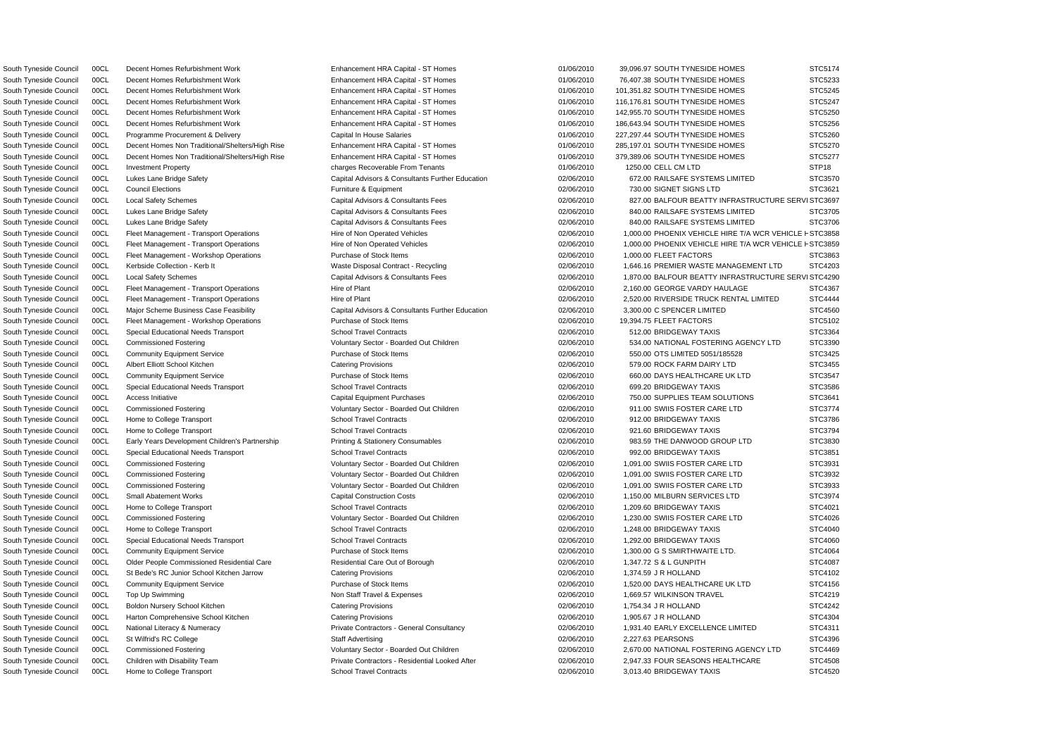South Tyneside Council 00CL Home to College Transport School Travel Contracts School Travel Contracts CO2/06/2010 3,013.40 BRIDGEWAY TAXIS STC4520

South Tyneside Council 00CL Fleet Management - Transport Operations Hire of Non Operated Vehicles 02/06/2010 1,000.00 PHOENIX VEHICLE HIRE T/A WCR VEHICLE F STC3858 South Tyneside Council 00CL Fleet Management - Transport Operations Hire of Non Operated Vehicles 02/06/2010 1,000.00 PHOENIX VEHICLE HIRE T/A WCR VEHICLE F STC3859 South Tyneside Council 00CL Decent Homes Refurbishment Work Enhancement HRA Capital - ST Homes 01/06/2010 39,096.97 SOUTH TYNESIDE HOMES STC5174 South Tyneside Council 00CL Decent Homes Refurbishment Work Enhancement HRA Capital - ST Homes 01/06/2010 76,407.38 SOUTH TYNESIDE HOMES STC5233 South Tyneside Council 00CL Decent Homes Refurbishment Work Enhancement HRA Capital - ST Homes 01/06/2010 101,351.82 SOUTH TYNESIDE HOMES STC5245 South Tyneside Council 00CL Decent Homes Refurbishment Work **Enhancement HRA Capital - ST Homes** 01/06/2010 116,176.81 SOUTH TYNESIDE HOMES STC5247 South Tyneside Council 00CL Decent Homes Refurbishment Work Enhancement HRA Capital - ST Homes 01/06/2010 142,955.70 SOUTH TYNESIDE HOMES STC5250 South Tyneside Council 00CL Decent Homes Refurbishment Work Enhancement HRA Capital - ST Homes 01/06/2010 186,643.94 SOUTH TYNESIDE HOMES STC5256 South Tyneside Council 00CL Programme Procurement & Delivery Capital In House Salaries 01/06/2010 227,297.44 SOUTH TYNESIDE HOMES STC5260 South Tyneside Council 00CL Decent Homes Non Traditional/Shelters/High Rise Enhancement HRA Capital - ST Homes 01/06/2010 285,197.01 SOUTH TYNESIDE HOMES STC5270 South Tyneside Council 00CL Decent Homes Non Traditional/Shelters/High Rise Enhancement HRA Capital - ST Homes 01/06/2010 379,389.06 SOUTH TYNESIDE HOMES STC5277 South Tyneside Council 00CL Investment Property entitled and the charges Recoverable From Tenants on the content of the content of the content of the content of the STP18 South Tyneside Council 00CL Lukes Lane Bridge Safety Capital Advisors & Consultants Further Education 02/06/2010 672.00 RAILSAFE SYSTEMS LIMITED STC3570 South Tyneside Council 00CL Council Elections Furniture & Equipment 02/06/2010 730.00 SIGNET SIGNS LTD STC3621 South Tyneside Council 00CL Local Safety Schemes Capital Advisors & Consultants Fees 02/06/2010 827.00 BALFOUR BEATTY INFRASTRUCTURE SERVISTC3697 South Tyneside Council 00CL Lukes Lane Bridge Safety Capital Advisors & Consultants Fees 02/06/2010 840.00 RAILSAFE SYSTEMS LIMITED STC3705 South Tyneside Council 00CL Lukes Lane Bridge Safety Capital Advisors & Consultants Fees 02/06/2010 840.00 RAILSAFE SYSTEMS LIMITED STC3706 South Tyneside Council 00CL Fleet Management - Workshop Operations Purchase of Stock Items 02/06/2010 1,000.00 FLEET FACTORS STC3863 South Tyneside Council 00CL Kerbside Collection - Kerb It Case of Maste Disposal Contract - Recycling 02/06/2010 1,646.16 PREMIER WASTE MANAGEMENT LTD STC4203 South Tyneside Council 00CL Local Safety Schemes Capital Advisors & Consultants Fees 02/06/2010 1,870.00 BALFOUR BEATTY INFRASTRUCTURE SERVISTC4290 South Tyneside Council 00CL Fleet Management - Transport Operations Hire of Plant Hire of Plant 02/06/2010 2,160.00 GEORGE VARDY HAULAGE STC4367 South Tyneside Council 00CL Fleet Management - Transport Operations Hire of Plant Hire of Plant 02/06/2010 2,520.00 RIVERSIDE TRUCK RENTAL LIMITED STC4444 South Tyneside Council 00CL Major Scheme Business Case Feasibility Capital Advisors & Consultants Further Education 02/06/2010 3,300.00 C SPENCER LIMITED STC4560 South Tyneside Council 00CL Fleet Management - Workshop Operations Purchase of Stock Items 02/06/2010 19,394.75 FLEET FACTORS STC5102 South Tyneside Council 00CL Special Educational Needs Transport School Travel Contracts 6 02/06/2010 512.00 BRIDGEWAY TAXIS STC3364 South Tyneside Council 00CL Commissioned Fostering values of Voluntary Sector - Boarded Out Children 02/06/2010 534.00 NATIONAL FOSTERING AGENCY LTD STC3390 South Tyneside Council 00CL Community Equipment Service **Purchase of Stock Items** 02/06/2010 550.00 OTS LIMITED 5051/185528 STC3425 South Tyneside Council 00CL Albert Elliott School Kitchen Catering Provisions Catering Provisions 02/06/2010 579.00 ROCK FARM DAIRY LTD STC3455 South Tyneside Council 00CL Community Equipment Service **Purchase of Stock Items** 02/06/2010 660.00 DAYS HEALTHCARE UK LTD STC3547 South Tyneside Council 00CL Special Educational Needs Transport School Travel Contracts 6 02/06/2010 699.20 BRIDGEWAY TAXIS STC3586 South Tyneside Council 00CL Access Initiative Capital Equipment Purchases Capital Equipment Purchases Culture Capital Equipment Purchases Culture Capital Equipment Purchases Culture Capital Equipment Purchases Culture Capi South Tyneside Council 00CL Commissioned Fostering **STC3774** Voluntary Sector - Boarded Out Children 02/06/2010 911.00 SWIIS FOSTER CARE LTD STC3774 South Tyneside Council 00CL Home to College Transport School Travel Contracts 602/06/2010 912.00 BRIDGEWAY TAXIS STC3786 South Tyneside Council 00CL Home to College Transport School Travel Contracts 62/06/2010 921.60 BRIDGEWAY TAXIS STC3794 South Tyneside Council 00CL Early Years Development Children's Partnership Printing & Stationery Consumables 02/06/2010 983.59 THE DANWOOD GROUP LTD STC3830 South Tyneside Council 00CL Special Educational Needs Transport School Travel Contracts 6 02/06/2010 992.00 BRIDGEWAY TAXIS STC3851 South Tyneside Council 00CL Commissioned Fostering Care and Voluntary Sector - Boarded Out Children 02/06/2010 1,091.00 SWIIS FOSTER CARE LTD STC3931 South Tyneside Council 00CL Commissioned Fostering Camera Commissioned Fostering Voluntary Sector - Boarded Out Children 02/06/2010 1,091.00 SWIIS FOSTER CARE LTD STC3932 South Tyneside Council 00CL Commissioned Fostering Care and Monomity Sector - Boarded Out Children 02/06/2010 1,091.00 SWIIS FOSTER CARE LTD STC3933 South Tyneside Council 00CL Small Abatement Works Capital Construction Costs Capital Construction Costs 02/06/2010 1,150.00 MILBURN SERVICES LTD STC3974 South Tyneside Council 00CL Home to College Transport School Travel Contracts School Travel Contracts 6 and 02/06/2010 1,209.60 BRIDGEWAY TAXIS STC4021 South Tyneside Council 00CL Commissioned Fostering Voluntary Sector - Boarded Out Children 02/06/2010 1,230.00 SWIIS FOSTER CARE LTD STC4026 South Tyneside Council 00CL Home to College Transport School Travel Contracts School Travel Contracts 02/06/2010 1,248.00 BRIDGEWAY TAXIS STC4040 South Tyneside Council 00CL Special Educational Needs Transport School Travel Contracts 6 02/06/2010 1,292.00 BRIDGEWAY TAXIS STC4060 South Tyneside Council 00CL Community Equipment Service **Purchase of Stock Items** 02/06/2010 1,300.00 G S SMIRTHWAITE LTD. STC4064 South Tyneside Council 00CL Older People Commissioned Residential Care Residential Care Out of Borough 02/06/2010 1,347.72 S & L GUNPITH STC4087 South Tyneside Council 00CL St Bede's RC Junior School Kitchen Jarrow Catering Provisions 02/06/2010 1,374.59 J R HOLLAND STC4102 South Tyneside Council 00CL Community Equipment Service **Purchase of Stock Items** 02/06/2010 1,520.00 DAYS HEALTHCARE UK LTD STC4156 South Tyneside Council 00CL Top Up Swimming Non Stage Non Staff Travel & Expenses 02/06/2010 1,669.57 WILKINSON TRAVEL STC4219 South Tyneside Council 00CL Boldon Nursery School Kitchen Catering Provisions Catering Provisions 02/06/2010 1,754.34 J R HOLLAND STC4242 South Tyneside Council 00CL Harton Comprehensive School Kitchen Catering Provisions Catering Provisions 02/06/2010 1,905.67 J R HOLLAND STC4304 South Tyneside Council 00CL National Literacy & Numeracy **Private Contractors - General Consultancy** 02/06/2010 1,931.40 EARLY EXCELLENCE LIMITED STC4311 South Tyneside Council 00CL St Wilfrid's RC College Staff Advertising 2/206/2010 2,227.63 PEARSONS STC4396 South Tyneside Council 00CL Commissioned Fostering verbation of Voluntary Sector - Boarded Out Children 02/06/2010 2,670.00 NATIONAL FOSTERING AGENCY LTD STC4469 South Tyneside Council 00CL Children with Disability Team Private Contractors - Residential Looked After 02/06/2010 2,947.33 FOUR SEASONS HEALTHCARE STC4508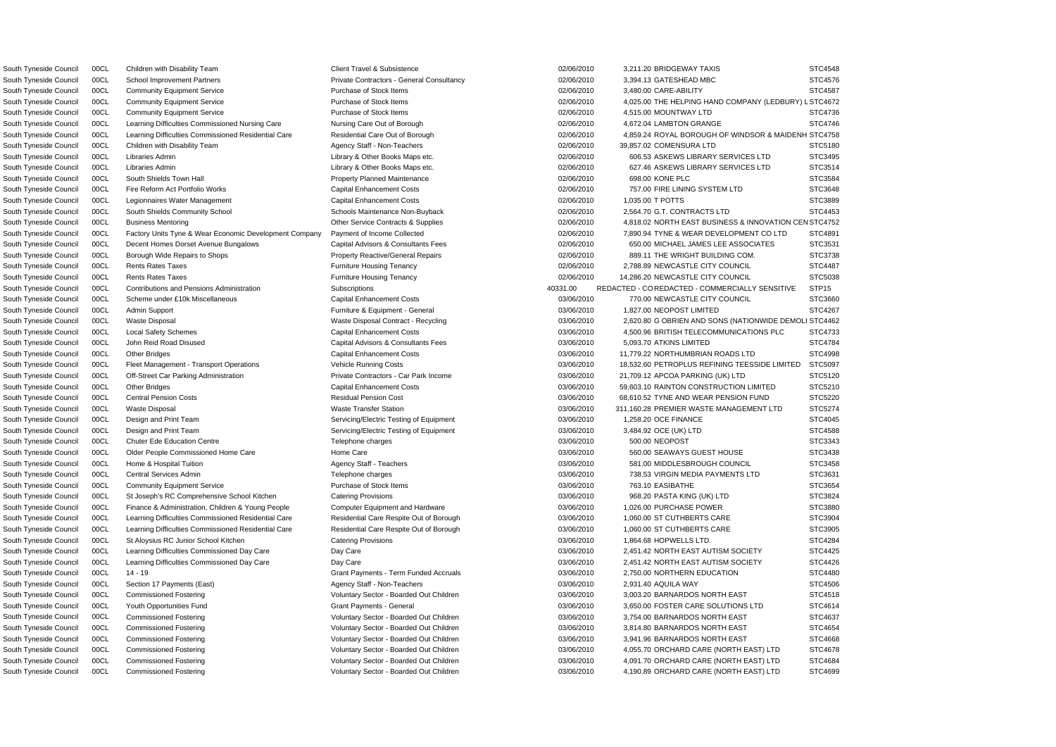| South Tyneside Council | 00CL | Children with Disability Team                          | <b>Client Travel &amp; Subsistence</b>       | 02/06/2010 | 3,211.20 BRIDGEWAY TAXIS                              | STC4548           |
|------------------------|------|--------------------------------------------------------|----------------------------------------------|------------|-------------------------------------------------------|-------------------|
| South Tyneside Council | 00CL | <b>School Improvement Partners</b>                     | Private Contractors - General Consultancy    | 02/06/2010 | 3,394.13 GATESHEAD MBC                                | STC4576           |
| South Tyneside Council | 00CL | <b>Community Equipment Service</b>                     | Purchase of Stock Items                      | 02/06/2010 | 3,480.00 CARE-ABILITY                                 | STC4587           |
| South Tyneside Council | 00CL | <b>Community Equipment Service</b>                     | Purchase of Stock Items                      | 02/06/2010 | 4,025.00 THE HELPING HAND COMPANY (LEDBURY) L STC4672 |                   |
| South Tyneside Council | 00CL | <b>Community Equipment Service</b>                     | Purchase of Stock Items                      | 02/06/2010 | 4,515.00 MOUNTWAY LTD                                 | STC4736           |
| South Tyneside Council | 00CL | Learning Difficulties Commissioned Nursing Care        | Nursing Care Out of Borough                  | 02/06/2010 | 4.672.04 LAMBTON GRANGE                               | STC4746           |
| South Tyneside Council | 00CL | Learning Difficulties Commissioned Residential Care    | Residential Care Out of Borough              | 02/06/2010 | 4,859.24 ROYAL BOROUGH OF WINDSOR & MAIDENH STC4758   |                   |
| South Tyneside Council | 00CL | Children with Disability Team                          | Agency Staff - Non-Teachers                  | 02/06/2010 | 39,857.02 COMENSURA LTD                               | STC5180           |
| South Tyneside Council | 00CL | Libraries Admin                                        | Library & Other Books Maps etc.              | 02/06/2010 | 606.53 ASKEWS LIBRARY SERVICES LTD                    | STC3495           |
| South Tyneside Council | 00CL | Libraries Admin                                        | Library & Other Books Maps etc.              | 02/06/2010 | 627.46 ASKEWS LIBRARY SERVICES LTD                    | STC3514           |
| South Tyneside Council | 00CL | South Shields Town Hall                                | <b>Property Planned Maintenance</b>          | 02/06/2010 | 698.00 KONE PLC                                       | STC3584           |
| South Tyneside Council | 00CL | Fire Reform Act Portfolio Works                        | <b>Capital Enhancement Costs</b>             | 02/06/2010 | 757.00 FIRE LINING SYSTEM LTD                         | STC3648           |
| South Tyneside Council | 00CL | Legionnaires Water Management                          | <b>Capital Enhancement Costs</b>             | 02/06/2010 | 1,035.00 T POTTS                                      | STC3889           |
| South Tyneside Council | 00CL | South Shields Community School                         | Schools Maintenance Non-Buyback              | 02/06/2010 | 2,564.70 G.T. CONTRACTS LTD                           | STC4453           |
| South Tyneside Council | 00CL | <b>Business Mentoring</b>                              | Other Service Contracts & Supplies           | 02/06/2010 | 4,818.02 NORTH EAST BUSINESS & INNOVATION CEN STC4752 |                   |
| South Tyneside Council | 00CL | Factory Units Tyne & Wear Economic Development Company | Payment of Income Collected                  | 02/06/2010 | 7,890.94 TYNE & WEAR DEVELOPMENT CO LTD               | STC4891           |
| South Tyneside Council | 00CL | Decent Homes Dorset Avenue Bungalows                   | Capital Advisors & Consultants Fees          | 02/06/2010 | 650.00 MICHAEL JAMES LEE ASSOCIATES                   | STC3531           |
| South Tyneside Council | 00CL | Borough Wide Repairs to Shops                          | <b>Property Reactive/General Repairs</b>     | 02/06/2010 | 889.11 THE WRIGHT BUILDING COM.                       | STC3738           |
| South Tyneside Council | 00CL | <b>Rents Rates Taxes</b>                               | <b>Furniture Housing Tenancy</b>             | 02/06/2010 | 2,788.89 NEWCASTLE CITY COUNCIL                       | <b>STC4487</b>    |
| South Tyneside Council | 00CL | <b>Rents Rates Taxes</b>                               | <b>Furniture Housing Tenancy</b>             | 02/06/2010 | 14,286.20 NEWCASTLE CITY COUNCIL                      | STC5038           |
| South Tyneside Council | 00CL | <b>Contributions and Pensions Administration</b>       | Subscriptions                                | 40331.00   | REDACTED - CO REDACTED - COMMERCIALLY SENSITIVE       | STP <sub>15</sub> |
| South Tyneside Council | 00CL | Scheme under £10k Miscellaneous                        | <b>Capital Enhancement Costs</b>             | 03/06/2010 | 770.00 NEWCASTLE CITY COUNCIL                         | STC3660           |
| South Tyneside Council | 00CL | <b>Admin Support</b>                                   | Furniture & Equipment - General              | 03/06/2010 | 1,827.00 NEOPOST LIMITED                              | STC4267           |
| South Tyneside Council | 00CL | <b>Waste Disposal</b>                                  | Waste Disposal Contract - Recycling          | 03/06/2010 | 2,620.80 G OBRIEN AND SONS (NATIONWIDE DEMOLI STC4462 |                   |
| South Tyneside Council | 00CL | <b>Local Safety Schemes</b>                            | <b>Capital Enhancement Costs</b>             | 03/06/2010 | 4,500.96 BRITISH TELECOMMUNICATIONS PLC               | STC4733           |
| South Tyneside Council | 00CL | John Reid Road Disused                                 | Capital Advisors & Consultants Fees          | 03/06/2010 | 5,093.70 ATKINS LIMITED                               | STC4784           |
| South Tyneside Council | 00CL | <b>Other Bridges</b>                                   | <b>Capital Enhancement Costs</b>             | 03/06/2010 | 11,779.22 NORTHUMBRIAN ROADS LTD                      | STC4998           |
| South Tyneside Council | 00CL | Fleet Management - Transport Operations                | <b>Vehicle Running Costs</b>                 | 03/06/2010 | 18,532.60 PETROPLUS REFINING TEESSIDE LIMITED         | STC5097           |
| South Tyneside Council | 00CL | Off-Street Car Parking Administration                  | Private Contractors - Car Park Income        | 03/06/2010 | 21,709.12 APCOA PARKING (UK) LTD                      | STC5120           |
| South Tyneside Council | 00CL | <b>Other Bridges</b>                                   | <b>Capital Enhancement Costs</b>             | 03/06/2010 | 59,603.10 RAINTON CONSTRUCTION LIMITED                | STC5210           |
| South Tyneside Council | 00CL | <b>Central Pension Costs</b>                           | <b>Residual Pension Cost</b>                 | 03/06/2010 | 68,610.52 TYNE AND WEAR PENSION FUND                  | STC5220           |
| South Tyneside Council | 00CL | <b>Waste Disposal</b>                                  | <b>Waste Transfer Station</b>                | 03/06/2010 | 311,160.28 PREMIER WASTE MANAGEMENT LTD               | STC5274           |
| South Tyneside Council | 00CL | Design and Print Team                                  | Servicing/Electric Testing of Equipment      | 03/06/2010 | 1,258.20 OCE FINANCE                                  | STC4045           |
| South Tyneside Council | 00CL | Design and Print Team                                  | Servicing/Electric Testing of Equipment      | 03/06/2010 | 3,484.92 OCE (UK) LTD                                 | STC4588           |
| South Tyneside Council | 00CL | <b>Chuter Ede Education Centre</b>                     | Telephone charges                            | 03/06/2010 | 500.00 NEOPOST                                        | STC3343           |
| South Tyneside Council | 00CL | Older People Commissioned Home Care                    | Home Care                                    | 03/06/2010 | 560.00 SEAWAYS GUEST HOUSE                            | STC3438           |
| South Tyneside Council | 00CL | Home & Hospital Tuition                                | Agency Staff - Teachers                      | 03/06/2010 | 581.00 MIDDLESBROUGH COUNCIL                          | STC3458           |
|                        |      |                                                        |                                              |            |                                                       |                   |
| South Tyneside Council | 00CL | Central Services Admin                                 | Telephone charges<br>Purchase of Stock Items | 03/06/2010 | 738.53 VIRGIN MEDIA PAYMENTS LTD                      | STC3631           |
| South Tyneside Council | 00CL | <b>Community Equipment Service</b>                     |                                              | 03/06/2010 | 763.10 EASIBATHE                                      | STC3654           |
| South Tyneside Council | 00CL | St Joseph's RC Comprehensive School Kitchen            | <b>Catering Provisions</b>                   | 03/06/2010 | 968.20 PASTA KING (UK) LTD                            | STC3824           |
| South Tyneside Council | 00CL | Finance & Administration, Children & Young People      | <b>Computer Equipment and Hardware</b>       | 03/06/2010 | 1,026.00 PURCHASE POWER                               | STC3880           |
| South Tyneside Council | 00CL | Learning Difficulties Commissioned Residential Care    | Residential Care Respite Out of Borough      | 03/06/2010 | 1,060.00 ST CUTHBERTS CARE                            | STC3904           |
| South Tyneside Council | 00CL | Learning Difficulties Commissioned Residential Care    | Residential Care Respite Out of Borough      | 03/06/2010 | 1,060.00 ST CUTHBERTS CARE                            | STC3905           |
| South Tyneside Council | 00CL | St Aloysius RC Junior School Kitchen                   | <b>Catering Provisions</b>                   | 03/06/2010 | 1,864.68 HOPWELLS LTD.                                | STC4284           |
| South Tyneside Council | 00CL | Learning Difficulties Commissioned Day Care            | Day Care                                     | 03/06/2010 | 2,451.42 NORTH EAST AUTISM SOCIETY                    | STC4425           |
| South Tyneside Council | 00CL | Learning Difficulties Commissioned Day Care            | Day Care                                     | 03/06/2010 | 2,451.42 NORTH EAST AUTISM SOCIETY                    | STC4426           |
| South Tyneside Council | 00CL | 14 - 19                                                | <b>Grant Payments - Term Funded Accruals</b> | 03/06/2010 | 2,750.00 NORTHERN EDUCATION                           | STC4480           |
| South Tyneside Council | 00CL | Section 17 Payments (East)                             | Agency Staff - Non-Teachers                  | 03/06/2010 | 2,931.40 AQUILA WAY                                   | STC4506           |
| South Tyneside Council | 00CL | <b>Commissioned Fostering</b>                          | Voluntary Sector - Boarded Out Children      | 03/06/2010 | 3,003.20 BARNARDOS NORTH EAST                         | STC4518           |
| South Tyneside Council | 00CL | Youth Opportunities Fund                               | <b>Grant Payments - General</b>              | 03/06/2010 | 3,650.00 FOSTER CARE SOLUTIONS LTD                    | STC4614           |
| South Tyneside Council | 00CL | <b>Commissioned Fostering</b>                          | Voluntary Sector - Boarded Out Children      | 03/06/2010 | 3,754.00 BARNARDOS NORTH EAST                         | STC4637           |
| South Tyneside Council | 00CL | <b>Commissioned Fostering</b>                          | Voluntary Sector - Boarded Out Children      | 03/06/2010 | 3,814.80 BARNARDOS NORTH EAST                         | STC4654           |
| South Tyneside Council | 00CL | <b>Commissioned Fostering</b>                          | Voluntary Sector - Boarded Out Children      | 03/06/2010 | 3,941.96 BARNARDOS NORTH EAST                         | STC4668           |
| South Tyneside Council | 00CL | <b>Commissioned Fostering</b>                          | Voluntary Sector - Boarded Out Children      | 03/06/2010 | 4,055.70 ORCHARD CARE (NORTH EAST) LTD                | STC4678           |
| South Tyneside Council | 00CL | <b>Commissioned Fostering</b>                          | Voluntary Sector - Boarded Out Children      | 03/06/2010 | 4,091.70 ORCHARD CARE (NORTH EAST) LTD                | STC4684           |
| South Tyneside Council | 00CL | <b>Commissioned Fostering</b>                          | Voluntary Sector - Boarded Out Children      | 03/06/2010 | 4,190.89 ORCHARD CARE (NORTH EAST) LTD                | STC4699           |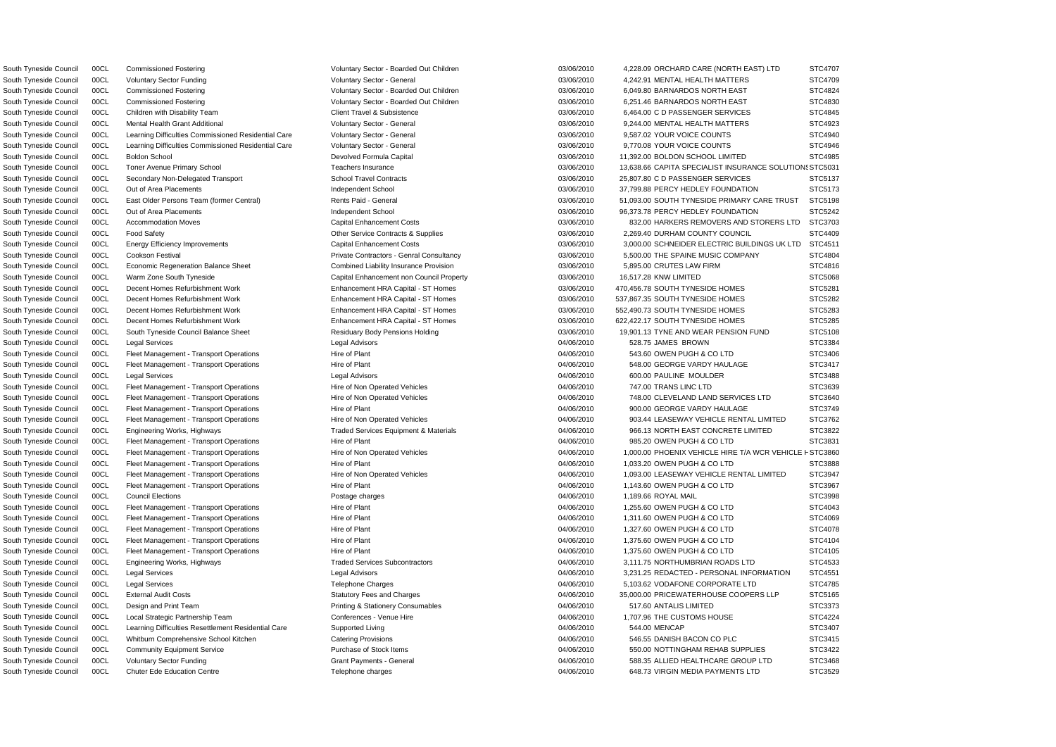South Tyneside Council 00CL Economic Regeneration Balance Sheet Combined Liability Insurance Provision 03/06/2010 5,895.00 CRUTES LAW FIRM South Tyneside Council 00CL Warm Zone South Tyneside Capital Enhancement non Council Property Capital Enhancement non Council Property 03/06/2010 16,517.28 KNW LIMITED South Tyneside Council 00CL Fleet Management - Transport Operations Hire of Non Operated Vehicles 04/06/2010 747.00 TRANS LINC LTD South Tyneside Council 00CL Design and Print Team **Printing & Stationery Consumables** 04/06/2010 517.60 ANTALIS LIMITED South Tyneside Council 00CL Learning Difficulties Resettlement Residential Care Supported Living 04/06/2010 544.00 MENCAP

| STC4707      |
|--------------|
| STC4709      |
| STC4824      |
| STC4830      |
| STC4845      |
| STC4923      |
| STC4940      |
| STC4946      |
| STC4985      |
| DN: STC5031  |
| STC5137      |
| STC5173      |
| STC5198      |
| STC5242      |
| STC3703      |
| STC4409      |
| STC4511      |
| STC4804      |
| STC4816      |
| STC5068      |
| STC5281      |
| STC5282      |
| STC5283      |
| STC5285      |
| STC5108      |
| STC3384      |
| STC3406      |
| STC3417      |
| STC3488      |
| STC3639      |
| STC3640<br>š |
| STC3749      |
| STC3762      |
| STC3822      |
| STC3831      |
|              |
| S I C3888    |
| STC3947      |
| STC3967      |
| STC3998      |
| STC4043      |
| STC4069      |
| STC4078      |
| STC4104      |
| STC4105      |
| STC4533      |
| STC4551<br>š |
| STC4785      |
| STC5165      |
| STC3373<br>š |
| STC4224      |
| STC3407      |
| STC3415      |
| STC3422      |
| STC3468      |
| STC3529      |

South Tyneside Council 00CL Commissioned Fostering COM Coluntary Sector - Boarded Out Children 03/06/2010 4,228.09 ORCHARD CARE (NORTH EAST) LTD South Tyneside Council 00CL Voluntary Sector Funding Voluntary Sector - General Council Council 03/06/2010 4,242.91 MENTAL HEALTH MATTERS South Tyneside Council 00CL Commissioned Fostering Voluntary Sector - Boarded Out Children 03/06/2010 6,049.80 BARNARDOS NORTH EAST South Tyneside Council 00CL Commissioned Fostering Commissioned Fostering Voluntary Sector - Boarded Out Children 03/06/2010 6,251.46 BARNARDOS NORTH EAST South Tyneside Council 00CL Children with Disability Team Client Travel & Subsistence 03/06/2010 6,464.00 C D PASSENGER SERVICES South Tyneside Council 00CL Mental Health Grant Additional Council Countery Sector - General Council Council David David David David David David David David David David David David David David David David David David David South Tyneside Council 00CL Learning Difficulties Commissioned Residential Care Voluntary Sector - General 03/06/2010 9,587.02 YOUR VOICE COUNTS South Tyneside Council 00CL Learning Difficulties Commissioned Residential Care Voluntary Sector - General 03/06/2010 9,770.08 YOUR VOICE COUNTS South Tyneside Council 00CL Boldon School Council Devolved Formula Capital Devolved Formula Capital 03/06/2010 11,392.00 BOLDON SCHOOL LIMITED South Tyneside Council 00CL Toner Avenue Primary School **Company Company Company Teachers Insurance** Council Council Company States CAPITA SPECIALIST INSURANCE SOLUTION STESS AND STESS AND STESS AND STESS AND STESS AND STE South Tyneside Council 00CL Secondary Non-Delegated Transport School Travel Contracts 03/06/2010 25,807.80 C D PASSENGER SERVICES South Tyneside Council 00CL Out of Area Placements **Independent School Data Independent School** 03/06/2010 37,799.88 PERCY HEDLEY FOUNDATION South Tyneside Council 00CL East Older Persons Team (former Central) Rents Paid - General 2006/2010 51,093.00 SOUTH TYNESIDE PRIMARY CARE TRUST South Tyneside Council 00CL Out of Area Placements **Independent School Data Independent School** 03/06/2010 96,373.78 PERCY HEDLEY FOUNDATION South Tyneside Council 00CL Accommodation Moves Capital Enhancement Costs 03/06/2010 832.00 HARKERS REMOVERS AND STORERS LTD South Tyneside Council 00CL Food Safety **Other Service Contracts & Supplies** 03/06/2010 2,269.40 DURHAM COUNTY COUNCIL South Tyneside Council 00CL Energy Efficiency Improvements Capital Enhancement Costs Capital Enhancement Costs 03/06/2010 3,000,00 SCHNEIDER ELECTRIC BUILDINGS UK LTD South Tyneside Council 00CL Cookson Festival **Private Contractors - Genral Consultancy** 03/06/2010 5,500.00 THE SPAINE MUSIC COMPANY South Tyneside Council 00CL Decent Homes Refurbishment Work **Enhancement HRA Capital - ST Homes** 03/06/2010 470,456.78 SOUTH TYNESIDE HOMES South Tyneside Council 00CL Decent Homes Refurbishment Work **Enhancement HRA Capital - ST Homes** 03/06/2010 537,867.35 SOUTH TYNESIDE HOMES South Tyneside Council 00CL Decent Homes Refurbishment Work **Enhancement HRA Capital - ST Homes** 03/06/2010 552,490.73 SOUTH TYNESIDE HOMES South Tyneside Council 00CL Decent Homes Refurbishment Work **Enhancement HRA Capital - ST Homes** 03/06/2010 622,422.17 SOUTH TYNESIDE HOMES South Tyneside Council 00CL South Tyneside Council Balance Sheet **Cuncil Balance Sheet** Residuary Body Pensions Holding **03/06/2010** 19,901.13 TYNE AND WEAR PENSION FUND South Tyneside Council 00CL Legal Services Legal Advisors 04/06/2010 528.75 JAMES BROWN STC3384 South Tyneside Council 00CL Fleet Management - Transport Operations Hire of Plant COUNTED 19/06/2010 543.60 OWEN PUGH & CO LTD South Tyneside Council 00CL Fleet Management - Transport Operations Hire of Plant 04/06/2010 548.00 GEORGE VARDY HAULAGE South Tyneside Council 00CL Legal Services Legal Advisors 04/06/2010 600.00 PAULINE MOULDER STC3488 South Tyneside Council 00CL Fleet Management - Transport Operations Hire of Non Operated Vehicles 64/06/2010 748.00 CLEVELAND LAND SERVICES LTD South Tyneside Council 00CL Fleet Management - Transport Operations Hire of Plant 04/06/2010 900.00 GEORGE VARDY HAULAGE South Tyneside Council 00CL Fleet Management - Transport Operations Hire of Non Operated Vehicles 04/06/2010 903.44 LEASEWAY VEHICLE RENTAL LIMITED South Tyneside Council 00CL Engineering Works, Highways Traded Services Equipment & Materials 04/06/2010 966.13 NORTH EAST CONCRETE LIMITED South Tyneside Council 00CL Fleet Management - Transport Operations Hire of Plant 64/06/2010 985.20 OWEN PUGH & CO LTD South Tyneside Council 00CL Fleet Management - Transport Operations Hire of Non Operated Vehicles 04/06/2010 1,000.00 PHOENIX VEHICLE HIRE T/A WCR VEHICL South Tyneside Council 00CL Fleet Management - Transport Operations Hire of Plant 04/06/2010 1,033.20 OWEN PUGH & CO LTD STC3888 South Tyneside Council 00CL Fleet Management - Transport Operations Hire of Non Operated Vehicles 04/06/2010 1,093.00 LEASEWAY VEHICLE RENTAL LIMITED South Tyneside Council 00CL Fleet Management - Transport Operations Hire of Plant COUNTED 1,143.60 OWEN PUGH & CO LTD STC3967 1,143.60 OWEN PUGH & CO LTD South Tyneside Council 00CL Council Elections Postage charges 04/06/2010 1,189.66 ROYAL MAIL STC3998 South Tyneside Council 00CL Fleet Management - Transport Operations Hire of Plant Management - Transport Operations Hire of Plant Management - Transport Operations Hire of Plant Management - Transport Operations Hire of Pl South Tyneside Council 00CL Fleet Management - Transport Operations Hire of Plant Management - Transport Operations Hire of Plant 04/06/2010 1,311.60 OWEN PUGH & CO LTD South Tyneside Council 00CL Fleet Management - Transport Operations Hire of Plant Management - Transport Operations Hire of Plant 04/06/2010 1,327.60 OWEN PUGH & CO LTD South Tyneside Council 00CL Fleet Management - Transport Operations Hire of Plant Hire of Plant 04/06/2010 1,375.60 OWEN PUGH & CO LTD South Tyneside Council 00CL Fleet Management - Transport Operations Hire of Plant Management - Transport Operations Hire of Plant 04/06/2010 1,375.60 OWEN PUGH & CO LTD South Tyneside Council 00CL Engineering Works, Highways The State of Traded Services Subcontractors COM COMBRIAN ROADS LTD State 104/06/2010 3,111.75 NORTHUMBRIAN ROADS LTD South Tyneside Council 00CL Legal Services **Legal Advisors** Legal Advisors **COUNTED ACCILED - ACCILED - PERSONAL INFORMATION** STEED - PERSONAL INFORMATION South Tyneside Council 00CL Legal Services exception of the Telephone Charges of the State of the May 2010 5,103.62 VODAFONE CORPORATE LTD South Tyneside Council 00CL External Audit Costs Statutory Fees and Charges Statutory Fees and Charges COOPERS LLP South Tyneside Council 00CL Local Strategic Partnership Team Conferences - Venue Hire 04/06/2010 1,707.96 THE CUSTOMS HOUSE South Tyneside Council 00CL Whitburn Comprehensive School Kitchen Catering Provisions Catering Provisions 04/06/2010 546.55 DANISH BACON CO PLC South Tyneside Council 00CL Community Equipment Service Purchase of Stock Items 04/06/2010 550.00 NOTTINGHAM REHAB SUPPLIES South Tyneside Council 00CL Voluntary Sector Funding Case Council Crant Payments - General Care Council 688.35 ALLIED HEALTHCARE GROUP LTD South Tyneside Council 00CL Chuter Ede Education Centre Telephone charges 648.73 VIRGIN MEDIA PAYMENTS LTD STC352940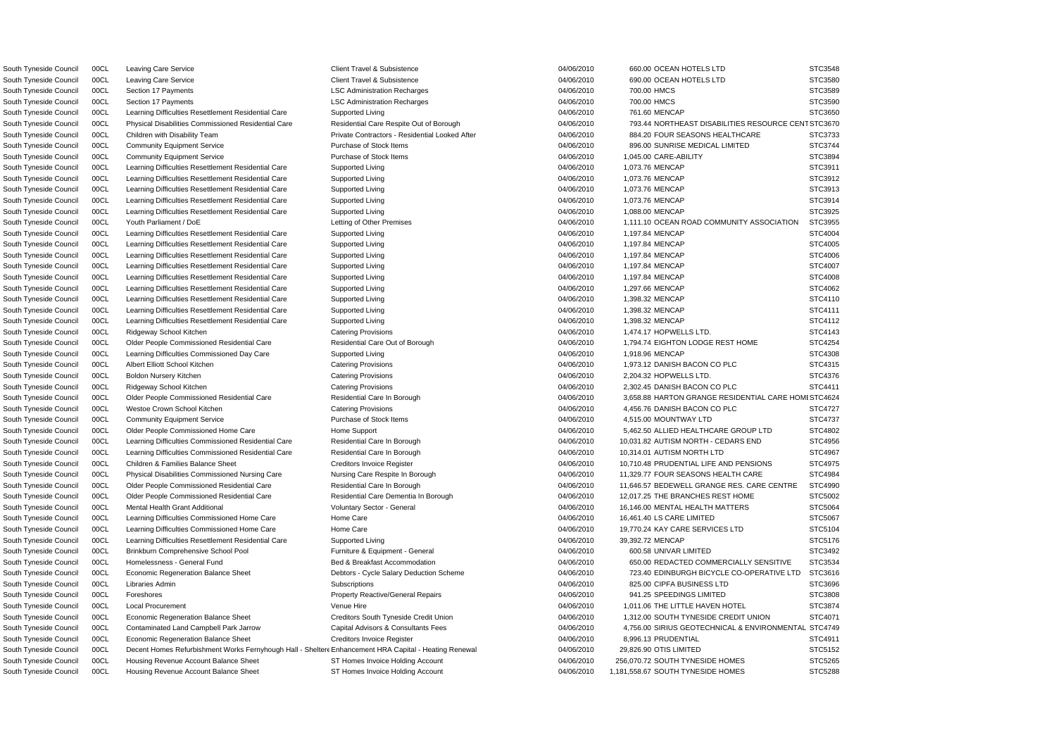South Tyneside Council 00CL Leaving Care Service Client Travel & Subsistence Client Travel & Subsistence 64/06/2010 690.00 OCEAN HOTELS LTD South Tyneside Council 00CL Section 17 Payments **Connection Connection Cectarges** Council 04/06/2010 700.00 HMCS South Tyneside Council 00CL Section 17 Payments **LSC Administration Recharges** 04/06/2010 700.00 HMCS South Tyneside Council 00CL Learning Difficulties Resettlement Residential Care Supported Living 04/06/2010 761.60 MENCAP South Tyneside Council 00CL Community Equipment Service **Purchase of Stock Items** 04/06/2010 896.00 SUNRISE MEDICAL LIMITED South Tyneside Council 00CL Community Equipment Service Purchase of Stock Items 04/06/2010 1,045.00 CARE-ABILITY South Tyneside Council 00CL Learning Difficulties Resettlement Residential Care Supported Living 04/06/2010 1,073.76 MENCAP South Tyneside Council 00CL Learning Difficulties Resettlement Residential Care Supported Living 04/06/2010 1,073.76 MENCAP South Tyneside Council 00CL Learning Difficulties Resettlement Residential Care Supported Living 04/06/2010 1,073.76 MENCAP South Tyneside Council 00CL Learning Difficulties Resettlement Residential Care Supported Living 04/06/2010 1,073.76 MENCAP South Tyneside Council 00CL Learning Difficulties Resettlement Residential Care Supported Living 04/06/2010 1,088.00 MENCAP South Tyneside Council 00CL Learning Difficulties Resettlement Residential Care Supported Living 04/06/2010 1,197.84 MENCAP South Tyneside Council 00CL Learning Difficulties Resettlement Residential Care Supported Living 04/06/2010 1,197.84 MENCAP South Tyneside Council 00CL Learning Difficulties Resettlement Residential Care Supported Living 04/06/2010 1,197.84 MENCAP South Tyneside Council 00CL Learning Difficulties Resettlement Residential Care Supported Living 04/06/2010 1,197.84 MENCAP South Tyneside Council 00CL Learning Difficulties Resettlement Residential Care Supported Living 04/06/2010 1,197.84 MENCAP South Tyneside Council 00CL Learning Difficulties Resettlement Residential Care Supported Living 04/06/10 04/06/2010 1,297.66 MENCAP South Tyneside Council 00CL Learning Difficulties Resettlement Residential Care Supported Living 04/06/2010 1,398.32 MENCAP South Tyneside Council 00CL Learning Difficulties Resettlement Residential Care Supported Living 04/06/2010 1,398.32 MENCAP South Tyneside Council 00CL Learning Difficulties Resettlement Residential Care Supported Living 04/06/2010 1,398.32 MENCAP South Tyneside Council 00CL Learning Difficulties Commissioned Day Care Supported Living Current Commissioned Day Care Supported Living 04/06/2010 1,918.96 MENCAP South Tyneside Council 00CL Albert Elliott School Kitchen Catering Provisions Catering Provisions 04/06/2010 1,973.12 DANISH BACON CO PLC South Tyneside Council 00CL Ridgeway School Kitchen Catering Provisions Catering Provisions 04/06/2010 2,302.45 DANISH BACON CO PLC South Tyneside Council 00CL Westoe Crown School Kitchen Catering Provisions Catering Provisions 04/06/2010 4,456.76 DANISH BACON CO PLC South Tyneside Council 00CL Community Equipment Service **Purchase of Stock Items** 04/06/2010 4,515.00 MOUNTWAY LTD South Tyneside Council 00CL Learning Difficulties Commissioned Residential Care Residential Care In Borough 04/06/2010 10,314.01 AUTISM NORTH LTD South Tyneside Council 00CL Mental Health Grant Additional Council Countery Sector - General Council Council Council HEALTH MATTERS STEERS (16,146.00 MENTAL HEALTH MATTERS South Tyneside Council 00CL Learning Difficulties Commissioned Home Care Home Care https://www.chargester.com/stc.user.com/stc.user.com/stc.user.com/stc.user.com/stc.user.com/stc.user.com/stc.user.com/stc.user.com/stc.user South Tyneside Council 00CL Learning Difficulties Commissioned Home Care Home Care Home Care 04/06/2010 19,770.24 KAY CARE SERVICES LTD South Tyneside Council 00CL Learning Difficulties Resettlement Residential Care Supported Living Current Council 04/06/2010 39.392.72 MENCAP South Tyneside Council 00CL Brinkburn Comprehensive School Pool Furniture & Equipment - General 04/06/2010 600.58 UNIVAR LIMITED South Tyneside Council 00CL Libraries Admin Subscriptions Subscriptions CHA CHA CHA COUNCILED BUSINESS LTD SUBSCRIPTA BUSINESS LTD South Tyneside Council 00CL Foreshores examples and the example of the Property Reactive/General Repairs and the many of the 04/06/2010 941.25 SPEEDINGS LIMITED South Tyneside Council 00CL Local Procurement Contract Council Council Council Council Council Council Council Council Council Council Council Council Council Council Council Council Council Council Council Council Council South Tyneside Council 00CL Economic Regeneration Balance Sheet Creditors Invoice Register Creditors Number 2010 8,996.13 PRUDENTIAL South Tyneside Council 00CL Housing Revenue Account Balance Sheet ST Homes Invoice Holding Account 04/06/2010 256,070.72 SOUTH TYNESIDE HOMES

South Tyneside Council 00CL Housing Revenue Account Balance Sheet ST Homes Invoice Holding Account 04/06/2010 1,181,558.67 SOUTH TYNESIDE HOMES

South Tyneside Council 00CL Decent Homes Refurbishment Works Fernyhough Hall - Shelter Enhancement HRA Capital - Heating Renewal 04/06/2010 29,826.90 OTIS LIMITED STC5152 South Tyneside Council 00CL Leaving Care Service Client Client Travel & Subsistence 04/06/2010 660.00 OCEAN HOTELS LTD STC3548 South Tyneside Council 00CL Physical Disabilities Commissioned Residential Care Respite Out of Borough 04/06/2010 793.44 NORTHEAST DISABILITIES RESOURCE CE South Tyneside Council 00CL Children with Disability Team **Private Contractors - Residential Looked After** 04/06/2010 884.20 FOUR SEASONS HEALTHCARE South Tyneside Council 00CL Youth Parliament / DoE Letting of Other Premises CAVIO 2010 1,111.10 OCEAN ROAD COMMUNITY ASSOCIATION South Tyneside Council 00CL Ridgeway School Kitchen Catering Provisions Catering Provisions Catering Provisions Catering Provisions 04/06/2010 1,474.17 HOPWELLS LTD. STC4143 South Tyneside Council 00CL Older People Commissioned Residential Care Residential Care Residential Care Out of Borough 04/06/2010 1,794.74 EIGHTON LODGE REST HOME South Tyneside Council 00CL Boldon Nursery Kitchen Catering Provisions 04/06/2010 2,204.32 HOPWELLS LTD. STC4376 South Tyneside Council 00CL Older People Commissioned Residential Care Residential Care Residential Care Residential Care Residential Care In Borough 04/06/2010 3,658.88 HARTON GRANGE RESIDENTIAL CARE HC South Tyneside Council 00CL Older People Commissioned Home Care Home Support Commissioned Home Support 6,462.50 ALLIED HEALTHCARE GROUP LTD South Tyneside Council 00CL Learning Difficulties Commissioned Residential Care Residential Care In Borough 04/06/2010 10,031.82 AUTISM NORTH - CEDARS END South Tyneside Council 00CL Children & Families Balance Sheet Creditors Invoice Register Creditors Invoice Register 04/06/2010 10.710.48 PRUDENTIAL LIFE AND PENSIONS South Tyneside Council 00CL Physical Disabilities Commissioned Nursing Care Nursing Care Respite In Borough 04/06/2010 11,329.77 FOUR SEASONS HEALTH CARE South Tyneside Council 00CL Older People Commissioned Residential Care Residential Care In Borough 04/06/2010 11,646.57 BEDEWELL GRANGE RES. CARE CENTRE South Tyneside Council 00CL Older People Commissioned Residential Care Residential Care Dementia In Borough 04/06/2010 12,017.25 THE BRANCHES REST HOME South Tyneside Council 00CL Homelessness - General Fund Bed & Breakfast Accommodation 650.00 REDACTED COMMERCIALLY SENSITIVE South Tyneside Council 00CL Economic Regeneration Balance Sheet Debtors - Cycle Salary Deduction Scheme 04/06/2010 723.40 EDINBURGH BICYCLE CO-OPERATIVE LTD South Tyneside Council 00CL Economic Regeneration Balance Sheet Creditors South Tyneside Credit Union 04/06/2010 1,312.00 SOUTH TYNESIDE CREDIT UNION South Tyneside Council 00CL Contaminated Land Campbell Park Jarrow Capital Advisors & Consultants Fees 04/06/2010 4.756.00 SIRIUS GEOTECHNICAL & ENVIRONMENT

|    | STC3548                         |
|----|---------------------------------|
|    | STC3580                         |
|    | STC3589                         |
|    | STC3590                         |
|    | STC3650                         |
|    | ENT STC3670                     |
|    | STC3733                         |
|    | STC3744                         |
|    | STC3894                         |
|    | STC3911                         |
|    | STC3912                         |
|    | STC3913                         |
|    | STC3914                         |
|    |                                 |
|    | STC3925                         |
| I  | STC3955                         |
|    | STC4004                         |
|    | STC4005                         |
|    | STC4006                         |
|    | STC4007                         |
|    | STC4008                         |
|    | STC4062                         |
|    | STC4110                         |
|    | STC4111                         |
|    | STC4112                         |
|    | STC4143                         |
|    | STC4254                         |
|    | STC4308                         |
|    | STC4315                         |
|    | STC4376                         |
|    | STC4411                         |
|    | <b>DMI STC4624</b>              |
|    |                                 |
|    | STC4727                         |
|    | STC4737                         |
|    | STC4802                         |
|    | STC4956                         |
|    | STC4967                         |
|    | 497<br>T<br>ï<br>$\overline{5}$ |
|    | STC4984                         |
|    | STC4990                         |
|    | STC5002                         |
|    | STC5064                         |
|    | STC5067                         |
|    | STC5104                         |
|    | STC5176                         |
|    | STC3492                         |
|    | STC3534                         |
|    | STC3616                         |
|    | STC3696                         |
|    | STC3808                         |
|    | STC3874                         |
|    | STC4071                         |
| ΆL | STC4749                         |
|    | STC4911                         |
|    |                                 |
|    | STC5152                         |
|    | STC5265                         |
|    | STC5288                         |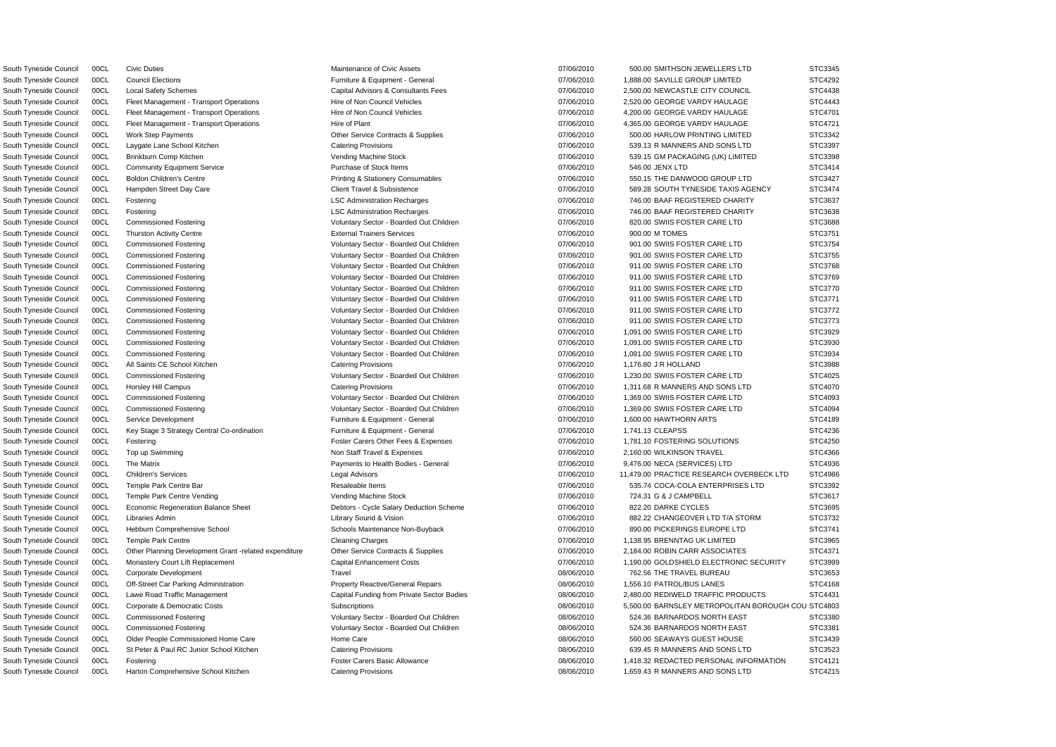South Tyneside Council 00CL Civic Duties **Maintenance of Civic Assets** 07/06/2010 500.00 SMITHSON JEWELLERS LTD STC3345 South Tyneside Council 00CL Council Elections **Furniture & Equipment - General** 07/06/2010 1,888.00 SAVILLE GROUP LIMITED STC4292 South Tyneside Council 00CL Local Safety Schemes Capital Advisors & Consultants Fees 07/06/2010 2,500.00 NEWCASTLE CITY COUNCIL STC4438 South Tyneside Council 00CL Fleet Management - Transport Operations Hire of Non Council Vehicles 07/06/2010 2,520.00 GEORGE VARDY HAULAGE STC4443 South Tyneside Council 00CL Fleet Management - Transport Operations Hire of Non Council Vehicles 07/06/2010 4,200.00 GEORGE VARDY HAULAGE STC4701 South Tyneside Council 00CL Fleet Management - Transport Operations Hire of Plant Hire of Plant 07/06/2010 4,365.00 GEORGE VARDY HAULAGE STC4721 South Tyneside Council 00CL Work Step Payments **Other Service Contracts & Supplies** 07/06/2010 500.00 HARLOW PRINTING LIMITED STC3342 South Tyneside Council 00CL Laygate Lane School Kitchen Catering Provisions Catering Provisions 07/06/2010 539.13 R MANNERS AND SONS LTD STC3397 South Tyneside Council 00CL Brinkburn Comp Kitchen **Vending Machine Stock Computer Computer** Computer of the STC3398 Vending Machine Stock 07/06/2010 539.15 GM PACKAGING (UK) LIMITED STC3398 South Tyneside Council 00CL Community Equipment Service **Purchase of Stock Items** 07/06/2010 546.00 JENX LTD STC3414 South Tyneside Council 00CL Boldon Children's Centre examples Printing & Stationery Consumables 07/06/2010 550.15 THE DANWOOD GROUP LTD STC3427 South Tyneside Council 00CL Hampden Street Day Care Client Travel & Subsistence Client Travel & Subsistence 07/06/2010 589.28 SOUTH TYNESIDE TAXIS AGENCY STC3474 South Tyneside Council 00CL Fostering Comment Control Comment Control Comment Comment Comment Comment Comment Comment Comment Comment Comment Comment Comment Comment Comment Comment Comment Comment Comment Comment Comment South Tyneside Council 00CL Fostering COUNTY CONSERVITED CHARITY STC3638 South Tyneside Council 00CL Commissioned Fostering Commissioned Fostering Voluntary Sector - Boarded Out Children 07/06/2010 820.00 SWIIS FOSTER CARE LTD STC3688 South Tyneside Council 00CL Thurston Activity Centre National Activity Centre External Trainers Services National Trainers Services CHA COVID-100 07/06/2010 900.00 M TOMES STC3751 South Tyneside Council 00CL Commissioned Fostering Commissioned Fostering Voluntary Sector - Boarded Out Children 07/06/2010 901.00 SWIIS FOSTER CARE LTD STC3754 South Tyneside Council 00CL Commissioned Fostering values of Voluntary Sector - Boarded Out Children 07/06/2010 901.00 SWIIS FOSTER CARE LTD STC3755 South Tyneside Council 00CL Commissioned Fostering Care and Voluntary Sector - Boarded Out Children 07/06/2010 911.00 SWIIS FOSTER CARE LTD STC3768 South Tyneside Council 00CL Commissioned Fostering Care and Monothery Voluntary Sector - Boarded Out Children 07/06/2010 911.00 SWIIS FOSTER CARE LTD STC3769 South Tyneside Council 00CL Commissioned Fostering values of Voluntary Sector - Boarded Out Children 07/06/2010 911.00 SWIIS FOSTER CARE LTD STC3770 South Tyneside Council 00CL Commissioned Fostering Care and Moter Voluntary Sector - Boarded Out Children 07/06/2010 911.00 SWIIS FOSTER CARE LTD STC3771 South Tyneside Council 00CL Commissioned Fostering verbation of Voluntary Sector - Boarded Out Children 07/06/2010 911.00 SWIIS FOSTER CARE LTD STC3772 South Tyneside Council 00CL Commissioned Fostering **STC3773** Voluntary Sector - Boarded Out Children 07/06/2010 911.00 SWIIS FOSTER CARE LTD STC3773 South Tyneside Council 00CL Commissioned Fostering verbation of Voluntary Sector - Boarded Out Children 07/06/2010 1,091.00 SWIIS FOSTER CARE LTD STC3929 South Tyneside Council 00CL Commissioned Fostering values of Voluntary Sector - Boarded Out Children 07/06/2010 1,091.00 SWIIS FOSTER CARE LTD STC3930 South Tyneside Council 00CL Commissioned Fostering Commissioned Fostering Voluntary Sector - Boarded Out Children 07/06/2010 1,091.00 SWIIS FOSTER CARE LTD STC3934 South Tyneside Council COCL All Saints CE School Kitchen Catering Provisions Catering Provisions 07/06/2010 1,176.80 J R HOLLAND STC3988 South Tyneside Council 00CL Commissioned Fostering Came and Voluntary Sector - Boarded Out Children 07/06/2010 1,230.00 SWIIS FOSTER CARE LTD STC4025 South Tyneside Council 00CL Horsley Hill Campus Catering Provisions Catering Provisions Catering Provisions 07/06/2010 1,311.68 R MANNERS AND SONS LTD STC4070 South Tyneside Council 00CL Commissioned Fostering values of Voluntary Sector - Boarded Out Children 07/06/2010 1,369.00 SWIIS FOSTER CARE LTD STC4093 South Tyneside Council 00CL Commissioned Fostering Came and Moter Voluntary Sector - Boarded Out Children 07/06/2010 1,369.00 SWIIS FOSTER CARE LTD STC4094 South Tyneside Council 00CL Service Development **Furniture & Equipment - General** 07/06/2010 1,600.00 HAWTHORN ARTS STC4189 South Tyneside Council 00CL Key Stage 3 Strategy Central Co-ordination Furniture & Equipment - General 07/06/2010 1,741.13 CLEAPSS STC4236 South Tyneside Council 00CL Fostering **Foster Carers Other Fees & Expenses** 07/06/2010 1,781.10 FOSTERING SOLUTIONS STC4250 South Tyneside Council 00CL Top up Swimming None Non Staff Travel & Expenses 07/06/2010 2,160.00 WILKINSON TRAVEL STC4366 South Tyneside Council 00CL The Matrix exacts the extended by Payments to Health Bodies - General 07/06/2010 9,476.00 NECA (SERVICES) LTD STC4936 South Tyneside Council 00CL Children's Services Canadia Legal Advisors Legal Advisors C7/06/2010 11,479.00 PRACTICE RESEARCH OVERBECK LTD STC4986 South Tyneside Council 00CL Temple Park Centre Bar Cass Council STC3392 Resaleable Items 67/06/2010 535.74 COCA-COLA ENTERPRISES LTD STC3392 South Tyneside Council 00CL Temple Park Centre Vending **Machine Stock Centre Vending Machine Stock** 07/06/2010 724.31 G & J CAMPBELL STC3617 South Tyneside Council 00CL Economic Regeneration Balance Sheet Debtors - Cycle Salary Deduction Scheme 07/06/2010 822.20 DARKE CYCLES STC3695 South Tyneside Council 00CL Libraries Admin Library Sound & Vision 07/06/2010 882.22 CHANGEOVER LTD T/A STORM STC3732 South Tyneside Council 00CL Hebburn Comprehensive School Schools Maintenance Non-Buyback 07/06/2010 890.00 PICKERINGS EUROPE LTD STC3741 South Tyneside Council 00CL Temple Park Centre Cleaning Charges Cleaning Charges Cleaning Charges 07/06/2010 1,138.95 BRENNTAG UK LIMITED STC3965 South Tyneside Council 00CL Other Planning Development Grant -related expenditure Other Service Contracts & Supplies 07/06/2010 2,184.00 ROBIN CARR ASSOCIATES STC4371 South Tyneside Council 00CL Monastery Court Lift Replacement Capital Enhancement Costs 07/06/2010 1,190.00 GOLDSHIELD ELECTRONIC SECURITY STC3999 South Tyneside Council 00CL Corporate Development Travel 08/06/2010 762.56 THE TRAVEL BUREAU STC3653 South Tyneside Council 00CL Off-Street Car Parking Administration Property Reactive/General Repairs 08/06/2010 1,556.10 PATROL/BUS LANES STC4168 South Tyneside Council 00CL Lawe Road Traffic Management Capital Funding from Private Sector Bodies 08/06/2010 2,480.00 REDIWELD TRAFFIC PRODUCTS STC4431 South Tyneside Council 00CL Corporate & Democratic Costs Subscriptions Subscriptions 08/06/2010 5,500.00 BARNSLEY METROPOLITAN BOROUGH COU STC4803 South Tyneside Council 00CL Commissioned Fostering Cameration of Voluntary Sector - Boarded Out Children 08/06/2010 524.36 BARNARDOS NORTH EAST STC3380 South Tyneside Council 00CL Commissioned Fostering voluntary Sector - Boarded Out Children 08/06/2010 524.36 BARNARDOS NORTH EAST STC3381 South Tyneside Council 00CL Older People Commissioned Home Care Home Care Home Care Care 08/06/2010 560.00 SEAWAYS GUEST HOUSE STC3439 South Tyneside Council 00CL St Peter & Paul RC Junior School Kitchen Catering Provisions Catering Provisions 08/06/2010 639.45 R MANNERS AND SONS LTD STC3523 South Tyneside Council 00CL Fostering entertainment control of Foster Carers Basic Allowance 68/06/2010 1,418.32 REDACTED PERSONAL INFORMATION STC4121 South Tyneside Council 00CL Harton Comprehensive School Kitchen Catering Provisions Catering Provisions 08/06/2010 1,659.43 R MANNERS AND SONS LTD STC4215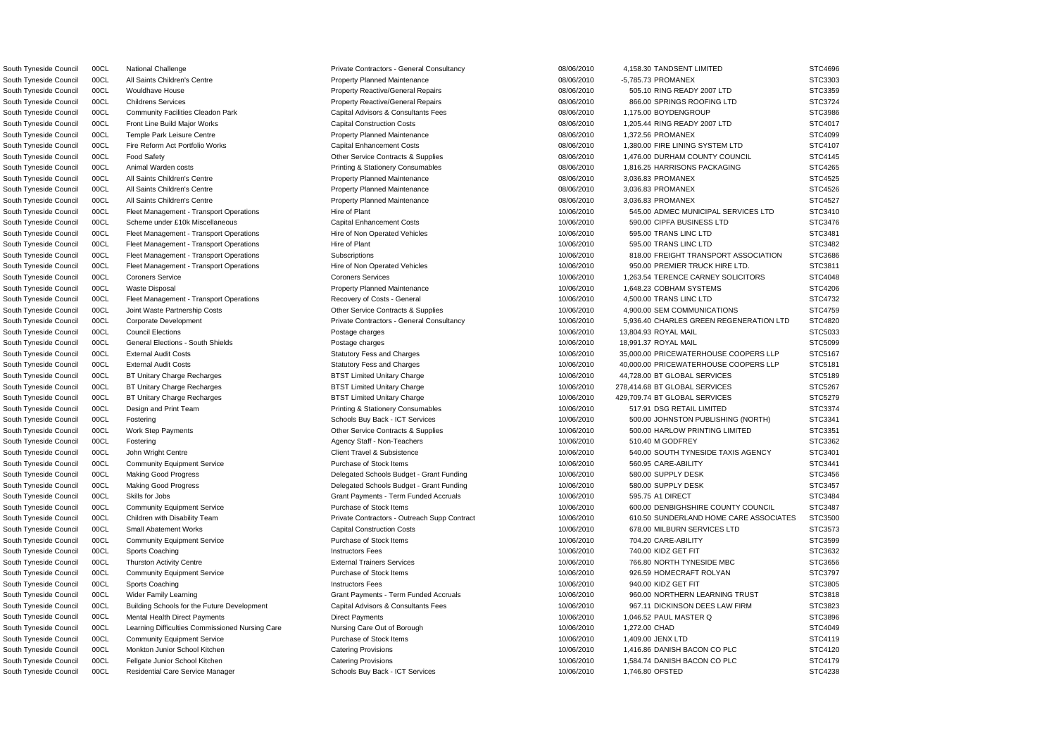South Tyneside Council 00CL National Challenge **Private Contractors - General Consultancy** 08/06/2010 4,158.30 TANDSENT LIMITED STC4696 South Tyneside Council 00CL All Saints Children's Centre **Property Planned Maintenance Property Planned Maintenance** 08/06/2010 -5,785.73 PROMANEX STC3303 South Tyneside Council 00CL Wouldhave House **Property Reactive/General Repairs** 08/06/2010 505.10 RING READY 2007 LTD STC3359 South Tyneside Council 00CL Childrens Services excludional repairs Property Reactive/General Repairs 08/06/2010 866.00 SPRINGS ROOFING LTD STC3724 South Tyneside Council 00CL Community Facilities Cleadon Park Capital Advisors & Consultants Fees 08/06/2010 1,175.00 BOYDENGROUP STC3986 South Tyneside Council 00CL Front Line Build Major Works Capital Construction Costs 08/06/2010 1,205.44 RING READY 2007 LTD STC4017 South Tyneside Council 00CL Temple Park Leisure Centre **Property Planned Maintenance CENT ACCOUNTY ACCOUNTY ACCOUNTY ACCOUNTY ACCOUNTY ACCOUNTY ACCOUNTY STC4099** South Tyneside Council 00CL Fire Reform Act Portfolio Works Capital Enhancement Costs 08/06/2010 1,380.00 FIRE LINING SYSTEM LTD STC4107 South Tyneside Council 00CL Food Safety **Other Service Contracts & Supplies** 08/06/2010 1,476.00 DURHAM COUNTY COUNCIL STC4145 South Tyneside Council 00CL Animal Warden costs **Printing & Stationery Consumables** 08/06/2010 1,816.25 HARRISONS PACKAGING STC4265 South Tyneside Council 00CL All Saints Children's Centre **Property Planned Maintenance Centre Property Planned Maintenance Centre 18/06/2010** 3,036.83 PROMANEX STC4525 South Tyneside Council 00CL All Saints Children's Centre **Property Planned Maintenance Council Council** 198/06/2010 3,036.83 PROMANEX STC4526 South Tyneside Council COCL All Saints Children's Centre **Property Planned Maintenance** 208/06/2010 3,036.83 PROMANEX STC4527 South Tyneside Council 00CL Fleet Management - Transport Operations Hire of Plant Hire of Plant 10/06/2010 545.00 ADMEC MUNICIPAL SERVICES LTD STC3410 South Tyneside Council 00CL Scheme under £10k Miscellaneous Capital Enhancement Costs 10/06/2010 590.00 CIPFA BUSINESS LTD STC3476 South Tyneside Council 00CL Fleet Management - Transport Operations Hire of Non Operated Vehicles 10/06/2010 595.00 TRANS LINC LTD STC3481 South Tyneside Council 00CL Fleet Management - Transport Operations Hire of Plant Hire of Plant 10/06/2010 595.00 TRANS LINC LTD STC3482 South Tyneside Council 00CL Fleet Management - Transport Operations Subscriptions Subscriptions Subscriptions 10/06/2010 818.00 FREIGHT TRANSPORT ASSOCIATION STC3686 South Tyneside Council 00CL Fleet Management - Transport Operations Hire of Non Operated Vehicles 10/06/2010 950.00 PREMIER TRUCK HIRE LTD. STC3811 South Tyneside Council 00CL Coroners Service Coroners Coroners Services Coroners Coroners Services Coroners Coroners Coroners Services Coroners Coroners Coroners Coroners Coroners Services Coroners Coroners Coroners Corone South Tyneside Council 00CL Waste Disposal **Property Planned Maintenance** Property Planned Maintenance **10/06/2010** 1,648.23 COBHAM SYSTEMS STC4206 South Tyneside Council 00CL Fleet Management - Transport Operations Recovery of Costs - General 10/06/2010 4,500.00 TRANS LINC LTD STC4732 South Tyneside Council 00CL Joint Waste Partnership Costs **Other Service Contracts & Supplies** 10/06/2010 4,900.00 SEM COMMUNICATIONS STC4759 South Tyneside Council 00CL Corporate Development Private Contractors - General Consultancy 10/06/2010 5,936.40 CHARLES GREEN REGENERATION LTD STC4820 South Tyneside Council 00CL Council Elections Postage charges 10/06/2010 13,804.93 ROYAL MAIL STC5033 South Tyneside Council 00CL General Elections - South Shields Postage charges Postage charges 10/06/2010 18,991.37 ROYAL MAIL STC5099 South Tyneside Council 00CL External Audit Costs Statutory Fess and Charges Statutory Fess and Charges 35,000.00 PRICEWATERHOUSE COOPERS LLP STC5167 South Tyneside Council 00CL External Audit Costs Statutory Fess and Charges Statutory Fess and Charges 10/06/2010 40,000.00 PRICEWATERHOUSE COOPERS LLP STC5181 South Tyneside Council 00CL BT Unitary Charge Recharges **BTST Limited Unitary Charge 10/06/2010** 44,728.00 BT GLOBAL SERVICES STC5189 South Tyneside Council 00CL BT Unitary Charge Recharges **BTST Limited Unitary Charge 10/06/2010** 278,414.68 BT GLOBAL SERVICES STC5267 South Tyneside Council 00CL BT Unitary Charge Recharges **BTST Limited Unitary Charge 10/06/2010** 429,709.74 BT GLOBAL SERVICES STC5279 South Tyneside Council 00CL Design and Print Team exam exam Printing & Stationery Consumables 10/06/2010 517.91 DSG RETAIL LIMITED STC3374 South Tyneside Council 00CL Fostering CHOST Schools Buy Back - ICT Services CHOST Services 500.00 JOHNSTON PUBLISHING (NORTH) STC3341 South Tyneside Council 00CL Work Step Payments Comments Channel Other Service Contracts & Supplies 60000 10/06/2010 500.00 HARLOW PRINTING LIMITED STC3351 South Tyneside Council 00CL Fostering www.php?com/states/staff - Non-Teachers 10/06/2010 510.40 M GODFREY STC3362 South Tyneside Council 00CL John Wright Centre Client Centre Client Travel & Subsistence 10/06/2010 540.00 SOUTH TYNESIDE TAXIS AGENCY STC3401 South Tyneside Council 00CL Community Equipment Service **Purchase of Stock Items** 10/06/2010 560.95 CARE-ABILITY STC3441 South Tyneside Council 00CL Making Good Progress Second Delegated Schools Budget - Grant Funding 10/06/2010 580.00 SUPPLY DESK STC3456 South Tyneside Council 00CL Making Good Progress Comes Delegated Schools Budget - Grant Funding 10/06/2010 580.00 SUPPLY DESK STC3457 South Tyneside Council 00CL Skills for Jobs STC3484 Correct Council Crant Payments - Term Funded Accruals 50006/2010 595.75 A1 DIRECT STC3484 South Tyneside Council 00CL Community Equipment Service **Purchase of Stock Items** 10/06/2010 600.00 DENBIGHSHIRE COUNTY COUNCIL STC3487 South Tyneside Council 00CL Children with Disability Team Private Contractors - Outreach Supp Contract 10/06/2010 610.50 SUNDERLAND HOME CARE ASSOCIATES STC3500 South Tyneside Council 00CL Small Abatement Works Capital Construction Costs Capital Construction Costs 10/06/2010 678.00 MILBURN SERVICES LTD STC3573 South Tyneside Council 00CL Community Equipment Service **Purchase of Stock Items 10/06/2010** 704.20 CARE-ABILITY STC3599 South Tyneside Council 00CL Sports Coaching Instructors Fees 10/06/2010 740.00 KIDZ GET FIT STC3632 South Tyneside Council 00CL Thurston Activity Centre **External Trainers Services** External Trainers Services and the many statement of the statement of the STC3656 South Tyneside Council 00CL Community Equipment Service **Purchase of Stock Items** 10/06/2010 926.59 HOMECRAFT ROLYAN STC3797 South Tyneside Council 00CL Sports Coaching Instructors Fees 10/06/2010 940.00 KIDZ GET FIT STC3805 South Tyneside Council 00CL Wider Family Learning Carroll Crant Payments - Term Funded Accruals 10/06/2010 960.00 NORTHERN LEARNING TRUST STC3818 South Tyneside Council 00CL Building Schools for the Future Development Capital Advisors & Consultants Fees 10/06/2010 967.11 DICKINSON DEES LAW FIRM STC3823 South Tyneside Council 00CL Mental Health Direct Payments Direct Payments Direct Payments 10/06/2010 1,046.52 PAUL MASTER Q STC3896 South Tyneside Council 00CL Learning Difficulties Commissioned Nursing Care Nursing Care Out of Borough 10000/2010 1,272.00 CHAD STC4049 South Tyneside Council 00CL Community Equipment Service Purchase of Stock Items 10/06/2010 1,409.00 JENX LTD STC4119 South Tyneside Council 00CL Monkton Junior School Kitchen Catering Provisions Catering Provisions 10/06/2010 1.416.86 DANISH BACON CO PLC STC4120 South Tyneside Council 00CL Fellgate Junior School Kitchen Catering Provisions Catering Provisions 10/06/2010 1,584.74 DANISH BACON CO PLC STC4179 South Tyneside Council 00CL Residential Care Service Manager Schools Buy Back - ICT Services 10/06/2010 1,746.80 OFSTED STC4238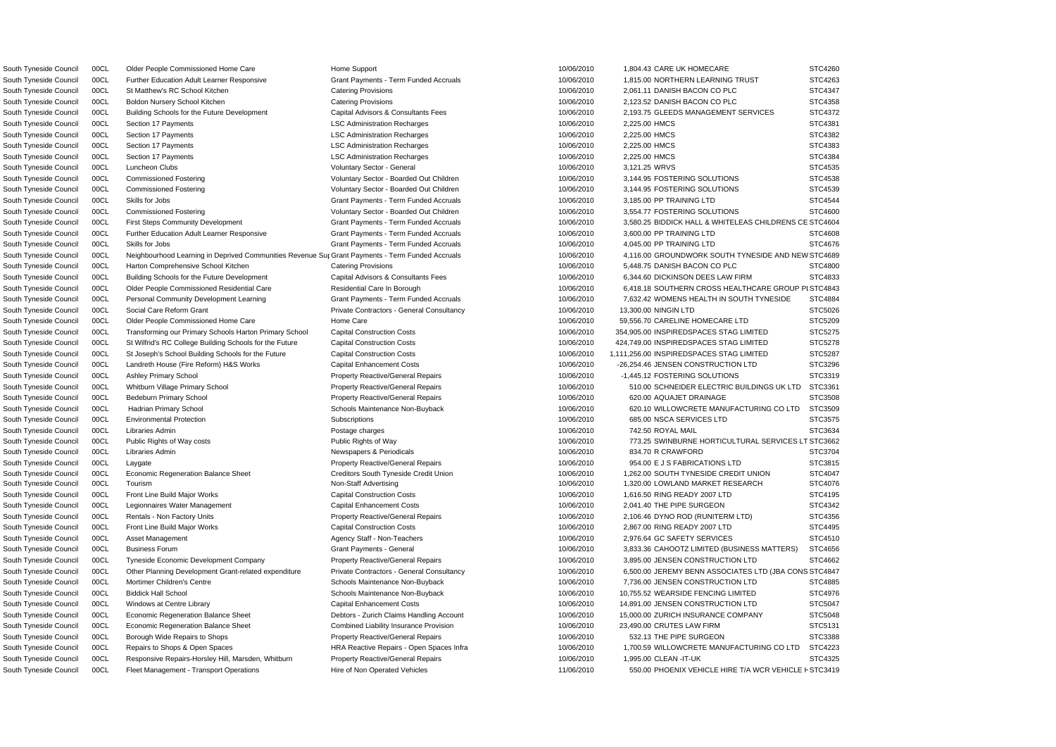South Tyneside Council 00CL Fleet Management - Transport Operations Hire of Non Operated Vehicles 11/06/2010 550.00 PHOENIX VEHICLE HIRE T/A WCR VEHICLE F STC3419 South Tyneside Council 00CL Older People Commissioned Home Care Home Support 10/06/2010 1,804.43 CARE UK HOMECARE South Tyneside Council 00CL Further Education Adult Learner Responsive Grant Payments - Term Funded Accruals 10/06/2010 1,815.00 NORTHERN LEARNING TRUST South Tyneside Council 00CL St Matthew's RC School Kitchen Catering Provisions Catering Provisions 10/06/2010 2,061.11 DANISH BACON CO PLC South Tyneside Council 00CL Boldon Nursery School Kitchen Catering Provisions Catering Provisions 10/06/2010 2,123.52 DANISH BACON CO PLC South Tyneside Council 00CL Building Schools for the Future Development Capital Advisors & Consultants Fees 10/06/2010 2,193.75 GLEEDS MANAGEMENT SERVICES South Tyneside Council 00CL Section 17 Payments **LSC Administration Recharges** 10/06/2010 2,225.00 HMCS STC43810 South Tyneside Council 00CL Section 17 Payments **LSC Administration Recharges** 2006/2010 2,225.00 HMCS STC4382 South Tyneside Council 00CL Section 17 Payments **LSC Administration Recharges** 10/06/2010 2,225.00 HMCS STC438333 South Tyneside Council 00CL Section 17 Payments **LSC Administration Recharges** 10/06/2010 2,225.00 HMCS South Tyneside Council 00CL Luncheon Clubs Voluntary Sector - General 10/06/2010 3,121.25 WRVS STC4535 South Tyneside Council 00CL Commissioned Fostering variable voluntary Sector - Boarded Out Children 10/06/2010 3,144.95 FOSTERING SOLUTIONS South Tyneside Council 00CL Commissioned Fostering variable voluntary Sector - Boarded Out Children 10/06/2010 3,144.95 FOSTERING SOLUTIONS South Tyneside Council 00CL Skills for Jobs Same Council Crant Payments - Term Funded Accruals 10/06/2010 3,185.00 PP TRAINING LTD South Tyneside Council 00CL Commissioned Fostering values of Voluntary Sector - Boarded Out Children 10/06/2010 3,554.77 FOSTERING SOLUTIONS South Tyneside Council 00CL First Steps Community Development Grant Payment Grant Payments - Term Funded Accruals 10/06/2010 3,580.25 BIDDICK HALL & WHITELEAS CHILDRENS South Tyneside Council 00CL Further Education Adult Learner Responsive Grant Payments - Term Funded Accruals 10/06/2010 3,600.00 PP TRAINING LTD South Tyneside Council 00CL Skills for Jobs South Tynes of Accruals Crant Payments - Term Funded Accruals Council 10/06/2010 4.045.00 PP TRAINING LTD South Tyneside Council 00CL Neighbourhood Learning in Deprived Communities Revenue Sur Grant Payments - Term Funded Accruals South Tyneside Council 00CL Harton Comprehensive School Kitchen Catering Provisions Catering Provisions 10/06/2010 5,448.75 DANISH BACON CO PLC South Tyneside Council 00CL Building Schools for the Future Development Capital Advisors & Consultants Fees 10/06/2010 6.344.60 DICKINSON DEES LAW FIRM South Tyneside Council 00CL Older People Commissioned Residential Care Residential Care In Borough 10/06/2010 6,418.18 SOUTHERN CROSS HEALTHCARE GROUP South Tyneside Council 00CL Personal Community Development Learning Grant Payments - Term Funded Accruals 10/06/2010 7,632.42 WOMENS HEALTH IN SOUTH TYNESIDE South Tyneside Council 00CL Social Care Reform Grant Contractors - Ceneral Consultancy Contractors - General Consultancy 10/06/2010 13,300.00 NINGIN LTD South Tyneside Council 00CL Older People Commissioned Home Care Home Care Home Care 10/06/2010 59,556.70 CARELINE HOMECARE LTD South Tyneside Council 00CL Transforming our Primary Schools Harton Primary School Capital Construction Costs 10/06/2010 354,905.00 INSPIREDSPACES STAG LIMITED South Tyneside Council 00CL St Wilfrid's RC College Building Schools for the Future Capital Construction Costs 10/06/2010 424,749.00 INSPIREDSPACES STAG LIMITED South Tyneside Council 00CL St Joseph's School Building Schools for the Future Capital Construction Costs 10/06/2010 1,111,256.00 INSPIREDSPACES STAG LIMITED South Tyneside Council 00CL Landreth House (Fire Reform) H&S Works Capital Enhancement Costs 10/06/2010 -26,254.46 JENSEN CONSTRUCTION LTD South Tyneside Council 00CL Ashley Primary School **Property Reactive/General Repairs** 10/06/2010 -1,445.12 FOSTERING SOLUTIONS South Tyneside Council 00CL Whitburn Village Primary School Property Reactive/General Repairs 10/06/2010 510.00 SCHNEIDER ELECTRIC BUILDINGS UK LTD South Tyneside Council 00CL Bedeburn Primary School **Property Reactive/General Repairs** 10/06/2010 620.00 AQUAJET DRAINAGE South Tyneside Council 00CL Hadrian Primary School School Schools Maintenance Non-Buyback 10/06/2010 620.10 WILLOWCRETE MANUFACTURING CO LTD South Tyneside Council 00CL Environmental Protection Subscriptions Subscriptions 10/06/2010 685.00 NSCA SERVICES LTD South Tyneside Council COCL Libraries Admin 2000 2009 2009 Postage charges 2009 2009 2009 2009 2010 742.50 ROYAL MAIL STC3634 South Tyneside Council 00CL Public Rights of Way costs **Public Rights of Way Costs** Public Rights of Way **Public Rights of Way** 10/06/2010 773.25 SWINBURNE HORTICULTURAL SERVICES South Tyneside Council 00CL Libraries Admin (STC3704 Newspapers & Periodicals 10/06/2010 834.70 R CRAWFORD STC3704 South Tyneside Council 00CL Laygate **Property Reactive/General Repairs** 10/06/2010 954.00 E J S FABRICATIONS LTD South Tyneside Council 00CL Economic Regeneration Balance Sheet Creditors South Tyneside Credit Union 10/06/2010 1,262.00 SOUTH TYNESIDE CREDIT UNION South Tyneside Council 00CL Tourism Non-Staff Advertising Non-Staff Advertising 10/06/2010 1,320.00 LOWLAND MARKET RESEARCH South Tyneside Council 00CL Front Line Build Major Works Capital Construction Costs 10/06/2010 1,616.50 RING READY 2007 LTD South Tyneside Council 00CL Legionnaires Water Management Capital Enhancement Costs 10/06/2010 2,041.40 THE PIPE SURGEON South Tyneside Council 00CL Rentals - Non Factory Units example and the Property Reactive/General Repairs 10/06/2010 2,106.46 DYNO ROD (RUNITERM LTD) South Tyneside Council 00CL Front Line Build Major Works Capital Construction Costs 10/06/2010 2,867.00 RING READY 2007 LTD South Tyneside Council 00CL Asset Management Agency Staff - Non-Teachers 10/06/2010 2,976.64 GC SAFETY SERVICES South Tyneside Council 00CL Business Forum Same Council 10/06/2010 3,833.36 CAHOOTZ LIMITED (BUSINESS MATTERS) South Tyneside Council 00CL Tyneside Economic Development Company Property Reactive/General Repairs 10/06/2010 3,895.00 JENSEN CONSTRUCTION LTD South Tyneside Council 00CL Other Planning Development Grant-related expenditure Private Contractors - General Consultancy 10/06/2010 6,500.00 JEREMY BENN ASSOCIATES LTD (JBA COI South Tyneside Council 00CL Mortimer Children's Centre Schools Maintenance Non-Buyback 10/06/2010 7,736.00 JENSEN CONSTRUCTION LTD South Tyneside Council 00CL Biddick Hall School Schools Maintenance Non-Buyback 10/06/2010 10,755.52 WEARSIDE FENCING LIMITED South Tyneside Council 00CL Windows at Centre Library Capital Enhancement Costs 10/06/2010 14,891.00 JENSEN CONSTRUCTION LTD South Tyneside Council 00CL Economic Regeneration Balance Sheet Debtors - Zurich Claims Handling Account 10/06/2010 15,000.00 ZURICH INSURANCE COMPANY South Tyneside Council 00CL Economic Regeneration Balance Sheet Combined Liability Insurance Provision 10/06/2010 23,490.00 CRUTES LAW FIRM South Tyneside Council 00CL Borough Wide Repairs to Shops **Property Reactive/General Repairs** 10/06/2010 532.13 THE PIPE SURGEON South Tyneside Council 00CL Repairs to Shops & Open Spaces HRA Reactive Repairs - Open Spaces Infra 10/06/2010 1,700.59 WILLOWCRETE MANUFACTURING CO LTD South Tyneside Council 00CL Responsive Repairs-Horsley Hill, Marsden, Whitburn Property Reactive/General Repairs 10/06/2010 1,995.00 CLEAN -IT-UK

10/06/2010 4,116.00 GROUNDWORK SOUTH TYNESIDE AND NE

|    | STC4260        |
|----|----------------|
|    | STC4263        |
|    | STC4347        |
|    | STC4358        |
|    | STC4372        |
|    | STC4381        |
|    | STC4382        |
|    | STC4383        |
|    | STC4384        |
|    | STC4535        |
|    | STC4538        |
|    | STC4539        |
|    | <b>STC4544</b> |
|    | STC4600        |
| CЕ | STC4604        |
|    | STC4608        |
|    | STC4676        |
|    | :W STC4689     |
|    | STC4800        |
|    | STC4833        |
|    | PISTC4843      |
|    | STC4884        |
|    | STC5026        |
|    | STC5209        |
|    | STC5275        |
|    | STC5278        |
|    | STC5287        |
|    | STC3296        |
|    | STC3319        |
|    | STC3361        |
|    | STC3508        |
| )  | STC3509        |
|    | STC3575        |
|    | STC3634        |
| LΤ | C3662<br>SТ    |
|    | STC3704        |
|    | 381<br>Ţ<br>5  |
|    | STC4047        |
|    | STC4076        |
|    | STC4195        |
|    | STC4342        |
|    | STC4356        |
|    | STC4495        |
|    | STC4510        |
|    | STC4656        |
|    | STC4662        |
| NS | STC4847        |
|    | STC4885        |
|    | STC4976        |
|    | STC5047        |
|    | STC5048        |
|    | STC5131        |
|    | STC3388        |
| )  | STC4223        |
|    | STC4325        |
|    |                |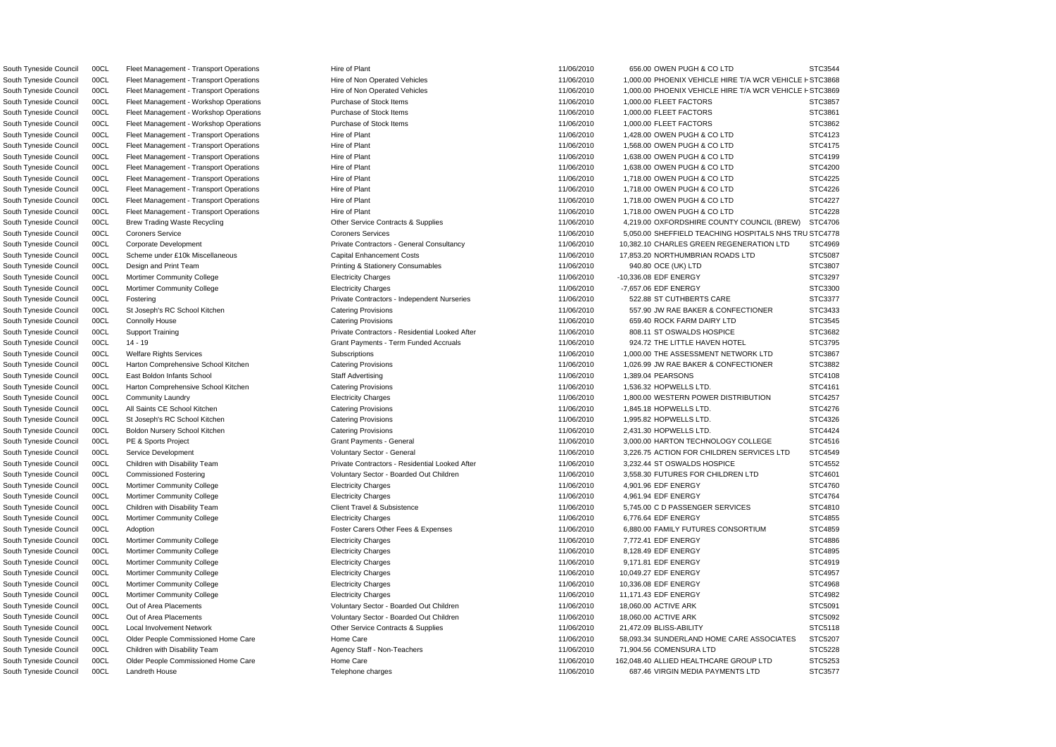South Tyneside Council COCL Fleet Management - Transport Operations Hire of Non Operated Vehicles 11/06/2010 1,000.00 PHOENIX VEHICLE HIRE T/A WCR VEHICLE F STC3868 South Tyneside Council COCL Fleet Management - Transport Operations Hire of Non Operated Vehicles 2010 11/06/2010 1,000.00 PHOENIX VEHICLE HIRE T/A WCR VEHICLE F STC3869 South Tyneside Council 00CL Fleet Management - Transport Operations Hire of Plant Hire of Plant 11/06/2010 656.00 OWEN PUGH & CO LTD STC3544 South Tyneside Council 00CL Fleet Management - Workshop Operations Purchase of Stock Items 11/06/2010 1,000.00 FLEET FACTORS STC3857 South Tyneside Council 00CL Fleet Management - Workshop Operations Purchase of Stock Items 11/06/2010 1,000.00 FLEET FACTORS STC3861 South Tyneside Council 00CL Fleet Management - Workshop Operations Purchase of Stock Items 11/06/2010 1,000.00 FLEET FACTORS STC3862 South Tyneside Council 00CL Fleet Management - Transport Operations Hire of Plant Hire of Plant 11/06/2010 1,428.00 OWEN PUGH & CO LTD STC4123 South Tyneside Council 00CL Fleet Management - Transport Operations Hire of Plant Hire of Plant 11/06/2010 1,568.00 OWEN PUGH & CO LTD STC4175 South Tyneside Council 00CL Fleet Management - Transport Operations Hire of Plant 11/06/2010 1,638.00 OWEN PUGH & CO LTD STC4199 South Tyneside Council 00CL Fleet Management - Transport Operations Hire of Plant Hire of Plant 11/06/2010 1,638.00 OWEN PUGH & CO LTD STC4200 South Tyneside Council 00CL Fleet Management - Transport Operations Hire of Plant Hire of Plant 11/06/2010 1,718.00 OWEN PUGH & CO LTD STC4225 South Tyneside Council 00CL Fleet Management - Transport Operations Hire of Plant 11/06/2010 1,718.00 OWEN PUGH & CO LTD STC4226 South Tyneside Council COCL Fleet Management - Transport Operations Hire of Plant 11/06/2010 1,718.00 OWEN PUGH & CO LTD STC4227 South Tyneside Council 00CL Fleet Management - Transport Operations Hire of Plant 11/06/2010 1,718.00 OWEN PUGH & CO LTD STC4228 South Tyneside Council 00CL Brew Trading Waste Recycling Commence Other Service Contracts & Supplies 11/06/2010 4.219.00 OXFORDSHIRE COUNTY COUNCIL (BREW) STC4706 South Tyneside Council 00CL Coroners Service Coroners Coroners Services Coroners Services Coroners Coroners Services Coroners Coroners Services Coroners Coroners Services Coroners Coroners Services Coroners Coroners Corone South Tyneside Council 00CL Corporate Development exception and Development Private Contractors - General Consultancy 11/06/2010 10.382.10 CHARLES GREEN REGENERATION LTD STC4969 South Tyneside Council 00CL Scheme under £10k Miscellaneous Capital Enhancement Costs 11/06/2010 17,853.20 NORTHUMBRIAN ROADS LTD STC5087 South Tyneside Council 00CL Design and Print Team **Print Team** Printing & Stationery Consumables 11/06/2010 940.80 OCE (UK) LTD STC3807 South Tyneside Council 00CL Mortimer Community College Electricity Charges 11/06/2010 -10,336.08 EDF ENERGY STC3297 South Tyneside Council 00CL Mortimer Community College **Electricity Charges Community College Community College** STC3300 South Tyneside Council 00CL Fostering Contractors Private Contractors - Independent Nurseries 11/06/2010 522.88 ST CUTHBERTS CARE STC3377 South Tyneside Council 00CL St Joseph's RC School Kitchen Catering Provisions Catering Provisions 11/06/2010 557.90 JW RAE BAKER & CONFECTIONER STC3433 South Tyneside Council 00CL Connolly House Catering Provisions Catering Provisions Catering Provisions Catering Provisions 11/06/2010 659.40 ROCK FARM DAIRY LTD STC3545 South Tyneside Council 00CL Support Training **Private Contractors - Residential Looked After** 11/06/2010 808.11 ST OSWALDS HOSPICE STC3682 South Tyneside Council 00CL 14 - 19 CTC3795 Grant Payments - Term Funded Accruals 11/06/2010 924.72 THE LITTLE HAVEN HOTEL STC3795 South Tyneside Council 00CL Welfare Rights Services Subscriptions Subscriptions Subscriptions and the example of the STC3867 STC3867 South Tyneside Council 00CL Harton Comprehensive School Kitchen Catering Provisions Catering Provisions 11/06/2010 1,026.99 JW RAE BAKER & CONFECTIONER STC3882 South Tyneside Council 00CL East Boldon Infants School Natural Staff Advertising 11/06/2010 1,389.04 PEARSONS STC4108 STC4108 South Tyneside Council 00CL Harton Comprehensive School Kitchen Catering Provisions Catering Provisions 11/06/2010 1,536.32 HOPWELLS LTD. STC4161 South Tyneside Council 00CL Community Laundry exception of the Electricity Charges Electricity Charges and the strong method of the strong strong strong strong strong strong strong strong strong strong strong exception of South Tyneside Council 00CL All Saints CE School Kitchen Catering Provisions Catering Provisions and the council of the STC4276 street and the STC4276 South Tyneside Council 00CL St Joseph's RC School Kitchen Catering Provisions Catering Provisions 11/06/2010 1,995.82 HOPWELLS LTD. STC4326 South Tyneside Council 00CL Boldon Nursery School Kitchen Catering Provisions Catering Provisions 11/06/2010 2,431.30 HOPWELLS LTD. STC4424 South Tyneside Council 00CL PE & Sports Project Case Crant Payments - General Grant Payments - General 21/06/2010 3,000.00 HARTON TECHNOLOGY COLLEGE STC4516 South Tyneside Council 00CL Service Development Case of Municary Sector - General Voluntary Sector - General 11/06/2010 3,226.75 ACTION FOR CHILDREN SERVICES LTD STC4549 South Tyneside Council 00CL Children with Disability Team Private Contractors - Residential Looked After 11/06/2010 3,232.44 ST OSWALDS HOSPICE STC4552 South Tyneside Council 00CL Commissioned Fostering The STC4601 Voluntary Sector - Boarded Out Children 11/06/2010 3,558.30 FUTURES FOR CHILDREN LTD STC4601 South Tyneside Council 00CL Mortimer Community College Electricity Charges 11/06/2010 4,901.96 EDF ENERGY STC4760 South Tyneside Council 00CL Mortimer Community College Electricity Charges Electricity Charges 11/06/2010 4,961.94 EDF ENERGY STC4764 South Tyneside Council 00CL Children with Disability Team Client Travel & Subsistence 11/06/2010 5,745.00 CD PASSENGER SERVICES STC4810 South Tyneside Council 00CL Mortimer Community College Electricity Charges Electricity Charges 11/06/2010 6,776.64 EDF ENERGY STC4855 South Tyneside Council 00CL Adoption **Figure 11/06/2010** Foster Carers Other Fees & Expenses 6 and 11/06/2010 6,880.00 FAMILY FUTURES CONSORTIUM STC4859 South Tyneside Council 00CL Mortimer Community College Electricity Charges 7,772.41 EDF ENERGY STC4886 South Tyneside Council 00CL Mortimer Community College Electricity Charges 11/06/2010 8,128.49 EDF ENERGY STC4895 South Tyneside Council 00CL Mortimer Community College Electricity Charges 11/06/2010 9,171.81 EDF ENERGY STC4919 South Tyneside Council 00CL Mortimer Community College Electricity Charges 11/06/2010 10,049.27 EDF ENERGY STC4957 South Tyneside Council 00CL Mortimer Community College Electricity Charges Electricity Charges 11/06/2010 10,336.08 EDF ENERGY STC4968 South Tyneside Council 00CL Mortimer Community College Electricity Charges 11/06/2010 11,171.43 EDF ENERGY STC4982 South Tyneside Council 00CL Out of Area Placements **STC5091** Voluntary Sector - Boarded Out Children 11/06/2010 18,060.00 ACTIVE ARK STC5091 South Tyneside Council 00CL Out of Area Placements **Voluntary Sector - Boarded Out Children** 11/06/2010 18,060.00 ACTIVE ARK STC5092 South Tyneside Council 00CL Local Involvement Network Contracts & Other Service Contracts & Supplies 11/06/2010 21.472.09 BLISS-ABILITY STC5118 South Tyneside Council 00CL Older People Commissioned Home Care Home Care Home Care 11/06/2010 58,093.34 SUNDERLAND HOME CARE ASSOCIATES STC5207 South Tyneside Council 00CL Children with Disability Team Agency Staff - Non-Teachers 2000 11/06/2010 71,904.56 COMENSURA LTD STC5228 South Tyneside Council 00CL Older People Commissioned Home Care Home Care Home Care 11/06/2010 162,048.40 ALLIED HEALTHCARE GROUP LTD STC5253 South Tyneside Council 00CL Landreth House STC3577 Council Council Council Council Council Council Council Council STC3577 Council Council Council Council Council Council Council Council Council Council Council Council Cou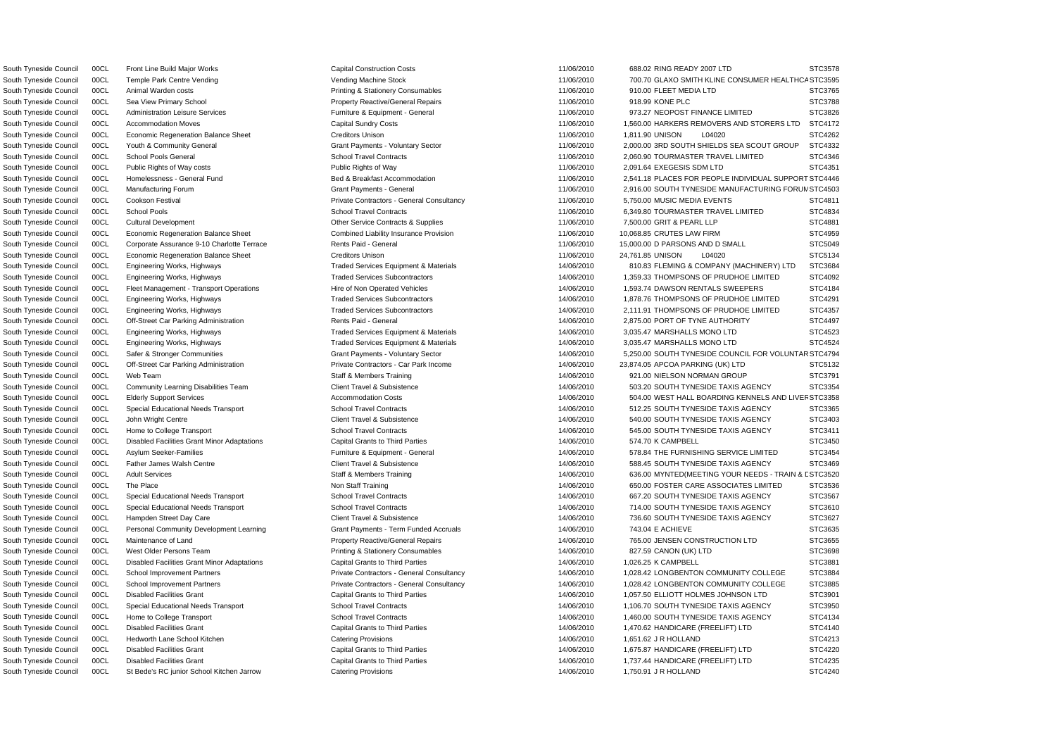South Tyneside Council COCL Temple Park Centre Vending Vending Vending Machine Stock 11/06/2010 700.70 GLAXO SMITH KLINE CONSUMER HEALTHCA STC3595 South Tyneside Council 00CL Homelessness - General Fund Nation Bed & Breakfast Accommodation 2,541.18 PLACES FOR PEOPLE INDIVIDUAL SUPPORT STC4446 South Tyneside Council 00CL Manufacturing Forum Council 11/06/2010 2,916.00 SOUTH TYNESIDE MANUFACTURING FORUN STC4503 South Tyneside Council COCL Safer & Stronger Communities Communities Grant Payments - Voluntary Sector 14/06/2010 5,250.00 SOUTH TYNESIDE COUNCIL FOR VOLUNTAR STC4794 South Tyneside Council COCL Elderly Support Services Accommodation Costs Accommodation Costs and the the stress of the stress of the stress of the stress of the stress of the stress of the stress of the stress of the stres South Tyneside Council COCL Adult Services Staff & Members Training Staff & Members Training Staff & Members Training COUNCEDING A LOCAL ARAIN & LOCAL ARAIN & LOCAL ARAIN & LOCAL ARAIN & LOCAL ARAIN & LOCAL ARAIN & LOCAL A South Tyneside Council 00CL Front Line Build Major Works Capital Construction Costs 11/06/2010 688.02 RING READY 2007 LTD STC3578 South Tyneside Council 00CL Animal Warden costs **Printing & Stationery Consumables** 11/06/2010 910.00 FLEET MEDIA LTD STC3765 South Tyneside Council 00CL Sea View Primary School **Property Reactive/General Repairs** 11/06/2010 918.99 KONE PLC STC3788 South Tyneside Council 00CL Administration Leisure Services Furniture & Equipment - General 11/06/2010 973.27 NEOPOST FINANCE LIMITED STC3826 South Tyneside Council 00CL Accommodation Moves Capital Sundry Costs Capital Sundry Costs 11/06/2010 1,560.00 HARKERS REMOVERS AND STORERS LTD STC4172 South Tyneside Council 00CL Economic Regeneration Balance Sheet Creditors Unison Creditors Unison 11/06/2010 1,811.90 UNISON L04020 STC4262 South Tyneside Council 00CL Youth & Community General Crant Payments - Voluntary Sector 11/06/2010 2,000.00 3RD SOUTH SHIELDS SEA SCOUT GROUP STC4332 South Tyneside Council 00CL School Pools General School Travel Contracts School Travel Contracts 11/06/2010 2,060.90 TOURMASTER TRAVEL LIMITED STC4346 South Tyneside Council 00CL Public Rights of Way costs Public Rights of Way 11/06/2010 2,091.64 EXEGESIS SDM LTD STC4351 South Tyneside Council 00CL Cookson Festival **Private Contractors - General Consultancy** 11/06/2010 5.750.00 MUSIC MEDIA EVENTS STC4811 South Tyneside Council 00CL School Pools School Travel Contracts School Travel Contracts Contracts Contracts Contracts Contracts Contracts Contracts Contracts Contracts Contracts Contracts Contracts Contracts Contracts Con South Tyneside Council 00CL Cultural Development Cultural Development Cultural Development Other Service Contracts & Supplies 11/06/2010 7,500.00 GRIT & PEARL LLP STC4881 South Tyneside Council 00CL Economic Regeneration Balance Sheet Combined Liability Insurance Provision 11/06/2010 10,068.85 CRUTES LAW FIRM STC4959 South Tyneside Council 00CL Corporate Assurance 9-10 Charlotte Terrace Rents Paid - General 2000 11/06/2010 15,000,00 D PARSONS AND D SMALL STC5049 South Tyneside Council 00CL Economic Regeneration Balance Sheet Creditors Unison Creditors Unison 11/06/2010 24,761.85 UNISON L04020 STC5134 South Tyneside Council 00CL Engineering Works, Highways Traded Services Equipment & Materials 14/06/2010 810.83 FLEMING & COMPANY (MACHINERY) LTD STC3684 South Tyneside Council 00CL Engineering Works, Highways The Marketing Traded Services Subcontractors 14/06/2010 1,359.33 THOMPSONS OF PRUDHOE LIMITED STC4092 South Tyneside Council 00CL Fleet Management - Transport Operations Hire of Non Operated Vehicles 14/06/2010 1,593.74 DAWSON RENTALS SWEEPERS STC4184 South Tyneside Council 00CL Engineering Works, Highways Traded Services Subcontractors 14/06/2010 1,878.76 THOMPSONS OF PRUDHOE LIMITED STC4291 South Tyneside Council 00CL Engineering Works, Highways Traded Services Subcontractors 14/06/2010 2,111.91 THOMPSONS OF PRUDHOE LIMITED STC4357 South Tyneside Council 00CL Off-Street Car Parking Administration Rents Paid - General 2006/2010 14/06/2010 2,875.00 PORT OF TYNE AUTHORITY STC4497 South Tyneside Council 00CL Engineering Works, Highways Traded Services Equipment & Materials 14/06/2010 3,035.47 MARSHALLS MONO LTD STC4523 South Tyneside Council 00CL Engineering Works, Highways Traded Services Equipment & Materials 14/06/2010 3,035.47 MARSHALLS MONO LTD STC4524 South Tyneside Council 00CL Off-Street Car Parking Administration Private Contractors - Car Park Income 14/06/2010 23,874.05 APCOA PARKING (UK) LTD STC5132 South Tyneside Council 00CL Web Team Statt Statt Staff & Members Training 14/06/2010 921.00 NIELSON NORMAN GROUP STC3791 South Tyneside Council 00CL Community Learning Disabilities Team Client Travel & Subsistence 14/06/2010 503.20 SOUTH TYNESIDE TAXIS AGENCY STC3354 South Tyneside Council 00CL Special Educational Needs Transport School Travel Contracts 50000 11/06/2010 512.25 SOUTH TYNESIDE TAXIS AGENCY STC3365 South Tyneside Council 00CL John Wright Centre 2000 SOUTH Travel & Subsistence Client Travel & Subsistence 2000 SOUTH TYNESIDE TAXIS AGENCY STC3403 South Tyneside Council 00CL Home to College Transport School Travel Contracts School Travel Contracts 54/06/2010 545.00 SOUTH TYNESIDE TAXIS AGENCY STC3411 South Tyneside Council 00CL Disabled Facilities Grant Minor Adaptations Capital Grants to Third Parties 14/06/2010 574.70 K CAMPBELL STC3450 South Tyneside Council 00CL Asylum Seeker-Families **Furniture & Equipment - General** 14/06/2010 578.84 THE FURNISHING SERVICE LIMITED STC3454 South Tyneside Council 00CL Father James Walsh Centre Client Travel & Subsistence Client Travel & Subsistence 14/06/2010 588.45 SOUTH TYNESIDE TAXIS AGENCY STC3469 South Tyneside Council 00CL The Place Non State Non Staff Training Non Staff Training 14/06/2010 650.00 FOSTER CARE ASSOCIATES LIMITED STC3536 South Tyneside Council 00CL Special Educational Needs Transport School Travel Contracts 14/06/2010 667.20 SOUTH TYNESIDE TAXIS AGENCY STC3567 South Tyneside Council 00CL Special Educational Needs Transport School Travel Contracts School Travel Contracts 14/06/2010 714.00 SOUTH TYNESIDE TAXIS AGENCY STC3610 South Tyneside Council 00CL Hampden Street Day Care Client Travel & Subsistence 14/06/2010 736.60 SOUTH TYNESIDE TAXIS AGENCY STC3627 South Tyneside Council 00CL Personal Community Development Learning Grant Payments - Term Funded Accruals 14/06/2010 743.04 E ACHIEVE STC3635 South Tyneside Council 00CL Maintenance of Land **Property Reactive/General Repairs** 14/06/2010 765.00 JENSEN CONSTRUCTION LTD STC3655 South Tyneside Council 00CL West Older Persons Team **Printing & Stationery Consumables** 14/06/2010 827.59 CANON (UK) LTD STC3698 South Tyneside Council 00CL Disabled Facilities Grant Minor Adaptations Capital Grants to Third Parties 14/06/2010 1,026.25 K CAMPBELL STC3881 South Tyneside Council 00CL School Improvement Partners **Private Contractors - General Consultancy** 14/06/2010 1,028.42 LONGBENTON COMMUNITY COLLEGE STC3884 South Tyneside Council 00CL School Improvement Partners **Private Contractors - General Consultancy** 14/06/2010 1,028.42 LONGBENTON COMMUNITY COLLEGE STC3885 South Tyneside Council 00CL Disabled Facilities Grant Capital Grant Capital Grants to Third Parties 14/06/2010 1,057.50 ELLIOTT HOLMES JOHNSON LTD STC3901 South Tyneside Council 00CL Special Educational Needs Transport School Travel Contracts 14/06/2010 1,106.70 SOUTH TYNESIDE TAXIS AGENCY STC3950 South Tyneside Council 00CL Home to College Transport School Travel Contracts School Travel Contracts 14/06/2010 1,460.00 SOUTH TYNESIDE TAXIS AGENCY STC4134 South Tyneside Council 00CL Disabled Facilities Grant Capital Grant Capital Grants to Third Parties Capital Grants to Third Parties 14/06/2010 1,470.62 HANDICARE (FREELIFT) LTD STC4140 South Tyneside Council 00CL Hedworth Lane School Kitchen Catering Provisions 14/06/2010 1,651.62 J R HOLLAND STC4213 South Tyneside Council 00CL Disabled Facilities Grant Capital Grant Capital Grants to Third Parties Capital Grants 14/06/2010 1,675.87 HANDICARE (FREELIFT) LTD STC4220 South Tyneside Council 00CL Disabled Facilities Grant Capital Grant Capital Grants to Third Parties Capital Grants 14/06/2010 1,737.44 HANDICARE (FREELIFT) LTD STC4235 South Tyneside Council 00CL St Bede's RC junior School Kitchen Jarrow Catering Provisions 14/06/2010 1,750.91 J R HOLLAND STC4240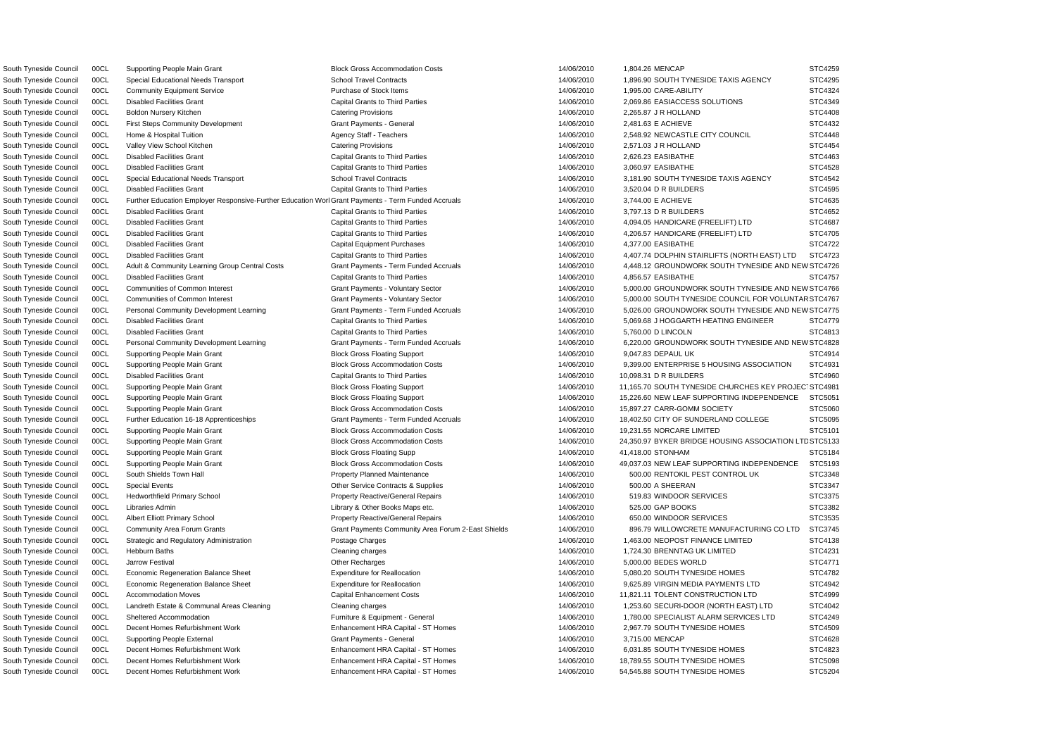South Tyneside Council 00CL Further Education Employer Responsive-Further Education Worl Grant Payments - Term Funded Accruals 14/06/2010 3,744.00 E ACHIEVE STC4635 South Tyneside Council COCL Adult & Community Learning Group Central Costs Grant Payments - Term Funded Accruals 14/06/2010 4,448.12 GROUNDWORK SOUTH TYNESIDE AND NEW STC4726 South Tyneside Council 00CL Communities of Common Interest 1997 Crant Payments - Voluntary Sector 14/06/2010 5,000.00 GROUNDWORK SOUTH TYNESIDE AND NEW STC4766 South Tyneside Council 00CL Communities of Common Interest 1997 Crant Payments - Voluntary Sector 14/06/2010 5,000.00 SOUTH TYNESIDE COUNCIL FOR VOLUNTAR STC4767 South Tyneside Council 00CL Personal Community Development Learning Grant Payments - Term Funded Accruals 14/06/2010 5,026.00 GROUNDWORK SOUTH TYNESIDE AND NEW STC4775 South Tyneside Council 00CL Personal Community Development Learning Grant Payments - Term Funded Accruals 14/06/2010 6,220.00 GROUNDWORK SOUTH TYNESIDE AND NEW STC4828 DSouth Tyneside Council 00CL Supporting People Main Grant Block Gross Accommodation Costs 14/06/2010 24,350.97 BYKER BRIDGE HOUSING ASSOCIATION LT STC5133 South Tyneside Council 00CL Supporting People Main Grant Block Gross Accommodation Costs 14/06/2010 1,804.26 MENCAP STC4259 South Tyneside Council 00CL Special Educational Needs Transport School Travel Contracts School Travel Contracts 14/06/2010 1,896.90 SOUTH TYNESIDE TAXIS AGENCY STC4295 South Tyneside Council 00CL Community Equipment Service Purchase of Stock Items 14/06/2010 1,995.00 CARE-ABILITY STC4324 South Tyneside Council 00CL Disabled Facilities Grant Capital Grant Capital Grants to Third Parties Capital Grants 14/06/2010 2,069.86 EASIACCESS SOLUTIONS STC4349 South Tyneside Council 00CL Boldon Nursery Kitchen Catering Provisions 14/06/2010 2,265.87 J R HOLLAND STC4408 South Tyneside Council 00CL First Steps Community Development Grant Payments - General 14/06/2010 2,481.63 E ACHIEVE STC4432 South Tyneside Council 00CL Home & Hospital Tuition **Agency Staff - Teachers** Agency Staff - Teachers 14/06/2010 2,548.92 NEWCASTLE CITY COUNCIL STC4448 South Tyneside Council 00CL Valley View School Kitchen Catering Provisions 14/06/2010 2,571.03 J R HOLLAND STC4454 South Tyneside Council 00CL Disabled Facilities Grant Capital Grants to Third Parties 14/06/2010 2,626.23 EASIBATHE STC4463 South Tyneside Council 00CL Disabled Facilities Grant Capital Grant Capital Grants to Third Parties Capital Grants 14/06/2010 3,060.97 EASIBATHE STC4528 South Tyneside Council 00CL Special Educational Needs Transport School Travel Contracts 30 14/06/2010 3,181.90 SOUTH TYNESIDE TAXIS AGENCY STC4542 South Tyneside Council 00CL Disabled Facilities Grant Capital Grant Capital Grants to Third Parties 14/06/2010 3,520.04 D R BUILDERS STC4595 South Tyneside Council 00CL Disabled Facilities Grant 2006/2010 1978 Capital Grants to Third Parties 2006/2010 19797.13 D R BUILDERS STC4652 South Tyneside Council 00CL Disabled Facilities Grant Capital Grants to Third Parties Capital Grants 14/06/2010 4.094.05 HANDICARE (FREELIFT) LTD STC4687 South Tyneside Council 00CL Disabled Facilities Grant Capital Grants to Third Parties Capital Grants to Third Parties 14/06/2010 4,206.57 HANDICARE (FREELIFT) LTD STC4705 South Tyneside Council 00CL Disabled Facilities Grant Capital Equipment Purchases 2001 14/06/2010 4,377.00 EASIBATHE STC4722 South Tyneside Council 00CL Disabled Facilities Grant Capital Grants to Third Parties Capital Grants 14/06/2010 4,407.74 DOLPHIN STAIRLIFTS (NORTH EAST) LTD STC4723 South Tyneside Council 00CL Disabled Facilities Grant Capital Grants to Third Parties 14/06/2010 4,856.57 EASIBATHE STC4757 South Tyneside Council 00CL Disabled Facilities Grant Capital Crants to Third Parties Capital Grants to Third Parties 14/06/2010 5,069.68 J HOGGARTH HEATING ENGINEER STC4779 South Tyneside Council COCL Disabled Facilities Grant Capital Grants to Third Parties 2008 14/06/2010 5,760.00 D LINCOLN STC4813 South Tyneside Council 00CL Supporting People Main Grant Match Block Gross Floating Support 14/06/2010 9,047.83 DEPAUL UK STC4914 South Tyneside Council 00CL Supporting People Main Grant Cast Block Gross Accommodation Costs 14/06/2010 9,399.00 ENTERPRISE 5 HOUSING ASSOCIATION STC4931 South Tyneside Council COCL Disabled Facilities Grant 2006 10 Capital Grants to Third Parties 2006 14/06/2010 10,098.31 D R BUILDERS STC4960 South Tyneside Council 00CL Supporting People Main Grant Cast Block Gross Floating Support 14/06/2010 11,165.70 SOUTH TYNESIDE CHURCHES KEY PROJEC' STC4981 South Tyneside Council 00CL Supporting People Main Grant **Block Gross Floating Support** 14/06/2010 15,226.60 NEW LEAF SUPPORTING INDEPENDENCE STC5051 South Tyneside Council 00CL Supporting People Main Grant STC5060 Block Gross Accommodation Costs 14/06/2010 15,897.27 CARR-GOMM SOCIETY STC5060 South Tyneside Council 00CL Further Education 16-18 Apprenticeships Grant Payments - Term Funded Accruals 14/06/2010 18,402.50 CITY OF SUNDERLAND COLLEGE STC5095 South Tyneside Council 00CL Supporting People Main Grant STC5101 Block Gross Accommodation Costs 14/06/2010 19,231.55 NORCARE LIMITED STC5101 South Tyneside Council 00CL Supporting People Main Grant Block Gross Floating Supp 14/06/2010 41,418.00 STONHAM STC5184 South Tyneside Council 00CL Supporting People Main Grant Block Gross Accommodation Costs 14/06/2010 49,037.03 NEW LEAF SUPPORTING INDEPENDENCE STC5193 South Tyneside Council 00CL South Shields Town Hall **Property Planned Maintenance** 14/06/2010 500.00 RENTOKIL PEST CONTROL UK STC3348 South Tyneside Council 00CL Special Events Communication Contracts & Supplies Contracts & Supplies Contracts and Manual STC3347 South Tyneside Council 00CL Hedworthfield Primary School **Property Reactive/General Repairs** 14/06/2010 519.83 WINDOOR SERVICES STC3375 South Tyneside Council 00CL Libraries Admin 2000 2010 Library & Other Books Maps etc. 2000 14/06/2010 525.00 GAP BOOKS STC3382 South Tyneside Council 00CL Albert Elliott Primary School **Property Reactive/General Repairs** 14/06/2010 650.00 WINDOOR SERVICES STC3535 South Tyneside Council 00CL Community Area Forum Grants Grant Payments Community Area Forum 2-East Shields 14/06/2010 896.79 WILLOWCRETE MANUFACTURING CO LTD STC3745 South Tyneside Council 00CL Strategic and Regulatory Administration Postage Charges Provided and Description Postage Charges 14/06/2010 1,463.00 NEOPOST FINANCE LIMITED STC4138 South Tyneside Council 00CL Hebburn Baths Cleaning Charges Cleaning charges Cleaning charges 14/06/2010 1,724.30 BRENNTAG UK LIMITED STC4231 South Tyneside Council 00CL Jarrow Festival  $\sim$  Other Recharges  $\sim$  Other Recharges 14/06/2010 5,000.00 BEDES WORLD STC4771 South Tyneside Council 00CL Economic Regeneration Balance Sheet Expenditure for Reallocation 14/06/2010 5,080.20 SOUTH TYNESIDE HOMES STC4782 South Tyneside Council 00CL Economic Regeneration Balance Sheet Expenditure for Reallocation 14/06/2010 9,625.89 VIRGIN MEDIA PAYMENTS LTD STC4942 South Tyneside Council 00CL Accommodation Moves Capital Enhancement Costs 14/06/2010 11,821.11 TOLENT CONSTRUCTION LTD STC4999 South Tyneside Council 00CL Landreth Estate & Communal Areas Cleaning Cleaning charges 14/06/2010 1,253.60 SECURI-DOOR (NORTH EAST) LTD STC4042 South Tyneside Council 00CL Sheltered Accommodation **Furniture & Equipment - General** 14/06/2010 1,780.00 SPECIALIST ALARM SERVICES LTD STC4249 South Tyneside Council 00CL Decent Homes Refurbishment Work Enhancement HRA Capital - ST Homes 14/06/2010 2,967.79 SOUTH TYNESIDE HOMES STC4509 South Tyneside Council 00CL Supporting People External STC4628 Crant Payments - General 14/06/2010 3,715.00 MENCAP STC4628 South Tyneside Council 00CL Decent Homes Refurbishment Work Enhancement HRA Capital - ST Homes 14/06/2010 6.031.85 SOUTH TYNESIDE HOMES STC4823 South Tyneside Council 00CL Decent Homes Refurbishment Work Enhancement HRA Capital - ST Homes 14/06/2010 18,789.55 SOUTH TYNESIDE HOMES STC5098 South Tyneside Council 00CL Decent Homes Refurbishment Work **Enhancement HRA Capital - ST Homes** 14/06/2010 54,545.88 SOUTH TYNESIDE HOMES STC5204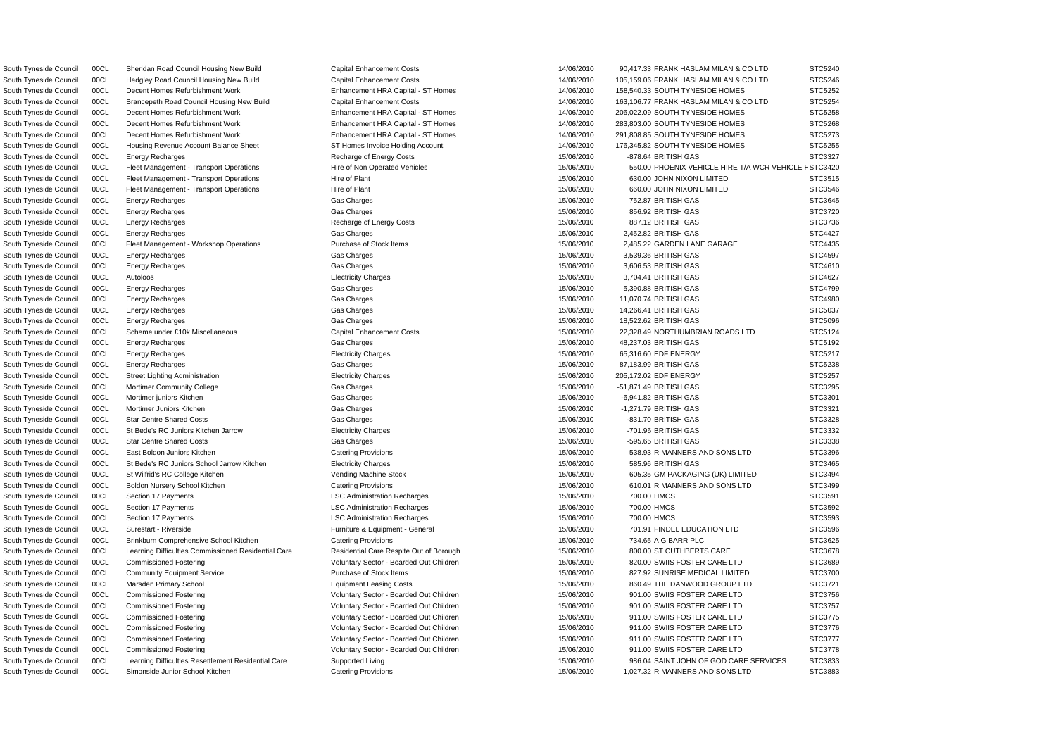South Tyneside Council 00CL Fleet Management - Transport Operations Hire of Non Operated Vehicles 15/06/2010 550.00 PHOENIX VEHICLE HIRE T/A WCR VEHICLE F STC3420 South Tyneside Council 00CL Sheridan Road Council Housing New Build Capital Enhancement Costs 14/06/2010 90,417.33 FRANK HASLAM MILAN & CO LTD STC5240 South Tyneside Council 00CL Hedgley Road Council Housing New Build Capital Enhancement Costs 14/06/2010 105,159.06 FRANK HASLAM MILAN & CO LTD STC5246 South Tyneside Council 00CL Decent Homes Refurbishment Work Enhancement HRA Capital - ST Homes 14/06/2010 158,540.33 SOUTH TYNESIDE HOMES STC5252 South Tyneside Council 00CL Brancepeth Road Council Housing New Build Capital Enhancement Costs 14/06/2010 163,106.77 FRANK HASLAM MILAN & CO LTD STC5254 South Tyneside Council 00CL Decent Homes Refurbishment Work Enhancement HRA Capital - ST Homes 14/06/2010 206,022.09 SOUTH TYNESIDE HOMES STC5258 South Tyneside Council 00CL Decent Homes Refurbishment Work Enhancement HRA Capital - ST Homes 14/06/2010 283,803.00 SOUTH TYNESIDE HOMES STC5268 South Tyneside Council 00CL Decent Homes Refurbishment Work **Enhancement HRA Capital - ST Homes** 14/06/2010 291,808.85 SOUTH TYNESIDE HOMES STC5273 South Tyneside Council 00CL Housing Revenue Account Balance Sheet ST Homes Invoice Holding Account 14/06/2010 176,345.82 SOUTH TYNESIDE HOMES STC5255 South Tyneside Council 00CL Energy Recharges Recharge of Energy Costs 15/06/2010 -878.64 BRITISH GAS STC3327 South Tyneside Council 00CL Fleet Management - Transport Operations Hire of Plant Hire of Plant 15/06/2010 630.00 JOHN NIXON LIMITED STC3515 South Tyneside Council 00CL Fleet Management - Transport Operations Hire of Plant 15/06/2010 660.00 JOHN NIXON LIMITED STC3546 South Tyneside Council 00CL Energy Recharges Gas Charges 15/06/2010 752.87 BRITISH GAS STC3645 South Tyneside Council 00CL Energy Recharges Gas Charges 15/06/2010 856.92 BRITISH GAS STC3720 South Tyneside Council 00CL Energy Recharges Recharge of Energy Costs 15/06/2010 887.12 BRITISH GAS STC3736 South Tyneside Council 00CL Energy Recharges Gas Charges 15/06/2010 2,452.82 BRITISH GAS STC4427 South Tyneside Council 00CL Fleet Management - Workshop Operations Purchase of Stock Items 15/06/2010 2,485.22 GARDEN LANE GARAGE STC4435 South Tyneside Council 00CL Energy Recharges Gas Charges 15/06/2010 3,539.36 BRITISH GAS STC4597 South Tyneside Council 00CL Energy Recharges Gas Charges 15/06/2010 3,606.53 BRITISH GAS STC4610 South Tyneside Council 00CL Autoloos Electricity Charges 15/06/2010 3,704.41 BRITISH GAS STC4627 South Tyneside Council 00CL Energy Recharges Gas Charges 15/06/2010 5,390.88 BRITISH GAS STC4799 South Tyneside Council 00CL Energy Recharges Gas Charges 15/06/2010 11,070.74 BRITISH GAS STC4980 South Tyneside Council 00CL Energy Recharges Gas Charges 15/06/2010 14,266.41 BRITISH GAS STC5037 South Tyneside Council 00CL Energy Recharges Gas Charges 15/06/2010 18,522.62 BRITISH GAS STC5096 South Tyneside Council 00CL Scheme under £10k Miscellaneous Capital Enhancement Costs 15/06/2010 22.328.49 NORTHUMBRIAN ROADS LTD STC5124 South Tyneside Council 00CL Energy Recharges Gas Charges 15/06/2010 48,237.03 BRITISH GAS STC5192 South Tyneside Council 00CL Energy Recharges Electricity Charges 15/06/2010 65,316.60 EDF ENERGY STC5217 South Tyneside Council 00CL Energy Recharges Gas Charges 15/06/2010 87,183.99 BRITISH GAS STC5238 South Tyneside Council 00CL Street Lighting Administration the street end of the Electricity Charges the street of the street of the street of the street STC5257 STC5257 South Tyneside Council 00CL Mortimer Community College Gas Charges Gas Charges 15/06/2010 -51,871.49 BRITISH GAS STC3295 South Tyneside Council 00CL Mortimer juniors Kitchen Gas Charges 15/06/2010 -6,941.82 BRITISH GAS STC3301 South Tyneside Council 00CL Mortimer Juniors Kitchen Gas Charges 15/06/2010 -1,271.79 BRITISH GAS STC3321 South Tyneside Council COCL Star Centre Shared Costs (STC3328 Charges Gas Charges New STC3328 Charges New STC3328 STC3328 Charges STC Star Centre Shared Costs (STC3328 STC3328 STC3328 STC3328 STC3328 STC3328 STC3328 STC332 South Tyneside Council 00CL St Bede's RC Juniors Kitchen Jarrow Electricity Charges Electricity Charges 15/06/2010 -701.96 BRITISH GAS STC3332 South Tyneside Council 00CL Star Centre Shared Costs (STC3338 Gas Charges Case Charges New STC3338 Gas Charges STC3338 Gas Charges STC3338 Gas Charges STC3338 Gas Charges STC3338 Gas Charges STC3338 Gas Charges STC3338 Gas South Tyneside Council 00CL East Boldon Juniors Kitchen Catering Provisions Catering Provisions 15/06/2010 538.93 R MANNERS AND SONS LTD STC3396 South Tyneside Council 00CL St Bede's RC Juniors School Jarrow Kitchen Electricity Charges 15/06/2010 585.96 BRITISH GAS STC3465 South Tyneside Council 00CL St Wilfrid's RC College Kitchen Vending Machine Stock 15/06/2010 605.35 GM PACKAGING (UK) LIMITED STC3494 South Tyneside Council 00CL Boldon Nursery School Kitchen Catering Provisions Catering Provisions 15/06/2010 610.01 R MANNERS AND SONS LTD STC3499 South Tyneside Council 00CL Section 17 Payments **LSC Administration Recharges** 15/06/2010 700.00 HMCS STC3591 South Tyneside Council 00CL Section 17 Payments **LSC Administration Recharges** LSC Administration Recharges 15/06/2010 700.00 HMCS STC3592 South Tyneside Council 00CL Section 17 Payments **LSC Administration Recharges** 15/06/2010 700.00 HMCS STC3593 South Tyneside Council 00CL Surestart - Riverside **Furniture & Equipment - General** 15/06/2010 701.91 FINDEL EDUCATION LTD STC3596 South Tyneside Council 00CL Brinkburn Comprehensive School Kitchen Catering Provisions Catering Provisions 15/06/2010 734.65 A G BARR PLC STC3625 South Tyneside Council 00CL Learning Difficulties Commissioned Residential Care Respite Out of Borough 15/06/2010 800.00 ST CUTHBERTS CARE STC3678 South Tyneside Council 00CL Commissioned Fostering verbation of Voluntary Sector - Boarded Out Children 15/06/2010 820.00 SWIIS FOSTER CARE LTD STC3689 South Tyneside Council 00CL Community Equipment Service **Purchase of Stock Items** Purchase of Stock Items 15/06/2010 827.92 SUNRISE MEDICAL LIMITED STC3700 South Tyneside Council 00CL Marsden Primary School **Equipment Leasing Costs** Equipment Leasing Costs 15/06/2010 860.49 THE DANWOOD GROUP LTD STC3721 South Tyneside Council 00CL Commissioned Fostering The STC3756 Voluntary Sector - Boarded Out Children 15/06/2010 901.00 SWIIS FOSTER CARE LTD STC3756 South Tyneside Council 00CL Commissioned Fostering The STC 15/06/2010 15/06/2010 901.00 SWIIS FOSTER CARE LTD STC3757 South Tyneside Council 00CL Commissioned Fostering values of Voluntary Sector - Boarded Out Children 15/06/2010 911.00 SWIIS FOSTER CARE LTD STC3775 South Tyneside Council 00CL Commissioned Fostering verbation of Voluntary Sector - Boarded Out Children 15/06/2010 911.00 SWIIS FOSTER CARE LTD STC3776 South Tyneside Council 00CL Commissioned Fostering The STC 1777 Voluntary Sector - Boarded Out Children 15/06/2010 911.00 SWIIS FOSTER CARE LTD STC3777 South Tyneside Council 00CL Commissioned Fostering verbation of Voluntary Sector - Boarded Out Children 15/06/2010 911.00 SWIIS FOSTER CARE LTD STC3778 South Tyneside Council 00CL Learning Difficulties Resettlement Residential Care Supported Living Supported Living 15/06/2010 986.04 SAINT JOHN OF GOD CARE SERVICES STC3833 South Tyneside Council 00CL Simonside Junior School Kitchen Catering Provisions Catering Provisions 15/06/2010 1,027.32 R MANNERS AND SONS LTD STC3883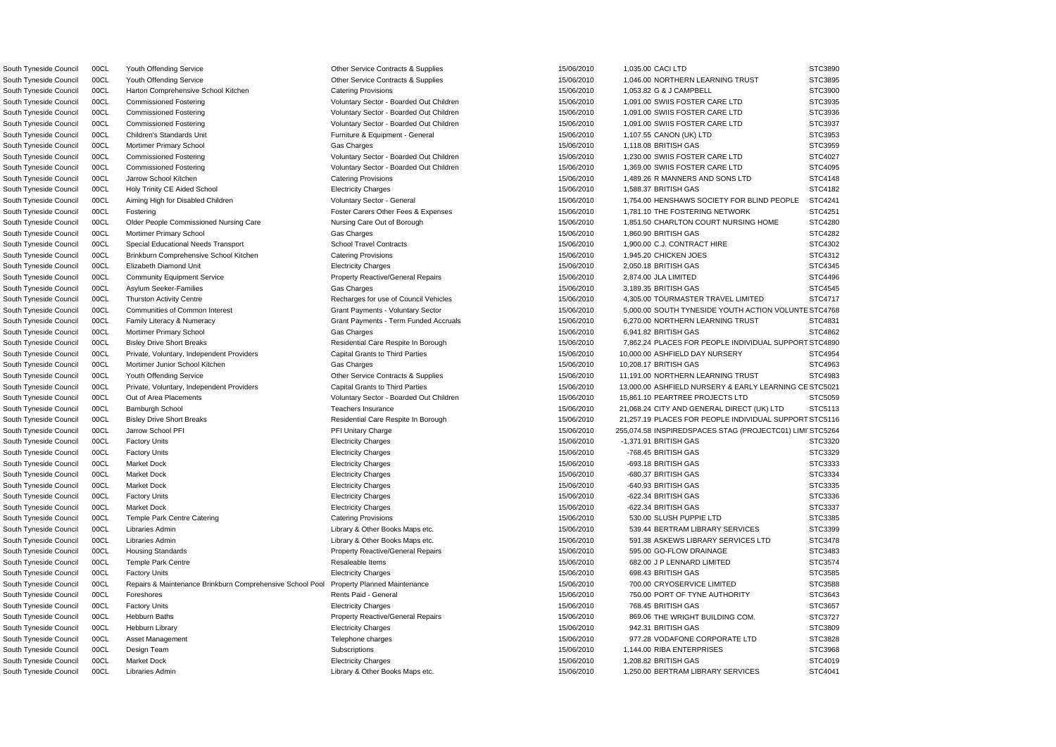South Tyneside Council 00CL Youth Offending Service Council 00Cl Cher Service Contracts & Supplies 15/06/2010 1,035.00 CACI LTD South Tyneside Council 00CL Harton Comprehensive School Kitchen Catering Provisions 15/06/2010 1,053.82 G & J CAMPBELL South Tyneside Council 00CL Children's Standards Unit **Furniture & Equipment - General** 15/06/2010 1,107.55 CANON (UK) LTD South Tyneside Council 00CL Brinkburn Comprehensive School Kitchen Catering Provisions 15/06/2010 1,945.20 CHICKEN JOES South Tyneside Council 00CL Community Equipment Service **Community Equipment Service** Property Reactive/General Repairs **15/06/2010** 2,874.00 JLA LIMITED South Tyneside Council 00CL Mortimer Junior School Kitchen Gas Charges Charges 15/06/2010 10,208.17 BRITISH GAS

South Tyneside Council 00CL Youth Offending Service Council Comes Contracts & Supplies 15/06/2010 1,046.00 NORTHERN LEARNING TRUST South Tyneside Council 00CL Commissioned Fostering The Step of Monomonton Columbary Sector - Boarded Out Children 15/06/2010 1,091.00 SWIIS FOSTER CARE LTD South Tyneside Council 00CL Commissioned Fostering The Stephen Voluntary Sector - Boarded Out Children 15/06/2010 1,091.00 SWIIS FOSTER CARE LTD South Tyneside Council 00CL Commissioned Fostering The Stephen Voluntary Sector - Boarded Out Children 15/06/2010 1,091.00 SWIIS FOSTER CARE LTD South Tyneside Council 00CL Mortimer Primary School Gas Charges 15/06/2010 1,118.08 BRITISH GAS STC3959 South Tyneside Council 00CL Commissioned Fostering The Step of Material Voluntary Sector - Boarded Out Children 15/06/2010 1,230.00 SWIIS FOSTER CARE LTD South Tyneside Council 00CL Commissioned Fostering The Stephen Voluntary Sector - Boarded Out Children 15/06/2010 1,369.00 SWIIS FOSTER CARE LTD South Tyneside Council 00CL Jarrow School Kitchen Catering Provisions Catering Provisions 15/06/2010 1,489.26 R MANNERS AND SONS LTD South Tyneside Council 00CL Holy Trinity CE Aided School Electricity Charges 15/06/2010 1,588.37 BRITISH GAS STC4182 South Tyneside Council 00CL Aiming High for Disabled Children Voluntary Sector - General 15/06/2010 1,754.00 HENSHAWS SOCIETY FOR BLIND PEOPLE South Tyneside Council 00CL Fostering Carers Carers Other Fees & Expenses 15/06/2010 1,781.10 THE FOSTERING NETWORK South Tyneside Council 00CL Older People Commissioned Nursing Care Nursing Care Out of Borough 15/06/2010 1,851.50 CHARLTON COURT NURSING HOME South Tyneside Council 00CL Mortimer Primary School Gas Charges 15/06/2010 1,860.90 BRITISH GAS STC4282 South Tyneside Council COCL Special Educational Needs Transport School Travel Contracts 15/06/2010 1,900.00 C.J. CONTRACT HIRE South Tyneside Council 00CL Elizabeth Diamond Unit Electricity Charges 15/06/2010 2,050.18 BRITISH GAS STC4345 South Tyneside Council 00CL Asylum Seeker-Families Gas Charges 15/06/2010 3,189.35 BRITISH GAS STC4545 South Tyneside Council 00CL Thurston Activity Centre examples and the Recharges for use of Council Vehicles and the manager of the 15/06/2010 4,305.00 TOURMASTER TRAVEL LIMITED South Tyneside Council 00CL Communities of Common Interest Caract Payments - Voluntary Sector 15/06/2010 5,000.00 SOUTH TYNESIDE YOUTH ACTION VOLUNT South Tyneside Council 00CL Family Literacy & Numeracy Grant Payments - Term Funded Accruals 15/06/2010 6,270.00 NORTHERN LEARNING TRUST South Tyneside Council 00CL Mortimer Primary School (STC4862 Gas Charges 15/06/2010 6,941.82 BRITISH GAS STC4862 South Tyneside Council 00CL Bisley Drive Short Breaks **Residential Care Respite In Borough** 15/06/2010 7,862.24 PLACES FOR PEOPLE INDIVIDUAL SUPPO South Tyneside Council 00CL Private, Voluntary, Independent Providers Capital Grants to Third Parties 15/06/2010 10,000,00 ASHFIELD DAY NURSERY South Tyneside Council 00CL Youth Offending Service Cantagence Contracts & Supplies 15/06/2010 11,191.00 NORTHERN LEARNING TRUST South Tyneside Council 00CL Private, Voluntary, Independent Providers Capital Grants to Third Parties 15/06/2010 13,000.00 ASHFIELD NURSERY & EARLY LEARNING South Tyneside Council 00CL Out of Area Placements **Network Connects** Voluntary Sector - Boarded Out Children 15/06/2010 15,861.10 PEARTREE PROJECTS LTD South Tyneside Council 00CL Bamburgh School 15/06/2010 15/06/2010 21,068.24 CITY AND GENERAL DIRECT (UK) LTD South Tyneside Council 00CL Bisley Drive Short Breaks **Residential Care Respite In Borough** 15/06/2010 21,257.19 PLACES FOR PEOPLE INDIVIDUAL SUPPO South Tyneside Council 00CL Jarrow School PFI PH 15/06/2010 255,074.58 INSPIREDSPACES STAG (PROJECTC01) LIMITSTCS 3 AND 15/06/2010 255,074.58 INSPIREDSPACES STAG (PROJECTC01) LI South Tyneside Council 00CL Factory Units Electricity Charges 15/06/2010 -1,371.91 BRITISH GAS STC3320 South Tyneside Council 00CL Factory Units Electricity Charges 15/06/2010 -768.45 BRITISH GAS STC3329 South Tyneside Council 00CL Market Dock Electricity Charges 15/06/2010 -693.18 BRITISH GAS STC3333 South Tyneside Council 00CL Market Dock Electricity Charges 15/06/2010 -680.37 BRITISH GAS STC3334 South Tyneside Council 00CL Market Dock Electricity Charges 15/06/2010 -640.93 BRITISH GAS STC3335 South Tyneside Council 00CL Factory Units Electricity Charges 15/06/2010 -622.34 BRITISH GAS STC3336 South Tyneside Council 00CL Market Dock Electricity Charges 15/06/2010 -622.34 BRITISH GAS STC3337 South Tyneside Council 00CL Temple Park Centre Catering Catering Catering Provisions 15/06/2010 530.00 SLUSH PUPPIE LTD South Tyneside Council 00CL Libraries Admin 2000 15/06/2010 539.44 BERTRAM LIBRARY SERVICES South Tyneside Council 00CL Libraries Admin 2000 10 2000 1000 2010 Library & Other Books Maps etc. 2006/2010 591.38 ASKEWS LIBRARY SERVICES LTD South Tyneside Council 00CL Housing Standards **Property Reactive/General Repairs** 15/06/2010 595.00 GO-FLOW DRAINAGE South Tyneside Council 00CL Temple Park Centre Council Council Council Council Council Council OCL Temple Park Centre Council Council Council Resaleable Items 35/06/2010 682.00 J P LENNARD LIMITED South Tyneside Council 00CL Factory Units Electricity Charges 15/06/2010 698.43 BRITISH GAS STC3585 South Tyneside Council 00CL Repairs & Maintenance Brinkburn Comprehensive School Pool Property Planned Maintenance 15/06/2010 75/06/2010 700.00 CRYOSERVICE LIMITED South Tyneside Council 00CL Foreshores **Rents Paid - General** Rents Paid - General 15/06/2010 750.00 PORT OF TYNE AUTHORITY South Tyneside Council 00CL Factory Units Electricity Charges 15/06/2010 768.45 BRITISH GAS STC3657 South Tyneside Council 00CL Hebburn Baths **Property Reactive/General Repairs** 15/06/2010 869.06 THE WRIGHT BUILDING COM. South Tyneside Council 00CL Hebburn Library Electricity Charges 15/06/2010 942.31 BRITISH GAS STC3809 South Tyneside Council 00CL Asset Management 15 and Telephone charges 15/06/2010 977.28 VODAFONE CORPORATE LTD South Tyneside Council 00CL Design Team Subscriptions Subscriptions 15/06/2010 1,144.00 RIBA ENTERPRISES South Tyneside Council 00CL Market Dock Electricity Charges 15/06/2010 1,208.82 BRITISH GAS STC4019 South Tyneside Council 00CL Libraries Admin 2000 1,250.00 BERTRAM LIBRARY SERVICES Library & Other Books Maps etc. 2000 1,250.00 BERTRAM LIBRARY SERVICES

|    | STC3890                  |
|----|--------------------------|
|    | STC3895                  |
|    | STC3900                  |
|    | STC3935                  |
|    | STC3936                  |
|    | STC3937                  |
|    | STC3953                  |
|    | STC3959                  |
|    | STC4027                  |
|    | STC4095                  |
|    | STC4148                  |
|    | STC4182                  |
|    | STC4241                  |
|    | STC4251                  |
|    | STC4280                  |
|    | STC4282                  |
|    | STC4302                  |
|    | STC4312                  |
|    |                          |
|    | STC4345                  |
|    | STC4496<br>š             |
|    | STC4545                  |
|    | STC4717                  |
| TЕ | STC4768                  |
|    | STC4831                  |
|    | STC4862                  |
|    | RT STC4890               |
|    | STC4954                  |
|    | STC4963                  |
|    | STC4983                  |
|    | CE STC5021               |
|    | STC5059                  |
|    | STC5113                  |
|    | <b>RT STC5116</b>        |
|    | <b>MI STC5264</b>        |
|    | STC3320                  |
|    | STC3329                  |
|    | :??<br>ŗ<br>т<br>5٠<br>T |
|    | STC3334                  |
|    | STC3335                  |
|    | STC3336<br>š             |
|    | STC3337<br>ξ             |
|    | STC3385                  |
|    | STC3399                  |
|    | STC3478                  |
|    | STC3483                  |
|    | STC3574                  |
|    | STC3585                  |
|    | STC3588                  |
|    | STC3643                  |
|    | STC3657                  |
|    | STC3727                  |
|    | STC3809                  |
|    | STC3828<br>9             |
|    | STC3968                  |
|    | STC4019                  |
|    | STC4041                  |
|    |                          |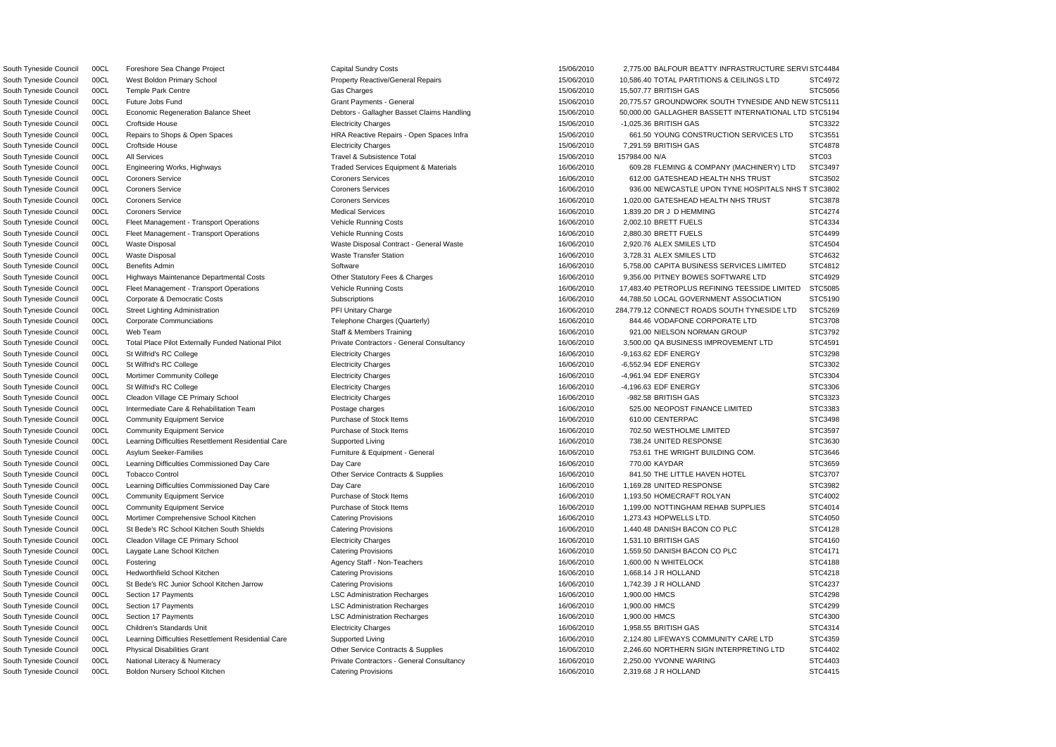South Tyneside Council 00CL Future Jobs Fund Grant General Grant Payments - General Grant Payments - General 15/06/2010 20,775.57 GROUNDWORK SOUTH TYNESIDE AND NEW STC5111 South Tyneside Council 00CL Foreshore Sea Change Project Capital Sundry Costs Capital Sundry Costs 15/06/2010 2,775.00 BALFOUR BEATTY INFRASTRUCTURE SERVISTC4484 South Tyneside Council 00CL West Boldon Primary School **Property Reactive/General Repairs** 15/06/2010 10,586.40 TOTAL PARTITIONS & CEILINGS LTD STC4972 South Tyneside Council 00CL Temple Park Centre Gas Charges 15/06/2010 15,507.77 BRITISH GAS STC5056 South Tyneside Council 00CL Economic Regeneration Balance Sheet **Debtors - Gallagher Basset Claims Handling** 15/06/2010 50,000.00 GALLAGHER BASSETT INTERNATIONAL LTD STC5194 South Tyneside Council 00CL Croftside House Electricity Charges 15/06/2010 -1,025.36 BRITISH GAS STC3322 South Tyneside Council 00CL Repairs to Shops & Open Spaces exception of the HRA Reactive Repairs - Open Spaces Infra 15/06/2010 661.50 YOUNG CONSTRUCTION SERVICES LTD STC3551 South Tyneside Council 00CL Croftside House Electricity Charges 15/06/2010 7,291.59 BRITISH GAS STC4878 South Tyneside Council and the Museum All Services the Subsistence Total the Subsistence Total 15/06/2010 15/984.00 N/A STC03 STC03 South Tyneside Council 00CL Engineering Works, Highways Traded Services Equipment & Materials 16/06/2010 609.28 FLEMING & COMPANY (MACHINERY) LTD STC3497 South Tyneside Council 00CL Coroners Service Coroners Services Coroners Services Coroners Services and the structure of the structure of the STC3502 South Tyneside Council 00CL Coroners Service Coroners Services Coroners Services Coroners Services 16/06/2010 936.00 NEWCASTLE UPON TYNE HOSPITALS NHS T STC3802 South Tyneside Council 00CL Coroners Service Coroners Services Coroners Services Coroners Services 16/06/2010 1,020.00 GATESHEAD HEALTH NHS TRUST STC3878 South Tyneside Council 00CL Coroners Service where Medical Services Medical Services and the state of the state of the STC4274 and STC4274 South Tyneside Council COOL Fleet Management - Transport Operations Vehicle Running Costs 16/06/2010 2,002.10 BRETT FUELS STC4334 South Tyneside Council COCL Fleet Management - Transport Operations Vehicle Running Costs 16/06/2010 16/06/2010 2,880.30 BRETT FUELS STC4499 South Tyneside Council 00CL Waste Disposal Subsection Maste Disposal Contract - General Waste 16/06/2010 2,920.76 ALEX SMILES LTD STC4504 South Tyneside Council 00CL Waste Disposal **Waste Transfer Station** Waste Transfer Station 16/06/2010 3,728.31 ALEX SMILES LTD STC4632 South Tyneside Council 00CL Benefits Admin 16/06/2010 Software Software Structure 16/06/2010 16/06/2010 5,758.00 CAPITA BUSINESS SERVICES LIMITED STC4812 South Tyneside Council 00CL Highways Maintenance Departmental Costs **Other Statutory Fees & Charges** 16/06/2010 9,356.00 PITNEY BOWES SOFTWARE LTD STC4929 South Tyneside Council 00CL Fleet Management - Transport Operations Vehicle Running Costs 16/06/2010 17,483.40 PETROPLUS REFINING TEESSIDE LIMITED STC5085 South Tyneside Council 00CL Corporate & Democratic Costs Subscriptions Subscriptions 16/06/2010 44,788.50 LOCAL GOVERNMENT ASSOCIATION STC5190 South Tyneside Council 00CL Street Lighting Administration **16/06/2010** 284,779.12 CONNECT ROADS SOUTH TYNESIDE LTD STC5269 South Tyneside Council 00CL Corporate Communciations Telephone Charges (Quarterly) 16/06/2010 844.46 VODAFONE CORPORATE LTD STC3708 South Tyneside Council 00CL Web Team State States Staff & Members Training 16/06/2010 921.00 NIELSON NORMAN GROUP STC3792 South Tyneside Council 00CL Total Place Pilot Externally Funded National Pilot Private Contractors - General Consultancy 16/06/2010 3,500.00 QA BUSINESS IMPROVEMENT LTD STC4591 South Tyneside Council 00CL St Wilfrid's RC College Electricity Charges 16/06/2010 -9,163.62 EDF ENERGY STC3298 South Tyneside Council 00CL St Wilfrid's RC College Cases Electricity Charges Electricity Charges 16/06/2010 -6,552.94 EDF ENERGY STC3302 South Tyneside Council 00CL Mortimer Community College Electricity Charges 16/06/2010 -4,961.94 EDF ENERGY STC3304 South Tyneside Council 00CL St Wilfrid's RC College Electricity Charges 16/06/2010 -4,196.63 EDF ENERGY STC3306 South Tyneside Council 00CL Cleadon Village CE Primary School Electricity Charges Electricity Charges 16/06/2010 -982.58 BRITISH GAS STC3323 South Tyneside Council 00CL Intermediate Care & Rehabilitation Team Postage charges Postage charges 16/06/2010 525.00 NEOPOST FINANCE LIMITED STC3383 South Tyneside Council 00CL Community Equipment Service Purchase of Stock Items 16/06/2010 610.00 CENTERPAC STC3498 South Tyneside Council 00CL Community Equipment Service Purchase of Stock Items 16/06/2010 702.50 WESTHOLME LIMITED STC3597 South Tyneside Council 00CL Learning Difficulties Resettlement Residential Care Supported Living 16/06/2010 738.24 UNITED RESPONSE STC3630 South Tyneside Council 00CL Asylum Seeker-Families **Furniture & Equipment - General** 16/06/2010 753.61 THE WRIGHT BUILDING COM. STC3646 South Tyneside Council 00CL Learning Difficulties Commissioned Day Care Day Care Day Care 16/06/2010 770.00 KAYDAR STC3659 South Tyneside Council 00CL Tobacco Control Control Contracts & Supplies Contracts & Supplies 6 and 16/06/2010 841.50 THE LITTLE HAVEN HOTEL STC3707 South Tyneside Council 00CL Learning Difficulties Commissioned Day Care Day Care Day Care Day Care 16/06/2010 1,169.28 UNITED RESPONSE STC3982 South Tyneside Council 00CL Community Equipment Service Purchase of Stock Items 16/06/2010 1,193.50 HOMECRAFT ROLYAN STC4002 South Tyneside Council 00CL Community Equipment Service Purchase of Stock Items 16/06/2010 1,199.00 NOTTINGHAM REHAB SUPPLIES STC4014 South Tyneside Council 00CL Mortimer Comprehensive School Kitchen Catering Provisions Catering Provisions 16/06/2010 1,273.43 HOPWELLS LTD. STC4050 South Tyneside Council 00CL St Bede's RC School Kitchen South Shields Catering Provisions 16/06/2010 1,440.48 DANISH BACON CO PLC STC4128 South Tyneside Council 00CL Cleadon Village CE Primary School Electricity Charges CHOS 2010 1,531.10 BRITISH GAS STC4160 South Tyneside Council 00CL Laygate Lane School Kitchen Catering Provisions Catering Provisions 16/06/2010 1,559.50 DANISH BACON CO PLC STC4171 South Tyneside Council 00CL Fostering Agency Staff - Non-Teachers 16/06/2010 1,600.00 N WHITELOCK STC4188 South Tyneside Council 00CL Hedworthfield School Kitchen Catering Provisions 16/06/2010 1,668.14 J R HOLLAND STC4218 South Tyneside Council 00CL St Bede's RC Junior School Kitchen Jarrow Catering Provisions 16/06/2010 1,742.39 J R HOLLAND STC4237 South Tyneside Council 00CL Section 17 Payments **LSC Administration Recharges** 16/06/2010 1,900.00 HMCS STC4298 South Tyneside Council 00CL Section 17 Payments Notice Records Note that STC Administration Recharges Notice 16/06/2010 1,900.00 HMCS STC4299 STC4299 South Tyneside Council 00CL Section 17 Payments **LSC Administration Recharges** 16/06/2010 1,900.00 HMCS STC4300 South Tyneside Council 00CL Children's Standards Unit enterthic enterthic Charges Council Charges and the state of the state of the state of the state of the STC4314 South Tyneside Council 00CL Learning Difficulties Resettlement Residential Care Supported Living 16/06/2010 16/06/2010 2,124.80 LIFEWAYS COMMUNITY CARE LTD STC4359 South Tyneside Council 00CL Physical Disabilities Grant Cameractic Contracts & Supplies Contracts & Supplies 16/06/2010 2.246.60 NORTHERN SIGN INTERPRETING LTD STC4402 South Tyneside Council 00CL National Literacy & Numeracy Private Contractors - General Consultancy 16/06/2010 2,250.00 YVONNE WARING STC4403 South Tyneside Council 00CL Boldon Nursery School Kitchen Catering Provisions Catering Provisions 16/06/2010 2,319.68 J R HOLLAND STC4415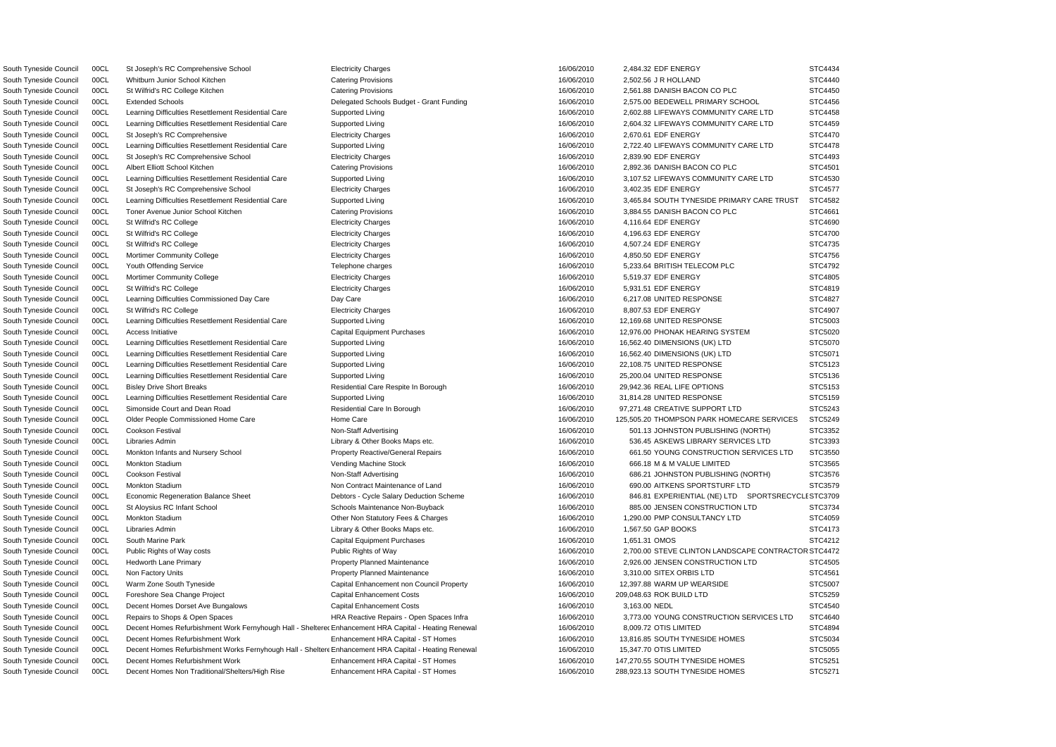South Tyneside Council 00CL Economic Regeneration Balance Sheet **Debtors - Cycle Salary Deduction Scheme** 16/06/2010 846.81 EXPERIENTIAL (NE) LTD SPORTSRECYCLI STC3709 RSouth Tyneside Council 00CL Public Rights of Way costs Public Rights of Way 16/06/2010 2,700.00 STEVE CLINTON LANDSCAPE CONTRACTO STC4472 South Tyneside Council 00CL Decent Homes Refurbishment Work Fernyhough Hall - Sheltere Enhancement HRA Capital - Heating Renewal 16/06/2010 8,009.72 OTIS LIMITED STC4894 South Tyneside Council 00CL Decent Homes Refurbishment Works Fernyhough Hall - Shelter Enhancement HRA Capital - Heating Renewal 16/06/2010 15,347.70 OTIS LIMITED STC5055 South Tyneside Council 00CL St Joseph's RC Comprehensive School Electricity Charges 16/06/2010 2,484.32 EDF ENERGY STC4434 South Tyneside Council 00CL Whitburn Junior School Kitchen Catering Provisions Catering Provisions 16/06/2010 2,502.56 J R HOLLAND STC4440 South Tyneside Council 00CL St Wilfrid's RC College Kitchen Catering Provisions Catering Provisions 16/06/2010 2,561.88 DANISH BACON CO PLC STC4450 South Tyneside Council 00CL Extended Schools **Delegated Schools Budget - Grant Funding** 16/06/2010 2,575.00 BEDEWELL PRIMARY SCHOOL STC4456 South Tyneside Council 00CL Learning Difficulties Resettlement Residential Care Supported Living 16/06/2010 16/06/2010 2,602.88 LIFEWAYS COMMUNITY CARE LTD STC4458 South Tyneside Council 00CL Learning Difficulties Resettlement Residential Care Supported Living 16/06/2010 16/06/2010 2,604.32 LIFEWAYS COMMUNITY CARE LTD STC4459 South Tyneside Council 00CL St Joseph's RC Comprehensive Electricity Charges Electricity Charges 16/06/2010 2,670.61 EDF ENERGY STC4470 South Tyneside Council 00CL Learning Difficulties Resettlement Residential Care Supported Living 16/06/2010 16/06/2010 2,722.40 LIFEWAYS COMMUNITY CARE LTD STC4478 South Tyneside Council 00CL St Joseph's RC Comprehensive School Electricity Charges 16/06/2010 2,839.90 EDF ENERGY STC4493 South Tyneside Council 00CL Albert Elliott School Kitchen Catering Provisions Catering Provisions 16/06/2010 2,892.36 DANISH BACON CO PLC STC4501 South Tyneside Council 00CL Learning Difficulties Resettlement Residential Care Supported Living 16/06/2010 3,107.52 LIFEWAYS COMMUNITY CARE LTD STC4530 South Tyneside Council 00CL St Joseph's RC Comprehensive School Electricity Charges 16/06/2010 3,402.35 EDF ENERGY STC4577 South Tyneside Council 00CL Learning Difficulties Resettlement Residential Care Supported Living 16/06/2010 3,465.84 SOUTH TYNESIDE PRIMARY CARE TRUST STC4582 South Tyneside Council 00CL Toner Avenue Junior School Kitchen Catering Provisions Catering Provisions 16/06/2010 3,884.55 DANISH BACON CO PLC STC4661 South Tyneside Council 00CL St Wilfrid's RC College Electricity Charges 4,116.64 EDF ENERGY STC4690 South Tyneside Council 00CL St Wilfrid's RC College Electricity Charges 4,196.63 EDF ENERGY STC4700 South Tyneside Council 00CL St Wilfrid's RC College Electricity Charges 16/06/2010 4,507.24 EDF ENERGY STC4735 South Tyneside Council 00CL Mortimer Community College Electricity Charges Electricity Charges 16/06/2010 4,850.50 EDF ENERGY STC4756 South Tyneside Council 00CL Youth Offending Service Telephone Charges Telephone charges 16/06/2010 5,233.64 BRITISH TELECOM PLC STC4792 South Tyneside Council 00CL Mortimer Community College Electricity Charges 5,519.37 EDF ENERGY STC4805 South Tyneside Council 00CL St Wilfrid's RC College Cases Electricity Charges Electricity Charges Number of the STC4819 STC4819 STC4819 South Tyneside Council 00CL Learning Difficulties Commissioned Day Care Day Care Day Care 16/06/2010 6.217.08 UNITED RESPONSE STC4827 South Tyneside Council 00CL St Wilfrid's RC College Electricity Charges 8,807.53 EDF ENERGY STC4907 South Tyneside Council 00CL Learning Difficulties Resettlement Residential Care Supported Living 16/06/2010 12,169.68 UNITED RESPONSE STC5003 South Tyneside Council 00CL Access Initiative Capital Capital Equipment Purchases 16/06/2010 12.976.00 PHONAK HEARING SYSTEM STC5020 South Tyneside Council 00CL Learning Difficulties Resettlement Residential Care Supported Living 16/06/2010 16.562.40 DIMENSIONS (UK) LTD STC5070 South Tyneside Council 00CL Learning Difficulties Resettlement Residential Care Supported Living 16/06/2010 16,562.40 DIMENSIONS (UK) LTD STC5071 South Tyneside Council 00CL Learning Difficulties Resettlement Residential Care Supported Living 16/06/2010 16/06/2010 22,108.75 UNITED RESPONSE STC5123 South Tyneside Council 00CL Learning Difficulties Resettlement Residential Care Supported Living 16/06/2010 25,200.04 UNITED RESPONSE STC5136 South Tyneside Council 00CL Bisley Drive Short Breaks **Residential Care Respite In Borough** 16/06/2010 29,942.36 REAL LIFE OPTIONS STC5153 South Tyneside Council 00CL Learning Difficulties Resettlement Residential Care Supported Living 16/06/2010 31,814.28 UNITED RESPONSE STC5159 South Tyneside Council 00CL Simonside Court and Dean Road Residential Care In Borough 16/06/2010 97,271.48 CREATIVE SUPPORT LTD STC5243 South Tyneside Council 00CL Older People Commissioned Home Care Home Care Home Care 16/06/2010 125,505.20 THOMPSON PARK HOMECARE SERVICES STC5249 South Tyneside Council 00CL Cookson Festival **Non-Staff Advertising** Non-Staff Advertising 16/06/2010 501.13 JOHNSTON PUBLISHING (NORTH) STC3352 South Tyneside Council 00CL Libraries Admin Library & Other Books Maps etc. 16/06/2010 536.45 ASKEWS LIBRARY SERVICES LTD STC3393 South Tyneside Council 00CL Monkton Infants and Nursery School Property Reactive/General Repairs 16/06/2010 661.50 YOUNG CONSTRUCTION SERVICES LTD STC3550 South Tyneside Council 00CL Monkton Stadium Vending Machine Stock 16/06/2010 666.18 M & M VALUE LIMITED STC3565 South Tyneside Council 00CL Cookson Festival **Non-Staff Advertising** Non-Staff Advertising 16/06/2010 686.21 JOHNSTON PUBLISHING (NORTH) STC3576 South Tyneside Council 00CL Monkton Stadium STC3579 Non Contract Maintenance of Land 16/06/2010 690.00 AITKENS SPORTSTURF LTD STC3579 South Tyneside Council 00CL St Aloysius RC Infant School School Schools Maintenance Non-Buyback 16/06/2010 885.00 JENSEN CONSTRUCTION LTD STC3734 South Tyneside Council 00CL Monkton Stadium Cther Non Statutory Fees & Charges 16/06/2010 1,290.00 PMP CONSULTANCY LTD STC4059 South Tyneside Council 00CL Libraries Admin 2000 1,567.50 CAP BOOKS STC4173 South Tyneside Council 00CL South Marine Park Capital Equipment Purchases 16/06/2010 1,651.31 OMOS STC4212 South Tyneside Council 00CL Hedworth Lane Primary example and the Property Planned Maintenance and the manufacture of the 16/06/2010 2,926.00 JENSEN CONSTRUCTION LTD STC4505 South Tyneside Council 00CL Non Factory Units Cases and STC4561 Property Planned Maintenance 16/06/2010 3,310.00 SITEX ORBIS LTD STC4561 South Tyneside Council 00CL Warm Zone South Tyneside Capital Enhancement non Council Property 16/06/2010 12,397.88 WARM UP WEARSIDE STC5007 South Tyneside Council 00CL Foreshore Sea Change Project Capital Enhancement Costs Capital Enhancement Costs 16/06/2010 209,048.63 ROK BUILD LTD STC5259 South Tyneside Council 00CL Decent Homes Dorset Ave Bungalows Capital Enhancement Costs 16/06/2010 3,163.00 NEDL STC4540 South Tyneside Council 00CL Repairs to Shops & Open Spaces Technology HRA Reactive Repairs - Open Spaces Infra 16/06/2010 3,773.00 YOUNG CONSTRUCTION SERVICES LTD STC4640 South Tyneside Council 00CL Decent Homes Refurbishment Work Enhancement HRA Capital - ST Homes 16/06/2010 13,816.85 SOUTH TYNESIDE HOMES STC5034 South Tyneside Council 00CL Decent Homes Refurbishment Work **Enhancement HRA Capital - ST Homes** 16/06/2010 147,270.55 SOUTH TYNESIDE HOMES STC5251 South Tyneside Council 00CL Decent Homes Non Traditional/Shelters/High Rise Enhancement HRA Capital - ST Homes 16/06/2010 288,923.13 SOUTH TYNESIDE HOMES STC5271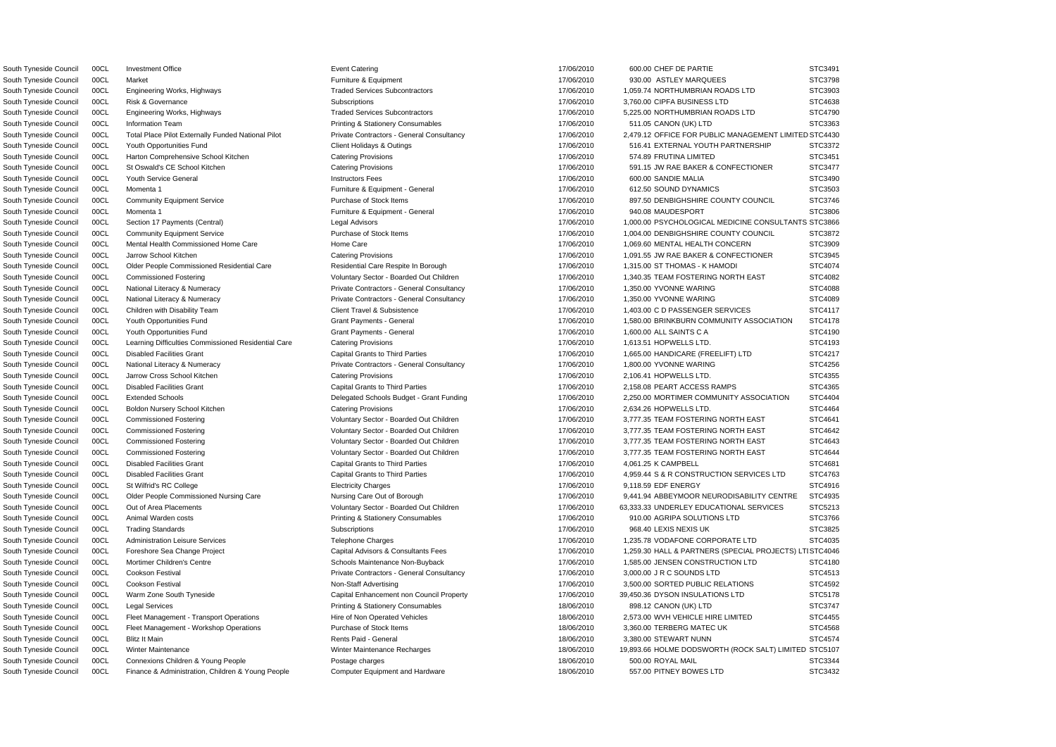South Tyneside Council 00CL Total Place Pilot Externally Funded National Pilot Private Contractors - General Consultancy 17/06/2010 2,479.12 OFFICE FOR PUBLIC MANAGEMENT LIMITED STC4430 South Tyneside Council 00CL Investment Office Note in the STC3491 Event Catering Network in the STC of the STC of the STC of the STC of the STC of the STC of the STC of the STC of the STC of the STC of the STC of the STC o South Tyneside Council 00CL Market **Furniture & Equipment** Furniture & Equipment 17/06/2010 930.00 ASTLEY MARQUEES STC3798 South Tyneside Council 00CL Engineering Works, Highways The Strong Traded Services Subcontractors 17/06/2010 1,059.74 NORTHUMBRIAN ROADS LTD STC3903 South Tyneside Council 00CL Risk & Governance Subscriptions Subscriptions Subscriptions 3,760.00 CIPFA BUSINESS LTD STC4638 South Tyneside Council 00CL Engineering Works, Highways The Straded Services Subcontractors 17/06/2010 5,225.00 NORTHUMBRIAN ROADS LTD STC4790 South Tyneside Council 00CL Information Team **Printing & Stationery Consumables** 17/06/2010 511.05 CANON (UK) LTD STC3363 South Tyneside Council 00CL Youth Opportunities Fund Client Holidays & Outings 17/06/2010 516.41 EXTERNAL YOUTH PARTNERSHIP STC3372 South Tyneside Council 00CL Harton Comprehensive School Kitchen Catering Provisions Catering Provisions 17/06/2010 574.89 FRUTINA LIMITED STC3451 South Tyneside Council 00CL St Oswald's CE School Kitchen Catering Provisions Catering Provisions 17/06/2010 591.15 JW RAE BAKER & CONFECTIONER STC3477 South Tyneside Council 00CL Youth Service General Instructors Fees 17/06/2010 600.00 SANDIE MALIA STC3490 South Tyneside Council 00CL Momenta 1 **Furniture & Equipment - General** 17/06/2010 612.50 SOUND DYNAMICS STC3503 South Tyneside Council 00CL Community Equipment Service Purchase of Stock Items 17/06/2010 897.50 DENBIGHSHIRE COUNTY COUNCIL STC3746 South Tyneside Council 00CL Momenta 1 **Furniture & Equipment - General** 17/06/2010 940.08 MAUDESPORT STC3806 South Tyneside Council 00CL Section 17 Payments (Central) Legal Advisors Legal Advisors 17/06/2010 1,000.00 PSYCHOLOGICAL MEDICINE CONSULTANTS STC3866 South Tyneside Council 00CL Community Equipment Service Purchase of Stock Items 17/06/2010 1,004.00 DENBIGHSHIRE COUNTY COUNCIL STC3872 South Tyneside Council 00CL Mental Health Commissioned Home Care Home Care Home Care 17/06/2010 1,069.60 MENTAL HEALTH CONCERN STC3909 South Tyneside Council 00CL Jarrow School Kitchen Catering Provisions Catering Provisions 17/06/2010 1,091.55 JW RAE BAKER & CONFECTIONER STC3945 South Tyneside Council 00CL Older People Commissioned Residential Care Residential Care Respite In Borough 17/06/2010 1,315.00 ST THOMAS - K HAMODI STC4074 South Tyneside Council 00CL Commissioned Fostering verbation of Voluntary Sector - Boarded Out Children 17/06/2010 1,340.35 TEAM FOSTERING NORTH EAST STC4082 South Tyneside Council 00CL National Literacy & Numeracy Private Contractors - General Consultancy 17/06/2010 1,350.00 YVONNE WARING STC4088 South Tyneside Council 00CL National Literacy & Numeracy Private Contractors - General Consultancy 17/06/2010 1,350.00 YVONNE WARING STC4089 South Tyneside Council 00CL Children with Disability Team Client Travel & Subsistence 1996 17/06/2010 1,403.00 C D PASSENGER SERVICES STC4117 South Tyneside Council 00CL Youth Opportunities Fund Grant Payments - General Grant Payments - General 17/06/2010 1,580.00 BRINKBURN COMMUNITY ASSOCIATION STC4178 South Tyneside Council 00CL Youth Opportunities Fund Grant General Grant Payments - General Crant Carrier Council Crant Payments - General Crant Payments - General Crant Payments - General Crant Payments - General Crant Pa South Tyneside Council 00CL Learning Difficulties Commissioned Residential Care Catering Provisions 17/06/2010 1,613.51 HOPWELLS LTD. STC4193 South Tyneside Council 00CL Disabled Facilities Grant Capital Grant Capital Grants to Third Parties Capital Grants to Third Parties 17/06/2010 1,665.00 HANDICARE (FREELIFT) LTD STC4217 South Tyneside Council 00CL National Literacy & Numeracy **Private Contractors - General Consultancy** 17/06/2010 1,800.00 YVONNE WARING STC4256 South Tyneside Council 00CL Jarrow Cross School Kitchen Catering Provisions 17/06/2010 2,106.41 HOPWELLS LTD. STC4355 South Tyneside Council 00CL Disabled Facilities Grant Capital Grants to Third Parties Capital Grants 17/06/2010 2,158.08 PEART ACCESS RAMPS STC4365 South Tyneside Council 00CL Extended Schools **Delegated Schools Budget - Grant Funding** 17/06/2010 2,250.00 MORTIMER COMMUNITY ASSOCIATION STC4404 South Tyneside Council 00CL Boldon Nursery School Kitchen Catering Provisions Catering Provisions 17/06/2010 2,634.26 HOPWELLS LTD. STC4464 South Tyneside Council 00CL Commissioned Fostering **National State of Acceptance Contemporary Sector - Boarded Out Children** 17/06/2010 3,777.35 TEAM FOSTERING NORTH EAST STC4641 South Tyneside Council 00CL Commissioned Fostering values of Voluntary Sector - Boarded Out Children 17/06/2010 3,777.35 TEAM FOSTERING NORTH EAST STC4642 South Tyneside Council 00CL Commissioned Fostering Voluntary Sector - Boarded Out Children 17/06/2010 3,777.35 TEAM FOSTERING NORTH EAST STC4643 South Tyneside Council 00CL Commissioned Fostering The Voluntary Sector - Boarded Out Children 17/06/2010 3,777.35 TEAM FOSTERING NORTH EAST STC4644 South Tyneside Council COCL Disabled Facilities Grant Capital Grants to Third Parties 2000 17/06/2010 4,061.25 K CAMPBELL STC4681 South Tyneside Council 00CL Disabled Facilities Grant Capital Grant Capital Grants to Third Parties Capital Grants 17/06/2010 4,959.44 S & R CONSTRUCTION SERVICES LTD STC4763 South Tyneside Council 00CL St Wilfrid's RC College Electricity Charges 9,118.59 EDF ENERGY STC4916 South Tyneside Council 00CL Older People Commissioned Nursing Care Nursing Care Out of Borough 17/06/2010 9,441.94 ABBEYMOOR NEURODISABILITY CENTRE STC4935 South Tyneside Council 00CL Out of Area Placements Carries Voluntary Sector - Boarded Out Children 17/06/2010 63,333.33 UNDERLEY EDUCATIONAL SERVICES STC5213 South Tyneside Council 00CL Animal Warden costs **Printing & Stationery Consumables** 17/06/2010 910.00 AGRIPA SOLUTIONS LTD STC3766 South Tyneside Council 00CL Trading Standards Subscriptions 17/06/2010 968.40 LEXIS NEXIS UK STC3825 South Tyneside Council 00CL Administration Leisure Services Telephone Charges Telephone Charges 17/06/2010 1,235.78 VODAFONE CORPORATE LTD STC4035 South Tyneside Council 00CL Foreshore Sea Change Project Capital Advisors & Consultants Fees 17/06/2010 1,259.30 HALL & PARTNERS (SPECIAL PROJECTS) LTISTC4046 South Tyneside Council 00CL Mortimer Children's Centre Schools Maintenance Non-Buyback 17/06/2010 1,585.00 JENSEN CONSTRUCTION LTD STC4180 South Tyneside Council 00CL Cookson Festival **Private Contractors - General Consultancy** 17/06/2010 3,000.00 J R C SOUNDS LTD STC4513 South Tyneside Council 00CL Cookson Festival Non-Staff Advertising Non-Staff Advertising 17/06/2010 3,500.00 SORTED PUBLIC RELATIONS STC4592 South Tyneside Council 00CL Warm Zone South Tyneside Capital Enhancement non Council Property 17/06/2010 39,450.36 DYSON INSULATIONS LTD STC5178 South Tyneside Council 00CL Legal Services examples Printing & Stationery Consumables and the 18/06/2010 898.12 CANON (UK) LTD STC3747 South Tyneside Council 00CL Fleet Management - Transport Operations Hire of Non Operated Vehicles 18/06/2010 18/06/2010 2,573.00 WVH VEHICLE HIRE LIMITED STC4455 South Tyneside Council 00CL Fleet Management - Workshop Operations Purchase of Stock Items 18/06/2010 3,360,00 TERBERG MATEC UK STC4568 South Tyneside Council COCL Blitz It Main (STC4574 Network) STC4574 Rents Paid - General (Stephani Rents Paid - Stephani Rents Paid - General (Stephani 2006/2010 3,380.00 STEWART NUNN STC4574 South Tyneside Council 00CL Winter Maintenance Winter Maintenance Recharges Maintenance Recharges 18/06/2010 19,893.66 HOLME DODSWORTH (ROCK SALT) LIMITED STC5107 South Tyneside Council 00CL Connexions Children & Young People Postage charges Postage charges 18/06/2010 500.00 ROYAL MAIL STC3344 South Tyneside Council 00CL Finance & Administration, Children & Young People Computer Equipment and Hardware 18/06/2010 18/06/2010 557.00 PITNEY BOWES LTD STC3432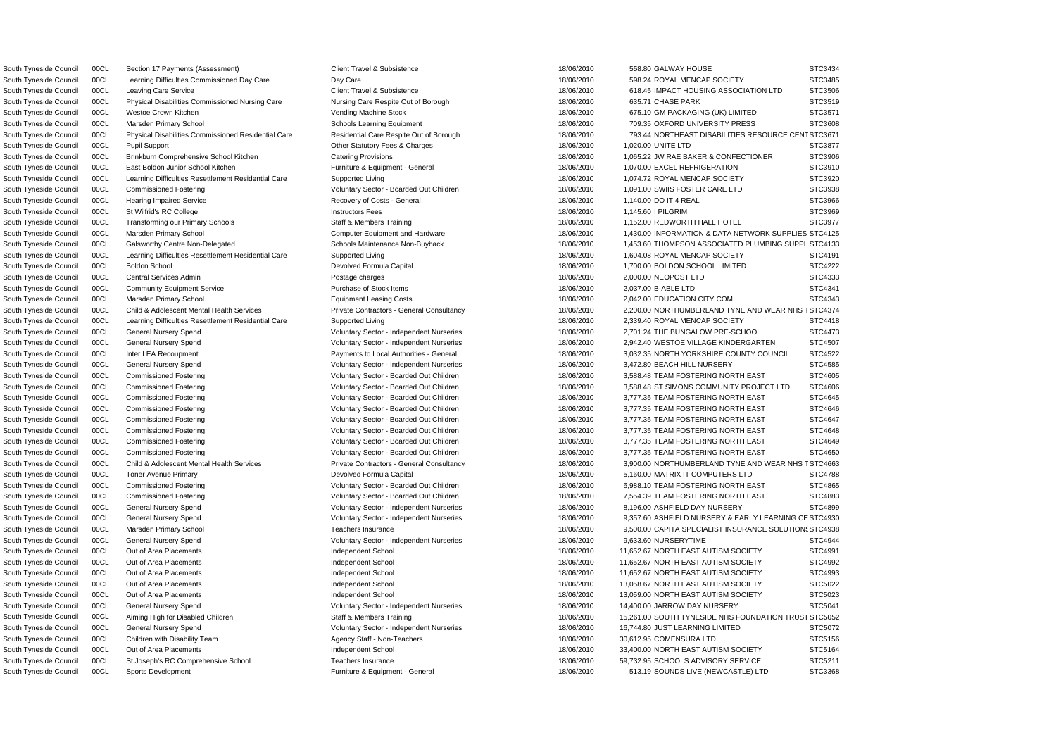South Tyneside Council 00CL Sports Development Comparent Furniture & Equipment - General Texas and Magazine and Magazine 18/06/2010 513.19 SOUNDS LIVE (NEWCASTLE) LTD STC3368

South Tyneside Council 00CL Physical Disabilities Commissioned Residential Care Residential Care Respite Out of Borough 18/06/2010 793.44 NORTHEAST DISABILITIES RESOURCE CENT STC3671 South Tyneside Council 00CL Galsworthy Centre Non-Delegated 18/06/2010 1,453.60 THOMPSON ASSOCIATED PLUMBING SUPPL STC4133 South Tyneside Council COCL Child & Adolescent Mental Health Services Private Contractors - General Consultancy 2006/2010 2,200.00 NORTHUMBERLAND TYNE AND WEAR NHS TSTC4374 South Tyneside Council COCL Child & Adolescent Mental Health Services Private Contractors - General Consultancy 2010 18/06/2010 3,900.00 NORTHUMBERLAND TYNE AND WEAR NHS TSTC4663 ESouth Tyneside Council 00CL General Nursery Spend Voluntary Sector - Independent Nurseries 18/06/2010 9,357.60 ASHFIELD NURSERY & EARLY LEARNING C STC4930 S South Tyneside Council 00CL Marsden Primary School Teachers Insurance 18/06/2010 9,500.00 CAPITA SPECIALIST INSURANCE SOLUTION STC4938 South Tyneside Council 00CL Aiming High for Disabled Children Staff & Members Training 18/06/2010 15,261.00 SOUTH TYNESIDE NHS FOUNDATION TRUST STC5052 South Tyneside Council 00CL Section 17 Payments (Assessment) Client Travel & Subsistence 18/06/2010 18/06/2010 558.80 GALWAY HOUSE STC3434 South Tyneside Council 00CL Learning Difficulties Commissioned Day Care Day Care Day Care Day Care 18/06/2010 598.24 ROYAL MENCAP SOCIETY STC3485 South Tyneside Council 00CL Leaving Care Service Client Travel & Subsistence Client Travel & Subsistence 18/06/2010 618.45 IMPACT HOUSING ASSOCIATION LTD STC3506 South Tyneside Council 00CL Physical Disabilities Commissioned Nursing Care Nursing Care Respite Out of Borough 18/06/2010 635.71 CHASE PARK STC3519 South Tyneside Council 00CL Westoe Crown Kitchen 1970 STO 3571 Vending Machine Stock 18/06/2010 675.10 GM PACKAGING (UK) LIMITED STC3571 South Tyneside Council 00CL Marsden Primary School School Schools Learning Equipment 18/06/2010 709.35 OXFORD UNIVERSITY PRESS STC3608 South Tyneside Council 00CL Pupil Support STC3877 Charges Charges Charges 18/06/2010 1,020.00 UNITE LTD STC3877 South Tyneside Council 00CL Brinkburn Comprehensive School Kitchen Catering Provisions Catering Provisions 18/06/2010 1,065.22 JW RAE BAKER & CONFECTIONER STC3906 South Tyneside Council 00CL East Boldon Junior School Kitchen Furniture & Equipment - General 18/06/2010 1,070.00 EXCEL REFRIGERATION STC3910 South Tyneside Council 00CL Learning Difficulties Resettlement Residential Care Supported Living 18/06/2010 1,074.72 ROYAL MENCAP SOCIETY STC3920 South Tyneside Council 00CL Commissioned Fostering The STC3938 Voluntary Sector - Boarded Out Children 18/06/2010 1,091.00 SWIIS FOSTER CARE LTD STC3938 South Tyneside Council 00CL Hearing Impaired Service Recovery of Costs - General 18/06/2010 1,140.00 DO IT 4 REAL STC3966 South Tyneside Council 00CL St Wilfrid's RC College Instructors Fees 18/06/2010 1,145.60 I PILGRIM STC3969 South Tyneside Council 00CL Transforming our Primary Schools Staff & Members Training 18/06/2010 1,152.00 REDWORTH HALL HOTEL STC3977 South Tyneside Council 00CL Marsden Primary School exclude the computer Equipment and Hardware 18/06/2010 1,430.00 INFORMATION & DATA NETWORK SUPPLIES STC4125 South Tyneside Council 00CL Learning Difficulties Resettlement Residential Care Supported Living 18/06/2010 1,604.08 ROYAL MENCAP SOCIETY STC4191 South Tyneside Council 00CL Boldon School **Devolved Formula Capital 18/06/2010** 1,700.00 BOLDON SCHOOL LIMITED STC4222 South Tyneside Council 00CL Central Services Admin Postage charges 18/06/2010 2,000.00 NEOPOST LTD STC4333 South Tyneside Council 00CL Community Equipment Service **Purchase of Stock Items** 18/06/2010 2,037.00 B-ABLE LTD STC4341 South Tyneside Council 00CL Marsden Primary School **Equipment Leasing Costs** Equipment Leasing Costs 18/06/2010 2,042.00 EDUCATION CITY COM STC4343 South Tyneside Council 00CL Learning Difficulties Resettlement Residential Care Supported Living 18/06/2010 18/06/2010 2,339.40 ROYAL MENCAP SOCIETY STC4418 South Tyneside Council 00CL General Nursery Spend Voluntary Sector - Independent Nurseries 18/06/2010 2,701.24 THE BUNGALOW PRE-SCHOOL STC4473 South Tyneside Council 00CL General Nursery Spend **19/06/2010** Voluntary Sector - Independent Nurseries 18/06/2010 2,942.40 WESTOE VILLAGE KINDERGARTEN STC4507 South Tyneside Council 00CL Inter LEA Recoupment examples and the Payments to Local Authorities - General 18/06/2010 18/06/2010 3,032.35 NORTH YORKSHIRE COUNTY COUNCIL STC4522 South Tyneside Council 00CL General Nursery Spend 19/06/2010 Voluntary Sector - Independent Nurseries 18/06/2010 3,472.80 BEACH HILL NURSERY STC4585 South Tyneside Council 00CL Commissioned Fostering values of Voluntary Sector - Boarded Out Children 18/06/2010 3,588.48 TEAM FOSTERING NORTH EAST STC4605 South Tyneside Council 00CL Commissioned Fostering The Step of Many Sector - Boarded Out Children 18/06/2010 3,588.48 ST SIMONS COMMUNITY PROJECT LTD STC4606 South Tyneside Council 00CL Commissioned Fostering values of Voluntary Sector - Boarded Out Children 18/06/2010 3,777.35 TEAM FOSTERING NORTH EAST STC4645 South Tyneside Council 00CL Commissioned Fostering Vermit Commissioned Fostering Voluntary Sector - Boarded Out Children 18/06/2010 3,777.35 TEAM FOSTERING NORTH EAST STC4646 South Tyneside Council 00CL Commissioned Fostering The Voluntary Sector - Boarded Out Children 18/06/2010 3,777.35 TEAM FOSTERING NORTH EAST STC4647 South Tyneside Council 00CL Commissioned Fostering The Voluntary Sector - Boarded Out Children 18/06/2010 3,777.35 TEAM FOSTERING NORTH EAST STC4648 South Tyneside Council 00CL Commissioned Fostering Vermit Commissioned Fostering Voluntary Sector - Boarded Out Children 18/06/2010 3,777.35 TEAM FOSTERING NORTH EAST STC4649 South Tyneside Council 00CL Commissioned Fostering The Voluntary Sector - Boarded Out Children 18/06/2010 3,777.35 TEAM FOSTERING NORTH EAST STC4650 South Tyneside Council 00CL Toner Avenue Primary 2000 1999 1999 Devolved Formula Capital 2006/2010 18/06/2010 5,160.00 MATRIX IT COMPUTERS LTD STC4788 South Tyneside Council 00CL Commissioned Fostering The Voluntary Sector - Boarded Out Children 18/06/2010 6,988.10 TEAM FOSTERING NORTH EAST STC4865 South Tyneside Council 00CL Commissioned Fostering Voluntary Sector - Boarded Out Children 18/06/2010 7,554.39 TEAM FOSTERING NORTH EAST STC4883 South Tyneside Council 00CL General Nursery Spend Voluntary Sector - Independent Nurseries 18/06/2010 8,196.00 ASHFIELD DAY NURSERY STC4899 South Tyneside Council 00CL General Nursery Spend Countary Sector - Independent Nurseries 18/06/2010 9.633.60 NURSERYTIME STC4944 South Tyneside Council 00CL Out of Area Placements **Independent School** Independent School 18/06/2010 11,652.67 NORTH EAST AUTISM SOCIETY STC4991 South Tyneside Council 00CL Out of Area Placements Sacretic Company of Area Placements Independent School 18/06/2010 11,652.67 NORTH EAST AUTISM SOCIETY STC4992 South Tyneside Council 00CL Out of Area Placements **Independent School** Independent School 18/06/2010 11,652.67 NORTH EAST AUTISM SOCIETY STC4993 South Tyneside Council 00CL Out of Area Placements **Independent School** Independent School 18/06/2010 13,058.67 NORTH EAST AUTISM SOCIETY STC5022 South Tyneside Council 00CL Out of Area Placements **Independent School** Independent School 18/06/2010 13,059.00 NORTH EAST AUTISM SOCIETY STC5023 South Tyneside Council 00CL General Nursery Spend 1999 voluntary Sector - Independent Nurseries 18/06/2010 14,400.00 JARROW DAY NURSERY STC5041 South Tyneside Council 00CL General Nursery Spend Voluntary Sector - Independent Nurseries 18/06/2010 16,744.80 JUST LEARNING LIMITED STC5072 South Tyneside Council 00CL Children with Disability Team Agency Staff - Non-Teachers 18/06/2010 30,612.95 COMENSURA LTD STC5156 South Tyneside Council 00CL Out of Area Placements **Independent School** Independent School 18/06/2010 33,400.00 NORTH EAST AUTISM SOCIETY STC5164 South Tyneside Council 00CL St Joseph's RC Comprehensive School **18/06/2010** 18/06/2010 59,732.95 SCHOOLS ADVISORY SERVICE STC5211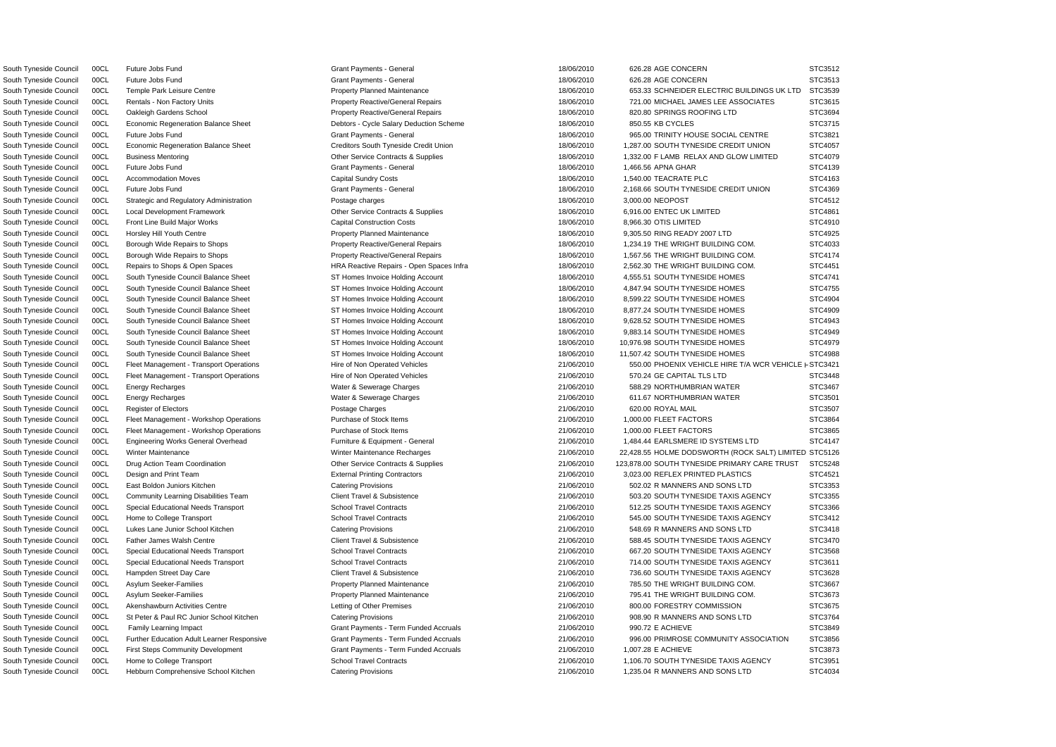South Tyneside Council 00CL Economic Regeneration Balance Sheet Debtors - Cycle Salary Deduction Scheme 18/06/2010 850.55 KB CYCLES South Tyneside Council 00CL Strategic and Regulatory Administration Postage charges 18/06/2010 3,000,00 NEOPOST South Tyneside Council 00CL Family Learning Impact Crant Council Crant Payments - Term Funded Accruals 21/06/2010 990.72 E ACHIEVE South Tyneside Council 00CL First Steps Community Development Grant Payments - Term Funded Accruals 21/06/2010 1,007.28 E ACHIEVE

South Tyneside Council 00CL Future Jobs Fund Grant General Grant Payments - General Council and STC3512 AGE CONCERN STC3512 South Tyneside Council 00CL Future Jobs Fund Grant Grant Payments - General Grant Payments - General Council Communication of the STC3513 South Tyneside Council 00CL Temple Park Leisure Centre entere and Property Planned Maintenance and the 18/06/2010 653.33 SCHNEIDER ELECTRIC BUILDINGS UK LTD South Tyneside Council 00CL Rentals - Non Factory Units exactive Company Reactive/General Repairs 18/06/2010 721.00 MICHAEL JAMES LEE ASSOCIATES South Tyneside Council 00CL Oakleigh Gardens School **Property Reactive/General Repairs** 18/06/2010 820.80 SPRINGS ROOFING LTD STC36944 COUNCILTD STC36944 COUNCILTD STC36944 COUNCILTD STC36944 COUNCILTD STC3694 COUNCILTD ST South Tyneside Council 00CL Future Jobs Fund Cases and Grant Payments - General CENTRE State 18/06/2010 965.00 TRINITY HOUSE SOCIAL CENTRE South Tyneside Council 00CL Economic Regeneration Balance Sheet Creditors South Tyneside Credit Union 18/06/2010 1,287.00 SOUTH TYNESIDE CREDIT UNION South Tyneside Council 00CL Business Mentoring Comme Contracts & Supplies Contracts & Supplies 18/06/2010 1,332.00 F LAMB RELAX AND GLOW LIMITED South Tyneside Council 00CL Future Jobs Fund Grant General Grant Payments - General 18/06/2010 1,466.56 APNA GHAR STC4139 South Tyneside Council 00CL Accommodation Moves Capital Sundry Costs 18/06/2010 1,540.00 TEACRATE PLC STC4163 South Tyneside Council 00CL Future Jobs Fund Council Council Canadia Canadian Grant Payments - General Canadian Council 2,168.66 SOUTH TYNESIDE CREDIT UNION South Tyneside Council 00CL Local Development Framework Contracts Contracts & Supplies 18/06/2010 6,916.00 ENTEC UK LIMITED South Tyneside Council COCL Front Line Build Major Works Capital Construction Costs (STCA910 8,966.30 OTIS LIMITED STC4910 STC4910 STC4910 STC4910 STC4910 STC4910 STC4910 STC4910 STC4910 STC4910 STC4910 STC4910 STC4910 STC South Tyneside Council 00CL Horsley Hill Youth Centre example and the Property Planned Maintenance and the maintenance and the maintenance of the state of the 9,305.50 RING READY 2007 LTD South Tyneside Council 00CL Borough Wide Repairs to Shops **Property Reactive/General Repairs** 18/06/2010 1,234.19 THE WRIGHT BUILDING COM. South Tyneside Council 00CL Borough Wide Repairs to Shops **Property Reactive/General Repairs** 18/06/2010 1,567.56 THE WRIGHT BUILDING COM. South Tyneside Council 00CL Repairs to Shops & Open Spaces Text HRA Reactive Repairs - Open Spaces Infra 18/06/2010 2,562.30 THE WRIGHT BUILDING COM South Tyneside Council 00CL South Tyneside Council Balance Sheet ST Homes Invoice Holding Account 18/06/2010 4,555.51 SOUTH TYNESIDE HOMES South Tyneside Council 00CL South Tyneside Council Balance Sheet Sheet ST Homes Invoice Holding Account 18/06/2010 4,847.94 SOUTH TYNESIDE HOMES South Tyneside Council 00CL South Tyneside Council Balance Sheet Sheet ST Homes Invoice Holding Account 18/06/2010 8,599.22 SOUTH TYNESIDE HOMES South Tyneside Council 00CL South Tyneside Council Balance Sheet Sheet ST Homes Invoice Holding Account 18/06/2010 8,877.24 SOUTH TYNESIDE HOMES South Tyneside Council 00CL South Tyneside Council Balance Sheet Sheet ST Homes Invoice Holding Account 18/06/2010 9,628.52 SOUTH TYNESIDE HOMES South Tyneside Council 00CL South Tyneside Council Balance Sheet Sheet ST Homes Invoice Holding Account 18/06/2010 9,883.14 SOUTH TYNESIDE HOMES South Tyneside Council 00CL South Tyneside Council Balance Sheet Sheet ST Homes Invoice Holding Account 18/06/2010 10,976.98 SOUTH TYNESIDE HOMES South Tyneside Council 00CL South Tyneside Council Balance Sheet Sheet ST Homes Invoice Holding Account 18/06/2010 11,507.42 SOUTH TYNESIDE HOMES South Tyneside Council 00CL Fleet Management - Transport Operations Hire of Non Operated Vehicles 21/06/2010 550.00 PHOENIX VEHICLE HIRE T/A WCR VEHICL South Tyneside Council 00CL Fleet Management - Transport Operations Hire of Non Operated Vehicles 21/06/2010 570.24 GE CAPITAL TLS LTD South Tyneside Council 00CL Energy Recharges external control of the Water & Sewerage Charges 21/06/2010 588.29 NORTHUMBRIAN WATER South Tyneside Council 00CL Energy Recharges external control of the Water & Sewerage Charges 21/06/2010 611.67 NORTHUMBRIAN WATER South Tyneside Council COCL Register of Electors (Photos Postage Charges Postage Charges 21/06/2010 620.00 ROYAL MAIL STC3507 STC3507 South Tyneside Council 00CL Fleet Management - Workshop Operations Purchase of Stock Items 21/06/2010 1,000.00 FLEET FACTORS South Tyneside Council 00CL Fleet Management - Workshop Operations Purchase of Stock Items 21/06/2010 1,000.00 FLEET FACTORS South Tyneside Council 00CL Engineering Works General Overhead Furniture & Equipment - General 21/06/2010 1,484.44 EARLSMERE ID SYSTEMS LTD South Tyneside Council 00CL Winter Maintenance Number 21/06/2010 22,428.55 HOLME DODSWORTH (ROCK SALT) LIMITE South Tyneside Council 00CL Drug Action Team Coordination Corres Contracts & Supplies 21/06/2010 123,878.00 SOUTH TYNESIDE PRIMARY CARE TRUST South Tyneside Council 00CL Design and Print Team **External Printing Contractors External Printing Contractors** 21/06/2010 3,023.00 REFLEX PRINTED PLASTICS South Tyneside Council 00CL East Boldon Juniors Kitchen Catering Provisions Catering Provisions 21/06/2010 502.02 R MANNERS AND SONS LTD South Tyneside Council 00CL Community Learning Disabilities Team Client Travel & Subsistence 21/06/2010 503.20 SOUTH TYNESIDE TAXIS AGENCY South Tyneside Council 00CL Special Educational Needs Transport School Travel Contracts 21/06/2010 512.25 SOUTH TYNESIDE TAXIS AGENCY South Tyneside Council 00CL Home to College Transport School Travel Contracts 21/06/2010 545.00 SOUTH TYNESIDE TAXIS AGENCY South Tyneside Council 00CL Lukes Lane Junior School Kitchen Catering Provisions Catering Provisions 21/06/2010 548.69 R MANNERS AND SONS LTD South Tyneside Council 00CL Father James Walsh Centre 2000 2000 2000 21/06/2010 588.45 SOUTH TYNESIDE TAXIS AGENCY South Tyneside Council 00CL Special Educational Needs Transport School Travel Contracts 21/06/2010 667.20 SOUTH TYNESIDE TAXIS AGENCY South Tyneside Council 00CL Special Educational Needs Transport School Travel Contracts 21/06/2010 714.00 SOUTH TYNESIDE TAXIS AGENCY South Tyneside Council 00CL Hampden Street Day Care Client Travel & Subsistence Client Travel & Subsistence 21/06/2010 736.60 SOUTH TYNESIDE TAXIS AGENCY South Tyneside Council 00CL Asylum Seeker-Families exception of the Property Planned Maintenance 21/06/2010 785.50 THE WRIGHT BUILDING COM South Tyneside Council 00CL Asylum Seeker-Families examples and the Property Planned Maintenance and the 21/06/2010 795.41 THE WRIGHT BUILDING COM South Tyneside Council 00CL Akenshawburn Activities Centre Letting of Other Premises 21/06/2010 800.00 FORESTRY COMMISSION South Tyneside Council 00CL St Peter & Paul RC Junior School Kitchen Catering Provisions Catering Provisions 21/06/2010 908.90 R MANNERS AND SONS LTD South Tyneside Council 00CL Further Education Adult Learner Responsive Grant Payments - Term Funded Accruals 21/06/2010 996.00 PRIMROSE COMMUNITY ASSOCIATION South Tyneside Council 00CL Home to College Transport School Travel Contracts 21/06/2010 1,106.70 SOUTH TYNESIDE TAXIS AGENCY South Tyneside Council 00CL Hebburn Comprehensive School Kitchen Catering Provisions Catering Provisions 21/06/2010 1,235.04 R MANNERS AND SONS LTD

|    | STC3512                   |
|----|---------------------------|
|    | STC3513                   |
| ን  | STC3539                   |
|    | STC3615                   |
|    | STC3694                   |
|    | STC3715                   |
|    | STC3821                   |
|    | STC4057                   |
|    | STC4079                   |
|    | STC4139                   |
|    | STC4163                   |
|    | STC4369                   |
|    | STC4512                   |
|    | STC4861                   |
|    | STC4910                   |
|    | STC4925                   |
|    | STC4033                   |
|    | STC4174                   |
|    | STC4451                   |
|    |                           |
|    | STC4741                   |
|    | STC4755                   |
|    | STC4904                   |
|    | STC4909                   |
|    | STC4943                   |
|    | STC4949                   |
|    | STC4979                   |
|    | STC4988                   |
| Е  | <b>FSTC3421</b>           |
|    | STC3448                   |
|    | STC3467                   |
|    | STC3501                   |
|    | STC3507                   |
|    | STC3864                   |
|    | STC3865                   |
|    | STC4147                   |
| ED | STC5126                   |
|    | T<br>¢<br>ï<br>:5:<br>248 |
|    | STC4521                   |
|    | STC3353<br>š              |
|    | STC3355                   |
|    | STC3366                   |
|    | STC3412                   |
|    | STC3418                   |
|    | STC3470                   |
|    | STC3568                   |
|    | STC3611                   |
|    | STC3628                   |
|    | STC3667                   |
|    | STC3673                   |
|    | STC3675                   |
|    | STC3764<br>ć              |
|    | STC3849                   |
|    | STC3856                   |
|    | STC3873<br>š              |
|    | STC3951                   |
|    | STC4034                   |
|    |                           |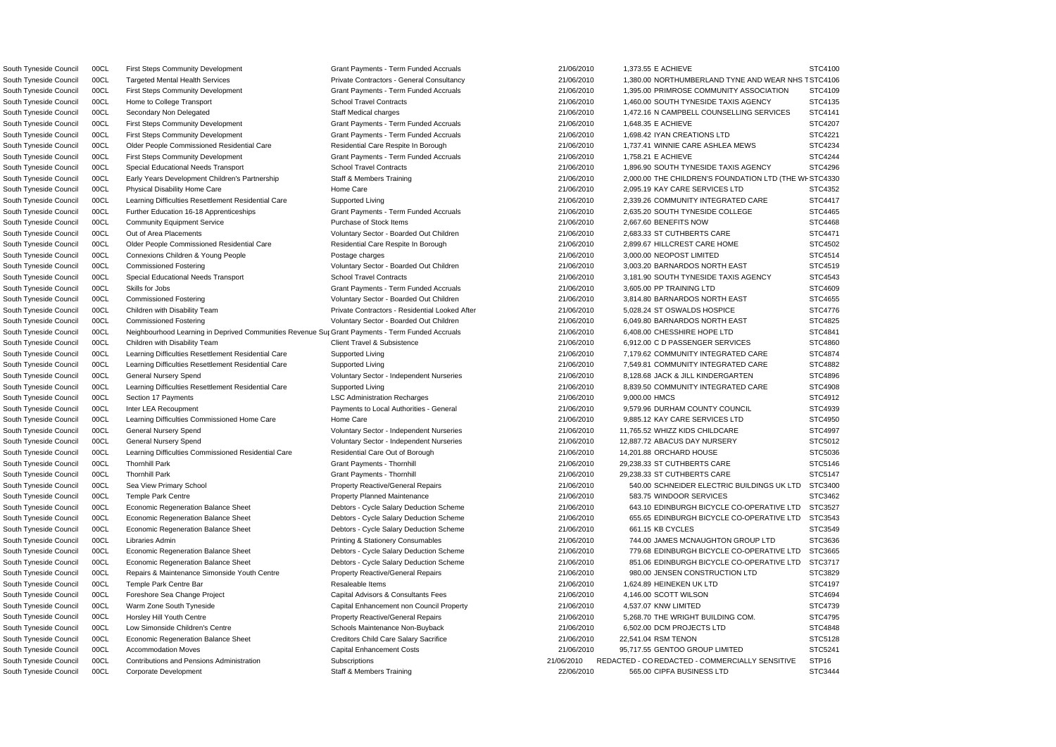South Tyneside Council 00CL First Steps Community Development Grant Payments - Term Funded Accruals 21/06/2010 1,373.55 E ACHIEVE South Tyneside Council 00CL First Steps Community Development Grant Payments - Term Funded Accruals 21/06/2010 1,648.35 E ACHIEVE South Tyneside Council 00CL First Steps Community Development Grant Payments - Term Funded Accruals 21/06/2010 1,698.42 IYAN CREATIONS LTD South Tyneside Council 00CL Older People Commissioned Residential Care Residential Care Respite In Borough 21/06/2010 1,737.41 WINNIE CARE ASHLEA MEWS South Tyneside Council 00CL First Steps Community Development Grant Payments - Term Funded Accruals 21/06/2010 1,758.21 E ACHIEVE South Tyneside Council 00CL Physical Disability Home Care Home Care Home Care 21/06/2010 2,095.19 KAY CARE SERVICES LTD South Tyneside Council 00CL Further Education 16-18 Apprenticeships Grant Payments - Term Funded Accruals 21/06/2010 2,635.20 SOUTH TYNESIDE COLLEGE South Tyneside Council 00CL Out of Area Placements **Subseter Area Council** Voluntary Sector - Boarded Out Children 21/06/2010 2,683.33 ST CUTHBERTS CARE South Tyneside Council 00CL Older People Commissioned Residential Care Residential Care Respite In Borough 21/06/2010 2,899.67 HILLCREST CARE HOME South Tyneside Council 00CL Connexions Children & Young People Postage charges Postage charges 21/06/2010 3,000.00 NEOPOST LIMITED South Tyneside Council 00CL Commissioned Fostering The Step of Material Voluntary Sector - Boarded Out Children 20106/2010 3,003.20 BARNARDOS NORTH EAST South Tyneside Council 00CL Skills for Jobs Same Council Crant Payments - Term Funded Accruals 21/06/2010 3,605.00 PP TRAINING LTD South Tyneside Council 00CL Commissioned Fostering values of Voluntary Sector - Boarded Out Children 21/06/2010 3,814.80 BARNARDOS NORTH EAST South Tyneside Council 00CL Children with Disability Team **Private Contractors - Residential Looked After** 21/06/2010 5,028.24 ST OSWALDS HOSPICE South Tyneside Council 00CL Commissioned Fostering **Commissioned Fostering** Voluntary Sector - Boarded Out Children 21/06/2010 6,049.80 BARNARDOS NORTH EAST South Tyneside Council 00CL Children with Disability Team 21/06/2010 6,912.00 CD PASSENGER SERVICES South Tyneside Council 00CL General Nursery Spend **Council Council Council** Voluntary Sector - Independent Nurseries 21/06/2010 8,128.68 JACK & JILL KINDERGARTEN South Tyneside Council 00CL Section 17 Payments **LSC Administration Recharges** 21/06/2010 9,000.00 HMCS South Tyneside Council 00CL Inter LEA Recoupment **Payments to Local Authorities - General** 21/06/2010 9,579.96 DURHAM COUNTY COUNCIL South Tyneside Council 00CL Learning Difficulties Commissioned Home Care Home Care Home Care 21/06/2010 9,885.12 KAY CARE SERVICES LTD South Tyneside Council 00CL General Nursery Spend **Ware and State Council Countries** Voluntary Sector - Independent Nurseries 21/06/2010 11,765.52 WHIZZ KIDS CHILDCARE South Tyneside Council 00CL General Nursery Spend Voluntary Sector - Independent Nurseries 21/06/2010 12,887.72 ABACUS DAY NURSERY South Tyneside Council 00CL Learning Difficulties Commissioned Residential Care Residential Care Out of Borough 21/06/2010 14,201.88 ORCHARD HOUSE South Tyneside Council 00CL Thornhill Park Grant Payments - Thornhill 21/06/2010 29.238.33 ST CUTHBERTS CARE South Tyneside Council 00CL Thornhill Park Grant Payments - Thornhill Grant Payments - Thornhill 21/06/2010 29,238.33 ST CUTHBERTS CARE South Tyneside Council 00CL Temple Park Centre **Property Planned Maintenance** 21/06/2010 583.75 WINDOOR SERVICES South Tyneside Council 00CL Economic Regeneration Balance Sheet Debtors - Cycle Salary Deduction Scheme 21/06/2010 661.15 KB CYCLES South Tyneside Council 00CL Repairs & Maintenance Simonside Youth Centre Property Reactive/General Repairs 21/06/2010 980.00 JENSEN CONSTRUCTION LTD South Tyneside Council 00CL Foreshore Sea Change Project Capital Advisors & Consultants Fees 21/06/2010 4,146.00 SCOTT WILSON South Tyneside Council COCL Warm Zone South Tyneside Capital Enhancement non Council Property 21/06/2010 4,537.07 KNW LIMITED South Tyneside Council 00CL Horsley Hill Youth Centre entity reserver and the Property Reactive/General Repairs 21/06/2010 5,268.70 THE WRIGHT BUILDING COM. South Tyneside Council 00CL Low Simonside Children's Centre Schools Maintenance Non-Buyback 21/06/2010 6,502.00 DCM PROJECTS LTD South Tyneside Council 00CL Economic Regeneration Balance Sheet Creditors Child Care Salary Sacrifice 21/06/2010 22,541.04 RSM TENON South Tyneside Council 00CL Accommodation Moves Capital Enhancement Costs 21/06/2010 95,717.55 GENTOO GROUP LIMITED

South Tyneside Council 00CL Corporate Development Staff & Members Training 22/06/2010 565.00 CIPFA BUSINESS LTD

|    | STC4100          |
|----|------------------|
|    | IS T STC4106     |
|    | STC4109          |
|    | STC4135          |
|    | STC4141          |
|    | STC4207          |
|    | STC4221          |
|    | STC4234          |
|    | STC4244          |
|    | STC4296          |
|    |                  |
| Νŀ | STC4330          |
|    | STC4352          |
|    | STC4417          |
|    | STC4465<br>ć     |
|    | STC4468          |
|    | STC4471          |
|    | STC4502<br>š     |
|    | STC4514<br>ς     |
|    | STC4519          |
|    | STC4543          |
|    | STC4609          |
|    | STC4655          |
|    | STC4776          |
|    | STC4825          |
|    | STC4841          |
|    | STC4860          |
|    | STC4874          |
|    | STC4882          |
|    | STC4896          |
|    | STC4908          |
|    | STC4912<br>ć     |
|    | STC4939          |
|    | S<br>TC4950      |
|    | TC4997<br>š<br>3 |
|    | STC5012          |
|    | STC5036          |
|    |                  |
|    | STC5146          |
|    | STC5147          |
| D  | STC3400          |
|    | STC3462          |
|    | STC3527          |
|    | STC3543          |
|    | STC3549          |
|    | STC3636          |
| ∋  | STC3665          |
| ר  | STC3717          |
|    | STC3829          |
|    | STC4197          |
|    | STC4694          |
|    | STC4739          |
|    | STC4795          |
|    | STC4848          |
|    | STC5128          |
|    | STC5241          |
|    | STP16            |
|    | STC3444          |
|    |                  |

South Tyneside Council 00CL Neighbourhood Learning in Deprived Communities Revenue Sur Grant Payments - Term Funded Accruals 21/06/2010 6,408.00 CHESSHIRE HOPE LTD STC4841 South Tyneside Council 00CL Contributions and Pensions Administration Subscriptions Subscriptions 21/06/2010 REDACTED - CO REDACTED - COMMERCIALLY SENSITIVE STP16 South Tyneside Council 00CL Targeted Mental Health Services **Private Contractors - General Consultancy** 21/06/2010 1,380.00 NORTHUMBERLAND TYNE AND WEAR NH South Tyneside Council 00CL First Steps Community Development Grant Payments - Term Funded Accruals 21/06/2010 1,395.00 PRIMROSE COMMUNITY ASSOCIATION South Tyneside Council 00CL Home to College Transport School Travel Contracts 21/06/2010 1,460.00 SOUTH TYNESIDE TAXIS AGENCY South Tyneside Council 00CL Secondary Non Delegated Staff Medical charges 21/06/2010 1,472.16 N CAMPBELL COUNSELLING SERVICES South Tyneside Council COCL Special Educational Needs Transport School Travel Contracts 21/06/2010 1,896.90 SOUTH TYNESIDE TAXIS AGENCY South Tyneside Council 00CL Early Years Development Children's Partnership Staff & Members Training 21/06/2010 2,000.00 THE CHILDREN'S FOUNDATION LTD (THE South Tyneside Council 00CL Learning Difficulties Resettlement Residential Care Supported Living 21/06/2010 2,339.26 COMMUNITY INTEGRATED CARE South Tyneside Council 00CL Community Equipment Service **Purchase of Stock Items 21/06/2010** 2,667.60 BENEFITS NOW STC4468 South Tyneside Council 00CL Special Educational Needs Transport School Travel Contracts 21/06/2010 3,181.90 SOUTH TYNESIDE TAXIS AGENCY South Tyneside Council 00CL Learning Difficulties Resettlement Residential Care Supported Living 21/06/2010 7,179.62 COMMUNITY INTEGRATED CARE South Tyneside Council 00CL Learning Difficulties Resettlement Residential Care Supported Living 21/06/2010 7,549.81 COMMUNITY INTEGRATED CARE South Tyneside Council 00CL Learning Difficulties Resettlement Residential Care Supported Living 21/06/2010 8,839.50 COMMUNITY INTEGRATED CARE South Tyneside Council 00CL Sea View Primary School excludional Property Reactive/General Repairs 21/06/2010 540.00 SCHNEIDER ELECTRIC BUILDINGS UK LTD South Tyneside Council 00CL Economic Regeneration Balance Sheet Debtors - Cycle Salary Deduction Scheme 21/06/2010 643.10 EDINBURGH BICYCLE CO-OPERATIVE LTD South Tyneside Council 00CL Economic Regeneration Balance Sheet Debtors - Cycle Salary Deduction Scheme 21/06/2010 655.65 EDINBURGH BICYCLE CO-OPERATIVE LTD South Tyneside Council 00CL Libraries Admin 2000 Printing & Stationery Consumables 21/06/2010 744.00 JAMES MCNAUGHTON GROUP LTD South Tyneside Council 00CL Economic Regeneration Balance Sheet Debtors - Cycle Salary Deduction Scheme 21/06/2010 779.68 EDINBURGH BICYCLE CO-OPERATIVE LTD South Tyneside Council 00CL Economic Regeneration Balance Sheet Debtors - Cycle Salary Deduction Scheme 21/06/2010 851.06 EDINBURGH BICYCLE CO-OPERATIVE LTD South Tyneside Council 00CL Temple Park Centre Bar Resaleable Items 21/06/2010 1,624.89 HEINEKEN UK LTD STC4197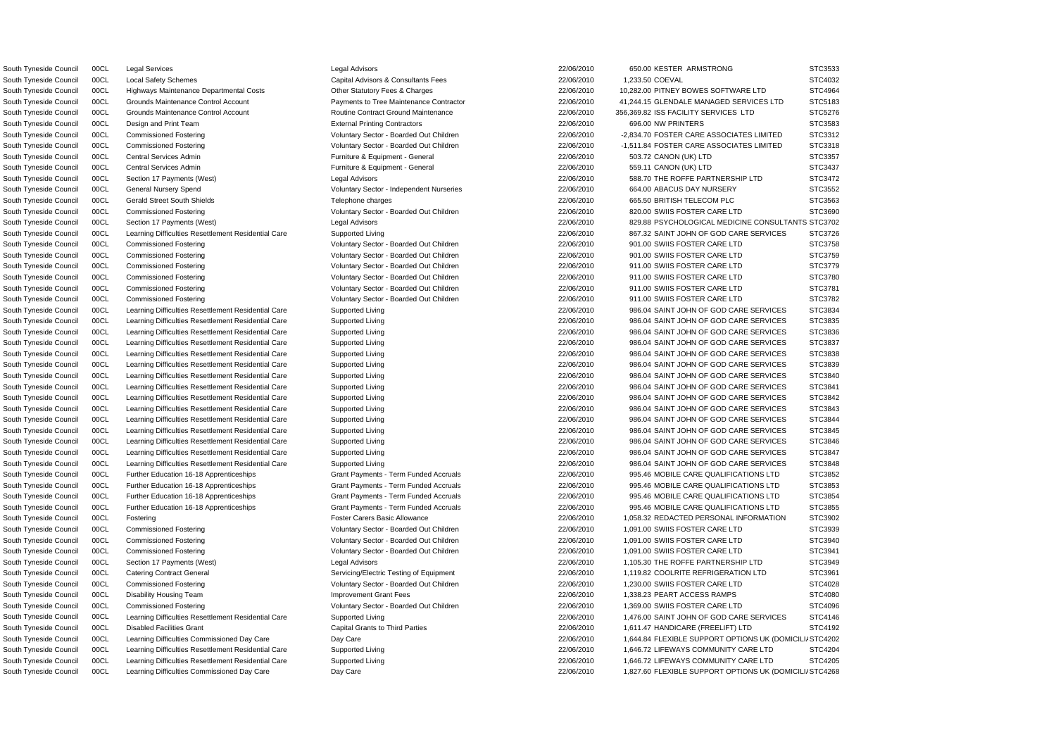South Tyneside Council 00CL Learning Difficulties Commissioned Day Care 2006/2010 22/06/2010 1,827.60 FLEXIBLE SUPPORT OPTIONS UK (DOMICILI STC4268

A South Tyneside Council 00CL Learning Difficulties Commissioned Day Care Day Care 22/06/2010 1,644.84 FLEXIBLE SUPPORT OPTIONS UK (DOMICILI STC4202 South Tyneside Council 00CL Legal Services COUNTER STO 3533 Legal Advisors Legal Advisors 22/06/2010 650.00 KESTER ARMSTRONG STC3533 South Tyneside Council COCL Local Safety Schemes Capital Advisors & Consultants Fees 22/06/2010 1,233.50 COEVAL STC4032 South Tyneside Council 00CL Highways Maintenance Departmental Costs Charges Charges Charges 22/06/2010 10,282.00 PITNEY BOWES SOFTWARE LTD STC4964 South Tyneside Council 00CL Grounds Maintenance Control Account Payments to Tree Maintenance Contractor 22/06/2010 41,244.15 GLENDALE MANAGED SERVICES LTD STC5183 South Tyneside Council 00CL Grounds Maintenance Control Account **Contract Ground Maintenance** 22/06/2010 356,369.82 ISS FACILITY SERVICES LTD STC5276 South Tyneside Council 00CL Design and Print Team  $\blacksquare$  External Printing Contractors  $\blacksquare$  22/06/2010 696.00 NW PRINTERS STC3583 South Tyneside Council 00CL Commissioned Fostering values and Voluntary Sector - Boarded Out Children 22/06/2010 -2,834.70 FOSTER CARE ASSOCIATES LIMITED STC3312 South Tyneside Council 00CL Commissioned Fostering **National Sector - Boarded Out Children** 22/06/2010 -1,511.84 FOSTER CARE ASSOCIATES LIMITED STC3318 South Tyneside Council 00CL Central Services Admin **Furniture & Equipment - General** 22/06/2010 503.72 CANON (UK) LTD STC3357 South Tyneside Council 00CL Central Services Admin **Furniture & Equipment - General** 22/06/2010 559.11 CANON (UK) LTD STC3437 South Tyneside Council 00CL Section 17 Payments (West) Legal Advisors Legal Advisors 22/06/2010 588.70 THE ROFFE PARTNERSHIP LTD STC3472 South Tyneside Council 00CL General Nursery Spend **1996 Countary Sector - Independent Nurseries** 22/06/2010 664.00 ABACUS DAY NURSERY STC3552 South Tyneside Council 00CL Gerald Street South Shields Telephone Charges Telephone charges 22/06/2010 665.50 BRITISH TELECOM PLC STC3563 South Tyneside Council 00CL Commissioned Fostering Care and Voluntary Sector - Boarded Out Children 22/06/2010 820.00 SWIIS FOSTER CARE LTD STC3690 South Tyneside Council 00CL Section 17 Payments (West) Legal Advisors Legal Advisors 22/06/2010 829.88 PSYCHOLOGICAL MEDICINE CONSULTANTS STC3702 South Tyneside Council 00CL Learning Difficulties Resettlement Residential Care Supported Living 2000 2000 22/06/2010 867.32 SAINT JOHN OF GOD CARE SERVICES STC3726 South Tyneside Council 00CL Commissioned Fostering Voluntary Sector - Boarded Out Children 22/06/2010 901.00 SWIIS FOSTER CARE LTD STC3758 South Tyneside Council 00CL Commissioned Fostering **Capacity Coluntary Sector - Boarded Out Children** 22/06/2010 901.00 SWIIS FOSTER CARE LTD STC3759 South Tyneside Council 00CL Commissioned Fostering examples and Voluntary Sector - Boarded Out Children and and the 22/06/2010 911.00 SWIIS FOSTER CARE LTD STC3779 South Tyneside Council 00CL Commissioned Fostering Care and Voluntary Sector - Boarded Out Children 22/06/2010 911.00 SWIIS FOSTER CARE LTD STC3780 South Tyneside Council 00CL Commissioned Fostering excluding voluntary Sector - Boarded Out Children 22/06/2010 911.00 SWIIS FOSTER CARE LTD STC3781 South Tyneside Council 00CL Commissioned Fostering Care and Voluntary Sector - Boarded Out Children 22/06/2010 911.00 SWIIS FOSTER CARE LTD STC3782 South Tyneside Council 00CL Learning Difficulties Resettlement Residential Care Supported Living 2000 2000 22/06/2010 986.04 SAINT JOHN OF GOD CARE SERVICES STC3834 South Tyneside Council 00CL Learning Difficulties Resettlement Residential Care Supported Living 2000 2000 22/06/2010 986.04 SAINT JOHN OF GOD CARE SERVICES STC3835 South Tyneside Council 00CL Learning Difficulties Resettlement Residential Care Supported Living 2006/2010 986.04 SAINT JOHN OF GOD CARE SERVICES STC3836 South Tyneside Council 00CL Learning Difficulties Resettlement Residential Care Supported Living 2000 2000 22/06/2010 986.04 SAINT JOHN OF GOD CARE SERVICES STC3837 South Tyneside Council 00CL Learning Difficulties Resettlement Residential Care Supported Living 2000 2000 22/06/2010 986.04 SAINT JOHN OF GOD CARE SERVICES STC3838 South Tyneside Council 00CL Learning Difficulties Resettlement Residential Care Supported Living 22/06/2010 986.04 SAINT JOHN OF GOD CARE SERVICES STC3839 South Tyneside Council 00CL Learning Difficulties Resettlement Residential Care Supported Living 2000 2000 22/06/2010 986.04 SAINT JOHN OF GOD CARE SERVICES STC3840 South Tyneside Council 00CL Learning Difficulties Resettlement Residential Care Supported Living Supported Living 22/06/2010 986.04 SAINT JOHN OF GOD CARE SERVICES STC3841 South Tyneside Council 00CL Learning Difficulties Resettlement Residential Care Supported Living 22/06/2010 986.04 SAINT JOHN OF GOD CARE SERVICES STC3842 South Tyneside Council 00CL Learning Difficulties Resettlement Residential Care Supported Living 2006/2010 986.04 SAINT JOHN OF GOD CARE SERVICES STC3843 South Tyneside Council 00CL Learning Difficulties Resettlement Residential Care Supported Living 2006/2010 986.04 SAINT JOHN OF GOD CARE SERVICES STC3844 South Tyneside Council 00CL Learning Difficulties Resettlement Residential Care Supported Living 2000 2000 22/06/2010 986.04 SAINT JOHN OF GOD CARE SERVICES STC3845 South Tyneside Council 00CL Learning Difficulties Resettlement Residential Care Supported Living Supported Living 22/06/2010 986.04 SAINT JOHN OF GOD CARE SERVICES STC3846 South Tyneside Council 00CL Learning Difficulties Resettlement Residential Care Supported Living 2000 2000 22/06/2010 986.04 SAINT JOHN OF GOD CARE SERVICES STC3847 South Tyneside Council 00CL Learning Difficulties Resettlement Residential Care Supported Living 2000 2000 22/06/2010 986.04 SAINT JOHN OF GOD CARE SERVICES STC3848 South Tyneside Council 00CL Further Education 16-18 Apprenticeships Grant Payments - Term Funded Accruals 22/06/2010 995.46 MOBILE CARE QUALIFICATIONS LTD STC3852 South Tyneside Council 00CL Further Education 16-18 Apprenticeships Grant Payments - Term Funded Accruals 22/06/2010 995.46 MOBILE CARE QUALIFICATIONS LTD STC3853 South Tyneside Council 00CL Further Education 16-18 Apprenticeships Grant Payments - Term Funded Accruals 22/06/2010 995.46 MOBILE CARE QUALIFICATIONS LTD STC3854 South Tyneside Council 00CL Further Education 16-18 Apprenticeships Grant Payments - Term Funded Accruals 22/06/2010 995.46 MOBILE CARE QUALIFICATIONS LTD STC3855 South Tyneside Council 00CL Fostering external external control Foster Carers Basic Allowance **Foster Carers Basic Allowance** 22/06/2010 1,058.32 REDACTED PERSONAL INFORMATION STC3902 South Tyneside Council 00CL Commissioned Fostering **Commissioned Fostering** Voluntary Sector - Boarded Out Children 22/06/2010 1,091.00 SWIIS FOSTER CARE LTD STC3939 South Tyneside Council 00CL Commissioned Fostering Voluntary Sector - Boarded Out Children 22/06/2010 1,091.00 SWIIS FOSTER CARE LTD STC3940 South Tyneside Council 00CL Commissioned Fostering **National State of Acceptance Controller** Voluntary Sector - Boarded Out Children 22/06/2010 1,091.00 SWIIS FOSTER CARE LTD STC3941 South Tyneside Council 00CL Section 17 Payments (West) Legal Advisors Legal Advisors 22/06/2010 1,105.30 THE ROFFE PARTNERSHIP LTD STC3949 South Tyneside Council 00CL Catering Contract General Servicing/Electric Testing of Equipment 22/06/2010 1,119.82 COOLRITE REFRIGERATION LTD STC3961 South Tyneside Council 00CL Commissioned Fostering **Notable 10th Contact Contact Contact Contact Contact Contact Contact Contact Contact Contact Contact Contact Contact Contact Contact STC4028** South Tyneside Council 00CL Disability Housing Team **Improvement Grant Fees** 22/06/2010 1,338.23 PEART ACCESS RAMPS STC4080 South Tyneside Council 00CL Commissioned Fostering **Commissioned Fostering** Voluntary Sector - Boarded Out Children 22/06/2010 1,369.00 SWIIS FOSTER CARE LTD STC4096 South Tyneside Council 00CL Learning Difficulties Resettlement Residential Care Supported Living 2000 2000 22/06/2010 1,476.00 SAINT JOHN OF GOD CARE SERVICES STC4146 South Tyneside Council 00CL Disabled Facilities Grant Capital Grants to Third Parties Capital Grants Council Capital Grants Capital Grants to Third Parties 22/06/2010 1,611.47 HANDICARE (FREELIFT) LTD STC4192 South Tyneside Council 00CL Learning Difficulties Resettlement Residential Care Supported Living 22/06/2010 1,646.72 LIFEWAYS COMMUNITY CARE LTD STC4204 South Tyneside Council 00CL Learning Difficulties Resettlement Residential Care Supported Living 2006/2010 22/06/2010 1,646.72 LIFEWAYS COMMUNITY CARE LTD STC4205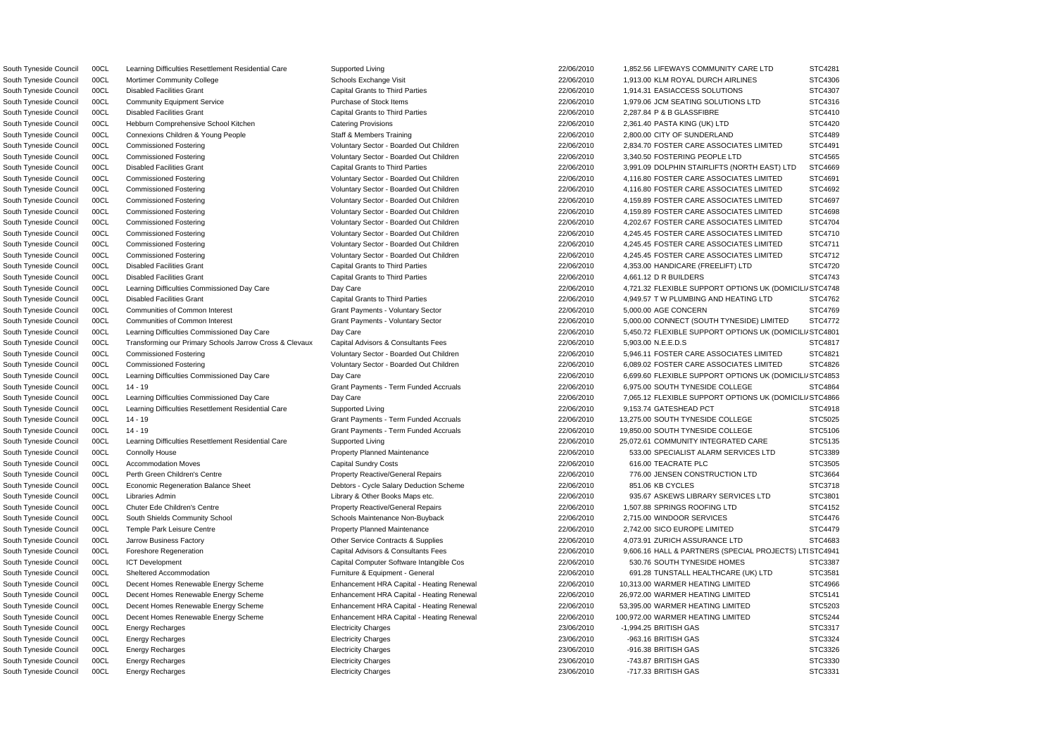South Tyneside Council 00CL Learning Difficulties Commissioned Day Care Day Care Day Care 22/06/2010 4,721.32 FLEXIBLE SUPPORT OPTIONS UK (DOMICILI STC4748 South Tyneside Council 00CL Learning Difficulties Commissioned Day Care Day Care Day Care 22/06/2010 5,450.72 FLEXIBLE SUPPORT OPTIONS UK (DOMICILI/ STC4801 ASouth Tyneside Council 00CL Learning Difficulties Commissioned Day Care Day Care 22/06/2010 6,699.60 FLEXIBLE SUPPORT OPTIONS UK (DOMICILI STC4853 South Tyneside Council 00CL Learning Difficulties Commissioned Day Care Day Care Day Care 22/06/2010 7,065.12 FLEXIBLE SUPPORT OPTIONS UK (DOMICILI STC4866 South Tyneside Council 00CL Learning Difficulties Resettlement Residential Care Supported Living 22/06/2010 1,852.56 LIFEWAYS COMMUNITY CARE LTD STC4281 South Tyneside Council 00CL Mortimer Community College SChools Exchange Visit Schools Exchange Visit 22/06/2010 1,913.00 KLM ROYAL DURCH AIRLINES STC4306 South Tyneside Council 00CL Disabled Facilities Grant Capital Grants to Third Parties 22/06/2010 1,914.31 EASIACCESS SOLUTIONS STC4307 South Tyneside Council 00CL Community Equipment Service Purchase of Stock Items 22/06/2010 1,979.06 JCM SEATING SOLUTIONS LTD STC4316 South Tyneside Council 00CL Disabled Facilities Grant Capital Grant Capital Grants to Third Parties 22/06/2010 2,287.84 P & B GLASSFIBRE STC4410 South Tyneside Council 00CL Hebburn Comprehensive School Kitchen Catering Provisions Catering Provisions 22/06/2010 2,361.40 PASTA KING (UK) LTD STC4420 South Tyneside Council 00CL Connexions Children & Young People Staff & Members Training 22/06/2010 2,800.00 CITY OF SUNDERLAND STC4489 South Tyneside Council 00CL Commissioned Fostering **National Sector - Boarded Out Children** 22/06/2010 2,834.70 FOSTER CARE ASSOCIATES LIMITED STC4491 South Tyneside Council 00CL Commissioned Fostering examples and Voluntary Sector - Boarded Out Children 22/06/2010 3,340.50 FOSTERING PEOPLE LTD STC4565 South Tyneside Council 00CL Disabled Facilities Grant Capital Grants to Third Parties Capital Grants 22/06/2010 3,991.09 DOLPHIN STAIRLIFTS (NORTH EAST) LTD STC4669 South Tyneside Council 00CL Commissioned Fostering excluding Voluntary Sector - Boarded Out Children 22/06/2010 4,116.80 FOSTER CARE ASSOCIATES LIMITED STC4691 South Tyneside Council 00CL Commissioned Fostering **Notable 10th Contact Contact Contact Voluntary Sector - Boarded Out Children** 22/06/2010 4,116.80 FOSTER CARE ASSOCIATES LIMITED STC4692 South Tyneside Council 00CL Commissioned Fostering Voluntary Sector - Boarded Out Children 22/06/2010 4,159.89 FOSTER CARE ASSOCIATES LIMITED STC4697 South Tyneside Council 00CL Commissioned Fostering Carries and Voluntary Sector - Boarded Out Children 2006/2010 4,159.89 FOSTER CARE ASSOCIATES LIMITED STC4698 South Tyneside Council 00CL Commissioned Fostering Voluntary Sector - Boarded Out Children 22/06/2010 4,202.67 FOSTER CARE ASSOCIATES LIMITED STC4704 South Tyneside Council 00CL Commissioned Fostering values of Voluntary Sector - Boarded Out Children values 22/06/2010 4,245.45 FOSTER CARE ASSOCIATES LIMITED STC4710 South Tyneside Council 00CL Commissioned Fostering Voluntary Sector - Boarded Out Children 22/06/2010 4,245.45 FOSTER CARE ASSOCIATES LIMITED STC4711 South Tyneside Council 00CL Commissioned Fostering values of Voluntary Sector - Boarded Out Children 22/06/2010 4,245.45 FOSTER CARE ASSOCIATES LIMITED STC4712 South Tyneside Council 00CL Disabled Facilities Grant Capital Grants to Third Parties 22/06/2010 4,353.00 HANDICARE (FREELIFT) LTD STC4720 South Tyneside Council 00CL Disabled Facilities Grant Capital Grants to Third Parties 22/06/2010 4,661.12 D R BUILDERS STC4743 South Tyneside Council 00CL Disabled Facilities Grant Capital Grants to Third Parties Capital Grants Council Capital Grants Capital Grants to Third Parties 22/06/2010 4,949.57 T W PLUMBING AND HEATING LTD STC4762 South Tyneside Council 00CL Communities of Common Interest Common Interest Grant Payments - Voluntary Sector 22/06/2010 5,000.00 AGE CONCERN STC4769 South Tyneside Council 00CL Communities of Common Interest Grant Payments - Voluntary Sector 22/06/2010 5,000.00 CONNECT (SOUTH TYNESIDE) LIMITED STC4772 South Tyneside Council 00CL Transforming our Primary Schools Jarrow Cross & Clevaux Capital Advisors & Consultants Fees 22/06/2010 5,903.00 N.E.E.D.S STC4817 South Tyneside Council 00CL Commissioned Fostering Voluntary Sector - Boarded Out Children 22/06/2010 5,946.11 FOSTER CARE ASSOCIATES LIMITED STC4821 South Tyneside Council 00CL Commissioned Fostering Voluntary Sector - Boarded Out Children 22/06/2010 6,089.02 FOSTER CARE ASSOCIATES LIMITED STC4826 South Tyneside Council 00CL 14 - 19 Crant Payments - Term Funded Accruals 22/06/2010 6,975.00 SOUTH TYNESIDE COLLEGE STC4864 South Tyneside Council 00CL Learning Difficulties Resettlement Residential Care Supported Living 22/06/2010 9,153.74 GATESHEAD PCT STC4918 South Tyneside Council 00CL 14 - 19 Crant Payments - Term Funded Accruals 22/06/2010 13,275.00 SOUTH TYNESIDE COLLEGE STC5025 South Tyneside Council 00CL 14 - 19 CTC5106 STC5106 Crant Payments - Term Funded Accruals 22/06/2010 19,850.00 SOUTH TYNESIDE COLLEGE STC5106 South Tyneside Council 00CL Learning Difficulties Resettlement Residential Care Supported Living 22/06/2010 25,072.61 COMMUNITY INTEGRATED CARE STC5135 South Tyneside Council 00CL Connolly House examples and the Property Planned Maintenance and a 22/06/2010 533.00 SPECIALIST ALARM SERVICES LTD STC3389 South Tyneside Council 00CL Accommodation Moves Capital Sundry Costs 22/06/2010 616.00 TEACRATE PLC STC3505 South Tyneside Council 00CL Perth Green Children's Centre **Property Reactive/General Repairs** 22/06/2010 776.00 JENSEN CONSTRUCTION LTD STC3664 South Tyneside Council 00CL Economic Regeneration Balance Sheet Debtors - Cycle Salary Deduction Scheme 22/06/2010 851.06 KB CYCLES STC3718 South Tyneside Council 00CL Libraries Admin 2000 2000/2010 22/06/2010 935.67 ASKEWS LIBRARY SERVICES LTD STC3801 South Tyneside Council 00CL Chuter Ede Children's Centre **Property Reactive/General Repairs** 22/06/2010 1,507.88 SPRINGS ROOFING LTD STC4152 South Tyneside Council 00CL South Shields Community School Schools Maintenance Non-Buyback 22/06/2010 2,715.00 WINDOOR SERVICES STC4476 South Tyneside Council 00CL Temple Park Leisure Centre entre Property Planned Maintenance 22/06/2010 2,742.00 SICO EUROPE LIMITED STC4479 South Tyneside Council 00CL Jarrow Business Factory Commence Contracts & Supplies 22/06/2010 4.073.91 ZURICH ASSURANCE LTD STC4683 South Tyneside Council 00CL Foreshore Regeneration **Capital Advisors & Consultants Fees** 22/06/2010 9,606.16 HALL & PARTNERS (SPECIAL PROJECTS) LTISTC4941 South Tyneside Council 00CL ICT Development Capital Computer Software Intangible Cos 22/06/2010 530.76 SOUTH TYNESIDE HOMES STC3387 South Tyneside Council 00CL Sheltered Accommodation **Furniture & Equipment - General** 22/06/2010 691.28 TUNSTALL HEALTHCARE (UK) LTD STC3581 South Tyneside Council 00CL Decent Homes Renewable Energy Scheme Enhancement HRA Capital - Heating Renewal 22/06/2010 10,313.00 WARMER HEATING LIMITED STC4966 South Tyneside Council 00CL Decent Homes Renewable Energy Scheme Enhancement HRA Capital - Heating Renewal 22/06/2010 26,972.00 WARMER HEATING LIMITED STC5141 South Tyneside Council 00CL Decent Homes Renewable Energy Scheme Enhancement HRA Capital - Heating Renewal 22/06/2010 53,395.00 WARMER HEATING LIMITED STC5203 South Tyneside Council 00CL Decent Homes Renewable Energy Scheme Enhancement HRA Capital - Heating Renewal 22/06/2010 100,972.00 WARMER HEATING LIMITED STC5244 South Tyneside Council 00CL Energy Recharges Electricity Charges 23/06/2010 -1,994.25 BRITISH GAS STC3317 South Tyneside Council 00CL Energy Recharges Electricity Charges 23/06/2010 -963.16 BRITISH GAS STC3324 South Tyneside Council 00CL Energy Recharges Electricity Charges 23/06/2010 -916.38 BRITISH GAS STC3326 South Tyneside Council 00CL Energy Recharges Electricity Charges 23/06/2010 -743.87 BRITISH GAS STC3330 South Tyneside Council 00CL Energy Recharges external extends the Electricity Charges and Electricity Charges and the control of the 23/06/2010 -717.33 BRITISH GAS STC3331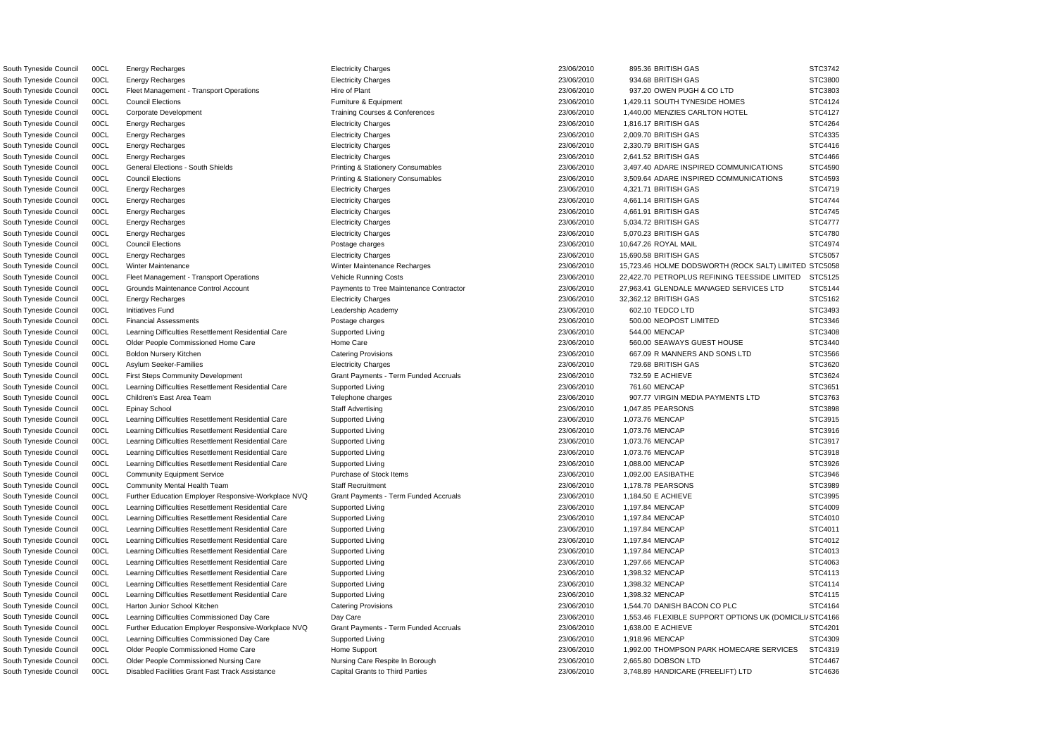South Tyneside Council 00CL Fleet Management - Transport Operations Hire of Plant 23/06/2010 937.20 OWEN PUGH & CO LTD South Tyneside Council 00CL Learning Difficulties Resettlement Residential Care Supported Living 23/06/2010 544.00 MENCAP South Tyneside Council 00CL First Steps Community Development Grant Payments - Term Funded Accruals 23/06/2010 732.59 E ACHIEVE South Tyneside Council 00CL Learning Difficulties Resettlement Residential Care Supported Living 23/06/2010 761.60 MENCAP South Tyneside Council 00CL Learning Difficulties Resettlement Residential Care Supported Living 23/06/2010 1,073.76 MENCAP South Tyneside Council 00CL Learning Difficulties Resettlement Residential Care Supported Living 23/06/2010 1,073.76 MENCAP South Tyneside Council 00CL Learning Difficulties Resettlement Residential Care Supported Living 23/06/2010 23/06/2010 1,073.76 MENCAP South Tyneside Council 00CL Learning Difficulties Resettlement Residential Care Supported Living 23/06/2010 1,073.76 MENCAP South Tyneside Council COCL Learning Difficulties Resettlement Residential Care Supported Living 23/06/2010 23/06/2010 1,088.00 MENCAP South Tyneside Council 00CL Community Equipment Service **Purchase of Stock Items** 23/06/2010 1,092.00 EASIBATHE South Tyneside Council 00CL Community Mental Health Team Staff Recruitment 23/06/2010 1,178.78 PEARSONS South Tyneside Council 00CL Further Education Employer Responsive-Workplace NVQ Grant Payments - Term Funded Accruals 23/06/2010 1,184.50 E ACHIEVE South Tyneside Council 00CL Learning Difficulties Resettlement Residential Care Supported Living 23/06/2010 23/06/2010 1,197.84 MENCAP South Tyneside Council 00CL Learning Difficulties Resettlement Residential Care Supported Living 23/06/2010 1,197.84 MENCAP South Tyneside Council 00CL Learning Difficulties Resettlement Residential Care Supported Living 23/06/2010 1,197.84 MENCAP South Tyneside Council COCL Learning Difficulties Resettlement Residential Care Supported Living 23/06/2010 1,197.84 MENCAP South Tyneside Council 00CL Learning Difficulties Resettlement Residential Care Supported Living 23/06/2010 23/06/2010 1,197.84 MENCAP South Tyneside Council 00CL Learning Difficulties Resettlement Residential Care Supported Living 23/06/2010 1,297.66 MENCAP South Tyneside Council 00CL Learning Difficulties Resettlement Residential Care Supported Living 23/06/2010 1,398.32 MENCAP South Tyneside Council 00CL Learning Difficulties Resettlement Residential Care Supported Living 23/06/2010 1,398.32 MENCAP South Tyneside Council 00CL Learning Difficulties Resettlement Residential Care Supported Living 23/06 23/06/2010 1,398.32 MENCAP South Tyneside Council 00CL Harton Junior School Kitchen Catering Provisions Catering Provisions 23/06/2010 1,544.70 DANISH BACON CO PLC South Tyneside Council 00CL Further Education Employer Responsive-Workplace NVQ Grant Payments - Term Funded Accruals 23/06/2010 1,638.00 E ACHIEVE South Tyneside Council 00CL Learning Difficulties Commissioned Day Care Supported Living 23/06 23/06/2010 1,918.96 MENCAP South Tyneside Council 00CL Older People Commissioned Nursing Care Nursing Care Respite In Borough 23/06/2010 2,665.80 DOBSON LTD

South Tyneside Council 00CL Energy Recharges Electricity Charges 23/06/2010 895.36 BRITISH GAS STC3742 South Tyneside Council 00CL Energy Recharges Electricity Charges 23/06/2010 934.68 BRITISH GAS STC3800 South Tyneside Council 00CL Council Elections **Council Elections** Council Elections **Council Elections** Council Elections **Council Elections** Council **Council** Elections **Council** Elections **Council** Elections **Council** El South Tyneside Council 00CL Corporate Development 2000 1,440.00 MENZIES CARLTON HOTEL 3006/2010 1,440.00 MENZIES CARLTON HOTEL South Tyneside Council 00CL Energy Recharges Electricity Charges 23/06/2010 1,816.17 BRITISH GAS STC4264 South Tyneside Council 00CL Energy Recharges Electricity Charges 23/06/2010 2,009.70 BRITISH GAS STC4335 South Tyneside Council 00CL Energy Recharges Electricity Charges 23/06/2010 2,330.79 BRITISH GAS STC4416 South Tyneside Council 00CL Energy Recharges Electricity Charges 23/06/2010 2,641.52 BRITISH GAS STC4466 South Tyneside Council 00CL General Elections - South Shields **Printing & Stationery Consumables** 23/06/2010 3,497.40 ADARE INSPIRED COMMUNICATIONS South Tyneside Council 00CL Council Elections **Printing & Stationery Consumables** 23/06/2010 3,509.64 ADARE INSPIRED COMMUNICATIONS South Tyneside Council 00CL Energy Recharges Electricity Charges 23/06/2010 4,321.71 BRITISH GAS STC4719 South Tyneside Council 00CL Energy Recharges Electricity Charges 23/06/2010 4,661.14 BRITISH GAS STC4744 South Tyneside Council 00CL Energy Recharges Electricity Charges 23/06/2010 4,661.91 BRITISH GAS STC4745 South Tyneside Council 00CL Energy Recharges Electricity Charges 23/06/2010 5,034.72 BRITISH GAS STC4777 South Tyneside Council 00CL Energy Recharges Electricity Charges 23/06/2010 5,070.23 BRITISH GAS STC4780 South Tyneside Council 00CL Council Elections Postage charges 23/06/2010 10,647.26 ROYAL MAIL STC4974 South Tyneside Council 00CL Energy Recharges Electricity Charges 23/06/2010 15,690.58 BRITISH GAS STC5057 South Tyneside Council 00CL Winter Maintenance Number 23/06/2010 15,723.46 HOLME DODSWORTH (ROCK SALT) LIMITE South Tyneside Council 00CL Fleet Management - Transport Operations Vehicle Running Costs 23/06/2010 22,422.70 PETROPLUS REFINING TEESSIDE LIMITED South Tyneside Council 00CL Grounds Maintenance Control Account Payments to Tree Maintenance Contractor 23/06/2010 27,963.41 GLENDALE MANAGED SERVICES LTD South Tyneside Council 00CL Energy Recharges Electricity Charges 23/06/2010 32,362.12 BRITISH GAS STC5162 South Tyneside Council 00CL Initiatives Fund Leadership Academy 23/06/2010 602.10 TEDCO LTD STC3493 South Tyneside Council 00CL Financial Assessments exception of the Postage charges 23/06/2010 500.00 NEOPOST LIMITED STC3346 South Tyneside Council 00CL Older People Commissioned Home Care 23/06/2010 560.00 SEAWAYS GUEST HOUSE STATE ST South Tyneside Council 00CL Boldon Nursery Kitchen Catering Provisions Catering Provisions Catering Provisions 23/06/2010 667.09 R MANNERS AND SONS LTD South Tyneside Council 00CL Asylum Seeker-Families exception of the Electricity Charges (23/06/2010 729.68 BRITISH GAS STC3620 STC3620 South Tyneside Council 00CL Children's East Area Team Telephone Charges Telephone Charges 23/06/2010 907.77 VIRGIN MEDIA PAYMENTS LTD South Tyneside Council 00CL Epinay School Staff Advertising 23/06/2010 1,047.85 PEARSONS STC3898 South Tyneside Council 00CL Learning Difficulties Commissioned Day Care Day Care Day Care Day Care 23/06/2010 1,553.46 FLEXIBLE SUPPORT OPTIONS UK (DOMIC South Tyneside Council COCL Culter People Commissioned Home Care Home Support Home Support 23/06/2010 1,992.00 THOMPSON PARK HOMECARE SERVICES South Tyneside Council 00CL Disabled Facilities Grant Fast Track Assistance Capital Grants to Third Parties 23/06/2010 3,748.89 HANDICARE (FREELIFT) LTD

|    |   | STC3742        |
|----|---|----------------|
|    |   | STC3800        |
|    |   | STC3803        |
|    |   | STC4124        |
|    |   | STC4127        |
|    |   | <b>STC4264</b> |
|    |   | STC4335        |
|    | š | STC4416        |
|    |   | STC4466        |
|    |   |                |
|    |   | STC4590        |
|    |   | STC4593        |
|    |   | STC4719        |
|    |   | STC4744        |
|    |   | STC4745        |
|    |   | STC4777        |
|    |   | STC4780        |
|    |   | STC4974        |
|    |   | STC5057        |
| ED |   | STC5058        |
| )  |   | STC5125        |
|    |   | STC5144        |
|    |   | STC5162        |
|    |   | STC3493        |
|    |   | STC3346        |
|    |   | STC3408        |
|    |   | STC3440        |
|    |   |                |
|    |   |                |
|    |   | STC3566        |
|    |   | STC3620        |
|    |   | STC3624        |
|    |   | STC3651        |
|    |   | STC3763        |
|    |   | STC3898        |
|    |   | STC3915        |
|    |   | STC3916        |
|    |   | STC3917        |
|    |   | STC3918        |
|    |   | STC3926        |
|    |   | STC3946        |
|    |   | STC3989        |
|    |   | STC3995        |
|    |   | STC4009        |
|    |   | STC4010        |
|    |   |                |
|    |   | STC4011        |
|    |   | STC4012        |
|    |   | STC4013        |
|    |   | STC4063        |
|    |   | STC4113        |
|    |   | STC4114        |
|    |   | STC4115        |
|    |   | STC4164        |
| LΙ |   | STC4166        |
|    |   | STC4201        |
|    |   | STC4309        |
|    | ξ | STC4319        |
|    |   | STC4467        |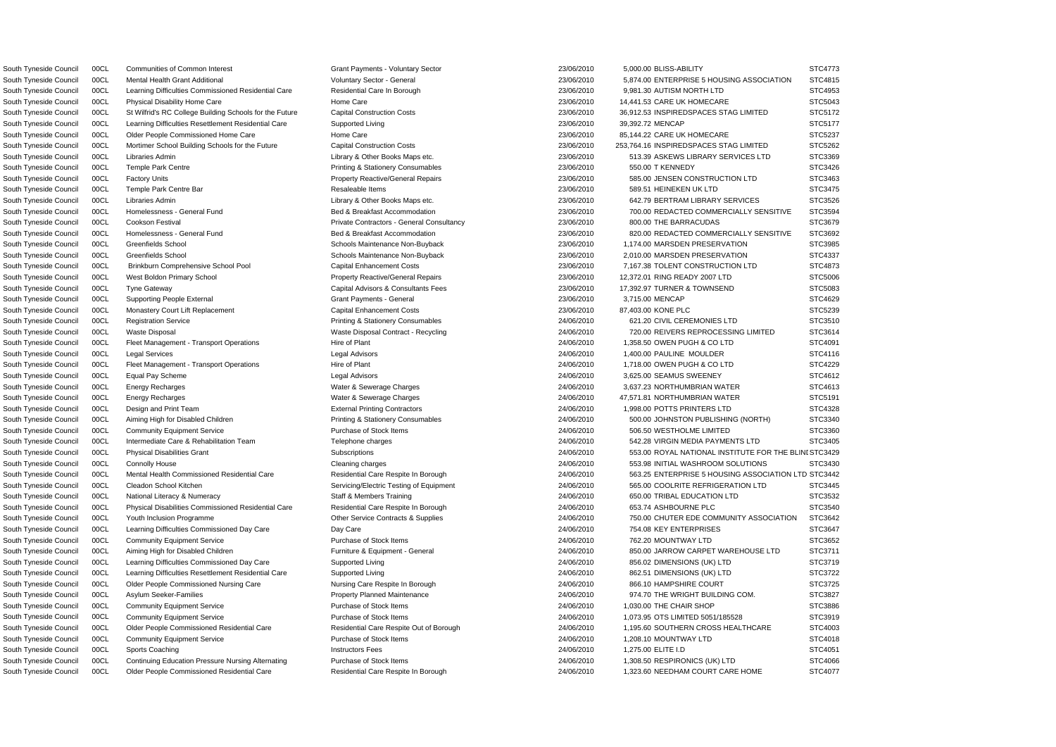South Tyneside Council COCL Physical Disabilities Grant Subscriptions Subscriptions 24/06/2010 553.00 ROYAL NATIONAL INSTITUTE FOR THE BLINI STC3429 South Tyneside Council 00CL Communities of Common Interest Grant Payments - Voluntary Sector 23/06/2010 5,000.00 BLISS-ABILITY STC4773 South Tyneside Council 00CL Mental Health Grant Additional Voluntary Sector - General 23/06/2010 5,874.00 ENTERPRISE 5 HOUSING ASSOCIATION STC4815 South Tyneside Council 00CL Learning Difficulties Commissioned Residential Care Residential Care In Borough 23/06/2010 9,981.30 AUTISM NORTH LTD STC4953 South Tyneside Council 00CL Physical Disability Home Care Home Care Home Care 23/06/2010 14,441.53 CARE UK HOMECARE STC5043 South Tyneside Council 00CL St Wilfrid's RC College Building Schools for the Future Capital Construction Costs 23/06/2010 36,912.53 INSPIREDSPACES STAG LIMITED STC5172 South Tyneside Council 00CL Learning Difficulties Resettlement Residential Care Supported Living 23/06/2010 39,392.72 MENCAP STC5177 South Tyneside Council 00CL Older People Commissioned Home Care Home Care Home Care 23/06/2010 85,144.22 CARE UK HOMECARE STC5237 South Tyneside Council 00CL Mortimer School Building Schools for the Future Capital Construction Costs 23/06/2010 253,764.16 INSPIREDSPACES STAG LIMITED STC5262 South Tyneside Council 00CL Libraries Admin 2000 2000 Library & Other Books Maps etc. 23/06/2010 513.39 ASKEWS LIBRARY SERVICES LTD STC3369 South Tyneside Council 00CL Temple Park Centre **Printing & Stationery Consumables** 23/06/2010 550.00 T KENNEDY STC3426 South Tyneside Council 00CL Factory Units excludions and the Property Reactive/General Repairs 23/06/2010 585.00 JENSEN CONSTRUCTION LTD STC3463 South Tyneside Council 00CL Temple Park Centre Bar Resaleable Items 23/06/2010 589.51 HEINEKEN UK LTD STC3475 South Tyneside Council 00CL Libraries Admin 2000 2000 Library & Other Books Maps etc. 23/06/2010 642.79 BERTRAM LIBRARY SERVICES STC3526 South Tyneside Council 00CL Homelessness - General Fund Bed & Breakfast Accommodation 23/06/2010 700.00 REDACTED COMMERCIALLY SENSITIVE STC3594 South Tyneside Council 00CL Cookson Festival **Private Contractors - General Consultancy** 23/06/2010 800.00 THE BARRACUDAS STC3679 South Tyneside Council 00CL Homelessness - General Fund Bed & Breakfast Accommodation 23/06/2010 820.00 REDACTED COMMERCIALLY SENSITIVE STC3692 South Tyneside Council 00CL Greenfields School School Schools Maintenance Non-Buyback 23/06/2010 1,174.00 MARSDEN PRESERVATION STC3985 South Tyneside Council 00CL Greenfields School School Schools Maintenance Non-Buyback 23/06/2010 2,010.00 MARSDEN PRESERVATION STC4337 South Tyneside Council 00CL Brinkburn Comprehensive School Pool Capital Enhancement Costs 23/06/2010 7,167.38 TOLENT CONSTRUCTION LTD STC4873 South Tyneside Council 00CL West Boldon Primary School **Property Reactive/General Repairs** 23/06/2010 12,372.01 RING READY 2007 LTD STC5006 South Tyneside Council 00CL Tyne Gateway Capital Capital Advisors & Consultants Fees 23/06/2010 17,392.97 TURNER & TOWNSEND STC5083 South Tyneside Council 00CL Supporting People External STC4629 Crant Payments - General 23/06/2010 3,715.00 MENCAP STC4629 South Tyneside Council 00CL Monastery Court Lift Replacement Capital Enhancement Costs 23/06/2010 87,403.00 KONE PLC STC5239 South Tyneside Council 00CL Registration Service **Printing & Stationery Consumables** 24/06/2010 621.20 CIVIL CEREMONIES LTD STC3510 South Tyneside Council 00CL Waste Disposal Waste Disposal Contract - Recycling 24/06/2010 720.00 REIVERS REPROCESSING LIMITED STC3614 South Tyneside Council 00CL Fleet Management - Transport Operations Hire of Plant 24/06/2010 1,358.50 OWEN PUGH & CO LTD STC4091 South Tyneside Council 00CL Legal Services **Legal Advisors** Legal Advisors 24/06/2010 1,400.00 PAULINE MOULDER STC4116 South Tyneside Council 00CL Fleet Management - Transport Operations Hire of Plant 24/06/2010 1,718.00 OWEN PUGH & CO LTD STC4229 South Tyneside Council 00CL Equal Pay Scheme Legal Advisors 24/06/2010 3,625.00 SEAMUS SWEENEY STC4612 South Tyneside Council 00CL Energy Recharges Water & Sewerage Charges 24/06/2010 3,637.23 NORTHUMBRIAN WATER STC4613 South Tyneside Council 00CL Energy Recharges examples water & Sewerage Charges 24/06/2010 47,571.81 NORTHUMBRIAN WATER STC5191 South Tyneside Council 00CL Design and Print Team **External Printing Contractors** 24/06/2010 1,998.00 POTTS PRINTERS LTD STC4328 South Tyneside Council 00CL Aiming High for Disabled Children Printing & Stationery Consumables 24/06/2010 500.00 JOHNSTON PUBLISHING (NORTH) STC3340 South Tyneside Council 00CL Community Equipment Service Purchase of Stock Items 24/06/2010 506.50 WESTHOLME LIMITED STC3360 South Tyneside Council 00CL Intermediate Care & Rehabilitation Team Telephone charges 24/06/2010 542.28 VIRGIN MEDIA PAYMENTS LTD STC3405 South Tyneside Council 00CL Connolly House Cleaning Cleaning charges Cleaning charges 24/06/2010 553.98 INITIAL WASHROOM SOLUTIONS STC3430 South Tyneside Council 00CL Mental Health Commissioned Residential Care Residential Care Respite In Borough 24/06/2010 563.25 ENTERPRISE 5 HOUSING ASSOCIATION LTD STC3442 South Tyneside Council 00CL Cleadon School Kitchen Subsectric Servicing/Electric Testing of Equipment 24/06/2010 565.00 COOLRITE REFRIGERATION LTD STC3445 South Tyneside Council 00CL National Literacy & Numeracy Staff & Members Training 24/06/2010 650.00 TRIBAL EDUCATION LTD STC3532 South Tyneside Council 00CL Physical Disabilities Commissioned Residential Care Respite In Borough 24/06/2010 653.74 ASHBOURNE PLC STC3540 South Tyneside Council 00CL Youth Inclusion Programme CHE CONNECT Contracts & Supplies 24/06/2010 750.00 CHUTER EDE COMMUNITY ASSOCIATION STC3642 South Tyneside Council 00CL Learning Difficulties Commissioned Day Care Day Care Day Care 24/06/2010 754.08 KEY ENTERPRISES STC3647 South Tyneside Council 00CL Community Equipment Service **Purchase of Stock Items 24/06/2010** 762.20 MOUNTWAY LTD STC3652 South Tyneside Council 00CL Aiming High for Disabled Children Furniture & Equipment - General 24/06/2010 850.00 JARROW CARPET WAREHOUSE LTD STC3711 South Tyneside Council 00CL Learning Difficulties Commissioned Day Care Supported Living 24/06/2010 856.02 DIMENSIONS (UK) LTD STC3719 South Tyneside Council 00CL Learning Difficulties Resettlement Residential Care Supported Living 24/06/2010 862.51 DIMENSIONS (UK) LTD STC3722 South Tyneside Council 00CL Older People Commissioned Nursing Care Nursing Care Respite In Borough 24/06/2010 866.10 HAMPSHIRE COURT STC3725 South Tyneside Council 00CL Asylum Seeker-Families exception and the Property Planned Maintenance and the 24/06/2010 974.70 THE WRIGHT BUILDING COM. STC3827 South Tyneside Council 00CL Community Equipment Service **Purchase of Stock Items** 24/06/2010 1,030.00 THE CHAIR SHOP STC3886 South Tyneside Council 00CL Community Equipment Service Purchase of Stock Items 24/06/2010 1,073.95 OTS LIMITED 5051/185528 STC3919 South Tyneside Council 00CL Older People Commissioned Residential Care Residential Care Respite Out of Borough 24/06/2010 1,195.60 SOUTHERN CROSS HEALTHCARE STC4003 South Tyneside Council 00CL Community Equipment Service Purchase of Stock Items 24/06/2010 1,208.10 MOUNTWAY LTD STC4018 South Tyneside Council 00CL Sports Coaching **Instructors Fees** 24/06/2010 1,275.00 ELITE I.D STC4051 South Tyneside Council 00CL Continuing Education Pressure Nursing Alternating Purchase of Stock Items 24/06/2010 1,308.50 RESPIRONICS (UK) LTD STC4066 South Tyneside Council 00CL Older People Commissioned Residential Care Respite In Borough 24/06/2010 1,323.60 NEEDHAM COURT CARE HOME STC4077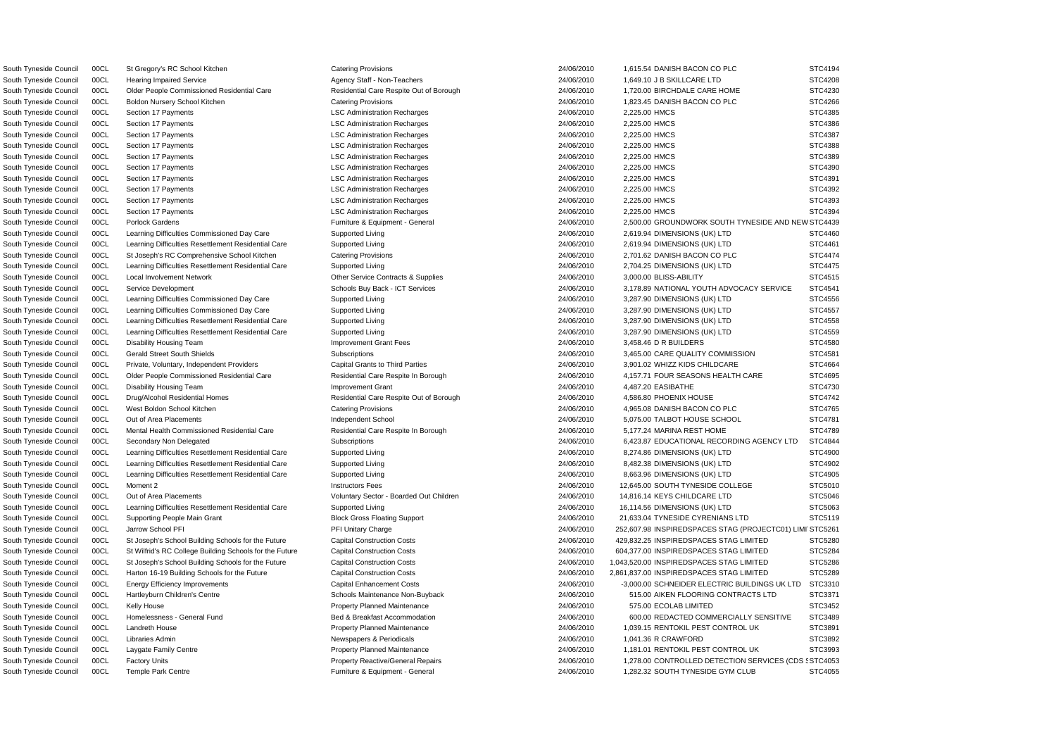WSouth Tyneside Council 00CL Porlock Gardens Furniture & Equipment - General 24/06/2010 2,500.00 GROUNDWORK SOUTH TYNESIDE AND NE STC4439 S South Tyneside Council 00CL Factory Units Property Reactive/General Repairs 24/06/2010 1,278.00 CONTROLLED DETECTION SERVICES (CDS STC4053 South Tyneside Council 00CL St Gregory's RC School Kitchen Catering Provisions Catering Provisions 24/06/2010 1,615.54 DANISH BACON CO PLC STC4194 South Tyneside Council 00CL Hearing Impaired Service Agency Staff - Non-Teachers 24/06/2010 1,649.10 J B SKILLCARE LTD STC4208 South Tyneside Council 00CL Older People Commissioned Residential Care Residential Care Respite Out of Borough 24/06/2010 1,720.00 BIRCHDALE CARE HOME STC4230 South Tyneside Council 00CL Boldon Nursery School Kitchen Catering Provisions Catering Provisions 24/06/2010 1,823.45 DANISH BACON CO PLC STC4266 South Tyneside Council 00CL Section 17 Payments **LSC Administration Recharges** 24/06/2010 2,225.00 HMCS STC4385 South Tyneside Council 00CL Section 17 Payments **LSC Administration Recharges** 24/06/2010 2,225.00 HMCS STC4386 South Tyneside Council 00CL Section 17 Payments **LSC Administration Recharges** 24/06/2010 2,225.00 HMCS STC4387 South Tyneside Council 00CL Section 17 Payments **LSC Administration Recharges** 24/06/2010 2,225.00 HMCS STC4388 South Tyneside Council 00CL Section 17 Payments **LSC Administration Recharges** 24/06/2010 2,225.00 HMCS STC4389 South Tyneside Council 00CL Section 17 Payments **LSC Administration Recharges** 24/06/2010 2,225.00 HMCS STC4390 South Tyneside Council 00CL Section 17 Payments **LSC Administration Recharges** 24/06/2010 2,225.00 HMCS STC4391 South Tyneside Council 00CL Section 17 Payments **LSC Administration Recharges** 24/06/2010 2,225.00 HMCS STC4392 South Tyneside Council 00CL Section 17 Payments **LSC Administration Recharges** 24/06/2010 2,225.00 HMCS STC4393 South Tyneside Council 00CL Section 17 Payments Carries Council SCC Administration Recharges 24/06/2010 2,225.00 HMCS STC4394 South Tyneside Council 00CL Learning Difficulties Commissioned Day Care Supported Living 24/06/2010 2,619.94 DIMENSIONS (UK) LTD STC4460 South Tyneside Council 00CL Learning Difficulties Resettlement Residential Care Supported Living 2000 24/06/2010 2,619.94 DIMENSIONS (UK) LTD STC4461 South Tyneside Council 00CL St Joseph's RC Comprehensive School Kitchen Catering Provisions 24/06/2010 2,701.62 DANISH BACON CO PLC STC4474 South Tyneside Council 00CL Learning Difficulties Resettlement Residential Care Supported Living 24/06/2010 2,704.25 DIMENSIONS (UK) LTD STC4475 South Tyneside Council 00CL Local Involvement Network Contracts & Other Service Contracts & Supplies 24/06/2010 24/06/2010 3,000.00 BLISS-ABILITY STC4515 South Tyneside Council 00CL Service Development 2000 Schools Buy Back - ICT Services 24/06/2010 3,178.89 NATIONAL YOUTH ADVOCACY SERVICE STC4541 South Tyneside Council 00CL Learning Difficulties Commissioned Day Care Supported Living 2000 24/06/2010 3,287.90 DIMENSIONS (UK) LTD STC4556 South Tyneside Council 00CL Learning Difficulties Commissioned Day Care Supported Living 2000 24/06/2010 3,287.90 DIMENSIONS (UK) LTD STC4557 South Tyneside Council 00CL Learning Difficulties Resettlement Residential Care Supported Living 2000 24/06/2010 3,287.90 DIMENSIONS (UK) LTD STC4558 South Tyneside Council 00CL Learning Difficulties Resettlement Residential Care Supported Living 24/06/2010 3,287.90 DIMENSIONS (UK) LTD STC4559 South Tyneside Council 00CL Disability Housing Team **Improvement Grant Fees** 24/06/2010 3,458.46 D R BUILDERS STC4580 South Tyneside Council 00CL Gerald Street South Shields Subscriptions Subscriptions 24/06/2010 3,465.00 CARE QUALITY COMMISSION STC4581 South Tyneside Council 00CL Private, Voluntary, Independent Providers Capital Grants to Third Parties 24/06/2010 3,901.02 WHIZZ KIDS CHILDCARE STC4664 South Tyneside Council 00CL Older People Commissioned Residential Care Respite In Borough 24/06/2010 4,157.71 FOUR SEASONS HEALTH CARE STC4695 South Tyneside Council 00CL Disability Housing Team **Improvement Grant** Improvement Grant 24/06/2010 4,487.20 EASIBATHE STC4730 South Tyneside Council 00CL Drug/Alcohol Residential Homes Residential Care Respite Out of Borough 24/06/2010 4,586.80 PHOENIX HOUSE STC4742 South Tyneside Council 00CL West Boldon School Kitchen Catering Provisions Catering Provisions 24/06/2010 4,965.08 DANISH BACON CO PLC STC4765 South Tyneside Council 00CL Out of Area Placements **Independent School** Independent School 24/06/2010 5,075.00 TALBOT HOUSE SCHOOL STC4781 South Tyneside Council 00CL Mental Health Commissioned Residential Care Respite In Borough 24/06/2010 5,177.24 MARINA REST HOME STC4789 South Tyneside Council 00CL Secondary Non Delegated Subscriptions Subscriptions 24/06/2010 6,423.87 EDUCATIONAL RECORDING AGENCY LTD STC4844 South Tyneside Council 00CL Learning Difficulties Resettlement Residential Care Supported Living 24/06/2010 24/06/2010 8,274.86 DIMENSIONS (UK) LTD STC4900 South Tyneside Council 00CL Learning Difficulties Resettlement Residential Care Supported Living 24/06/2010 8,482.38 DIMENSIONS (UK) LTD STC4902 South Tyneside Council 00CL Learning Difficulties Resettlement Residential Care Supported Living 2006/2010 24/06/2010 8,663.96 DIMENSIONS (UK) LTD STC4905 South Tyneside Council 00CL Moment 2 **Instructors Fees** Instructors Fees 24/06/2010 12,645.00 SOUTH TYNESIDE COLLEGE STC5010 South Tyneside Council 00CL Out of Area Placements **STC5046** Voluntary Sector - Boarded Out Children 24/06/2010 14,816.14 KEYS CHILDCARE LTD STC5046 South Tyneside Council 00CL Learning Difficulties Resettlement Residential Care Supported Living 24/06/2010 16,114.56 DIMENSIONS (UK) LTD STC5063 South Tyneside Council 00CL Supporting People Main Grant **Block Gross Floating Support** 24/06/2010 21,633.04 TYNESIDE CYRENIANS LTD STC5119 South Tyneside Council 00CL Jarrow School PFI **PFI Processing Charge 24/06/2010** 252,607.98 INSPIREDSPACES STAG (PROJECTC01) LIMITSTC5261 South Tyneside Council 00CL St Joseph's School Building Schools for the Future Capital Construction Costs 24/06/2010 429.832.25 INSPIREDSPACES STAG LIMITED STC5280 South Tyneside Council 00CL St Wilfrid's RC College Building Schools for the Future Capital Construction Costs 24/06/2010 604,377.00 INSPIREDSPACES STAG LIMITED STC5284 South Tyneside Council 00CL St Joseph's School Building Schools for the Future Capital Construction Costs 24/06/2010 1,043,520.00 INSPIREDSPACES STAG LIMITED STC5286 South Tyneside Council 00CL Harton 16-19 Building Schools for the Future Capital Construction Costs 24/06/2010 2,861,837.00 INSPIREDSPACES STAG LIMITED STC5289 South Tyneside Council 00CL Energy Efficiency Improvements Capital Enhancement Costs 24/06/2010 -3,000.00 SCHNEIDER ELECTRIC BUILDINGS UK LTD STC3310 South Tyneside Council 00CL Hartleyburn Children's Centre Schools Maintenance Non-Buyback 24/06/2010 515.00 AIKEN FLOORING CONTRACTS LTD STC3371 South Tyneside Council 00CL Kelly House 2TC3452 Property Planned Maintenance 254/06/2010 575.00 ECOLAB LIMITED STC3452 South Tyneside Council 00CL Homelessness - General Fund Bed & Breakfast Accommodation 24/06/2010 600.00 REDACTED COMMERCIALLY SENSITIVE STC3489 South Tyneside Council 00CL Landreth House **Property Planned Maintenance** Property Planned Maintenance 24/06/2010 1,039.15 RENTOKIL PEST CONTROL UK STC3891 South Tyneside Council 00CL Libraries Admin 2000 1,041.36 R CRAWFORD STC3892 South Tyneside Council 00CL Laygate Family Centre enters and the Property Planned Maintenance and the case of the 24/06/2010 1,181.01 RENTOKIL PEST CONTROL UK STC3993 South Tyneside Council 00CL Temple Park Centre enters and the STC4055 Furniture & Equipment - General enters and the 24/06/2010 1,282.32 SOUTH TYNESIDE GYM CLUB STC4055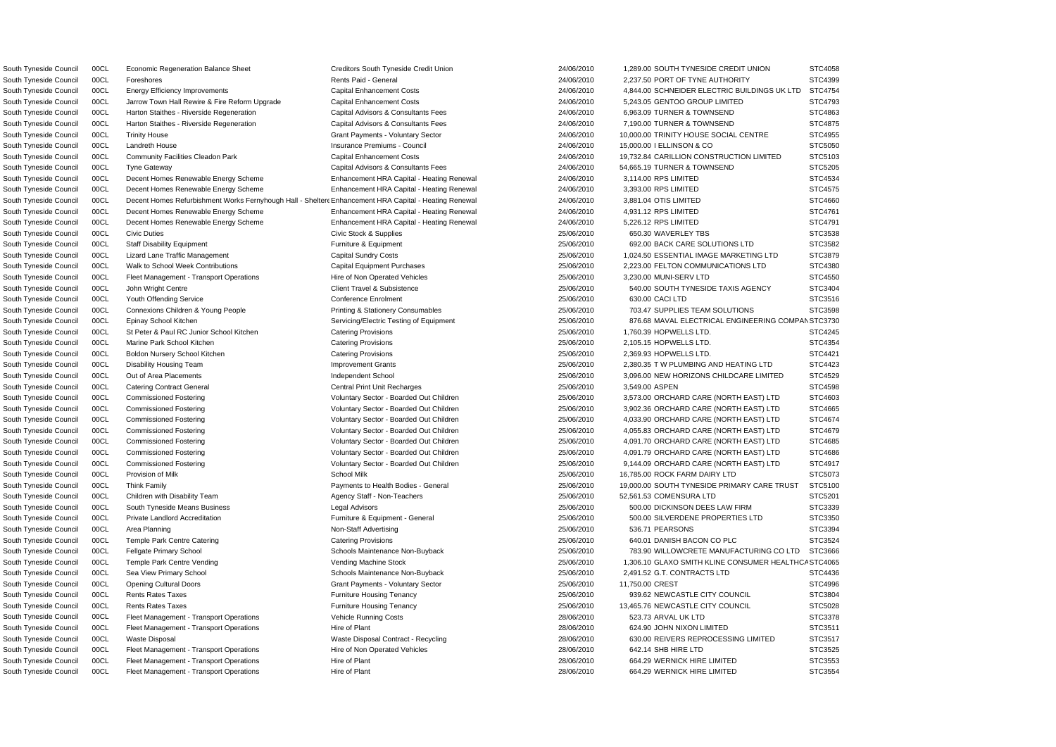South Tyneside Council 00CL Decent Homes Renewable Energy Scheme Enhancement HRA Capital - Heating Renewal 24/06/2010 3,114.00 RPS LIMITED South Tyneside Council 00CL Decent Homes Renewable Energy Scheme Enhancement HRA Capital - Heating Renewal 24/06/2010 3,393.00 RPS LIMITED South Tyneside Council 00CL Decent Homes Renewable Energy Scheme Enhancement HRA Capital - Heating Renewal 24/06/2010 4,931.12 RPS LIMITED South Tyneside Council 00CL Decent Homes Renewable Energy Scheme Enhancement HRA Capital - Heating Renewal 24/06/2010 5.226.12 RPS LIMITED South Tyneside Council 00CL Fleet Management - Transport Operations Hire of Non Operated Vehicles 25/06/2010 3,230.00 MUNI-SERV LTD South Tyneside Council 00CL St Peter & Paul RC Junior School Kitchen Catering Provisions 25/06/2010 1,760.39 HOPWELLS LTD. South Tyneside Council 00CL Boldon Nursery School Kitchen Catering Provisions Catering Provisions 25/06/2010 2,369.93 HOPWELLS LTD. South Tyneside Council 00CL Children with Disability Team **Agency Staff - Non-Teachers** 25/06/2010 52,561.53 COMENSURA LTD South Tyneside Council 00CL Opening Cultural Doors Grant Payments - Voluntary Sector 25/06/2010 11,750.00 CREST South Tyneside Council COCL Fleet Management - Transport Operations Vehicle Running Costs 28/06/2010 523.73 ARVAL UK LTD South Tyneside Council 00CL Fleet Management - Transport Operations Hire of Non Operated Vehicles 28/06/2010 642.14 SHB HIRE LTD South Tyneside Council 00CL Fleet Management - Transport Operations Hire of Plant 28/06/2010 664.29 WERNICK HIRE LIMITED

South Tyneside Council 00CL Decent Homes Refurbishment Works Fernyhough Hall - Shelter Enhancement HRA Capital - Heating Renewal 24/06/2010 3,881.04 OTIS LIMITED STC4660 South Tyneside Council 00CL Economic Regeneration Balance Sheet Creditors South Tyneside Credit Union 24/06/2010 1,289.00 SOUTH TYNESIDE CREDIT UNION South Tyneside Council 00CL Foreshores **Rents Paid - General** 24/06/2010 2,237.50 PORT OF TYNE AUTHORITY South Tyneside Council 00CL Energy Efficiency Improvements Contain Costs Capital Enhancement Costs 24/06/2010 4,844.00 SCHNEIDER ELECTRIC BUILDINGS UK LTD South Tyneside Council 00CL Jarrow Town Hall Rewire & Fire Reform Upgrade Capital Enhancement Costs 24/06/2010 5,243.05 GENTOO GROUP LIMITED South Tyneside Council 00CL Harton Staithes - Riverside Regeneration Capital Advisors & Consultants Fees 24/06/2010 6,963.09 TURNER & TOWNSEND South Tyneside Council 00CL Harton Staithes - Riverside Regeneration Capital Advisors & Consultants Fees 24/06/2010 7,190.00 TURNER & TOWNSEND South Tyneside Council 00CL Trinity House CENTRE Grant Payments - Voluntary Sector 24/06/2010 10,000.00 TRINITY HOUSE SOCIAL CENTRE South Tyneside Council 00CL Landreth House Insurance Premiums - Council 24/06/2010 15,000.00 I ELLINSON & CO STC5050 South Tyneside Council 00CL Community Facilities Cleadon Park Capital Enhancement Costs 24/06/2010 19,732.84 CARILLION CONSTRUCTION LIMITED South Tyneside Council 00CL Tyne Gateway Capital Advisors & Consultants Fees 24/06/2010 54,665.19 TURNER & TOWNSEND South Tyneside Council 00CL Civic Duties Civic Stock & Supplies 25/06/2010 650.30 WAVERLEY TBS STC3538 South Tyneside Council 00CL Staff Disability Equipment **Accouncil 25/06/2010** 692.00 BACK CARE SOLUTIONS LTD Staff Disability Equipment **25/06/2010** 692.00 BACK CARE SOLUTIONS LTD South Tyneside Council 00CL Lizard Lane Traffic Management Capital Sundry Costs 25/06/2010 1,024.50 ESSENTIAL IMAGE MARKETING LTD South Tyneside Council 00CL Walk to School Week Contributions Capital Equipment Purchases 25/06/2010 2,223.00 FELTON COMMUNICATIONS LTD South Tyneside Council 00CL John Wright Centre 2000 Client Travel & Subsistence 25/06/2010 540.00 SOUTH TYNESIDE TAXIS AGENCY South Tyneside Council 00CL Youth Offending Service Content Conference Enrolment 25/06/2010 630.00 CACI LTD STC3516 South Tyneside Council 00CL Connexions Children & Young People Printing & Stationery Consumables 25/06/2010 703.47 SUPPLIES TEAM SOLUTIONS South Tyneside Council 00CL Epinay School Kitchen Servicing/Electric Testing of Equipment 25/06/2010 876.68 MAVAL ELECTRICAL ENGINEERING COMP South Tyneside Council 00CL Marine Park School Kitchen Catering Provisions Catering Provisions 25/06/2010 2,105.15 HOPWELLS LTD. STC4354 South Tyneside Council 00CL Disability Housing Team **Improvement Grants Improvement Grants** 25/06/2010 2,380.35 T W PLUMBING AND HEATING LTD South Tyneside Council 00CL Out of Area Placements **Independent School** 25/06/2010 3,096.00 NEW HORIZONS CHILDCARE LIMITED South Tyneside Council 00CL Catering Contract General 2007 2008 25/06/2010 25/06/2010 3,549.00 ASPEN STC4598 South Tyneside Council 00CL Commissioned Fostering The Steven Coluntary Sector - Boarded Out Children 25/06/2010 3,573.00 ORCHARD CARE (NORTH EAST) LTD South Tyneside Council 00CL Commissioned Fostering excludional voluntary Sector - Boarded Out Children 25/06/2010 3,902.36 ORCHARD CARE (NORTH EAST) LTD South Tyneside Council 00CL Commissioned Fostering **National Commissioned Fostering** Voluntary Sector - Boarded Out Children 25/06/2010 4,033.90 ORCHARD CARE (NORTH EAST) LTD South Tyneside Council 00CL Commissioned Fostering The Steven Coluntary Sector - Boarded Out Children 25/06/2010 4,055.83 ORCHARD CARE (NORTH EAST) LTD South Tyneside Council 00CL Commissioned Fostering Voluntary Sector - Boarded Out Children 25/06/2010 4,091.70 ORCHARD CARE (NORTH EAST) LTD South Tyneside Council 00CL Commissioned Fostering The Steven Coluntary Sector - Boarded Out Children 25/06/2010 4,091.79 ORCHARD CARE (NORTH EAST) LTD South Tyneside Council 00CL Commissioned Fostering vera vera voluntary Sector - Boarded Out Children 25/06/2010 9,144.09 ORCHARD CARE (NORTH EAST) LTD South Tyneside Council 00CL Provision of Milk Chronic Council 25/06/2010 16,785.00 ROCK FARM DAIRY LTD South Tyneside Council 00CL Think Family **Payments to Health Bodies - General** 25/06/2010 19,000.00 SOUTH TYNESIDE PRIMARY CARE TRUST South Tyneside Council 00CL South Tyneside Means Business Legal Advisors Legal Advisors 25/06/2010 500.00 DICKINSON DEES LAW FIRM South Tyneside Council 00CL Private Landlord Accreditation **Furniture & Equipment - General** 25/06/2010 500.00 SILVERDENE PROPERTIES LTD South Tyneside Council 00CL Area Planning Non-Staff Advertising 25/06/2010 536.71 PEARSONS STC3394 South Tyneside Council 00CL Temple Park Centre Catering Catering Catering Provisions Catering Provisions 25/06/2010 640.01 DANISH BACON CO PLC South Tyneside Council 00CL Fellgate Primary School School Schools Maintenance Non-Buyback 25/06/2010 783.90 WILLOWCRETE MANUFACTURING CO LTD South Tyneside Council 00CL Temple Park Centre Vending vending Vending Machine Stock 25/06/2010 1,306.10 GLAXO SMITH KLINE CONSUMER HEALTH South Tyneside Council 00CL Sea View Primary School Schools Maintenance Non-Buyback 25/06/2010 2,491.52 G.T. CONTRACTS LTD South Tyneside Council 00CL Rents Rates Taxes Furniture Housing Tenancy Furniture Housing Tenancy and the material of the state of the state of the state of the state of the state of the state of the state of the state of South Tyneside Council 00CL Rents Rates Taxes Furniture Housing Tenancy Furniture Housing Tenancy 25/06/2010 13,465.76 NEWCASTLE CITY COUNCIL South Tyneside Council 00Cl Fleet Management - Transport Operations Hire of Plant 28/06/2010 624.90 JOHN NIXON LIMITED South Tyneside Council 00CL Waste Disposal 2008/2010 Waste Disposal Contract - Recycling 28/06/2010 630.00 REIVERS REPROCESSING LIMITED South Tyneside Council COCL Fleet Management - Transport Operations Hire of Plant 28/06/2010 664.29 WERNICK HIRE LIMITED

|     | STC4058              |  |
|-----|----------------------|--|
|     | STC4399              |  |
| )   | STC4754              |  |
|     | STC4793              |  |
|     | STC4863              |  |
|     | STC4875              |  |
|     | STC4955              |  |
|     | STC5050              |  |
|     | STC5103              |  |
|     | STC5205              |  |
|     | STC4534              |  |
|     | STC4575              |  |
|     | STC4660              |  |
|     |                      |  |
|     | STC4761              |  |
|     | STC4791              |  |
|     | STC3538              |  |
|     | STC3582              |  |
|     | STC3879              |  |
|     | STC4380              |  |
|     | STC4550              |  |
|     | STC3404              |  |
|     | STC3516              |  |
|     | STC3598              |  |
|     | AN STC3730           |  |
|     | STC4245              |  |
|     | STC4354              |  |
|     | STC4421              |  |
|     | STC4423              |  |
|     | STC4529              |  |
|     | STC4598              |  |
|     | STC4603              |  |
|     | STC4665              |  |
|     | STC4674              |  |
|     | STC4679              |  |
|     | STC4685              |  |
|     | STC4686              |  |
|     | T<br>Ï<br>:4917<br>¢ |  |
|     | STC5073              |  |
|     | STC5100              |  |
|     | STC5201              |  |
|     | STC3339              |  |
|     |                      |  |
|     | STC3350              |  |
|     | STC3394              |  |
|     | STC3524              |  |
| )   | STC3666              |  |
| ICA | STC4065              |  |
|     | STC4436              |  |
|     | STC4996              |  |
|     | STC3804              |  |
|     | STC5028              |  |
|     | STC3378              |  |
|     | STC3511              |  |
|     | STC3517              |  |
|     | STC3525              |  |
|     | STC3553              |  |
|     | STC3554              |  |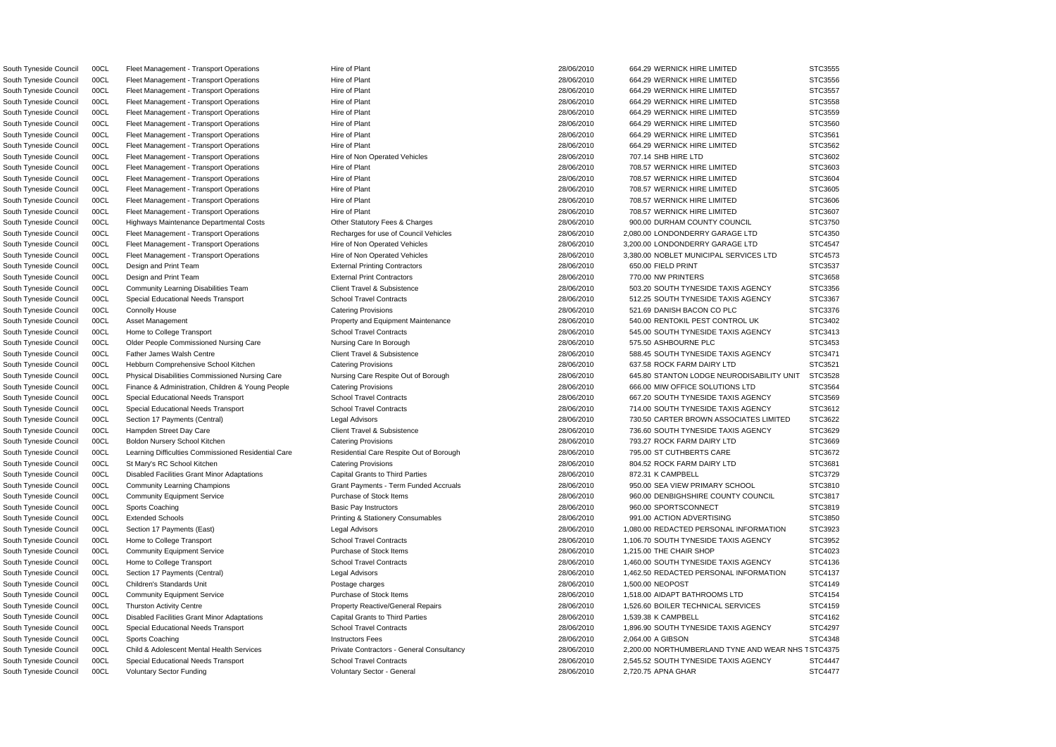South Tyneside Council 00CL Voluntary Sector Funding variable voluntary Sector - General variable variable variable variable variable variable variable variable variable strength STC4477

South Tyneside Council 00CL Child & Adolescent Mental Health Services Private Contractors - General Consultancy 28/06/2010 2,200.00 NORTHUMBERLAND TYNE AND WEAR NHS TSTC4375 South Tyneside Council 00CL Fleet Management - Transport Operations Hire of Plant Hire of Plant 28/06/2010 664.29 WERNICK HIRE LIMITED STC3555 South Tyneside Council 00CL Fleet Management - Transport Operations Hire of Plant 28/06/2010 864.29 WERNICK HIRE LIMITED STC3556 South Tyneside Council 00CL Fleet Management - Transport Operations Hire of Plant Hire of Plant 28/06/2010 664.29 WERNICK HIRE LIMITED STC3557 South Tyneside Council 00CL Fleet Management - Transport Operations Hire of Plant 28/06/2010 664.29 WERNICK HIRE LIMITED STC3558 South Tyneside Council 00CL Fleet Management - Transport Operations Hire of Plant 28/06/2010 664.29 WERNICK HIRE LIMITED STC3559 South Tyneside Council 00CL Fleet Management - Transport Operations Hire of Plant Hire of Plant 28/06/2010 664.29 WERNICK HIRE LIMITED STC3560 South Tyneside Council 00CL Fleet Management - Transport Operations Hire of Plant 28/06/2010 664.29 WERNICK HIRE LIMITED STC3561 South Tyneside Council 00CL Fleet Management - Transport Operations Hire of Plant Hire of Plant 28/06/2010 664.29 WERNICK HIRE LIMITED STC3562 South Tyneside Council 00CL Fleet Management - Transport Operations Hire of Non Operated Vehicles 28/06/2010 707.14 SHB HIRE LTD STC3602 South Tyneside Council COCL Fleet Management - Transport Operations Hire of Plant Hire of Plant 28/06/2010 708.57 WERNICK HIRE LIMITED STC3603 South Tyneside Council 00CL Fleet Management - Transport Operations Hire of Plant Hire of Plant 28/06/2010 708.57 WERNICK HIRE LIMITED STC3604 South Tyneside Council 00CL Fleet Management - Transport Operations Hire of Plant Hire of Plant 28/06/2010 708.57 WERNICK HIRE LIMITED STC3605 South Tyneside Council COCL Fleet Management - Transport Operations Hire of Plant 28/06/2010 708.57 WERNICK HIRE LIMITED STC3606 South Tyneside Council 00CL Fleet Management - Transport Operations Hire of Plant 28/06/2010 708.57 WERNICK HIRE LIMITED STC3607 South Tyneside Council 00CL Highways Maintenance Departmental Costs Cher Statutory Fees & Charges 28/06/2010 900.00 DURHAM COUNTY COUNCIL STC3750 South Tyneside Council 00CL Fleet Management - Transport Operations Recharges for use of Council Vehicles 28/06/2010 2,080.00 LONDONDERRY GARAGE LTD STC4350 South Tyneside Council 00CL Fleet Management - Transport Operations Hire of Non Operated Vehicles 28/06/2010 3,200.00 LONDONDERRY GARAGE LTD STC4547 South Tyneside Council 00CL Fleet Management - Transport Operations Hire of Non Operated Vehicles 28/06/2010 28/06/2010 3,380.00 NOBLET MUNICIPAL SERVICES LTD STC4573 South Tyneside Council 00CL Design and Print Team **External Printing Contractors** 28/06/2010 650.00 FIELD PRINT STC3537 South Tyneside Council 00CL Design and Print Team  $\blacksquare$  External Print Contractors  $28/06/2010$  770.00 NW PRINTERS STC3658 South Tyneside Council 00CL Community Learning Disabilities Team Client Travel & Subsistence 28/06/2010 28/06/2010 503.20 SOUTH TYNESIDE TAXIS AGENCY STC3356 South Tyneside Council 00CL Special Educational Needs Transport School Travel Contracts 28/06/2010 512.25 SOUTH TYNESIDE TAXIS AGENCY STC3367 South Tyneside Council 00CL Connolly House Catering Provisions Catering Provisions Catering Provisions 28/06/2010 521.69 DANISH BACON CO PLC STC3376 South Tyneside Council 00CL Asset Management **Example 28/06/2010** 1540.00 RENTOKIL PEST CONTROL UK STC3402 South Tyneside Council 00CL Home to College Transport STC3413 School Travel Contracts 28/06/2010 545.00 SOUTH TYNESIDE TAXIS AGENCY STC3413 South Tyneside Council 00CL Older People Commissioned Nursing Care Nursing Care In Borough 28/06/2010 575.50 ASHBOURNE PLC STC3453 South Tyneside Council 00CL Father James Walsh Centre Client Travel & Subsistence 28/06/2010 588.45 SOUTH TYNESIDE TAXIS AGENCY STC3471 South Tyneside Council 00CL Hebburn Comprehensive School Kitchen Catering Provisions Catering Provisions 28/06/2010 637.58 ROCK FARM DAIRY LTD STC3521 South Tyneside Council 00CL Physical Disabilities Commissioned Nursing Care Nursing Care Nursing Care Respite Out of Borough 28/06/2010 645.80 STANTON LODGE NEURODISABILITY UNIT STC3528 South Tyneside Council 00CL Finance & Administration, Children & Young People Catering Provisions 28/06/2010 666.00 MIW OFFICE SOLUTIONS LTD STC3564 South Tyneside Council 00CL Special Educational Needs Transport School Travel Contracts 28/06/2010 667.20 SOUTH TYNESIDE TAXIS AGENCY STC3569 South Tyneside Council 00CL Special Educational Needs Transport School Travel Contracts 28/06/2010 714.00 SOUTH TYNESIDE TAXIS AGENCY STC3612 South Tyneside Council 00CL Section 17 Payments (Central) Legal Advisors Legal Advisors 28/06/2010 730.50 CARTER BROWN ASSOCIATES LIMITED STC3622 South Tyneside Council 00CL Hampden Street Day Care Client Travel & Subsistence 28/06/2010 736.60 SOUTH TYNESIDE TAXIS AGENCY STC3629 South Tyneside Council 00CL Boldon Nursery School Kitchen Catering Provisions Catering Provisions 28/06/2010 793.27 ROCK FARM DAIRY LTD STC3669 South Tyneside Council 00CL Learning Difficulties Commissioned Residential Care Respite Out of Borough 28/06/2010 795.00 ST CUTHBERTS CARE STC3672 South Tyneside Council 00CL St Mary's RC School Kitchen Catering Provisions 28/06/2010 804.52 ROCK FARM DAIRY LTD STC3681 South Tyneside Council 00CL Disabled Facilities Grant Minor Adaptations Capital Grants to Third Parties 28/06/2010 872.31 K CAMPBELL STC3729 STC3729 South Tyneside Council 00CL Community Learning Champions Grant Payments - Term Funded Accruals 28/06/2010 950.00 SEA VIEW PRIMARY SCHOOL STC3810 South Tyneside Council 00CL Community Equipment Service **Purchase of Stock Items** 28/06/2010 960.00 DENBIGHSHIRE COUNTY COUNCIL STC3817 South Tyneside Council 00CL Sports Coaching Basic Pay Instructors 28/06/2010 960.00 SPORTSCONNECT STC3819 South Tyneside Council 00CL Extended Schools **Printing & Stationery Consumables** 28/06/2010 991.00 ACTION ADVERTISING STC3850 South Tyneside Council 00CL Section 17 Payments (East) Legal Advisors 28/06/2010 1,080.00 REDACTED PERSONAL INFORMATION STC3923 South Tyneside Council 00CL Home to College Transport STC3952 School Travel Contracts School Travel Contracts 28/06/2010 1,106.70 SOUTH TYNESIDE TAXIS AGENCY STC3952 South Tyneside Council 00CL Community Equipment Service Purchase of Stock Items 28/06/2010 1,215.00 THE CHAIR SHOP STC4023 South Tyneside Council 00CL Home to College Transport STC4136 School Travel Contracts School Travel Contracts 28/06/2010 1,460.00 SOUTH TYNESIDE TAXIS AGENCY STC4136 South Tyneside Council 00CL Section 17 Payments (Central) Legal Advisors Legal Advisors 28/06/2010 1,462.50 REDACTED PERSONAL INFORMATION STC4137 South Tyneside Council 00CL Children's Standards Unit exception of the Postage charges 28/06/2010 1,500.00 NEOPOST STC4149 South Tyneside Council 00CL Community Equipment Service Purchase of Stock Items 28/06/2010 1,518.00 AIDAPT BATHROOMS LTD STC4154 South Tyneside Council 00CL Thurston Activity Centre **Property Reactive/General Repairs** 28/06/2010 1,526.60 BOILER TECHNICAL SERVICES STC4159 South Tyneside Council 00CL Disabled Facilities Grant Minor Adaptations Capital Grants to Third Parties 28/06/2010 1,539.38 K CAMPBELL STC4162 South Tyneside Council 00CL Special Educational Needs Transport School Travel Contracts 28/06/2010 1,896.90 SOUTH TYNESIDE TAXIS AGENCY STC4297 South Tyneside Council 00CL Sports Coaching Instructors Fees 28/06/2010 2,064.00 A GIBSON STC4348 South Tyneside Council 00CL Special Educational Needs Transport School Travel Contracts 28/06/2010 2,545.52 SOUTH TYNESIDE TAXIS AGENCY STC4447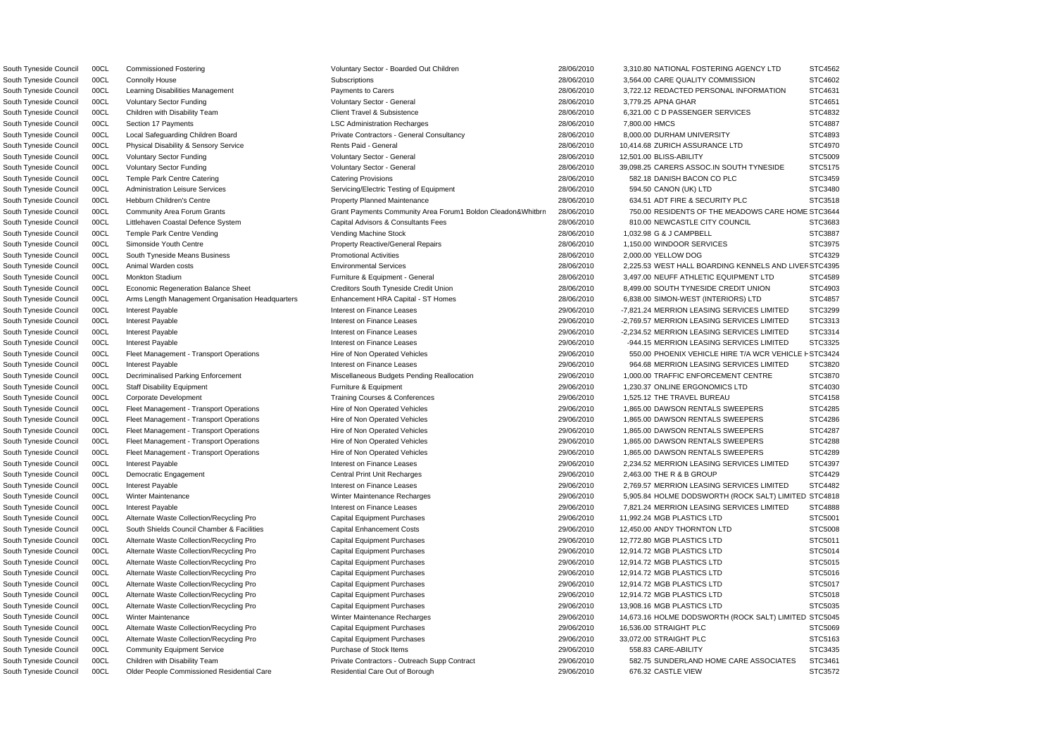South Tyneside Council 00CL Commissioned Fostering values of Voluntary Sector - Boarded Out Children 28/06/2010 3,310.80 NATIONAL FOSTERING AGENCY LTD STC4562

South Tyneside Council 00CL Older People Commissioned Residential Care Residential Care Residential Care Out of Borough 29/06/2010 676.32 CASTLE VIEW STC3572

South Tyneside Council COCL Community Area Forum Grants Same Community Area Forum1 Boldon Cleadon&Whitbrn 28/06/2010 750.00 RESIDENTS OF THE MEADOWS CARE HOME STC3644 South Tyneside Council 00CL Animal Warden costs external Services Environmental Services 28/06/2010 2,225.53 WEST HALL BOARDING KENNELS AND LIVEF STC4395 South Tyneside Council 00CL Fleet Management - Transport Operations Hire of Non Operated Vehicles 29/06/2010 550.00 PHOENIX VEHICLE HIRE T/A WCR VEHICLE F STC3424 South Tyneside Council 00CL Connolly House Subscriptions Subscriptions 28/06/2010 3,564.00 CARE QUALITY COMMISSION STC4602 South Tyneside Council 00CL Learning Disabilities Management **Payments to Carers** Payments to Carers 28/06/2010 3,722.12 REDACTED PERSONAL INFORMATION STC4631 South Tyneside Council 00CL Voluntary Sector Funding variables and Voluntary Sector - General variables and the 28/06/2010 3,779.25 APNA GHAR STC4651 South Tyneside Council 00CL Children with Disability Team Client Travel & Subsistence 28/06/2010 8,321.00 CD PASSENGER SERVICES STC4832 South Tyneside Council 00CL Section 17 Payments **LSC Administration Recharges** 28/06/2010 7,800.00 HMCS STC4887 South Tyneside Council 00CL Local Safeguarding Children Board Private Contractors - General Consultancy 28/06/2010 8,000.00 DURHAM UNIVERSITY STC4893 South Tyneside Council 00CL Physical Disability & Sensory Service Rents Paid - General 28/06/2010 28/06/2010 10,414.68 ZURICH ASSURANCE LTD STC4970 South Tyneside Council 00CL Voluntary Sector Funding variables and Voluntary Sector - General variables and the 28/06/2010 12,501.00 BLISS-ABILITY STC5009 South Tyneside Council 00CL Voluntary Sector Funding Voluntary Sector - General 28/06/2010 39,098.25 CARERS ASSOC.IN SOUTH TYNESIDE STC5175 South Tyneside Council 00CL Temple Park Centre Catering Catering Catering Provisions Catering Provisions 28/06/2010 582.18 DANISH BACON CO PLC STC3459 South Tyneside Council 00CL Administration Leisure Services Servicing/Electric Testing of Equipment 28/06/2010 594.50 CANON (UK) LTD STC3480 South Tyneside Council 00CL Hebburn Children's Centre 28/06/2010 28/06/2010 634.51 ADT FIRE & SECURITY PLC STC3518 South Tyneside Council 00CL Littlehaven Coastal Defence System Capital Advisors & Consultants Fees 28/06/2010 810.00 NEWCASTLE CITY COUNCIL STC3683 South Tyneside Council 00CL Temple Park Centre Vending Vending Vending Machine Stock 28/06/2010 1,032.98 G & J CAMPBELL STC3887 South Tyneside Council 00CL Simonside Youth Centre entere Property Reactive/General Repairs 28/06/2010 1,150.00 WINDOOR SERVICES STC3975 South Tyneside Council 00CL South Tyneside Means Business **Promotional Activities** Promotional Activities 28/06/2010 2,000.00 YELLOW DOG STC4329 South Tyneside Council 00CL Monkton Stadium **Furniture & Equipment - General** 28/06/2010 3,497.00 NEUFF ATHLETIC EQUIPMENT LTD STC4589 South Tyneside Council 00CL Economic Regeneration Balance Sheet Creditors South Tyneside Credit Union 28/06/2010 8,499.00 SOUTH TYNESIDE CREDIT UNION STC4903 South Tyneside Council 00CL Arms Length Management Organisation Headquarters Enhancement HRA Capital - ST Homes 28/06/2010 6,838.00 SIMON-WEST (INTERIORS) LTD STC4857 South Tyneside Council 00CL Interest Payable **Interest on Finance Leases** Interest on Finance Leases 29/06/2010 -7,821.24 MERRION LEASING SERVICES LIMITED STC3299 South Tyneside Council 00CL Interest Payable **Interest on Finance Leases** 29/06/2010 -2,769.57 MERRION LEASING SERVICES LIMITED STC3313 South Tyneside Council 00CL Interest Payable **Interest Payable** Interest on Finance Leases 29/06/2010 -2.234.52 MERRION LEASING SERVICES LIMITED STC3314 South Tyneside Council 00CL Interest Payable **Interest on Finance Leases** 29/06/2010 -944.15 MERRION LEASING SERVICES LIMITED STC3325 South Tyneside Council 00CL Interest Payable **Interest on Finance Leases** and Interest on Finance Leases and therest of Finance Leases and therest on Finance Leases and therest on Finance Leases and therest on Finance Leas South Tyneside Council 00CL Decriminalised Parking Enforcement Miscellaneous Budgets Pending Reallocation 29/06/2010 1,000.00 TRAFFIC ENFORCEMENT CENTRE STC3870 South Tyneside Council 00CL Staff Disability Equipment Furniture & Equipment Furniture & Equipment 29/06/2010 1,230.37 ONLINE ERGONOMICS LTD STC4030 South Tyneside Council 00CL Corporate Development Training Courses & Conferences 29/06/2010 1,525.12 THE TRAVEL BUREAU STC4158 South Tyneside Council 00CL Fleet Management - Transport Operations Hire of Non Operated Vehicles 29/06/2010 1,865.00 DAWSON RENTALS SWEEPERS STC4285 South Tyneside Council 00CL Fleet Management - Transport Operations Hire of Non Operated Vehicles 29/06/2010 1,865.00 DAWSON RENTALS SWEEPERS STC4286 South Tyneside Council 00CL Fleet Management - Transport Operations Hire of Non Operated Vehicles 29/06/2010 1,865.00 DAWSON RENTALS SWEEPERS STC4287 South Tyneside Council 00CL Fleet Management - Transport Operations Hire of Non Operated Vehicles 29/06/2010 1,865.00 DAWSON RENTALS SWEEPERS STC4288 South Tyneside Council 00CL Fleet Management - Transport Operations Hire of Non Operated Vehicles 29/06/2010 1,865.00 DAWSON RENTALS SWEEPERS STC4289 South Tyneside Council 00CL Interest Payable **Interest Payable** Interest on Finance Leases 29/06/2010 2,234.52 MERRION LEASING SERVICES LIMITED STC4397 South Tyneside Council 00CL Democratic Engagement Central Print Unit Recharges 29/06/2010 2,463.00 THE R & B GROUP STC4429 South Tyneside Council 00CL Interest Payable **Interest on Finance Leases** 1.1 and 29/06/2010 2,769.57 MERRION LEASING SERVICES LIMITED STC4482 South Tyneside Council 00CL Winter Maintenance 
Winter Maintenance Recharges
Winter Maintenance Recharges
Winter Maintenance Necharges
Winter Maintenance Recharges
Winter Maintenance Recharges
Winter Maintenance Recharges South Tyneside Council 00CL Interest Payable **Interest on Finance Leases** and Interest on Finance Leases 29/06/2010 7,821.24 MERRION LEASING SERVICES LIMITED STC4888 South Tyneside Council 00CL Alternate Waste Collection/Recycling Pro Capital Equipment Purchases 29/06/2010 11,992.24 MGB PLASTICS LTD STC5001 South Tyneside Council 00CL South Shields Council Chamber & Facilities Capital Enhancement Costs 29/06/2010 12,450.00 ANDY THORNTON LTD STC5008 South Tyneside Council 00CL Alternate Waste Collection/Recycling Pro Capital Equipment Purchases 29/06/2010 12.772.80 MGB PLASTICS LTD STC5011 South Tyneside Council 00CL Alternate Waste Collection/Recycling Pro Capital Equipment Purchases 29/06/2010 12,914.72 MGB PLASTICS LTD STC5014 South Tyneside Council 00CL Alternate Waste Collection/Recycling Pro Capital Equipment Purchases 29/06/2010 12.914.72 MGB PLASTICS LTD STC5015 South Tyneside Council 00CL Alternate Waste Collection/Recycling Pro Capital Equipment Purchases 29/06/2010 12,914.72 MGB PLASTICS LTD STC5016 South Tyneside Council 00CL Alternate Waste Collection/Recycling Pro Capital Equipment Purchases 29/06/2010 12,914.72 MGB PLASTICS LTD STC5017 South Tyneside Council 00CL Alternate Waste Collection/Recycling Pro Capital Equipment Purchases 29/06/2010 12,914.72 MGB PLASTICS LTD STC5018 South Tyneside Council 00CL Alternate Waste Collection/Recycling Pro Capital Equipment Purchases 29/06/2010 13,908.16 MGB PLASTICS LTD STC5035 South Tyneside Council 00CL Winter Maintenance Winter Maintenance Winter Maintenance Recharges 29/06/2010 14,673.16 HOLME DODSWORTH (ROCK SALT) LIMITED STC5045 South Tyneside Council 00CL Alternate Waste Collection/Recycling Pro Capital Equipment Purchases 29/06/2010 16,536.00 STRAIGHT PLC STC5069 South Tyneside Council 00CL Alternate Waste Collection/Recycling Pro Capital Equipment Purchases 29/06/2010 33,072.00 STRAIGHT PLC STC5163 South Tyneside Council 00CL Community Equipment Service Purchase of Stock Items 29/06/2010 558.83 CARE-ABILITY STC3435 South Tyneside Council 00CL Children with Disability Team **Private Contractors - Outreach Supp Contract 29/06/2010** 582.75 SUNDERLAND HOME CARE ASSOCIATES STC3461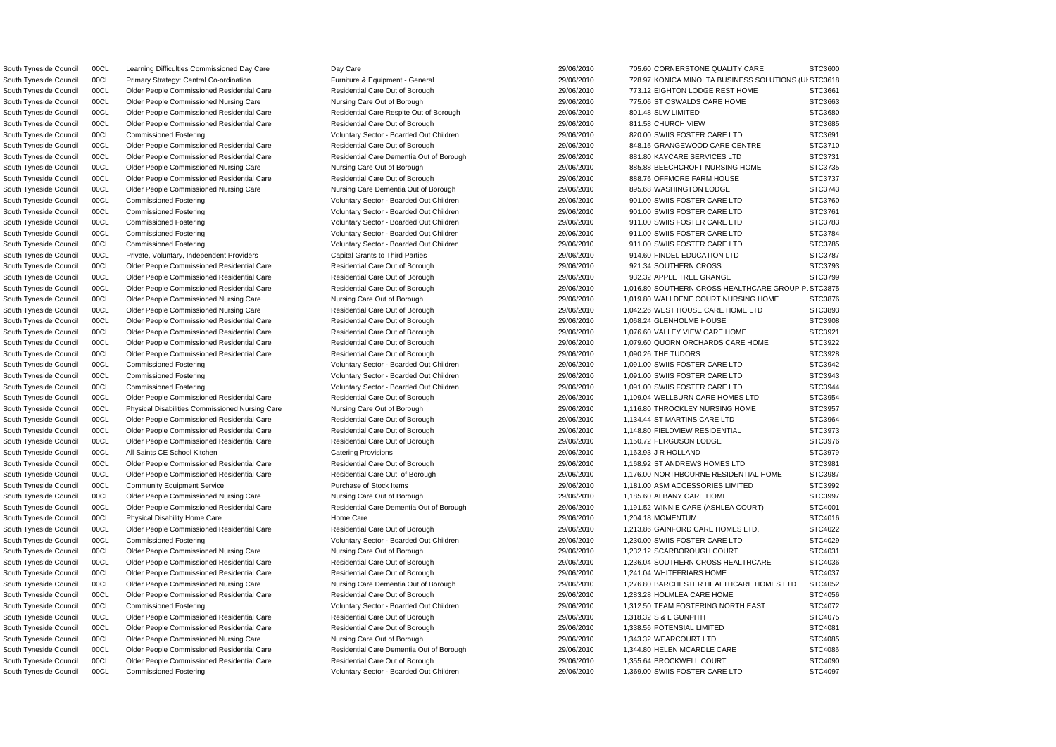South Tyneside Council 00CL Primary Strategy: Central Co-ordination Furniture & Equipment - General 29/06/2010 728.97 KONICA MINOLTA BUSINESS SOLUTIONS (UI STC3618 South Tyneside Council 00CL Learning Difficulties Commissioned Day Care Day Care Day Care 29/06/2010 705.60 CORNERSTONE QUALITY CARE STC3600 South Tyneside Council 00CL Older People Commissioned Residential Care Nesidential Care Out of Borough 29/06/2010 773.12 EIGHTON LODGE REST HOME STC3661 South Tyneside Council 00CL Older People Commissioned Nursing Care Nursing Care Out of Borough 29/06/2010 775.06 ST OSWALDS CARE HOME STC3663 South Tyneside Council COOL Culder People Commissioned Residential Care Respite Out of Borough 29/06/2010 801.48 SLW LIMITED STC3680 South Tyneside Council 00CL Older People Commissioned Residential Care Residential Care Residential Care Out of Borough 29/06/2010 811.58 CHURCH VIEW STC3685 South Tyneside Council 00CL Commissioned Fostering **Notable 2000 Access 2006/2010** 820.00 SWIIS FOSTER CARE LTD STC3691 South Tyneside Council 00CL Older People Commissioned Residential Care Residential Care Residential Care Out of Borough 29/06/2010 848.15 GRANGEWOOD CARE CENTRE STC3710 South Tyneside Council 00CL Older People Commissioned Residential Care Residential Care Dementia Out of Borough 29/06/2010 881.80 KAYCARE SERVICES LTD STC3731 South Tyneside Council 00CL Older People Commissioned Nursing Care Nursing Care Nursing Care Out of Borough 29/06/2010 885.88 BEECHCROFT NURSING HOME STC3735 South Tyneside Council 00CL Older People Commissioned Residential Care Residential Care Out of Borough 29/06/2010 888.76 OFFMORE FARM HOUSE STC3737 South Tyneside Council 00CL Older People Commissioned Nursing Care Nursing Care Dementia Out of Borough 29/06/2010 895.68 WASHINGTON LODGE STC3743 South Tyneside Council 00CL Commissioned Fostering verbation of Voluntary Sector - Boarded Out Children 29/06/2010 901.00 SWIIS FOSTER CARE LTD STC3760 South Tyneside Council 00CL Commissioned Fostering Care and Moter Voluntary Sector - Boarded Out Children 29/06/2010 901.00 SWIIS FOSTER CARE LTD STC3761 South Tyneside Council 00CL Commissioned Fostering Voluntary Sector - Boarded Out Children 29/06/2010 911.00 SWIIS FOSTER CARE LTD STC3783 South Tyneside Council 00CL Commissioned Fostering Came and Voluntary Sector - Boarded Out Children 29/06/2010 911.00 SWIIS FOSTER CARE LTD STC3784 South Tyneside Council 00CL Commissioned Fostering vertex voluntary Sector - Boarded Out Children vertex version and an approximation of the STC3785 South Tyneside Council 00CL Private, Voluntary, Independent Providers Capital Grants to Third Parties 29/06/2010 914.60 FINDEL EDUCATION LTD STC3787 South Tyneside Council COOL Culder People Commissioned Residential Care Nesidential Care Out of Borough 29/06/2010 921.34 SOUTHERN CROSS STC3793 South Tyneside Council COCL Culder People Commissioned Residential Care Nesidential Care Out of Borough 29/06/2010 932.32 APPLE TREE GRANGE STC3799 South Tyneside Council 00CL Older People Commissioned Residential Care Residential Care Residential Care Out of Borough 29/06/2010 1,016.80 SOUTHERN CROSS HEALTHCARE GROUP PLSTC3875 South Tyneside Council 00CL Older People Commissioned Nursing Care Nursing Care Nursing Care Out of Borough 29/06/2010 1,019.80 WALLDENE COURT NURSING HOME STC3876 South Tyneside Council 00CL Older People Commissioned Nursing Care Residential Care Out of Borough 29/06/2010 1,042.26 WEST HOUSE CARE HOME LTD STC3893 South Tyneside Council 00CL Older People Commissioned Residential Care Residential Care Out of Borough 29/06/2010 1,068.24 GLENHOLME HOUSE STC3908 South Tyneside Council COOL Culder People Commissioned Residential Care Nesidential Care Out of Borough 29/06/2010 1,076.60 VALLEY VIEW CARE HOME STC3921 South Tyneside Council 00CL Older People Commissioned Residential Care Residential Care Residential Care Residential Care Residential Care Out of Borough 29/06/2010 1,079.60 QUORN ORCHARDS CARE HOME STC3922 South Tyneside Council COM Older People Commissioned Residential Care Nesidential Care Out of Borough 29/06/2010 1,090.26 THE TUDORS STC3928 South Tyneside Council 00CL Commissioned Fostering Came and Voluntary Sector - Boarded Out Children 29/06/2010 1,091.00 SWIIS FOSTER CARE LTD STC3942 South Tyneside Council 00CL Commissioned Fostering Company Voluntary Sector - Boarded Out Children 29/06/2010 1,091.00 SWIIS FOSTER CARE LTD STC3943 South Tyneside Council 00CL Commissioned Fostering **Notable 10th Contact Contact Contact Voluntary Sector - Boarded Out Children** 29/06/2010 1,091.00 SWIIS FOSTER CARE LTD STC3944 South Tyneside Council 00CL Older People Commissioned Residential Care Residential Care Out of Borough 29/06/2010 1,109.04 WELLBURN CARE HOMES LTD STC3954 South Tyneside Council 00CL Physical Disabilities Commissioned Nursing Care Nursing Care Nursing Care Out of Borough 29/06/2010 1,116.80 THROCKLEY NURSING HOME STC3957 South Tyneside Council 00CL Older People Commissioned Residential Care Residential Care Out of Borough 29/06/2010 1,134.44 ST MARTINS CARE LTD STC3964 South Tyneside Council 00CL Older People Commissioned Residential Care Residential Care Out of Borough 29/06/2010 1,148.80 FIELDVIEW RESIDENTIAL STC3973 South Tyneside Council 00CL Older People Commissioned Residential Care Residential Care Out of Borough 29/06/2010 1,150.72 FERGUSON LODGE STC3976 South Tyneside Council 00CL All Saints CE School Kitchen Catering Provisions 29/06/2010 1,163.93 J R HOLLAND STC3979 South Tyneside Council 00CL Older People Commissioned Residential Care Nesidential Care Out of Borough 29/06/2010 1,168.92 ST ANDREWS HOMES LTD STC3981 South Tyneside Council 00CL Older People Commissioned Residential Care Residential Care Out of Borough 29/06/2010 1,176.00 NORTHBOURNE RESIDENTIAL HOME STC3987 South Tyneside Council 00CL Community Equipment Service Purchase of Stock Items 29/06/2010 1,181.00 ASM ACCESSORIES LIMITED STC3992 South Tyneside Council 00CL Older People Commissioned Nursing Care Nursing Care Out of Borough 29/06/2010 1,185.60 ALBANY CARE HOME STC3997 South Tyneside Council 00CL Older People Commissioned Residential Care Residential Care Dementia Out of Borough 29/06/2010 1,191.52 WINNIE CARE (ASHLEA COURT) STC4001 South Tyneside Council 00CL Physical Disability Home Care Home Care Home Care 29/06/2010 1,204.18 MOMENTUM STC4016 South Tyneside Council 00CL Older People Commissioned Residential Care Residential Care Residential Care Residential Care Residential Care Out of Borough 29/06/2010 1,213.86 GAINFORD CARE HOMES LTD. STC4022 South Tyneside Council 00CL Commissioned Fostering Voluntary Sector - Boarded Out Children 29/06/2010 1,230.00 SWIIS FOSTER CARE LTD STC4029 South Tyneside Council 00CL Older People Commissioned Nursing Care Nursing Care Out of Borough 29/06/2010 1,232.12 SCARBOROUGH COURT STC4031 South Tyneside Council 00CL Older People Commissioned Residential Care Residential Care Out of Borough 29/06/2010 1,236.04 SOUTHERN CROSS HEALTHCARE STC4036 South Tyneside Council COOL Culder People Commissioned Residential Care Nesidential Care Out of Borough 29/06/2010 1,241.04 WHITEFRIARS HOME STC4037 South Tyneside Council 00CL Older People Commissioned Nursing Care Nursing Care Nursing Care Dementia Out of Borough 29/06/2010 1,276.80 BARCHESTER HEALTHCARE HOMES LTD STC4052 South Tyneside Council COOL Culder People Commissioned Residential Care Nesidential Care Out of Borough 29/06/2010 1,283.28 HOLMLEA CARE HOME STC4056 South Tyneside Council 00CL Commissioned Fostering values of Voluntary Sector - Boarded Out Children 29/06/2010 1,312.50 TEAM FOSTERING NORTH EAST STC4072 South Tyneside Council COOL Culder People Commissioned Residential Care Nesidential Care Out of Borough 29/06/2010 1,318.32 S & L GUNPITH STC4075 South Tyneside Council COOL Colder People Commissioned Residential Care Nesidential Care Out of Borough 29/06/2010 1,338.56 POTENSIAL LIMITED STC4081 South Tyneside Council 00CL Older People Commissioned Nursing Care Nursing Care Out of Borough 29/06/2010 1,343.32 WEARCOURT LTD STC4085 South Tyneside Council 00CL Older People Commissioned Residential Care Residential Care Dementia Out of Borough 29/06/2010 1,344.80 HELEN MCARDLE CARE STC4086 South Tyneside Council 00CL Older People Commissioned Residential Care Residential Care Out of Borough 29/06/2010 1,355.64 BROCKWELL COURT STC4090 South Tyneside Council 00CL Commissioned Fostering examples and Voluntary Sector - Boarded Out Children and and and the 29/06/2010 1,369.00 SWIIS FOSTER CARE LTD STC4097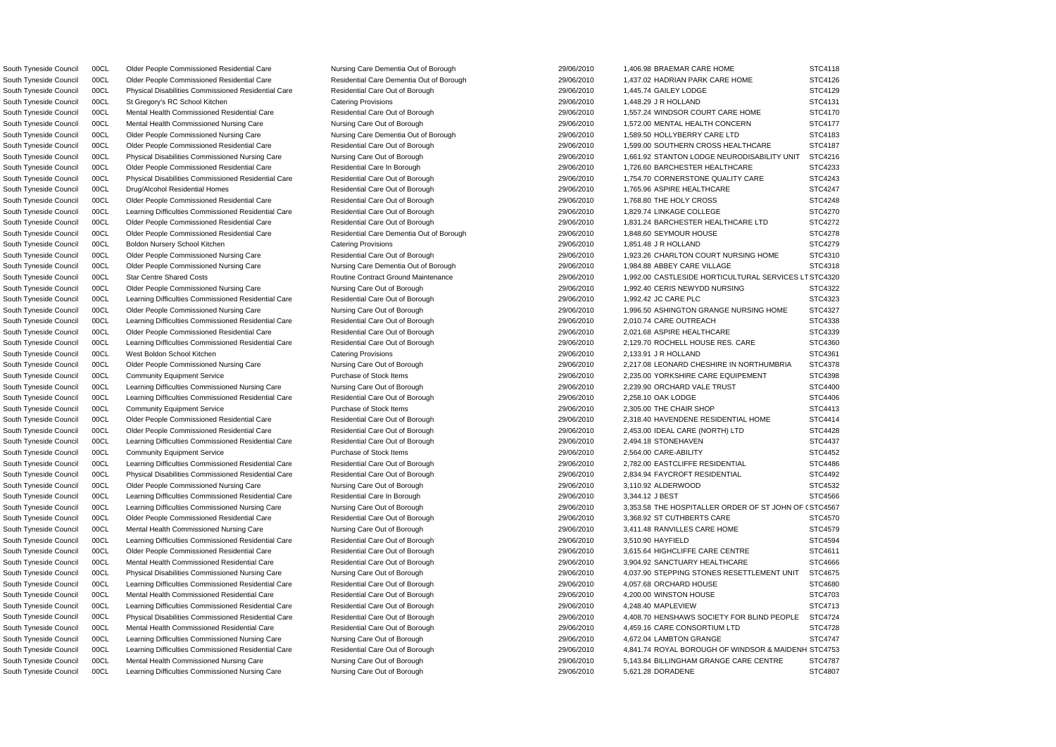South Tyneside Council 00CL Physical Disabilities Commissioned Residential Care Residential Care Out of Borough 29/06/2010 1,445.74 GAILEY LODGE South Tyneside Council 00CL St Gregory's RC School Kitchen Catering Provisions 29/06/2010 1,448.29 J R HOLLAND South Tyneside Council 00CL Older People Commissioned Nursing Care Nursing Care Dementia Out of Borough 29/06/2010 1,589.50 HOLLYBERRY CARE LTD South Tyneside Council 00CL Drug/Alcohol Residential Homes Residential Care Out of Borough 29/06/2010 1,765.96 ASPIRE HEALTHCARE South Tyneside Council COOL Colder People Commissioned Residential Care 2006 Residential Care Out of Borough 29/06/2010 1,768.80 THE HOLY CROSS South Tyneside Council 00CL Learning Difficulties Commissioned Residential Care Residential Care Out of Borough 29/06/2010 1,829.74 LINKAGE COLLEGE South Tyneside Council 00CL Older People Commissioned Residential Care Residential Care Dementia Out of Borough 29/06/2010 1,848.60 SEYMOUR HOUSE South Tyneside Council 00CL Boldon Nursery School Kitchen Catering Provisions Catering Provisions 29/06/2010 1,851.48 J R HOLLAND South Tyneside Council 00CL Older People Commissioned Nursing Care Nursing Care Dementia Out of Borough 29/06/2010 1,984.88 ABBEY CARE VILLAGE South Tyneside Council 00CL Learning Difficulties Commissioned Residential Care Residential Care Out of Borough 29/06/2010 1,992.42 JC CARE PLC South Tyneside Council 00CL Learning Difficulties Commissioned Residential Care Residential Care Out of Borough 29/06/2010 2,010.74 CARE OUTREACH South Tyneside Council 00CL Older People Commissioned Residential Care Residential Care Out of Borough 29/06/2010 2,021.68 ASPIRE HEALTHCARE South Tyneside Council 00CL Learning Difficulties Commissioned Nursing Care Nursing Care Nursing Care Out of Borough 29/06/2010 2,239.90 ORCHARD VALE TRUST South Tyneside Council 00CL Learning Difficulties Commissioned Residential Care Residential Care Out of Borough 29/06/2010 2,258.10 OAK LODGE South Tyneside Council 00CL Learning Difficulties Commissioned Residential Care Residential Care Out of Borough 29/06/2010 2,494.18 STONEHAVEN South Tyneside Council 00CL Community Equipment Service Purchase of Stock Items 29/06/2010 2,564.00 CARE-ABILITY South Tyneside Council 00CL Older People Commissioned Nursing Care Nursing Care Out of Borough 29/06/2010 3,110.92 ALDERWOOD South Tyneside Council 00CL Learning Difficulties Commissioned Residential Care Residential Care In Borough 29/06/2010 3,344.12 J BEST South Tyneside Council 00CL Older People Commissioned Residential Care Residential Care Out of Borough 29/06/2010 3,368.92 ST CUTHBERTS CARE South Tyneside Council 00CL Mental Health Commissioned Nursing Care Nursing Care Out of Borough 29/06/2010 3,411.48 RANVILLES CARE HOME South Tyneside Council 00CL Learning Difficulties Commissioned Residential Care Residential Care Out of Borough 2006/2010 29/06/2010 3,510.90 HAYFIELD South Tyneside Council 00CL Learning Difficulties Commissioned Residential Care Residential Care Out of Borough 29/06/2010 4,057.68 ORCHARD HOUSE South Tyneside Council 00CL Mental Health Commissioned Residential Care Residential Care Out of Borough 29/06/2010 4,200.00 WINSTON HOUSE South Tyneside Council 00CL Learning Difficulties Commissioned Residential Care Residential Care Out of Borough 29/06/2010 4,248.40 MAPLEVIEW South Tyneside Council 00CL Mental Health Commissioned Residential Care Residential Care Out of Borough 29/06/2010 4,459.16 CARE CONSORTIUM LTD South Tyneside Council 00CL Learning Difficulties Commissioned Nursing Care Nursing Care Out of Borough 29/06/2010 4,672.04 LAMBTON GRANGE

South Tyneside Council 00CL Learning Difficulties Commissioned Nursing Care Nursing Care Out of Borough 29/06/2010 5,621.28 DORADENE

|                      | STC4118           |
|----------------------|-------------------|
|                      | STC4126           |
|                      | STC4129           |
|                      | STC4131           |
|                      | STC4170           |
|                      | STC4177           |
|                      | STC4183           |
|                      | STC4187           |
| I                    | STC4216           |
|                      | STC4233           |
|                      | STC4243           |
|                      | STC4247           |
|                      | STC4248           |
|                      | STC4270           |
|                      | STC4272<br>š      |
|                      | STC4278           |
|                      | STC4279           |
|                      | STC4310           |
|                      | STC4318           |
| $\ddot{\phantom{0}}$ | LT STC4320        |
|                      | STC4322           |
|                      | STC4323           |
|                      | STC4327           |
|                      | STC4338           |
|                      | STC4339           |
|                      | STC4360           |
|                      | STC4361           |
|                      | STC4378           |
|                      | STC4398           |
|                      | STC4400           |
|                      | STC4406           |
|                      | STC4413<br>š      |
|                      | STC4414           |
|                      | STC4428           |
|                      | STC4437           |
|                      | STC4452           |
|                      | STC4486           |
|                      | STC4492           |
|                      | STC4532           |
|                      | STC4566           |
|                      | <b>F (STC4567</b> |
|                      | STC4570           |
|                      | STC4579           |
|                      | STC4594           |
|                      | STC4611           |
|                      | STC4666           |
|                      | STC4675           |
|                      | STC4680           |
|                      | STC4703           |
|                      | STC4713           |
|                      | STC4724           |
|                      | STC4728           |
|                      | STC4747           |
| NΗ                   | STC4753           |
|                      | STC4787           |
|                      | STC4807           |

South Tyneside Council 00CL Older People Commissioned Residential Care Nursing Care Dementia Out of Borough 29/06/2010 1,406.98 BRAEMAR CARE HOME South Tyneside Council 00CL Older People Commissioned Residential Care Residential Care Dementia Out of Borough 29/06/2010 1,437.02 HADRIAN PARK CARE HOME South Tyneside Council 00CL Mental Health Commissioned Residential Care Residential Care Out of Borough 29/06/2010 1,557.24 WINDSOR COURT CARE HOME South Tyneside Council 00CL Mental Health Commissioned Nursing Care Nursing Care Nursing Care Out of Borough 29/06/2010 1,572.00 MENTAL HEALTH CONCERN South Tyneside Council 00CL Older People Commissioned Residential Care Residential Care Out of Borough 29/06/2010 1,599.00 SOUTHERN CROSS HEALTHCARE South Tyneside Council 00CL Physical Disabilities Commissioned Nursing Care Nursing Care Nursing Care Out of Borough 29/06/2010 1,661.92 STANTON LODGE NEURODISABILITY UNIT South Tyneside Council 00CL Older People Commissioned Residential Care Residential Care In Borough 29/06/2010 1,726.60 BARCHESTER HEALTHCARE South Tyneside Council 00CL Physical Disabilities Commissioned Residential Care Residential Care Out of Borough 29/06/2010 1,754.70 CORNERSTONE QUALITY CARE South Tyneside Council 00CL Older People Commissioned Residential Care Residential Care Residential Care Out of Borough 29/06/2010 1,831.24 BARCHESTER HEALTHCARE LTD South Tyneside Council 00CL Older People Commissioned Nursing Care Residential Care Out of Borough 29/06/2010 1,923.26 CHARLTON COURT NURSING HOME South Tyneside Council 00CL Star Centre Shared Costs exception and the Contract Ground Maintenance and the analytic and 29/06/2010 1,992.00 CASTLESIDE HORTICULTURAL SERVICES South Tyneside Council 00CL Older People Commissioned Nursing Care Nursing Care Nursing Care Out of Borough 29/06/2010 1,992.40 CERIS NEWYDD NURSING South Tyneside Council 00CL Older People Commissioned Nursing Care Nursing Care Out of Borough 29/06/2010 1,996.50 ASHINGTON GRANGE NURSING HOME South Tyneside Council 00CL Learning Difficulties Commissioned Residential Care Residential Care Residential Care Residential Care Residential Care Out of Borough 29/06/2010 2,129.70 ROCHELL HOUSE RES. CARE South Tyneside Council 00CL West Boldon School Kitchen Catering Provisions Catering Provisions 29/06/2010 2,133.91 J R HOLLAND STC4361 South Tyneside Council 00CL Older People Commissioned Nursing Care Nursing Care Nursing Care Out of Borough 29/06/2010 2,217.08 LEONARD CHESHIRE IN NORTHUMBRIA South Tyneside Council 00CL Community Equipment Service Purchase of Stock Items 29/06/2010 2,235.00 YORKSHIRE CARE EQUIPEMENT South Tyneside Council 00CL Community Equipment Service **Purchase of Stock Items 29/06/2010** 2,305.00 THE CHAIR SHOP STC4413 South Tyneside Council 00CL Older People Commissioned Residential Care Residential Care Out of Borough 29/06/2010 2,318.40 HAVENDENE RESIDENTIAL HOME South Tyneside Council 00CL Older People Commissioned Residential Care Residential Care Out of Borough 29/06/2010 2,453.00 IDEAL CARE (NORTH) LTD South Tyneside Council 00CL Learning Difficulties Commissioned Residential Care Residential Care Out of Borough 29/06/2010 2,782.00 EASTCLIFFE RESIDENTIAL South Tyneside Council 00CL Physical Disabilities Commissioned Residential Care Residential Care Out of Borough 29/06/2010 2,834.94 FAYCROFT RESIDENTIAL South Tyneside Council 00CL Learning Difficulties Commissioned Nursing Care Nursing Care Out of Borough 29/06/2010 3,353.58 THE HOSPITALLER ORDER OF ST JOHN O South Tyneside Council 00CL Older People Commissioned Residential Care Residential Care Residential Care Out of Borough 29/06/2010 3,615.64 HIGHCLIFFE CARE CENTRE South Tyneside Council 00CL Mental Health Commissioned Residential Care Residential Care Residential Care Out of Borough 29/06/2010 3,904.92 SANCTUARY HEALTHCARE South Tyneside Council 00CL Physical Disabilities Commissioned Nursing Care Nursing Care Nursing Care Out of Borough 29/06/2010 4,037.90 STEPPING STONES RESETTLEMENT UNIT South Tyneside Council 00CL Physical Disabilities Commissioned Residential Care Residential Care Out of Borough 29/06/2010 4,408.70 HENSHAWS SOCIETY FOR BLIND PEOPLE South Tyneside Council 00CL Learning Difficulties Commissioned Residential Care Residential Care Out of Borough 29/06/2010 4.841.74 ROYAL BOROUGH OF WINDSOR & MAIDEN South Tyneside Council 00CL Mental Health Commissioned Nursing Care Nursing Care Nursing Care Out of Borough 29/06/2010 5,143.84 BILLINGHAM GRANGE CARE CENTRE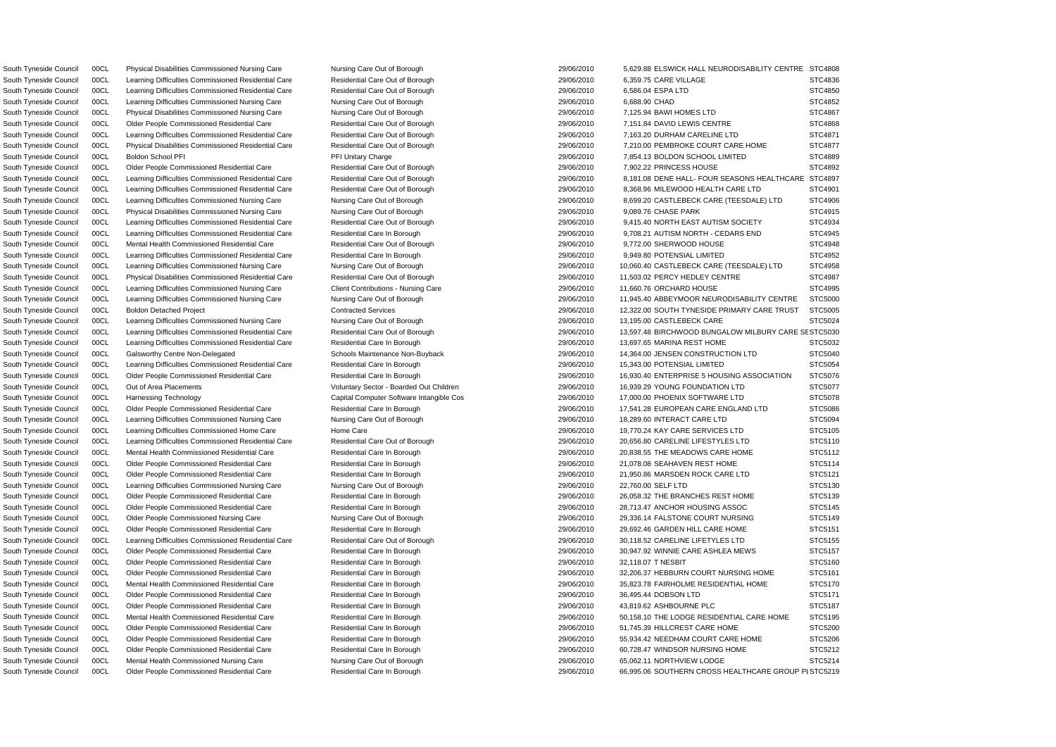South Tyneside Council 00CL Learning Difficulties Commissioned Residential Care Residential Care Out of Borough 29/06/2010 6,359.75 CARE VILLAGE South Tyneside Council 00CL Learning Difficulties Commissioned Residential Care Residential Care Out of Borough 29/06/2010 6,586.04 ESPA LTD South Tyneside Council 00CL Learning Difficulties Commissioned Nursing Care Nursing Care Out of Borough 29/06/2010 8,688.90 CHAD South Tyneside Council 00CL Physical Disabilities Commissioned Nursing Care Nursing Care Out of Borough 29/06/2010 7,125.94 BAWI HOMES LTD South Tyneside Council 00CL Older People Commissioned Residential Care Residential Care Out of Borough 29/06/2010 7,902.22 PRINCESS HOUSE South Tyneside Council 00CL Physical Disabilities Commissioned Nursing Care Nursing Care Out of Borough 29/06/2010 9,089.76 CHASE PARK South Tyneside Council 00CL Mental Health Commissioned Residential Care 2006 Residential Care Out of Borough 29/06/2010 9,772.00 SHERWOOD HOUSE South Tyneside Council 00CL Learning Difficulties Commissioned Residential Care Residential Care In Borough 29/06/2010 9,949.80 POTENSIAL LIMITED South Tyneside Council 00CL Learning Difficulties Commissioned Nursing Care Client Contributions - Nursing Care 29/06/2010 11,660.76 ORCHARD HOUSE South Tyneside Council 00CL Learning Difficulties Commissioned Nursing Care Nursing Care Out of Borough 29/06/2010 13,195.00 CASTLEBECK CARE South Tyneside Council 00CL Learning Difficulties Commissioned Residential Care Residential Care In Borough 29/06/2010 13,697.65 MARINA REST HOME South Tyneside Council 00CL Learning Difficulties Commissioned Residential Care Residential Care In Borough 29/06/2010 15,343.00 POTENSIAL LIMITED South Tyneside Council 00CL Learning Difficulties Commissioned Nursing Care Nursing Care Nursing Care Out of Borough 29/06/2010 18,289.60 INTERACT CARE LTD South Tyneside Council 00CL Learning Difficulties Commissioned Nursing Care Nursing Care Out of Borough 29/06/2010 22,760.00 SELF LTD South Tyneside Council COCL Older People Commissioned Residential Care Residential Care In Borough 29/06/2010 32.118.07 T NESBIT South Tyneside Council 00CL Older People Commissioned Residential Care Residential Care In Borough 29/06/2010 36,495.44 DOBSON LTD South Tyneside Council 00CL Older People Commissioned Residential Care Residential Care In Borough 29/06/2010 43,819.62 ASHBOURNE PLC South Tyneside Council 00CL Mental Health Commissioned Nursing Care Nursing Care Out of Borough 29/06/2010 65,062.11 NORTHVIEW LODGE

South Tyneside Council 00CL Physical Disabilities Commissioned Nursing Care Nursing Care Nursing Care Out of Borough 29/06/2010 5,629.88 ELSWICK HALL NEURODISABILITY CENTR South Tyneside Council 00CL Older People Commissioned Residential Care Residential Care Out of Borough 29/06/2010 7,151.84 DAVID LEWIS CENTRE South Tyneside Council 00CL Learning Difficulties Commissioned Residential Care Residential Care Out of Borough 29/06/2010 7,163.20 DURHAM CARELINE LTD South Tyneside Council 00CL Physical Disabilities Commissioned Residential Care Residential Care Out of Borough 29/06/2010 7,210.00 PEMBROKE COURT CARE HOME South Tyneside Council 00CL Boldon School PFI Primitary Charge 29/06/2010 7,854.13 BOLDON SCHOOL LIMITED South Tyneside Council 00CL Learning Difficulties Commissioned Residential Care Residential Care Out of Borough 29/06/2010 8,181.08 DENE HALL- FOUR SEASONS HEALTHCAR South Tyneside Council 00CL Learning Difficulties Commissioned Residential Care Residential Care Out of Borough 29/06/2010 8,368.96 MILEWOOD HEALTH CARE LTD South Tyneside Council 00CL Learning Difficulties Commissioned Nursing Care Nursing Care Out of Borough 29/06/2010 8,699.20 CASTLEBECK CARE (TEESDALE) LTD South Tyneside Council 00CL Learning Difficulties Commissioned Residential Care Residential Care Out of Borough 29/06/2010 9,415.40 NORTH EAST AUTISM SOCIETY South Tyneside Council 00CL Learning Difficulties Commissioned Residential Care Residential Care In Borough 29/06/2010 9,708.21 AUTISM NORTH - CEDARS END South Tyneside Council 00CL Learning Difficulties Commissioned Nursing Care Nursing Care Out of Borough 29/06/2010 10,060.40 CASTLEBECK CARE (TEESDALE) LTD South Tyneside Council 00CL Physical Disabilities Commissioned Residential Care Residential Care Out of Borough 29/06/2010 11,503.02 PERCY HEDLEY CENTRE South Tyneside Council 00CL Learning Difficulties Commissioned Nursing Care Nursing Care Nursing Care Out of Borough 29/06/2010 11,945.40 ABBEYMOOR NEURODISABILITY CENTRE South Tyneside Council 00CL Boldon Detached Project Contracted Services Contracted Services 29/06/2010 12,322.00 SOUTH TYNESIDE PRIMARY CARE TRUST South Tyneside Council 00CL Learning Difficulties Commissioned Residential Care Residential Care Out of Borough 29/06/2010 13.597.48 BIRCHWOOD BUNGALOW MILBURY CARE South Tyneside Council 00CL Galsworthy Centre Non-Delegated Schools Maintenance Non-Buyback 29/06/2010 14,364.00 JENSEN CONSTRUCTION LTD South Tyneside Council 00CL Older People Commissioned Residential Care Residential Care Residential Care In Borough 29/06/2010 16,930.40 ENTERPRISE 5 HOUSING ASSOCIATION South Tyneside Council 00CL Out of Area Placements **Subsetive Area Placements** Voluntary Sector - Boarded Out Children 29/06/2010 16,939.29 YOUNG FOUNDATION LTD South Tyneside Council 00CL Harnessing Technology Capital Computer Software Intangible Cos 29/06/2010 17,000.00 PHOENIX SOFTWARE LTD South Tyneside Council 00CL Older People Commissioned Residential Care Residential Care Residential Care In Borough 29/06/2010 17,541.28 EUROPEAN CARE ENGLAND LTD South Tyneside Council 00CL Learning Difficulties Commissioned Home Care Home Care Home Care 29/06/2010 19,770.24 KAY CARE SERVICES LTD South Tyneside Council 00CL Learning Difficulties Commissioned Residential Care Residential Care Out of Borough 29/06/2010 20,656.80 CARELINE LIFESTYLES LTD South Tyneside Council 00CL Mental Health Commissioned Residential Care Residential Care Residential Care In Borough 29/06/2010 29/06/2010 20,838.55 THE MEADOWS CARE HOME South Tyneside Council 00CL Older People Commissioned Residential Care Residential Care Residential Care In Borough 29/06/2010 21,078.08 SEAHAVEN REST HOME South Tyneside Council 00CL Older People Commissioned Residential Care Residential Care Residential Care In Borough 29/06/2010 21,950.86 MARSDEN ROCK CARE LTD South Tyneside Council 00CL Older People Commissioned Residential Care Residential Care In Borough 29/06/2010 26,058.32 THE BRANCHES REST HOME South Tyneside Council 00CL Older People Commissioned Residential Care Residential Care Residential Care In Borough 29/06/2010 28,713.47 ANCHOR HOUSING ASSOC South Tyneside Council 00CL Older People Commissioned Nursing Care Nursing Care Nursing Care Out of Borough 29/06/2010 29,336.14 FALSTONE COURT NURSING South Tyneside Council 00CL Older People Commissioned Residential Care Residential Care Residential Care In Borough 29/06/2010 29/06/2010 29,692.46 GARDEN HILL CARE HOME South Tyneside Council 00CL Learning Difficulties Commissioned Residential Care Residential Care Out of Borough 2000 29/06/2010 30.118.52 CARELINE LIFETYLES LTD South Tyneside Council 00CL Older People Commissioned Residential Care Residential Care Residential Care In Borough 29/06/2010 30,947.92 WINNIE CARE ASHLEA MEWS South Tyneside Council 00CL Older People Commissioned Residential Care Residential Care Residential Care In Borough 29/06/2010 32,206.37 HEBBURN COURT NURSING HOME South Tyneside Council 00CL Mental Health Commissioned Residential Care Residential Care Residential Care Residential Care Residential Care Residential Care In Borough 29/06/2010 35,823.78 FAIRHOLME RESIDENTIAL HOME South Tyneside Council 00CL Mental Health Commissioned Residential Care Residential Care In Borough 29/06/2010 50,158.10 THE LODGE RESIDENTIAL CARE HOME South Tyneside Council 00CL Older People Commissioned Residential Care Residential Care Residential Care In Borough 29/06/2010 51.745.39 HILLCREST CARE HOME South Tyneside Council 00CL Older People Commissioned Residential Care Residential Care In Borough 29/06/2010 55,934.42 NEEDHAM COURT CARE HOME South Tyneside Council COOL Colder People Commissioned Residential Care Residential Care Residential Care In Borough 29/06/2010 60.728.47 WINDSOR NURSING HOME South Tyneside Council 00CL Older People Commissioned Residential Care Residential Care In Borough 29/06/2010 66,995.06 SOUTHERN CROSS HEALTHCARE GROUP

| Ε  | STC4808    |
|----|------------|
|    | STC4836    |
|    | STC4850    |
|    | STC4852    |
|    | STC4867    |
|    | STC4868    |
|    |            |
|    | STC4871    |
|    | STC4877    |
|    | STC4889    |
|    | STC4892    |
| ١Е | STC4897    |
|    | STC4901    |
|    | STC4906    |
|    | STC4915    |
|    | STC4934    |
|    | STC4945    |
|    | STC4948    |
|    | STC4952    |
|    | STC4958    |
|    | STC4987    |
|    |            |
|    | STC4995    |
|    | STC5000    |
|    | STC5005    |
|    | STC5024    |
|    | SE STC5030 |
|    | STC5032    |
|    | STC5040    |
|    | STC5054    |
|    | STC5076    |
|    | STC5077    |
|    | STC5078    |
|    | STC5086    |
|    | STC5094    |
|    | STC5105    |
|    | STC5110    |
|    | STC5112    |
|    | STC5114    |
|    | STC5121    |
|    | STC5130    |
|    | STC5139    |
|    |            |
|    | STC5145    |
|    | STC5149    |
|    | STC5151    |
|    | STC5155    |
|    | STC5157    |
|    | STC5160    |
|    | STC5161    |
|    | STC5170    |
|    | STC5171    |
|    | STC5187    |
|    | STC5195    |
|    | STC5200    |
|    | STC5206    |
|    | STC5212    |
|    | STC5214    |
|    | PI STC5219 |
|    |            |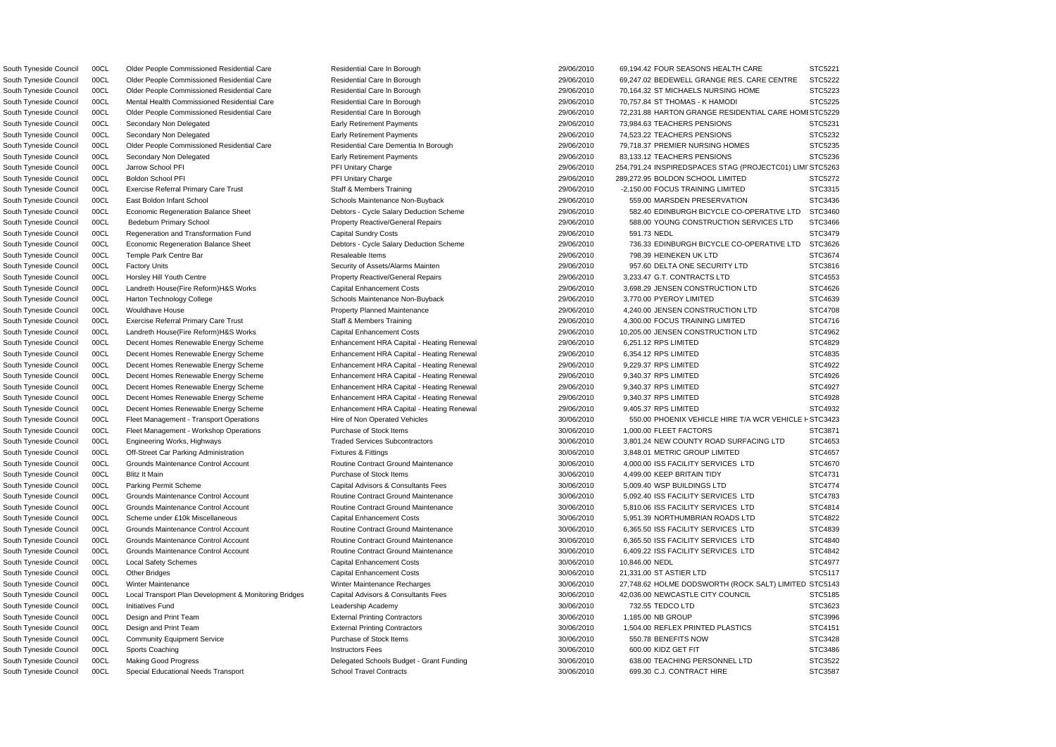South Tyneside Council 00CL Regeneration and Transformation Fund Capital Sundry Costs 29/06/2010 591.73 NEDL STC3479 South Tyneside Council 00CL Harton Technology College Schools Maintenance Non-Buyback 29/06/2010 3,770.00 PYEROY LIMITED South Tyneside Council 00CL Decent Homes Renewable Energy Scheme Enhancement HRA Capital - Heating Renewal 29/06/2010 6,251.12 RPS LIMITED South Tyneside Council 00CL Decent Homes Renewable Energy Scheme Enhancement HRA Capital - Heating Renewal 29/06/2010 6,354.12 RPS LIMITED South Tyneside Council 00CL Decent Homes Renewable Energy Scheme Enhancement HRA Capital - Heating Renewal 29/06/2010 9,229.37 RPS LIMITED South Tyneside Council 00CL Decent Homes Renewable Energy Scheme Enhancement HRA Capital - Heating Renewal 29/06/2010 9,340.37 RPS LIMITED South Tyneside Council 00CL Decent Homes Renewable Energy Scheme Enhancement HRA Capital - Heating Renewal 29/06/2010 9,340.37 RPS LIMITED South Tyneside Council 00CL Decent Homes Renewable Energy Scheme Enhancement HRA Capital - Heating Renewal 29/06/2010 9,340.37 RPS LIMITED South Tyneside Council 00CL Decent Homes Renewable Energy Scheme Enhancement HRA Capital - Heating Renewal 29/06/2010 9,405.37 RPS LIMITED South Tyneside Council 00CL Fleet Management - Workshop Operations Purchase of Stock Items 30/06/2010 1,000.00 FLEET FACTORS South Tyneside Council 00CL Blitz It Main Council and Stock Items 30/06/2010 4,499.00 KEEP BRITAIN TIDY South Tyneside Council 00CL Parking Permit Scheme Capital Advisors & Consultants Fees 30/06/2010 5,009.40 WSP BUILDINGS LTD South Tyneside Council 00CL Community Equipment Service **Purchase of Stock Items** 30/06/2010 550.78 BENEFITS NOW

South Tyneside Council 00CL Special Educational Needs Transport School Travel Contracts 30/06/2010 699.30 C.J. CONTRACT HIRE

South Tyneside Council 00CL Older People Commissioned Residential Care Residential Care Residential Care In Borough 29/06/2010 69,194.42 FOUR SEASONS HEALTH CARE South Tyneside Council 00CL Older People Commissioned Residential Care Residential Care In Borough 29/06/2010 69,247.02 BEDEWELL GRANGE RES. CARE CENTRE South Tyneside Council 00CL Older People Commissioned Residential Care Residential Care In Borough 29/06/2010 70,164.32 ST MICHAELS NURSING HOME South Tyneside Council 00CL Mental Health Commissioned Residential Care Residential Care In Borough 29/06/2010 70,757.84 ST THOMAS - K HAMODI South Tyneside Council 00CL Older People Commissioned Residential Care Residential Care Residential Care Residential Care Residential Care In Borough 29/06/2010 72,231.88 HARTON GRANGE RESIDENTIAL CARE HO South Tyneside Council 00CL Secondary Non Delegated **Early Retirement Payments** Early Retirement Payments 29/06/2010 73,984.63 TEACHERS PENSIONS South Tyneside Council 00CL Secondary Non Delegated **Early Retirement Payments** Early Retirement Payments 29/06/2010 74,523.22 TEACHERS PENSIONS South Tyneside Council 00CL Older People Commissioned Residential Care Residential Care Dementia In Borough 29/06/2010 79,718.37 PREMIER NURSING HOMES South Tyneside Council 00CL Secondary Non Delegated **Early Retirement Payments** Early Retirement Payments 29/06/2010 83,133.12 TEACHERS PENSIONS South Tyneside Council 00CL Jarrow School PFI PH 29/06/2010 254,791.24 INSPIREDSPACES STAG (PROJECTC01) L South Tyneside Council 00CL Boldon School PFI **PELOUT PRI PRI Unitary Charge 29/06/2010** 289,272.95 BOLDON SCHOOL LIMITED South Tyneside Council 00CL Exercise Referral Primary Care Trust Staff & Members Training 29/06/2010 -2,150.00 FOCUS TRAINING LIMITED South Tyneside Council 00CL East Boldon Infant School School Schools Maintenance Non-Buyback 29/06/2010 559.00 MARSDEN PRESERVATION South Tyneside Council 00CL Economic Regeneration Balance Sheet Debtors - Cycle Salary Deduction Scheme 29/06/2010 582.40 EDINBURGH BICYCLE CO-OPERATIVE LT South Tyneside Council 00CL Bedeburn Primary School **Property Reactive/General Repairs** 29/06/2010 588.00 YOUNG CONSTRUCTION SERVICES LTD South Tyneside Council 00CL Economic Regeneration Balance Sheet Debtors - Cycle Salary Deduction Scheme 29/06/2010 736.33 EDINBURGH BICYCLE CO-OPERATIVE LT South Tyneside Council 00CL Temple Park Centre Bar Resaleable Items 29/06/2010 798.39 HEINEKEN UK LTD STC3674 South Tyneside Council 00CL Factory Units Security of Assets/Alarms Mainten 29/06/2010 957.60 DELTA ONE SECURITY LTD South Tyneside Council 00CL Horsley Hill Youth Centre **Property Reactive/General Repairs** 29/06/2010 3,233.47 G.T. CONTRACTS LTD South Tyneside Council 00CL Landreth House(Fire Reform)H&S Works Capital Enhancement Costs 29/06/2010 3,698.29 JENSEN CONSTRUCTION LTD South Tyneside Council 00CL Wouldhave House **Property Planned Maintenance** 29/06/2010 4,240.00 JENSEN CONSTRUCTION LTD South Tyneside Council 00CL Exercise Referral Primary Care Trust Staff & Members Training 29/06/2010 4,300.00 FOCUS TRAINING LIMITED South Tyneside Council 00CL Landreth House(Fire Reform)H&S Works Capital Enhancement Costs 29/06/2010 10,205.00 JENSEN CONSTRUCTION LTD South Tyneside Council 00CL Fleet Management - Transport Operations Hire of Non Operated Vehicles 30/06/2010 550.00 PHOENIX VEHICLE HIRE T/A WCR VEHICL South Tyneside Council 00CL Engineering Works, Highways Traded Services Subcontractors 30/06/2010 3,801.24 NEW COUNTY ROAD SURFACING LTD South Tyneside Council 00CL Off-Street Car Parking Administration Fixtures & Fittings 30/06/2010 3,848.01 METRIC GROUP LIMITED South Tyneside Council 00CL Grounds Maintenance Control Account **10.1 Routine Contract Ground Maintenance** 30/06/2010 4,000.00 ISS FACILITY SERVICES LTD South Tyneside Council 00CL Grounds Maintenance Control Account **Maintenance** Routine Contract Ground Maintenance **30/06/2010** 5,092.40 ISS FACILITY SERVICES LTD South Tyneside Council 00CL Grounds Maintenance Control Account Routine Contract Ground Maintenance 30/06/2010 5,810.06 ISS FACILITY SERVICES LTD STC4814 South Tyneside Council 00CL Scheme under £10k Miscellaneous Capital Enhancement Costs 30/06/2010 5,951.39 NORTHUMBRIAN ROADS LTD South Tyneside Council 00CL Grounds Maintenance Control Account **3000 Routine Contract Ground Maintenance** 30/06/2010 6,365.50 ISS FACILITY SERVICES LTD South Tyneside Council 00CL Grounds Maintenance Control Account Routine Contract Ground Maintenance 30/06/2010 6,365.50 ISS FACILITY SERVICES LTD STC4840 South Tyneside Council 00CL Grounds Maintenance Control Account Routine Contract Ground Maintenance 30/06/2010 6,409.22 ISS FACILITY SERVICES LTD STC4842 South Tyneside Council COCL Local Safety Schemes Capital Enhancement Costs Capital Enhancement Costs 30/06/2010 10,846.00 NEDL STC4977 South Tyneside Council 00CL Other Bridges Capital Enhancement Costs Capital Enhancement Costs 21,331.00 ST ASTIER LTD STC5117 South Tyneside Council 00CL Winter Maintenance **30/06/2010** 30/06/2010 27,748.62 HOLME DODSWORTH (ROCK SALT) LIMIT South Tyneside Council 00CL Local Transport Plan Development & Monitoring Bridges Capital Advisors & Consultants Fees 30/06/2010 42,036.00 NEWCASTLE CITY COUNCIL South Tyneside Council 00CL Initiatives Fund Leadership Academy 30/06/2010 732.55 TEDCO LTD STC3623 South Tyneside Council 00CL Design and Print Team  $\blacksquare$  External Printing Contractors  $\blacksquare$  30/06/2010 1,185.00 NB GROUP STC3996 South Tyneside Council 00CL Design and Print Team **External Print Internal Printing Contractors** 30/06/2010 1,504.00 REFLEX PRINTED PLASTICS South Tyneside Council 00CL Sports Coaching Notation Structors Fees 20/06/2010 500.00 KIDZ GET FIT STC3486 STC3486 South Tyneside Council 00CL Making Good Progress Delegated Schools Budget - Grant Funding 30/06/2010 638.00 TEACHING PERSONNEL LTD STC3522

|                          | STC5221          |  |         |
|--------------------------|------------------|--|---------|
| $\overline{\phantom{a}}$ | STC5222          |  |         |
|                          | STC5223          |  |         |
|                          | STC5225          |  |         |
| OMISTC5229               |                  |  |         |
|                          | STC5231          |  |         |
|                          | ST               |  | C5232   |
|                          | STC5235          |  |         |
|                          | STC5236          |  |         |
|                          |                  |  |         |
| .IMI'                    | STC5263          |  |         |
|                          | STC5272          |  |         |
|                          | STC3315          |  |         |
|                          | STC3436          |  |         |
| Г                        | STC3460          |  |         |
|                          | STC3466          |  |         |
|                          | STC3479          |  |         |
| ſ                        | STC3626          |  |         |
|                          | STC3674          |  |         |
|                          | STC3816          |  |         |
|                          | STC4553          |  |         |
|                          | STC4626          |  |         |
|                          |                  |  |         |
|                          | STC4639          |  |         |
|                          | STC4708          |  |         |
|                          | STC4716          |  |         |
|                          | ST               |  | C4962   |
|                          | ST               |  | C4829   |
|                          | STC4835          |  |         |
|                          | STC4922          |  |         |
|                          | STC4926          |  |         |
|                          | STC4927          |  |         |
|                          | STC4928          |  |         |
|                          | STC4932          |  |         |
| E                        | <b>F STC3423</b> |  |         |
|                          | STC3871          |  |         |
|                          | STC4653          |  |         |
|                          |                  |  |         |
|                          | STC4657          |  |         |
|                          | STC4670          |  |         |
|                          | STC4731          |  |         |
|                          | STC4774          |  |         |
|                          | зT<br>ຸ          |  | C4783   |
|                          | STC4814          |  |         |
|                          | STC4822          |  |         |
|                          | š<br>SТ          |  | C4839   |
|                          | STC4840          |  |         |
|                          | STC4842          |  |         |
|                          | STC4977          |  |         |
|                          | STC5117          |  |         |
| ED                       | STC5143          |  |         |
|                          | STC5185          |  |         |
|                          | STC3623          |  |         |
|                          |                  |  |         |
|                          | STC3996          |  |         |
|                          | STC4151          |  |         |
|                          | STC3428          |  |         |
|                          | STC3486          |  |         |
|                          | STC3522          |  |         |
|                          | š                |  | STC3587 |